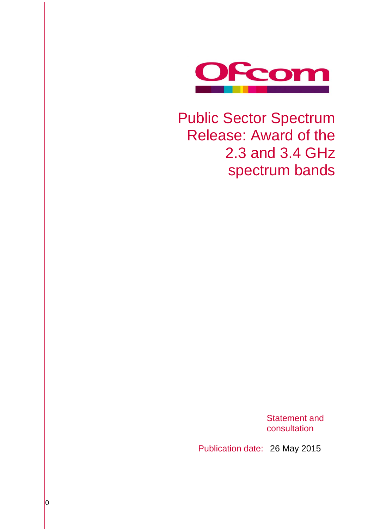

# Public Sector Spectrum Release: Award of the 2.3 and 3.4 GHz spectrum bands

Statement and consultation

Publication date: 26 May 2015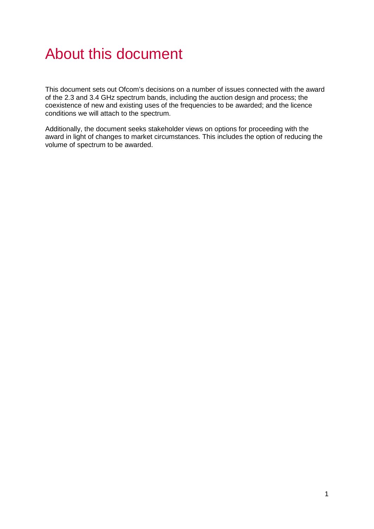# About this document

This document sets out Ofcom's decisions on a number of issues connected with the award of the 2.3 and 3.4 GHz spectrum bands, including the auction design and process; the coexistence of new and existing uses of the frequencies to be awarded; and the licence conditions we will attach to the spectrum.

Additionally, the document seeks stakeholder views on options for proceeding with the award in light of changes to market circumstances. This includes the option of reducing the volume of spectrum to be awarded.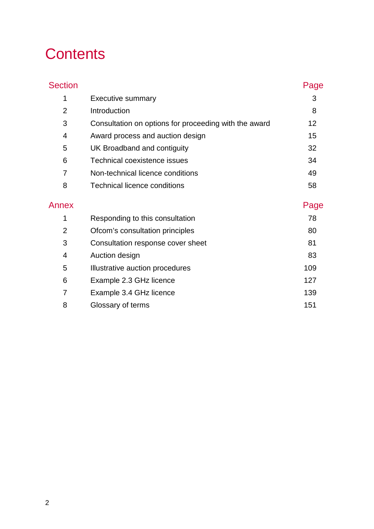# **Contents**

| <b>Section</b> |                                                       | Page |
|----------------|-------------------------------------------------------|------|
| 1              | <b>Executive summary</b>                              | 3    |
| $\overline{2}$ | Introduction                                          | 8    |
| 3              | Consultation on options for proceeding with the award | 12   |
| $\overline{4}$ | Award process and auction design                      | 15   |
| 5              | UK Broadband and contiguity                           | 32   |
| 6              | <b>Technical coexistence issues</b>                   | 34   |
| 7              | Non-technical licence conditions                      | 49   |
| 8              | <b>Technical licence conditions</b>                   | 58   |
| Annex          |                                                       | Page |
| 1              | Responding to this consultation                       | 78   |
| $\overline{2}$ | Ofcom's consultation principles                       | 80   |
| 3              | Consultation response cover sheet                     | 81   |
| 4              | Auction design                                        | 83   |
| 5              | Illustrative auction procedures                       | 109  |
| 6              | Example 2.3 GHz licence                               | 127  |
| 7              | Example 3.4 GHz licence                               | 139  |
| 8              | Glossary of terms                                     | 151  |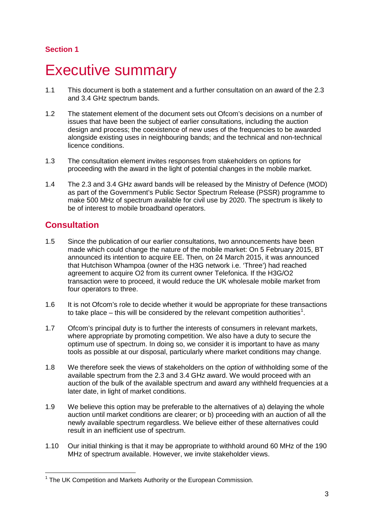## **Section 1**

# <span id="page-3-0"></span>**Executive summary**

- 1.1 This document is both a statement and a further consultation on an award of the 2.3 and 3.4 GHz spectrum bands.
- 1.2 The statement element of the document sets out Ofcom's decisions on a number of issues that have been the subject of earlier consultations, including the auction design and process; the coexistence of new uses of the frequencies to be awarded alongside existing uses in neighbouring bands; and the technical and non-technical licence conditions.
- 1.3 The consultation element invites responses from stakeholders on options for proceeding with the award in the light of potential changes in the mobile market.
- 1.4 The 2.3 and 3.4 GHz award bands will be released by the Ministry of Defence (MOD) as part of the Government's Public Sector Spectrum Release (PSSR) programme to make 500 MHz of spectrum available for civil use by 2020. The spectrum is likely to be of interest to mobile broadband operators.

# **Consultation**

- 1.5 Since the publication of our earlier consultations, two announcements have been made which could change the nature of the mobile market: On 5 February 2015, BT announced its intention to acquire EE. Then, on 24 March 2015, it was announced that Hutchison Whampoa (owner of the H3G network i.e. 'Three') had reached agreement to acquire O2 from its current owner Telefonica. If the H3G/O2 transaction were to proceed, it would reduce the UK wholesale mobile market from four operators to three.
- 1.6 It is not Ofcom's role to decide whether it would be appropriate for these transactions to take place – this will be considered by the relevant competition authorities<sup>[1](#page-3-1)</sup>.
- 1.7 Ofcom's principal duty is to further the interests of consumers in relevant markets, where appropriate by promoting competition. We also have a duty to secure the optimum use of spectrum. In doing so, we consider it is important to have as many tools as possible at our disposal, particularly where market conditions may change.
- 1.8 We therefore seek the views of stakeholders on the *option* of withholding some of the available spectrum from the 2.3 and 3.4 GHz award. We would proceed with an auction of the bulk of the available spectrum and award any withheld frequencies at a later date, in light of market conditions.
- 1.9 We believe this option may be preferable to the alternatives of a) delaying the whole auction until market conditions are clearer; or b) proceeding with an auction of all the newly available spectrum regardless. We believe either of these alternatives could result in an inefficient use of spectrum.
- 1.10 Our initial thinking is that it may be appropriate to withhold around 60 MHz of the 190 MHz of spectrum available. However, we invite stakeholder views.

<span id="page-3-1"></span> $1$  The UK Competition and Markets Authority or the European Commission.  $\overline{a}$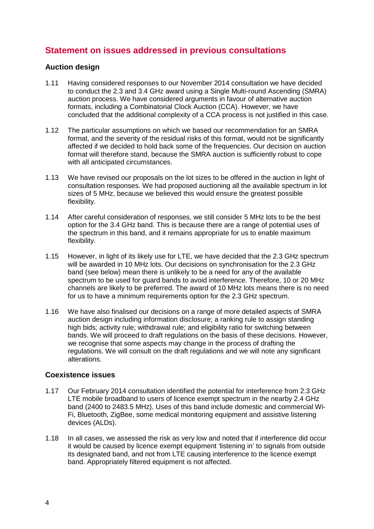# **Statement on issues addressed in previous consultations**

#### **Auction design**

- 1.11 Having considered responses to our November 2014 consultation we have decided to conduct the 2.3 and 3.4 GHz award using a Single Multi-round Ascending (SMRA) auction process. We have considered arguments in favour of alternative auction formats, including a Combinatorial Clock Auction (CCA). However, we have concluded that the additional complexity of a CCA process is not justified in this case.
- 1.12 The particular assumptions on which we based our recommendation for an SMRA format, and the severity of the residual risks of this format, would not be significantly affected if we decided to hold back some of the frequencies. Our decision on auction format will therefore stand, because the SMRA auction is sufficiently robust to cope with all anticipated circumstances.
- 1.13 We have revised our proposals on the lot sizes to be offered in the auction in light of consultation responses. We had proposed auctioning all the available spectrum in lot sizes of 5 MHz, because we believed this would ensure the greatest possible flexibility.
- 1.14 After careful consideration of responses, we still consider 5 MHz lots to be the best option for the 3.4 GHz band. This is because there are a range of potential uses of the spectrum in this band, and it remains appropriate for us to enable maximum flexibility.
- 1.15 However, in light of its likely use for LTE, we have decided that the 2.3 GHz spectrum will be awarded in 10 MHz lots. Our decisions on synchronisation for the 2.3 GHz band (see below) mean there is unlikely to be a need for any of the available spectrum to be used for guard bands to avoid interference. Therefore, 10 or 20 MHz channels are likely to be preferred. The award of 10 MHz lots means there is no need for us to have a minimum requirements option for the 2.3 GHz spectrum.
- 1.16 We have also finalised our decisions on a range of more detailed aspects of SMRA auction design including information disclosure; a ranking rule to assign standing high bids; activity rule; withdrawal rule; and eligibility ratio for switching between bands. We will proceed to draft regulations on the basis of these decisions. However, we recognise that some aspects may change in the process of drafting the regulations. We will consult on the draft regulations and we will note any significant alterations.

#### **Coexistence issues**

- 1.17 Our February 2014 consultation identified the potential for interference from 2.3 GHz LTE mobile broadband to users of licence exempt spectrum in the nearby 2.4 GHz band (2400 to 2483.5 MHz). Uses of this band include domestic and commercial Wi-Fi, Bluetooth, ZigBee, some medical monitoring equipment and assistive listening devices (ALDs).
- 1.18 In all cases, we assessed the risk as very low and noted that if interference did occur it would be caused by licence exempt equipment 'listening in' to signals from outside its designated band, and not from LTE causing interference to the licence exempt band. Appropriately filtered equipment is not affected.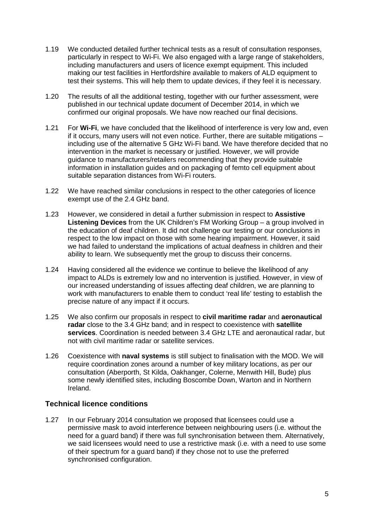- 1.19 We conducted detailed further technical tests as a result of consultation responses, particularly in respect to Wi-Fi. We also engaged with a large range of stakeholders, including manufacturers and users of licence exempt equipment. This included making our test facilities in Hertfordshire available to makers of ALD equipment to test their systems. This will help them to update devices, if they feel it is necessary.
- 1.20 The results of all the additional testing, together with our further assessment, were published in our technical update document of December 2014, in which we confirmed our original proposals. We have now reached our final decisions.
- 1.21 For **Wi-Fi**, we have concluded that the likelihood of interference is very low and, even if it occurs, many users will not even notice. Further, there are suitable mitigations – including use of the alternative 5 GHz Wi-Fi band. We have therefore decided that no intervention in the market is necessary or justified. However, we will provide guidance to manufacturers/retailers recommending that they provide suitable information in installation guides and on packaging of femto cell equipment about suitable separation distances from Wi-Fi routers.
- 1.22 We have reached similar conclusions in respect to the other categories of licence exempt use of the 2.4 GHz band.
- 1.23 However, we considered in detail a further submission in respect to **Assistive Listening Devices** from the UK Children's FM Working Group – a group involved in the education of deaf children. It did not challenge our testing or our conclusions in respect to the low impact on those with some hearing impairment. However, it said we had failed to understand the implications of actual deafness in children and their ability to learn. We subsequently met the group to discuss their concerns.
- 1.24 Having considered all the evidence we continue to believe the likelihood of any impact to ALDs is extremely low and no intervention is justified. However, in view of our increased understanding of issues affecting deaf children, we are planning to work with manufacturers to enable them to conduct 'real life' testing to establish the precise nature of any impact if it occurs.
- 1.25 We also confirm our proposals in respect to **civil maritime radar** and **aeronautical radar** close to the 3.4 GHz band; and in respect to coexistence with **satellite services**. Coordination is needed between 3.4 GHz LTE and aeronautical radar, but not with civil maritime radar or satellite services.
- 1.26 Coexistence with **naval systems** is still subject to finalisation with the MOD. We will require coordination zones around a number of key military locations, as per our consultation (Aberporth, St Kilda, Oakhanger, Colerne, Menwith Hill, Bude) plus some newly identified sites, including Boscombe Down, Warton and in Northern Ireland.

### **Technical licence conditions**

1.27 In our February 2014 consultation we proposed that licensees could use a permissive mask to avoid interference between neighbouring users (i.e. without the need for a guard band) if there was full synchronisation between them. Alternatively, we said licensees would need to use a restrictive mask (i.e. with a need to use some of their spectrum for a guard band) if they chose not to use the preferred synchronised configuration.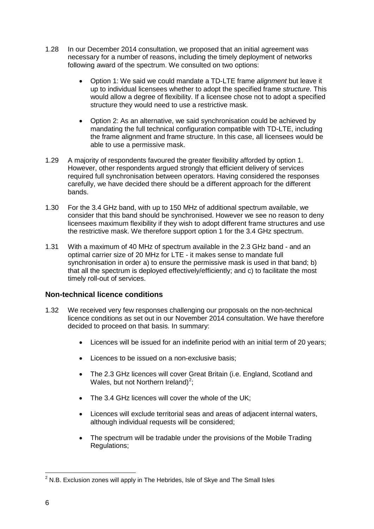- 1.28 In our December 2014 consultation, we proposed that an initial agreement was necessary for a number of reasons, including the timely deployment of networks following award of the spectrum. We consulted on two options:
	- Option 1: We said we could mandate a TD-LTE frame *alignment* but leave it up to individual licensees whether to adopt the specified frame *structure*. This would allow a degree of flexibility. If a licensee chose not to adopt a specified structure they would need to use a restrictive mask.
	- Option 2: As an alternative, we said synchronisation could be achieved by mandating the full technical configuration compatible with TD-LTE, including the frame alignment and frame structure. In this case, all licensees would be able to use a permissive mask.
- 1.29 A majority of respondents favoured the greater flexibility afforded by option 1. However, other respondents argued strongly that efficient delivery of services required full synchronisation between operators. Having considered the responses carefully, we have decided there should be a different approach for the different bands.
- 1.30 For the 3.4 GHz band, with up to 150 MHz of additional spectrum available, we consider that this band should be synchronised. However we see no reason to deny licensees maximum flexibility if they wish to adopt different frame structures and use the restrictive mask. We therefore support option 1 for the 3.4 GHz spectrum.
- 1.31 With a maximum of 40 MHz of spectrum available in the 2.3 GHz band and an optimal carrier size of 20 MHz for LTE - it makes sense to mandate full synchronisation in order a) to ensure the permissive mask is used in that band; b) that all the spectrum is deployed effectively/efficiently; and c) to facilitate the most timely roll-out of services.

### **Non-technical licence conditions**

- 1.32 We received very few responses challenging our proposals on the non-technical licence conditions as set out in our November 2014 consultation. We have therefore decided to proceed on that basis. In summary:
	- Licences will be issued for an indefinite period with an initial term of 20 years;
	- Licences to be issued on a non-exclusive basis:
	- The 2.3 GHz licences will cover Great Britain (i.e. England, Scotland and Wales, but not Northern Ireland)<sup>[2](#page-6-0)</sup>;
	- The 3.4 GHz licences will cover the whole of the UK;
	- Licences will exclude territorial seas and areas of adjacent internal waters, although individual requests will be considered;
	- The spectrum will be tradable under the provisions of the Mobile Trading Regulations;

<span id="page-6-0"></span> $2$  N.B. Exclusion zones will apply in The Hebrides, Isle of Skye and The Small Isles  $\overline{a}$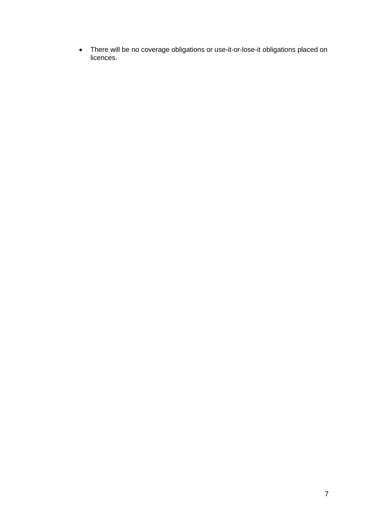• There will be no coverage obligations or use-it-or-lose-it obligations placed on licences.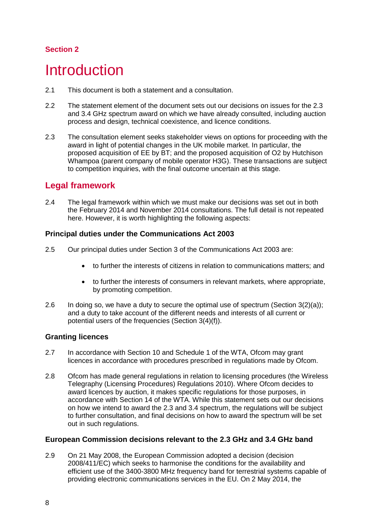## **Section 2**

# <span id="page-8-0"></span>**Introduction**

- 2.1 This document is both a statement and a consultation.
- 2.2 The statement element of the document sets out our decisions on issues for the 2.3 and 3.4 GHz spectrum award on which we have already consulted, including auction process and design, technical coexistence, and licence conditions.
- 2.3 The consultation element seeks stakeholder views on options for proceeding with the award in light of potential changes in the UK mobile market. In particular, the proposed acquisition of EE by BT; and the proposed acquisition of O2 by Hutchison Whampoa (parent company of mobile operator H3G). These transactions are subject to competition inquiries, with the final outcome uncertain at this stage.

# **Legal framework**

2.4 The legal framework within which we must make our decisions was set out in both the February 2014 and November 2014 consultations. The full detail is not repeated here. However, it is worth highlighting the following aspects:

### **Principal duties under the Communications Act 2003**

- 2.5 Our principal duties under Section 3 of the Communications Act 2003 are:
	- to further the interests of citizens in relation to communications matters; and
	- to further the interests of consumers in relevant markets, where appropriate, by promoting competition.
- 2.6 In doing so, we have a duty to secure the optimal use of spectrum (Section  $3(2)(a)$ ); and a duty to take account of the different needs and interests of all current or potential users of the frequencies (Section 3(4)(f)).

## **Granting licences**

- 2.7 In accordance with Section 10 and Schedule 1 of the WTA, Ofcom may grant licences in accordance with procedures prescribed in regulations made by Ofcom.
- 2.8 Ofcom has made general regulations in relation to licensing procedures (the Wireless Telegraphy (Licensing Procedures) Regulations 2010). Where Ofcom decides to award licences by auction, it makes specific regulations for those purposes, in accordance with Section 14 of the WTA. While this statement sets out our decisions on how we intend to award the 2.3 and 3.4 spectrum, the regulations will be subject to further consultation, and final decisions on how to award the spectrum will be set out in such regulations.

### **European Commission decisions relevant to the 2.3 GHz and 3.4 GHz band**

2.9 On 21 May 2008, the European Commission adopted a decision (decision 2008/411/EC) which seeks to harmonise the conditions for the availability and efficient use of the 3400-3800 MHz frequency band for terrestrial systems capable of providing electronic communications services in the EU. On 2 May 2014, the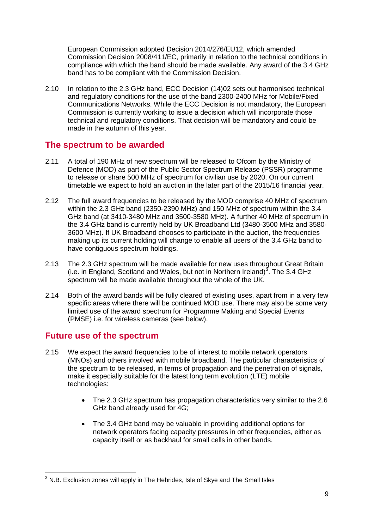European Commission adopted Decision 2014/276/EU12, which amended Commission Decision 2008/411/EC, primarily in relation to the technical conditions in compliance with which the band should be made available. Any award of the 3.4 GHz band has to be compliant with the Commission Decision.

2.10 In relation to the 2.3 GHz band, ECC Decision (14)02 sets out harmonised technical and regulatory conditions for the use of the band 2300-2400 MHz for Mobile/Fixed Communications Networks. While the ECC Decision is not mandatory, the European Commission is currently working to issue a decision which will incorporate those technical and regulatory conditions. That decision will be mandatory and could be made in the autumn of this year.

# **The spectrum to be awarded**

- 2.11 A total of 190 MHz of new spectrum will be released to Ofcom by the Ministry of Defence (MOD) as part of the Public Sector Spectrum Release (PSSR) programme to release or share 500 MHz of spectrum for civilian use by 2020. On our current timetable we expect to hold an auction in the later part of the 2015/16 financial year.
- 2.12 The full award frequencies to be released by the MOD comprise 40 MHz of spectrum within the 2.3 GHz band (2350-2390 MHz) and 150 MHz of spectrum within the 3.4 GHz band (at 3410-3480 MHz and 3500-3580 MHz). A further 40 MHz of spectrum in the 3.4 GHz band is currently held by UK Broadband Ltd (3480-3500 MHz and 3580- 3600 MHz). If UK Broadband chooses to participate in the auction, the frequencies making up its current holding will change to enable all users of the 3.4 GHz band to have contiguous spectrum holdings.
- 2.13 The 2.3 GHz spectrum will be made available for new uses throughout Great Britain (i.e. in England, Scotland and Wales, but not in Northern Ireland)<sup>[3](#page-9-0)</sup>. The 3.4 GHz spectrum will be made available throughout the whole of the UK.
- 2.14 Both of the award bands will be fully cleared of existing uses, apart from in a very few specific areas where there will be continued MOD use. There may also be some very limited use of the award spectrum for Programme Making and Special Events (PMSE) i.e. for wireless cameras (see below).

## **Future use of the spectrum**

- 2.15 We expect the award frequencies to be of interest to mobile network operators (MNOs) and others involved with mobile broadband. The particular characteristics of the spectrum to be released, in terms of propagation and the penetration of signals, make it especially suitable for the latest long term evolution (LTE) mobile technologies:
	- The 2.3 GHz spectrum has propagation characteristics very similar to the 2.6 GHz band already used for 4G;
	- The 3.4 GHz band may be valuable in providing additional options for network operators facing capacity pressures in other frequencies, either as capacity itself or as backhaul for small cells in other bands.

<span id="page-9-0"></span> $3$  N.B. Exclusion zones will apply in The Hebrides, Isle of Skye and The Small Isles  $\overline{a}$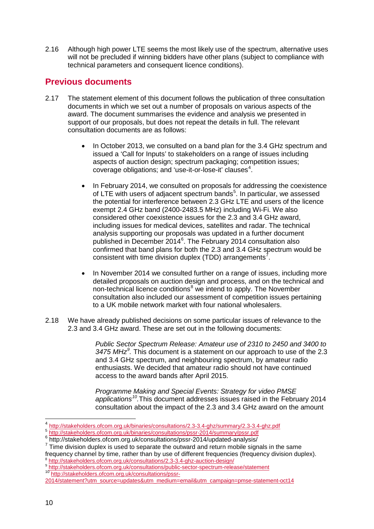2.16 Although high power LTE seems the most likely use of the spectrum, alternative uses will not be precluded if winning bidders have other plans (subject to compliance with technical parameters and consequent licence conditions).

# **Previous documents**

- 2.17 The statement element of this document follows the publication of three consultation documents in which we set out a number of proposals on various aspects of the award. The document summarises the evidence and analysis we presented in support of our proposals, but does not repeat the details in full. The relevant consultation documents are as follows:
	- In October 2013, we consulted on a band plan for the 3.4 GHz spectrum and issued a 'Call for Inputs' to stakeholders on a range of issues including aspects of auction design; spectrum packaging; competition issues; coverage obligations; and 'use-it-or-lose-it' clauses<sup>[4](#page-10-0)</sup>.
	- In February 2014, we consulted on proposals for addressing the coexistence of LTE with users of adjacent spectrum bands<sup>[5](#page-10-1)</sup>. In particular, we assessed the potential for interference between 2.3 GHz LTE and users of the licence exempt 2.4 GHz band (2400-2483.5 MHz) including Wi-Fi. We also considered other coexistence issues for the 2.3 and 3.4 GHz award, including issues for medical devices, satellites and radar. The technical analysis supporting our proposals was updated in a further document published in December 2014<sup>[6](#page-10-2)</sup>. The February 2014 consultation also confirmed that band plans for both the 2.3 and 3.4 GHz spectrum would be consistent with time division duplex (TDD) arrangements<sup>[7](#page-10-3)</sup>.
	- In November 2014 we consulted further on a range of issues, including more detailed proposals on auction design and process, and on the technical and non-technical licence conditions<sup>[8](#page-10-4)</sup> we intend to apply. The November consultation also included our assessment of competition issues pertaining to a UK mobile network market with four national wholesalers.
- 2.18 We have already published decisions on some particular issues of relevance to the 2.3 and 3.4 GHz award. These are set out in the following documents:

*Public Sector Spectrum Release: Amateur use of 2310 to 2450 and 3400 to 3475 MHz[9](#page-10-5) .* This document is a statement on our approach to use of the 2.3 and 3.4 GHz spectrum, and neighbouring spectrum, by amateur radio enthusiasts. We decided that amateur radio should not have continued access to the award bands after April 2015.

*Programme Making and Special Events: Strategy for video PMSE applications[10](#page-10-6).*This document addresses issues raised in the February 2014 consultation about the impact of the 2.3 and 3.4 GHz award on the amount

 $\overline{a}$ 

<span id="page-10-2"></span><span id="page-10-1"></span>

<span id="page-10-3"></span>

<span id="page-10-0"></span> $\frac{4}{5} \frac{http://stakeholders.ofcom.org.uk/binaries/consultations/2.3-3.4-ghz/summary/2.3-3.4-ghz.pdf}{http://stakeholders.ofcom.org.uk/binaries/consultations/pssr-2014/summary/pssr.pdf}$  $\frac{4}{5} \frac{http://stakeholders.ofcom.org.uk/binaries/consultations/2.3-3.4-ghz/summary/2.3-3.4-ghz.pdf}{http://stakeholders.ofcom.org.uk/binaries/consultations/pssr-2014/summary/pssr.pdf}$  $\frac{4}{5} \frac{http://stakeholders.ofcom.org.uk/binaries/consultations/2.3-3.4-ghz/summary/2.3-3.4-ghz.pdf}{http://stakeholders.ofcom.org.uk/binaries/consultations/pssr-2014/summary/pssr.pdf}$  $\frac{4}{5} \frac{http://stakeholders.ofcom.org.uk/binaries/consultations/2.3-3.4-ghz/summary/2.3-3.4-ghz.pdf}{http://stakeholders.ofcom.org.uk/binaries/consultations/pssr-2014/summary/pssr.pdf}$  $\frac{4}{5} \frac{http://stakeholders.ofcom.org.uk/binaries/consultations/2.3-3.4-ghz/summary/2.3-3.4-ghz.pdf}{http://stakeholders.ofcom.org.uk/binaries/consultations/pssr-2014/summary/pssr.pdf}$   $\frac{6}{5}$ http://stakeholders.ofcom.org.uk/binaries/consultations/pssr-2014/summary/pssr.pdf<br>  $\frac{6}{5}$ http://stakeholders.ofcom.org.u

<span id="page-10-5"></span><span id="page-10-4"></span> $^8 \frac{\text{http://stakeholders.ofcom.org.uk/consultations/2.3-3.4-ghz-auction-design/}}{\text{http://stakeholders.ofcom.org.uk/consultations/public-sector-spectrum-release/statement}}$  $^8 \frac{\text{http://stakeholders.ofcom.org.uk/consultations/2.3-3.4-ghz-auction-design/}}{\text{http://stakeholders.ofcom.org.uk/consultations/public-sector-spectrum-release/statement}}$  $^8 \frac{\text{http://stakeholders.ofcom.org.uk/consultations/2.3-3.4-ghz-auction-design/}}{\text{http://stakeholders.ofcom.org.uk/consultations/public-sector-spectrum-release/statement}}$  $^8 \frac{\text{http://stakeholders.ofcom.org.uk/consultations/2.3-3.4-ghz-auction-design/}}{\text{http://stakeholders.ofcom.org.uk/consultations/public-sector-spectrum-release/statement}}$  $^8 \frac{\text{http://stakeholders.ofcom.org.uk/consultations/2.3-3.4-ghz-auction-design/}}{\text{http://stakeholders.ofcom.org.uk/consultations/public-sector-spectrum-release/statement}}$ 

<span id="page-10-6"></span>[<sup>2014/</sup>statement?utm\\_source=updates&utm\\_medium=email&utm\\_campaign=pmse-statement-oct14](http://stakeholders.ofcom.org.uk/consultations/pssr-2014/statement?utm_source=updates&utm_medium=email&utm_campaign=pmse-statement-oct14)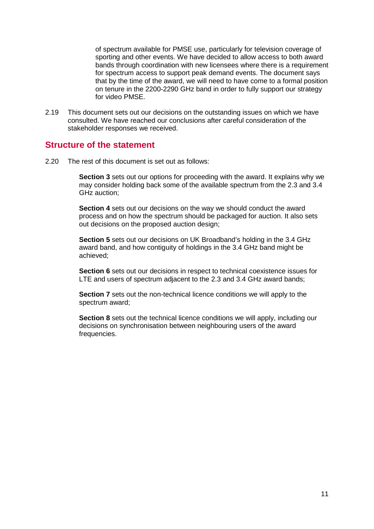of spectrum available for PMSE use, particularly for television coverage of sporting and other events. We have decided to allow access to both award bands through coordination with new licensees where there is a requirement for spectrum access to support peak demand events. The document says that by the time of the award, we will need to have come to a formal position on tenure in the 2200-2290 GHz band in order to fully support our strategy for video PMSE.

2.19 This document sets out our decisions on the outstanding issues on which we have consulted. We have reached our conclusions after careful consideration of the stakeholder responses we received.

## **Structure of the statement**

2.20 The rest of this document is set out as follows:

**Section 3** sets out our options for proceeding with the award. It explains why we may consider holding back some of the available spectrum from the 2.3 and 3.4 GHz auction;

**Section 4** sets out our decisions on the way we should conduct the award process and on how the spectrum should be packaged for auction. It also sets out decisions on the proposed auction design;

**Section 5** sets out our decisions on UK Broadband's holding in the 3.4 GHz award band, and how contiguity of holdings in the 3.4 GHz band might be achieved;

**Section 6** sets out our decisions in respect to technical coexistence issues for LTE and users of spectrum adjacent to the 2.3 and 3.4 GHz award bands;

**Section 7** sets out the non-technical licence conditions we will apply to the spectrum award;

**Section 8** sets out the technical licence conditions we will apply, including our decisions on synchronisation between neighbouring users of the award frequencies.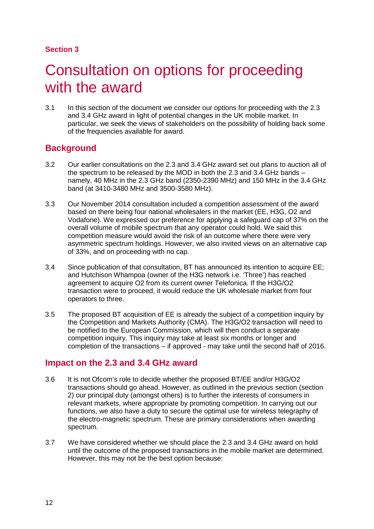## **Section 3**

# <span id="page-12-0"></span>3 Consultation on options for proceeding with the award

3.1 In this section of the document we consider our options for proceeding with the 2.3 and 3.4 GHz award in light of potential changes in the UK mobile market. In particular, we seek the views of stakeholders on the possibility of holding back some of the frequencies available for award.

## **Background**

- 3.2 Our earlier consultations on the 2.3 and 3.4 GHz award set out plans to auction all of the spectrum to be released by the MOD in both the 2.3 and 3.4 GHz bands – namely, 40 MHz in the 2.3 GHz band (2350-2390 MHz) and 150 MHz in the 3.4 GHz band (at 3410-3480 MHz and 3500-3580 MHz).
- 3.3 Our November 2014 consultation included a competition assessment of the award based on there being four national wholesalers in the market (EE, H3G, O2 and Vodafone). We expressed our preference for applying a safeguard cap of 37% on the overall volume of mobile spectrum that any operator could hold. We said this competition measure would avoid the risk of an outcome where there were very asymmetric spectrum holdings. However, we also invited views on an alternative cap of 33%, and on proceeding with no cap.
- 3.4 Since publication of that consultation, BT has announced its intention to acquire EE; and Hutchison Whampoa (owner of the H3G network i.e. 'Three') has reached agreement to acquire O2 from its current owner Telefonica. If the H3G/O2 transaction were to proceed, it would reduce the UK wholesale market from four operators to three.
- 3.5 The proposed BT acquisition of EE is already the subject of a competition inquiry by the Competition and Markets Authority (CMA). The H3G/O2 transaction will need to be notified to the European Commission, which will then conduct a separate competition inquiry. This inquiry may take at least six months or longer and completion of the transactions – if approved - may take until the second half of 2016.

## **Impact on the 2.3 and 3.4 GHz award**

- 3.6 It is not Ofcom's role to decide whether the proposed BT/EE and/or H3G/O2 transactions should go ahead. However, as outlined in the previous section (section 2) our principal duty (amongst others) is to further the interests of consumers in relevant markets, where appropriate by promoting competition. In carrying out our functions, we also have a duty to secure the optimal use for wireless telegraphy of the electro-magnetic spectrum. These are primary considerations when awarding spectrum.
- 3.7 We have considered whether we should place the 2.3 and 3.4 GHz award on hold until the outcome of the proposed transactions in the mobile market are determined. However, this may not be the best option because: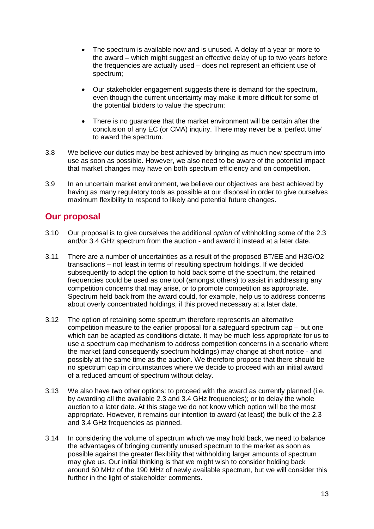- The spectrum is available now and is unused. A delay of a year or more to the award – which might suggest an effective delay of up to two years before the frequencies are actually used – does not represent an efficient use of spectrum;
- Our stakeholder engagement suggests there is demand for the spectrum, even though the current uncertainty may make it more difficult for some of the potential bidders to value the spectrum;
- There is no guarantee that the market environment will be certain after the conclusion of any EC (or CMA) inquiry. There may never be a 'perfect time' to award the spectrum.
- 3.8 We believe our duties may be best achieved by bringing as much new spectrum into use as soon as possible. However, we also need to be aware of the potential impact that market changes may have on both spectrum efficiency and on competition.
- 3.9 In an uncertain market environment, we believe our objectives are best achieved by having as many regulatory tools as possible at our disposal in order to give ourselves maximum flexibility to respond to likely and potential future changes.

# **Our proposal**

- 3.10 Our proposal is to give ourselves the additional *option* of withholding some of the 2.3 and/or 3.4 GHz spectrum from the auction - and award it instead at a later date.
- 3.11 There are a number of uncertainties as a result of the proposed BT/EE and H3G/O2 transactions – not least in terms of resulting spectrum holdings. If we decided subsequently to adopt the option to hold back some of the spectrum, the retained frequencies could be used as one tool (amongst others) to assist in addressing any competition concerns that may arise, or to promote competition as appropriate. Spectrum held back from the award could, for example, help us to address concerns about overly concentrated holdings, if this proved necessary at a later date.
- 3.12 The option of retaining some spectrum therefore represents an alternative competition measure to the earlier proposal for a safeguard spectrum cap – but one which can be adapted as conditions dictate. It may be much less appropriate for us to use a spectrum cap mechanism to address competition concerns in a scenario where the market (and consequently spectrum holdings) may change at short notice - and possibly at the same time as the auction. We therefore propose that there should be no spectrum cap in circumstances where we decide to proceed with an initial award of a reduced amount of spectrum without delay.
- 3.13 We also have two other options: to proceed with the award as currently planned (i.e. by awarding all the available 2.3 and 3.4 GHz frequencies); or to delay the whole auction to a later date. At this stage we do not know which option will be the most appropriate. However, it remains our intention to award (at least) the bulk of the 2.3 and 3.4 GHz frequencies as planned.
- 3.14 In considering the volume of spectrum which we may hold back, we need to balance the advantages of bringing currently unused spectrum to the market as soon as possible against the greater flexibility that withholding larger amounts of spectrum may give us. Our initial thinking is that we might wish to consider holding back around 60 MHz of the 190 MHz of newly available spectrum, but we will consider this further in the light of stakeholder comments.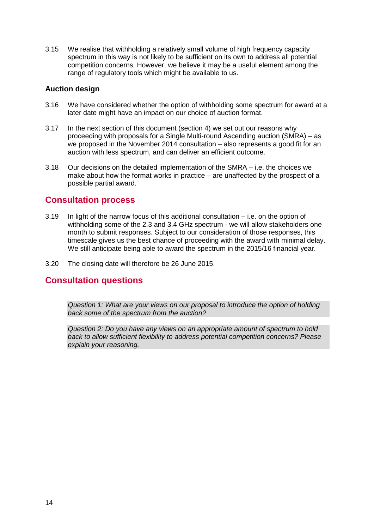3.15 We realise that withholding a relatively small volume of high frequency capacity spectrum in this way is not likely to be sufficient on its own to address all potential competition concerns. However, we believe it may be a useful element among the range of regulatory tools which might be available to us.

#### **Auction design**

- 3.16 We have considered whether the option of withholding some spectrum for award at a later date might have an impact on our choice of auction format.
- 3.17 In the next section of this document (section 4) we set out our reasons why proceeding with proposals for a Single Multi-round Ascending auction (SMRA) – as we proposed in the November 2014 consultation – also represents a good fit for an auction with less spectrum, and can deliver an efficient outcome.
- 3.18 Our decisions on the detailed implementation of the SMRA i.e. the choices we make about how the format works in practice – are unaffected by the prospect of a possible partial award.

## **Consultation process**

- 3.19 In light of the narrow focus of this additional consultation i.e. on the option of withholding some of the 2.3 and 3.4 GHz spectrum - we will allow stakeholders one month to submit responses. Subject to our consideration of those responses, this timescale gives us the best chance of proceeding with the award with minimal delay. We still anticipate being able to award the spectrum in the 2015/16 financial year.
- 3.20 The closing date will therefore be 26 June 2015.

# **Consultation questions**

*Question 1: What are your views on our proposal to introduce the option of holding back some of the spectrum from the auction?* 

*Question 2: Do you have any views on an appropriate amount of spectrum to hold back to allow sufficient flexibility to address potential competition concerns? Please explain your reasoning.*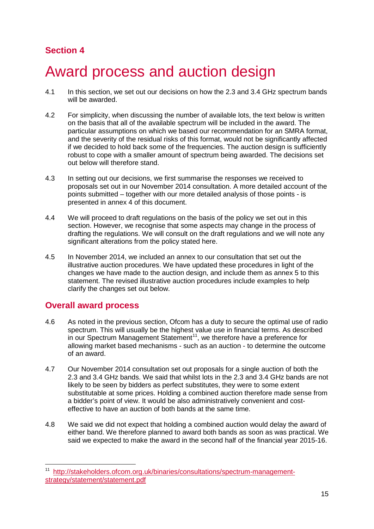# **Section 4**

# <span id="page-15-0"></span>4 Award process and auction design

- 4.1 In this section, we set out our decisions on how the 2.3 and 3.4 GHz spectrum bands will be awarded.
- 4.2 For simplicity, when discussing the number of available lots, the text below is written on the basis that all of the available spectrum will be included in the award. The particular assumptions on which we based our recommendation for an SMRA format, and the severity of the residual risks of this format, would not be significantly affected if we decided to hold back some of the frequencies. The auction design is sufficiently robust to cope with a smaller amount of spectrum being awarded. The decisions set out below will therefore stand.
- 4.3 In setting out our decisions, we first summarise the responses we received to proposals set out in our November 2014 consultation. A more detailed account of the points submitted – together with our more detailed analysis of those points - is presented in annex 4 of this document.
- 4.4 We will proceed to draft regulations on the basis of the policy we set out in this section. However, we recognise that some aspects may change in the process of drafting the regulations. We will consult on the draft regulations and we will note any significant alterations from the policy stated here.
- 4.5 In November 2014, we included an annex to our consultation that set out the illustrative auction procedures. We have updated these procedures in light of the changes we have made to the auction design, and include them as annex 5 to this statement. The revised illustrative auction procedures include examples to help clarify the changes set out below.

# **Overall award process**

<u>.</u>

- 4.6 As noted in the previous section, Ofcom has a duty to secure the optimal use of radio spectrum. This will usually be the highest value use in financial terms. As described in our Spectrum Management Statement<sup>[11](#page-15-1)</sup>, we therefore have a preference for allowing market based mechanisms - such as an auction - to determine the outcome of an award.
- 4.7 Our November 2014 consultation set out proposals for a single auction of both the 2.3 and 3.4 GHz bands. We said that whilst lots in the 2.3 and 3.4 GHz bands are not likely to be seen by bidders as perfect substitutes, they were to some extent substitutable at some prices. Holding a combined auction therefore made sense from a bidder's point of view. It would be also administratively convenient and costeffective to have an auction of both bands at the same time.
- 4.8 We said we did not expect that holding a combined auction would delay the award of either band. We therefore planned to award both bands as soon as was practical. We said we expected to make the award in the second half of the financial year 2015-16.

<span id="page-15-1"></span>[http://stakeholders.ofcom.org.uk/binaries/consultations/spectrum-management](http://stakeholders.ofcom.org.uk/binaries/consultations/spectrum-management-strategy/statement/statement.pdf)[strategy/statement/statement.pdf](http://stakeholders.ofcom.org.uk/binaries/consultations/spectrum-management-strategy/statement/statement.pdf)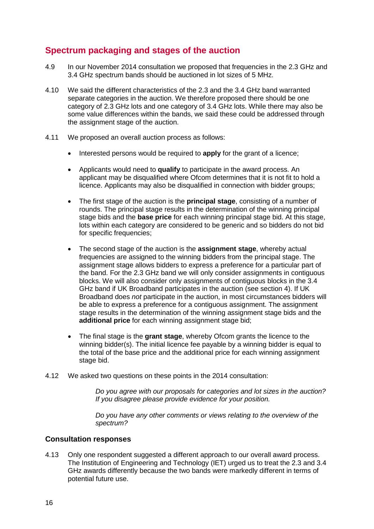# **Spectrum packaging and stages of the auction**

- 4.9 In our November 2014 consultation we proposed that frequencies in the 2.3 GHz and 3.4 GHz spectrum bands should be auctioned in lot sizes of 5 MHz.
- 4.10 We said the different characteristics of the 2.3 and the 3.4 GHz band warranted separate categories in the auction. We therefore proposed there should be one category of 2.3 GHz lots and one category of 3.4 GHz lots. While there may also be some value differences within the bands, we said these could be addressed through the assignment stage of the auction.
- 4.11 We proposed an overall auction process as follows:
	- Interested persons would be required to **apply** for the grant of a licence;
	- Applicants would need to **qualify** to participate in the award process. An applicant may be disqualified where Ofcom determines that it is not fit to hold a licence. Applicants may also be disqualified in connection with bidder groups;
	- The first stage of the auction is the **principal stage**, consisting of a number of rounds. The principal stage results in the determination of the winning principal stage bids and the **base price** for each winning principal stage bid. At this stage, lots within each category are considered to be generic and so bidders do not bid for specific frequencies;
	- The second stage of the auction is the **assignment stage**, whereby actual frequencies are assigned to the winning bidders from the principal stage. The assignment stage allows bidders to express a preference for a particular part of the band. For the 2.3 GHz band we will only consider assignments in contiguous blocks. We will also consider only assignments of contiguous blocks in the 3.4 GHz band if UK Broadband participates in the auction (see section 4). If UK Broadband does *not* participate in the auction, in most circumstances bidders will be able to express a preference for a contiguous assignment. The assignment stage results in the determination of the winning assignment stage bids and the **additional price** for each winning assignment stage bid;
	- The final stage is the **grant stage**, whereby Ofcom grants the licence to the winning bidder(s). The initial licence fee payable by a winning bidder is equal to the total of the base price and the additional price for each winning assignment stage bid.
- 4.12 We asked two questions on these points in the 2014 consultation:

*Do you agree with our proposals for categories and lot sizes in the auction? If you disagree please provide evidence for your position.*

*Do you have any other comments or views relating to the overview of the spectrum?*

#### **Consultation responses**

4.13 Only one respondent suggested a different approach to our overall award process. The Institution of Engineering and Technology (IET) urged us to treat the 2.3 and 3.4 GHz awards differently because the two bands were markedly different in terms of potential future use.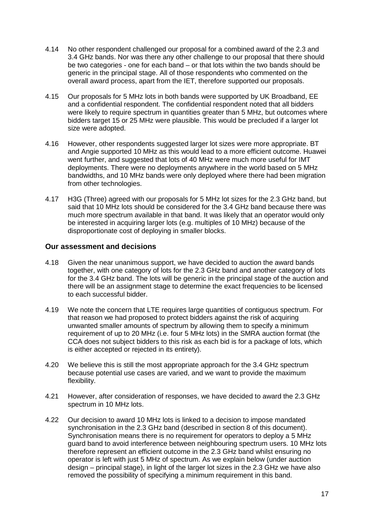- 4.14 No other respondent challenged our proposal for a combined award of the 2.3 and 3.4 GHz bands. Nor was there any other challenge to our proposal that there should be two categories - one for each band – or that lots within the two bands should be generic in the principal stage. All of those respondents who commented on the overall award process, apart from the IET, therefore supported our proposals.
- 4.15 Our proposals for 5 MHz lots in both bands were supported by UK Broadband, EE and a confidential respondent. The confidential respondent noted that all bidders were likely to require spectrum in quantities greater than 5 MHz, but outcomes where bidders target 15 or 25 MHz were plausible. This would be precluded if a larger lot size were adopted.
- 4.16 However, other respondents suggested larger lot sizes were more appropriate. BT and Angie supported 10 MHz as this would lead to a more efficient outcome. Huawei went further, and suggested that lots of 40 MHz were much more useful for IMT deployments. There were no deployments anywhere in the world based on 5 MHz bandwidths, and 10 MHz bands were only deployed where there had been migration from other technologies.
- 4.17 H3G (Three) agreed with our proposals for 5 MHz lot sizes for the 2.3 GHz band, but said that 10 MHz lots should be considered for the 3.4 GHz band because there was much more spectrum available in that band. It was likely that an operator would only be interested in acquiring larger lots (e.g. multiples of 10 MHz) because of the disproportionate cost of deploying in smaller blocks.

#### **Our assessment and decisions**

- 4.18 Given the near unanimous support, we have decided to auction the award bands together, with one category of lots for the 2.3 GHz band and another category of lots for the 3.4 GHz band. The lots will be generic in the principal stage of the auction and there will be an assignment stage to determine the exact frequencies to be licensed to each successful bidder.
- 4.19 We note the concern that LTE requires large quantities of contiguous spectrum. For that reason we had proposed to protect bidders against the risk of acquiring unwanted smaller amounts of spectrum by allowing them to specify a minimum requirement of up to 20 MHz (i.e. four 5 MHz lots) in the SMRA auction format (the CCA does not subject bidders to this risk as each bid is for a package of lots, which is either accepted or rejected in its entirety).
- 4.20 We believe this is still the most appropriate approach for the 3.4 GHz spectrum because potential use cases are varied, and we want to provide the maximum flexibility.
- 4.21 However, after consideration of responses, we have decided to award the 2.3 GHz spectrum in 10 MHz lots.
- 4.22 Our decision to award 10 MHz lots is linked to a decision to impose mandated synchronisation in the 2.3 GHz band (described in section 8 of this document). Synchronisation means there is no requirement for operators to deploy a 5 MHz guard band to avoid interference between neighbouring spectrum users. 10 MHz lots therefore represent an efficient outcome in the 2.3 GHz band whilst ensuring no operator is left with just 5 MHz of spectrum. As we explain below (under auction design – principal stage), in light of the larger lot sizes in the 2.3 GHz we have also removed the possibility of specifying a minimum requirement in this band.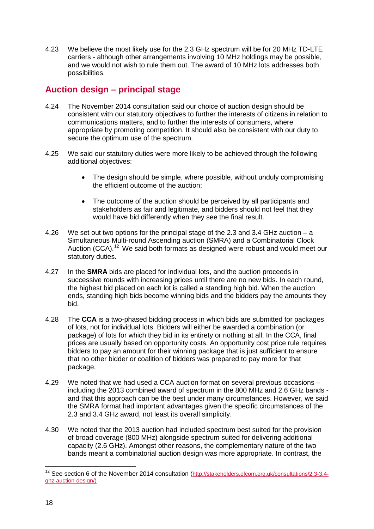4.23 We believe the most likely use for the 2.3 GHz spectrum will be for 20 MHz TD-LTE carriers - although other arrangements involving 10 MHz holdings may be possible, and we would not wish to rule them out. The award of 10 MHz lots addresses both possibilities.

# **Auction design – principal stage**

- 4.24 The November 2014 consultation said our choice of auction design should be consistent with our statutory objectives to further the interests of citizens in relation to communications matters, and to further the interests of consumers, where appropriate by promoting competition. It should also be consistent with our duty to secure the optimum use of the spectrum.
- 4.25 We said our statutory duties were more likely to be achieved through the following additional objectives:
	- The design should be simple, where possible, without unduly compromising the efficient outcome of the auction;
	- The outcome of the auction should be perceived by all participants and stakeholders as fair and legitimate, and bidders should not feel that they would have bid differently when they see the final result.
- 4.26 We set out two options for the principal stage of the 2.3 and 3.4 GHz auction a Simultaneous Multi-round Ascending auction (SMRA) and a Combinatorial Clock Auction (CCA).<sup>[12](#page-18-0)</sup> We said both formats as designed were robust and would meet our statutory duties.
- 4.27 In the **SMRA** bids are placed for individual lots, and the auction proceeds in successive rounds with increasing prices until there are no new bids. In each round, the highest bid placed on each lot is called a standing high bid. When the auction ends, standing high bids become winning bids and the bidders pay the amounts they bid.
- 4.28 The **CCA** is a two-phased bidding process in which bids are submitted for packages of lots, not for individual lots. Bidders will either be awarded a combination (or package) of lots for which they bid in its entirety or nothing at all. In the CCA, final prices are usually based on opportunity costs. An opportunity cost price rule requires bidders to pay an amount for their winning package that is just sufficient to ensure that no other bidder or coalition of bidders was prepared to pay more for that package.
- 4.29 We noted that we had used a CCA auction format on several previous occasions including the 2013 combined award of spectrum in the 800 MHz and 2.6 GHz bands and that this approach can be the best under many circumstances. However, we said the SMRA format had important advantages given the specific circumstances of the 2.3 and 3.4 GHz award, not least its overall simplicity.
- 4.30 We noted that the 2013 auction had included spectrum best suited for the provision of broad coverage (800 MHz) alongside spectrum suited for delivering additional capacity (2.6 GHz). Amongst other reasons, the complementary nature of the two bands meant a combinatorial auction design was more appropriate. In contrast, the

<span id="page-18-0"></span><sup>&</sup>lt;sup>12</sup> See section 6 of the November 2014 consultation [\(http://stakeholders.ofcom.org.uk/consultations/2.3-3.4](http://stakeholders.ofcom.org.uk/consultations/2.3-3.4-ghz-auction-design/) [ghz-auction-design/\)](http://stakeholders.ofcom.org.uk/consultations/2.3-3.4-ghz-auction-design/)  $\overline{a}$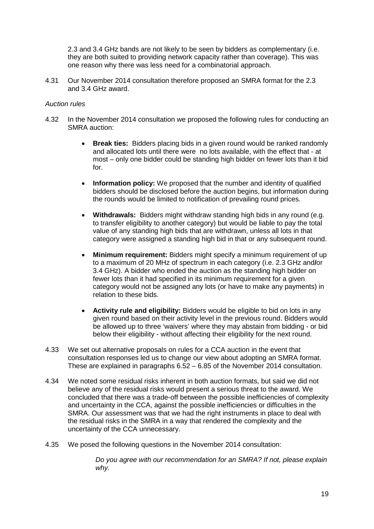2.3 and 3.4 GHz bands are not likely to be seen by bidders as complementary (i.e. they are both suited to providing network capacity rather than coverage). This was one reason why there was less need for a combinatorial approach.

4.31 Our November 2014 consultation therefore proposed an SMRA format for the 2.3 and 3.4 GHz award.

#### *Auction rules*

- 4.32 In the November 2014 consultation we proposed the following rules for conducting an SMRA auction:
	- **Break ties:** Bidders placing bids in a given round would be ranked randomly and allocated lots until there were no lots available, with the effect that - at most – only one bidder could be standing high bidder on fewer lots than it bid for.
	- **Information policy:** We proposed that the number and identity of qualified bidders should be disclosed before the auction begins, but information during the rounds would be limited to notification of prevailing round prices.
	- **Withdrawals:** Bidders might withdraw standing high bids in any round (e.g. to transfer eligibility to another category) but would be liable to pay the total value of any standing high bids that are withdrawn, unless all lots in that category were assigned a standing high bid in that or any subsequent round.
	- **Minimum requirement:** Bidders might specify a minimum requirement of up to a maximum of 20 MHz of spectrum in each category (i.e. 2.3 GHz and**/**or 3.4 GHz). A bidder who ended the auction as the standing high bidder on fewer lots than it had specified in its minimum requirement for a given category would not be assigned any lots (or have to make any payments) in relation to these bids.
	- **Activity rule and eligibility:** Bidders would be eligible to bid on lots in any given round based on their activity level in the previous round. Bidders would be allowed up to three 'waivers' where they may abstain from bidding - or bid below their eligibility - without affecting their eligibility for the next round.
- 4.33 We set out alternative proposals on rules for a CCA auction in the event that consultation responses led us to change our view about adopting an SMRA format. These are explained in paragraphs 6.52 – 6.85 of the November 2014 consultation.
- 4.34 We noted some residual risks inherent in both auction formats, but said we did not believe any of the residual risks would present a serious threat to the award. We concluded that there was a trade-off between the possible inefficiencies of complexity and uncertainty in the CCA, against the possible inefficiencies or difficulties in the SMRA. Our assessment was that we had the right instruments in place to deal with the residual risks in the SMRA in a way that rendered the complexity and the uncertainty of the CCA unnecessary.
- 4.35 We posed the following questions in the November 2014 consultation:

*Do you agree with our recommendation for an SMRA? If not, please explain why.*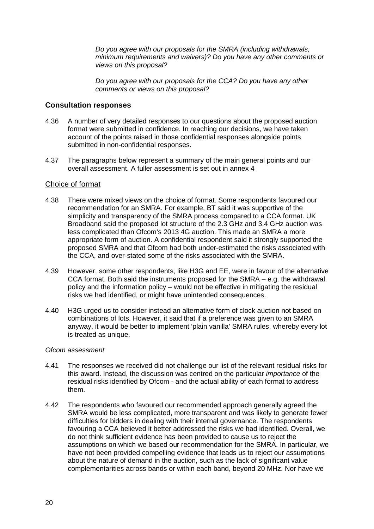*Do you agree with our proposals for the SMRA (including withdrawals, minimum requirements and waivers)? Do you have any other comments or views on this proposal?*

*Do you agree with our proposals for the CCA? Do you have any other comments or views on this proposal?*

#### **Consultation responses**

- 4.36 A number of very detailed responses to our questions about the proposed auction format were submitted in confidence. In reaching our decisions, we have taken account of the points raised in those confidential responses alongside points submitted in non-confidential responses.
- 4.37 The paragraphs below represent a summary of the main general points and our overall assessment. A fuller assessment is set out in annex 4

#### Choice of format

- 4.38 There were mixed views on the choice of format. Some respondents favoured our recommendation for an SMRA. For example, BT said it was supportive of the simplicity and transparency of the SMRA process compared to a CCA format. UK Broadband said the proposed lot structure of the 2.3 GHz and 3.4 GHz auction was less complicated than Ofcom's 2013 4G auction. This made an SMRA a more appropriate form of auction. A confidential respondent said it strongly supported the proposed SMRA and that Ofcom had both under-estimated the risks associated with the CCA, and over-stated some of the risks associated with the SMRA.
- 4.39 However, some other respondents, like H3G and EE, were in favour of the alternative CCA format. Both said the instruments proposed for the SMRA – e.g. the withdrawal policy and the information policy – would not be effective in mitigating the residual risks we had identified, or might have unintended consequences.
- 4.40 H3G urged us to consider instead an alternative form of clock auction not based on combinations of lots. However, it said that if a preference was given to an SMRA anyway, it would be better to implement 'plain vanilla' SMRA rules, whereby every lot is treated as unique.

#### *Ofcom assessment*

- 4.41 The responses we received did not challenge our list of the relevant residual risks for this award. Instead, the discussion was centred on the particular *importance* of the residual risks identified by Ofcom - and the actual ability of each format to address them.
- 4.42 The respondents who favoured our recommended approach generally agreed the SMRA would be less complicated, more transparent and was likely to generate fewer difficulties for bidders in dealing with their internal governance. The respondents favouring a CCA believed it better addressed the risks we had identified. Overall, we do not think sufficient evidence has been provided to cause us to reject the assumptions on which we based our recommendation for the SMRA. In particular, we have not been provided compelling evidence that leads us to reject our assumptions about the nature of demand in the auction, such as the lack of significant value complementarities across bands or within each band, beyond 20 MHz. Nor have we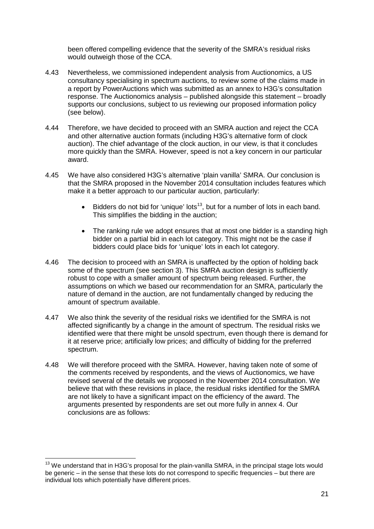been offered compelling evidence that the severity of the SMRA's residual risks would outweigh those of the CCA.

- 4.43 Nevertheless, we commissioned independent analysis from Auctionomics, a US consultancy specialising in spectrum auctions, to review some of the claims made in a report by PowerAuctions which was submitted as an annex to H3G's consultation response. The Auctionomics analysis – published alongside this statement – broadly supports our conclusions, subject to us reviewing our proposed information policy (see below).
- 4.44 Therefore, we have decided to proceed with an SMRA auction and reject the CCA and other alternative auction formats (including H3G's alternative form of clock auction). The chief advantage of the clock auction, in our view, is that it concludes more quickly than the SMRA. However, speed is not a key concern in our particular award.
- 4.45 We have also considered H3G's alternative 'plain vanilla' SMRA. Our conclusion is that the SMRA proposed in the November 2014 consultation includes features which make it a better approach to our particular auction, particularly:
	- Bidders do not bid for 'unique' lots<sup>13</sup>, but for a number of lots in each band. This simplifies the bidding in the auction;
	- The ranking rule we adopt ensures that at most one bidder is a standing high bidder on a partial bid in each lot category. This might not be the case if bidders could place bids for 'unique' lots in each lot category.
- 4.46 The decision to proceed with an SMRA is unaffected by the option of holding back some of the spectrum (see section 3). This SMRA auction design is sufficiently robust to cope with a smaller amount of spectrum being released. Further, the assumptions on which we based our recommendation for an SMRA, particularly the nature of demand in the auction, are not fundamentally changed by reducing the amount of spectrum available.
- 4.47 We also think the severity of the residual risks we identified for the SMRA is not affected significantly by a change in the amount of spectrum. The residual risks we identified were that there might be unsold spectrum, even though there is demand for it at reserve price; artificially low prices; and difficulty of bidding for the preferred spectrum.
- 4.48 We will therefore proceed with the SMRA. However, having taken note of some of the comments received by respondents, and the views of Auctionomics, we have revised several of the details we proposed in the November 2014 consultation. We believe that with these revisions in place, the residual risks identified for the SMRA are not likely to have a significant impact on the efficiency of the award. The arguments presented by respondents are set out more fully in annex 4. Our conclusions are as follows:

<span id="page-21-0"></span> $13$  We understand that in H3G's proposal for the plain-vanilla SMRA, in the principal stage lots would be generic – in the sense that these lots do not correspond to specific frequencies – but there are individual lots which potentially have different prices.  $\overline{a}$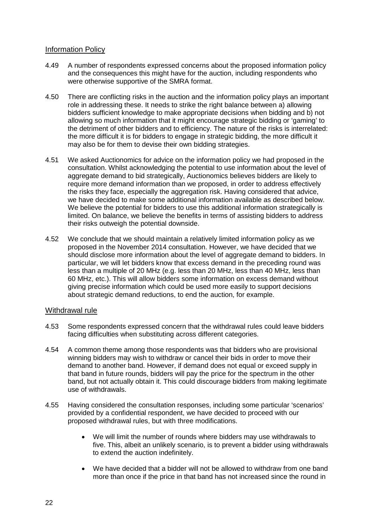#### Information Policy

- 4.49 A number of respondents expressed concerns about the proposed information policy and the consequences this might have for the auction, including respondents who were otherwise supportive of the SMRA format.
- 4.50 There are conflicting risks in the auction and the information policy plays an important role in addressing these. It needs to strike the right balance between a) allowing bidders sufficient knowledge to make appropriate decisions when bidding and b) not allowing so much information that it might encourage strategic bidding or 'gaming' to the detriment of other bidders and to efficiency. The nature of the risks is interrelated: the more difficult it is for bidders to engage in strategic bidding, the more difficult it may also be for them to devise their own bidding strategies.
- 4.51 We asked Auctionomics for advice on the information policy we had proposed in the consultation. Whilst acknowledging the potential to use information about the level of aggregate demand to bid strategically, Auctionomics believes bidders are likely to require more demand information than we proposed, in order to address effectively the risks they face, especially the aggregation risk. Having considered that advice, we have decided to make some additional information available as described below. We believe the potential for bidders to use this additional information strategically is limited. On balance, we believe the benefits in terms of assisting bidders to address their risks outweigh the potential downside.
- 4.52 We conclude that we should maintain a relatively limited information policy as we proposed in the November 2014 consultation. However, we have decided that we should disclose more information about the level of aggregate demand to bidders. In particular, we will let bidders know that excess demand in the preceding round was less than a multiple of 20 MHz (e.g. less than 20 MHz, less than 40 MHz, less than 60 MHz, etc.). This will allow bidders some information on excess demand without giving precise information which could be used more easily to support decisions about strategic demand reductions, to end the auction, for example.

#### Withdrawal rule

- 4.53 Some respondents expressed concern that the withdrawal rules could leave bidders facing difficulties when substituting across different categories.
- 4.54 A common theme among those respondents was that bidders who are provisional winning bidders may wish to withdraw or cancel their bids in order to move their demand to another band. However, if demand does not equal or exceed supply in that band in future rounds, bidders will pay the price for the spectrum in the other band, but not actually obtain it. This could discourage bidders from making legitimate use of withdrawals.
- 4.55 Having considered the consultation responses, including some particular 'scenarios' provided by a confidential respondent, we have decided to proceed with our proposed withdrawal rules, but with three modifications.
	- We will limit the number of rounds where bidders may use withdrawals to five. This, albeit an unlikely scenario, is to prevent a bidder using withdrawals to extend the auction indefinitely.
	- We have decided that a bidder will not be allowed to withdraw from one band more than once if the price in that band has not increased since the round in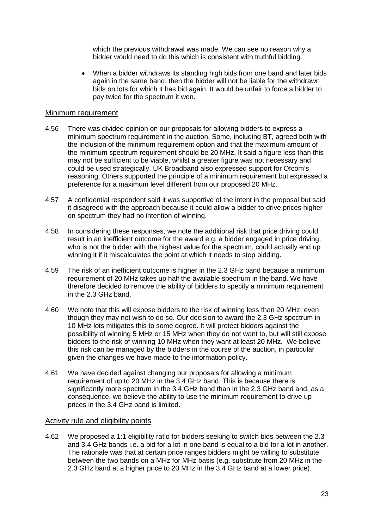which the previous withdrawal was made. We can see no reason why a bidder would need to do this which is consistent with truthful bidding.

• When a bidder withdraws its standing high bids from one band and later bids again in the same band, then the bidder will not be liable for the withdrawn bids on lots for which it has bid again. It would be unfair to force a bidder to pay twice for the spectrum it won.

#### Minimum requirement

- 4.56 There was divided opinion on our proposals for allowing bidders to express a minimum spectrum requirement in the auction. Some, including BT, agreed both with the inclusion of the minimum requirement option and that the maximum amount of the minimum spectrum requirement should be 20 MHz. It said a figure less than this may not be sufficient to be viable, whilst a greater figure was not necessary and could be used strategically. UK Broadband also expressed support for Ofcom's reasoning. Others supported the principle of a minimum requirement but expressed a preference for a maximum level different from our proposed 20 MHz.
- 4.57 A confidential respondent said it was supportive of the intent in the proposal but said it disagreed with the approach because it could allow a bidder to drive prices higher on spectrum they had no intention of winning.
- 4.58 In considering these responses, we note the additional risk that price driving could result in an inefficient outcome for the award e.g. a bidder engaged in price driving, who is not the bidder with the highest value for the spectrum, could actually end up winning it if it miscalculates the point at which it needs to stop bidding.
- 4.59 The risk of an inefficient outcome is higher in the 2.3 GHz band because a minimum requirement of 20 MHz takes up half the available spectrum in the band. We have therefore decided to remove the ability of bidders to specify a minimum requirement in the 2.3 GHz band.
- 4.60 We note that this will expose bidders to the risk of winning less than 20 MHz, even though they may not wish to do so. Our decision to award the 2.3 GHz spectrum in 10 MHz lots mitigates this to some degree. It will protect bidders against the possibility of winning 5 MHz or 15 MHz when they do not want to, but will still expose bidders to the risk of winning 10 MHz when they want at least 20 MHz. We believe this risk can be managed by the bidders in the course of the auction, in particular given the changes we have made to the information policy.
- 4.61 We have decided against changing our proposals for allowing a minimum requirement of up to 20 MHz in the 3.4 GHz band. This is because there is significantly more spectrum in the 3.4 GHz band than in the 2.3 GHz band and, as a consequence, we believe the ability to use the minimum requirement to drive up prices in the 3.4 GHz band is limited.

#### Activity rule and eligibility points

4.62 We proposed a 1:1 eligibility ratio for bidders seeking to switch bids between the 2.3 and 3.4 GHz bands i.e. a bid for a lot in one band is equal to a bid for a lot in another. The rationale was that at certain price ranges bidders might be willing to substitute between the two bands on a MHz for MHz basis (e.g. substitute from 20 MHz in the 2.3 GHz band at a higher price to 20 MHz in the 3.4 GHz band at a lower price).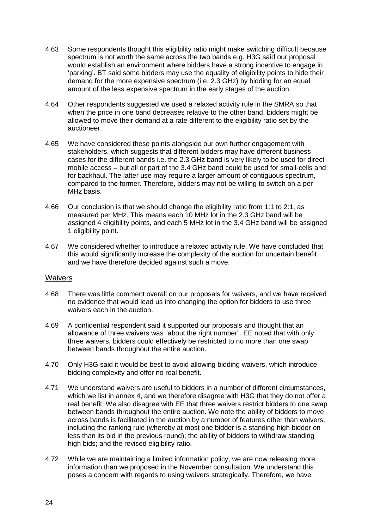- 4.63 Some respondents thought this eligibility ratio might make switching difficult because spectrum is not worth the same across the two bands e.g. H3G said our proposal would establish an environment where bidders have a strong incentive to engage in 'parking'. BT said some bidders may use the equality of eligibility points to hide their demand for the more expensive spectrum (i.e. 2.3 GHz) by bidding for an equal amount of the less expensive spectrum in the early stages of the auction.
- 4.64 Other respondents suggested we used a relaxed activity rule in the SMRA so that when the price in one band decreases relative to the other band, bidders might be allowed to move their demand at a rate different to the eligibility ratio set by the auctioneer.
- 4.65 We have considered these points alongside our own further engagement with stakeholders, which suggests that different bidders may have different business cases for the different bands i.e. the 2.3 GHz band is very likely to be used for direct mobile access – but all or part of the 3.4 GHz band could be used for small-cells and for backhaul. The latter use may require a larger amount of contiguous spectrum, compared to the former. Therefore, bidders may not be willing to switch on a per MHz basis.
- 4.66 Our conclusion is that we should change the eligibility ratio from 1:1 to 2:1, as measured per MHz. This means each 10 MHz lot in the 2.3 GHz band will be assigned 4 eligibility points, and each 5 MHz lot in the 3.4 GHz band will be assigned 1 eligibility point.
- 4.67 We considered whether to introduce a relaxed activity rule. We have concluded that this would significantly increase the complexity of the auction for uncertain benefit and we have therefore decided against such a move.

#### Waivers

- 4.68 There was little comment overall on our proposals for waivers, and we have received no evidence that would lead us into changing the option for bidders to use three waivers each in the auction.
- 4.69 A confidential respondent said it supported our proposals and thought that an allowance of three waivers was "about the right number". EE noted that with only three waivers, bidders could effectively be restricted to no more than one swap between bands throughout the entire auction.
- 4.70 Only H3G said it would be best to avoid allowing bidding waivers, which introduce bidding complexity and offer no real benefit.
- 4.71 We understand waivers are useful to bidders in a number of different circumstances, which we list in annex 4, and we therefore disagree with H3G that they do not offer a real benefit. We also disagree with EE that three waivers restrict bidders to one swap between bands throughout the entire auction. We note the ability of bidders to move across bands is facilitated in the auction by a number of features other than waivers, including the ranking rule (whereby at most one bidder is a standing high bidder on less than its bid in the previous round); the ability of bidders to withdraw standing high bids; and the revised eligibility ratio.
- 4.72 While we are maintaining a limited information policy, we are now releasing more information than we proposed in the November consultation. We understand this poses a concern with regards to using waivers strategically. Therefore, we have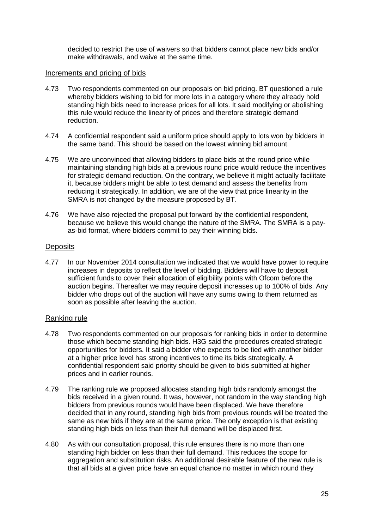decided to restrict the use of waivers so that bidders cannot place new bids and/or make withdrawals, and waive at the same time.

#### Increments and pricing of bids

- 4.73 Two respondents commented on our proposals on bid pricing. BT questioned a rule whereby bidders wishing to bid for more lots in a category where they already hold standing high bids need to increase prices for all lots. It said modifying or abolishing this rule would reduce the linearity of prices and therefore strategic demand reduction.
- 4.74 A confidential respondent said a uniform price should apply to lots won by bidders in the same band. This should be based on the lowest winning bid amount.
- 4.75 We are unconvinced that allowing bidders to place bids at the round price while maintaining standing high bids at a previous round price would reduce the incentives for strategic demand reduction. On the contrary, we believe it might actually facilitate it, because bidders might be able to test demand and assess the benefits from reducing it strategically. In addition, we are of the view that price linearity in the SMRA is not changed by the measure proposed by BT.
- 4.76 We have also rejected the proposal put forward by the confidential respondent, because we believe this would change the nature of the SMRA. The SMRA is a payas-bid format, where bidders commit to pay their winning bids.

#### **Deposits**

4.77 In our November 2014 consultation we indicated that we would have power to require increases in deposits to reflect the level of bidding. Bidders will have to deposit sufficient funds to cover their allocation of eligibility points with Ofcom before the auction begins. Thereafter we may require deposit increases up to 100% of bids. Any bidder who drops out of the auction will have any sums owing to them returned as soon as possible after leaving the auction.

### Ranking rule

- 4.78 Two respondents commented on our proposals for ranking bids in order to determine those which become standing high bids. H3G said the procedures created strategic opportunities for bidders. It said a bidder who expects to be tied with another bidder at a higher price level has strong incentives to time its bids strategically. A confidential respondent said priority should be given to bids submitted at higher prices and in earlier rounds.
- 4.79 The ranking rule we proposed allocates standing high bids randomly amongst the bids received in a given round. It was, however, not random in the way standing high bidders from previous rounds would have been displaced. We have therefore decided that in any round, standing high bids from previous rounds will be treated the same as new bids if they are at the same price. The only exception is that existing standing high bids on less than their full demand will be displaced first.
- 4.80 As with our consultation proposal, this rule ensures there is no more than one standing high bidder on less than their full demand. This reduces the scope for aggregation and substitution risks. An additional desirable feature of the new rule is that all bids at a given price have an equal chance no matter in which round they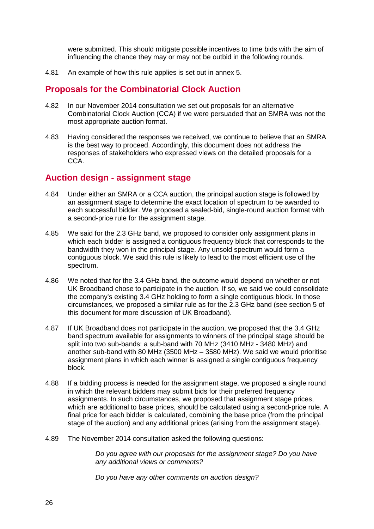were submitted. This should mitigate possible incentives to time bids with the aim of influencing the chance they may or may not be outbid in the following rounds.

4.81 An example of how this rule applies is set out in annex 5.

## **Proposals for the Combinatorial Clock Auction**

- 4.82 In our November 2014 consultation we set out proposals for an alternative Combinatorial Clock Auction (CCA) if we were persuaded that an SMRA was not the most appropriate auction format.
- 4.83 Having considered the responses we received, we continue to believe that an SMRA is the best way to proceed. Accordingly, this document does not address the responses of stakeholders who expressed views on the detailed proposals for a CCA.

## **Auction design - assignment stage**

- 4.84 Under either an SMRA or a CCA auction, the principal auction stage is followed by an assignment stage to determine the exact location of spectrum to be awarded to each successful bidder. We proposed a sealed-bid, single-round auction format with a second-price rule for the assignment stage.
- 4.85 We said for the 2.3 GHz band, we proposed to consider only assignment plans in which each bidder is assigned a contiguous frequency block that corresponds to the bandwidth they won in the principal stage. Any unsold spectrum would form a contiguous block. We said this rule is likely to lead to the most efficient use of the spectrum.
- 4.86 We noted that for the 3.4 GHz band, the outcome would depend on whether or not UK Broadband chose to participate in the auction. If so, we said we could consolidate the company's existing 3.4 GHz holding to form a single contiguous block. In those circumstances, we proposed a similar rule as for the 2.3 GHz band (see section 5 of this document for more discussion of UK Broadband).
- 4.87 If UK Broadband does not participate in the auction, we proposed that the 3.4 GHz band spectrum available for assignments to winners of the principal stage should be split into two sub-bands: a sub-band with 70 MHz (3410 MHz - 3480 MHz) and another sub-band with 80 MHz (3500 MHz – 3580 MHz). We said we would prioritise assignment plans in which each winner is assigned a single contiguous frequency block.
- 4.88 If a bidding process is needed for the assignment stage, we proposed a single round in which the relevant bidders may submit bids for their preferred frequency assignments. In such circumstances, we proposed that assignment stage prices, which are additional to base prices, should be calculated using a second-price rule. A final price for each bidder is calculated, combining the base price (from the principal stage of the auction) and any additional prices (arising from the assignment stage).
- 4.89 The November 2014 consultation asked the following questions:

*Do you agree with our proposals for the assignment stage? Do you have any additional views or comments?*

*Do you have any other comments on auction design?*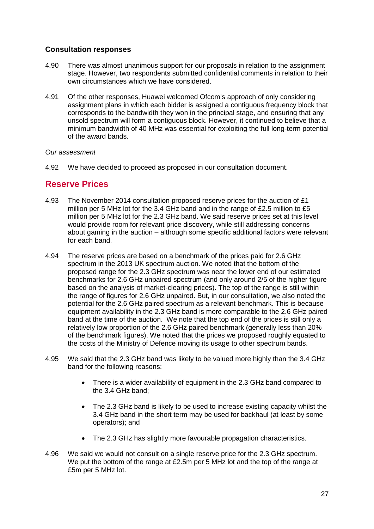### **Consultation responses**

- 4.90 There was almost unanimous support for our proposals in relation to the assignment stage. However, two respondents submitted confidential comments in relation to their own circumstances which we have considered.
- 4.91 Of the other responses, Huawei welcomed Ofcom's approach of only considering assignment plans in which each bidder is assigned a contiguous frequency block that corresponds to the bandwidth they won in the principal stage, and ensuring that any unsold spectrum will form a contiguous block. However, it continued to believe that a minimum bandwidth of 40 MHz was essential for exploiting the full long-term potential of the award bands.

#### *Our assessment*

4.92 We have decided to proceed as proposed in our consultation document.

## **Reserve Prices**

- 4.93 The November 2014 consultation proposed reserve prices for the auction of £1 million per 5 MHz lot for the 3.4 GHz band and in the range of £2.5 million to £5 million per 5 MHz lot for the 2.3 GHz band. We said reserve prices set at this level would provide room for relevant price discovery, while still addressing concerns about gaming in the auction – although some specific additional factors were relevant for each band.
- 4.94 The reserve prices are based on a benchmark of the prices paid for 2.6 GHz spectrum in the 2013 UK spectrum auction. We noted that the bottom of the proposed range for the 2.3 GHz spectrum was near the lower end of our estimated benchmarks for 2.6 GHz unpaired spectrum (and only around 2/5 of the higher figure based on the analysis of market-clearing prices). The top of the range is still within the range of figures for 2.6 GHz unpaired. But, in our consultation, we also noted the potential for the 2.6 GHz paired spectrum as a relevant benchmark. This is because equipment availability in the 2.3 GHz band is more comparable to the 2.6 GHz paired band at the time of the auction. We note that the top end of the prices is still only a relatively low proportion of the 2.6 GHz paired benchmark (generally less than 20% of the benchmark figures). We noted that the prices we proposed roughly equated to the costs of the Ministry of Defence moving its usage to other spectrum bands.
- 4.95 We said that the 2.3 GHz band was likely to be valued more highly than the 3.4 GHz band for the following reasons:
	- There is a wider availability of equipment in the 2.3 GHz band compared to the 3.4 GHz band;
	- The 2.3 GHz band is likely to be used to increase existing capacity whilst the 3.4 GHz band in the short term may be used for backhaul (at least by some operators); and
	- The 2.3 GHz has slightly more favourable propagation characteristics.
- 4.96 We said we would not consult on a single reserve price for the 2.3 GHz spectrum. We put the bottom of the range at £2.5m per 5 MHz lot and the top of the range at £5m per 5 MHz lot.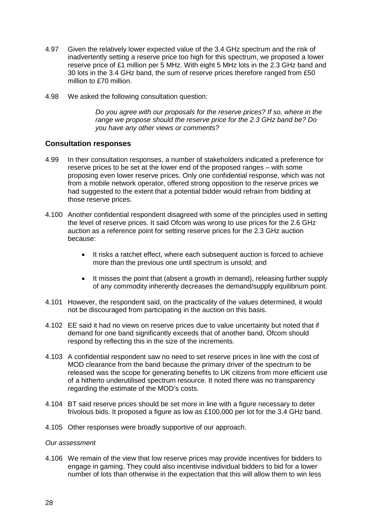- 4.97 Given the relatively lower expected value of the 3.4 GHz spectrum and the risk of inadvertently setting a reserve price too high for this spectrum, we proposed a lower reserve price of £1 million per 5 MHz. With eight 5 MHz lots in the 2.3 GHz band and 30 lots in the 3.4 GHz band, the sum of reserve prices therefore ranged from £50 million to £70 million.
- 4.98 We asked the following consultation question:

*Do you agree with our proposals for the reserve prices? If so, where in the range we propose should the reserve price for the 2.3 GHz band be? Do you have any other views or comments?*

#### **Consultation responses**

- 4.99 In their consultation responses, a number of stakeholders indicated a preference for reserve prices to be set at the lower end of the proposed ranges – with some proposing even lower reserve prices. Only one confidential response, which was not from a mobile network operator, offered strong opposition to the reserve prices we had suggested to the extent that a potential bidder would refrain from bidding at those reserve prices.
- 4.100 Another confidential respondent disagreed with some of the principles used in setting the level of reserve prices. It said Ofcom was wrong to use prices for the 2.6 GHz auction as a reference point for setting reserve prices for the 2.3 GHz auction because:
	- It risks a ratchet effect, where each subsequent auction is forced to achieve more than the previous one until spectrum is unsold; and
	- It misses the point that (absent a growth in demand), releasing further supply of any commodity inherently decreases the demand/supply equilibrium point.
- 4.101 However, the respondent said, on the practicality of the values determined, it would not be discouraged from participating in the auction on this basis.
- 4.102 EE said it had no views on reserve prices due to value uncertainty but noted that if demand for one band significantly exceeds that of another band, Ofcom should respond by reflecting this in the size of the increments.
- 4.103 A confidential respondent saw no need to set reserve prices in line with the cost of MOD clearance from the band because the primary driver of the spectrum to be released was the scope for generating benefits to UK citizens from more efficient use of a hitherto underutilised spectrum resource. It noted there was no transparency regarding the estimate of the MOD's costs.
- 4.104 BT said reserve prices should be set more in line with a figure necessary to deter frivolous bids. It proposed a figure as low as £100,000 per lot for the 3.4 GHz band.
- 4.105 Other responses were broadly supportive of our approach.

#### *Our assessment*

4.106 We remain of the view that low reserve prices may provide incentives for bidders to engage in gaming. They could also incentivise individual bidders to bid for a lower number of lots than otherwise in the expectation that this will allow them to win less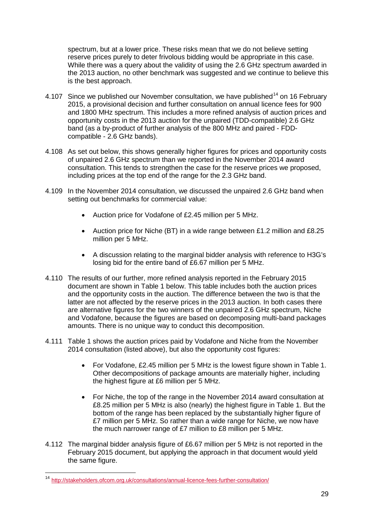spectrum, but at a lower price. These risks mean that we do not believe setting reserve prices purely to deter frivolous bidding would be appropriate in this case. While there was a query about the validity of using the 2.6 GHz spectrum awarded in the 2013 auction, no other benchmark was suggested and we continue to believe this is the best approach.

- 4.107 Since we published our November consultation, we have published<sup>[14](#page-29-0)</sup> on 16 February 2015, a provisional decision and further consultation on annual licence fees for 900 and 1800 MHz spectrum. This includes a more refined analysis of auction prices and opportunity costs in the 2013 auction for the unpaired (TDD-compatible) 2.6 GHz band (as a by-product of further analysis of the 800 MHz and paired - FDDcompatible - 2.6 GHz bands).
- 4.108 As set out below, this shows generally higher figures for prices and opportunity costs of unpaired 2.6 GHz spectrum than we reported in the November 2014 award consultation. This tends to strengthen the case for the reserve prices we proposed, including prices at the top end of the range for the 2.3 GHz band.
- 4.109 In the November 2014 consultation, we discussed the unpaired 2.6 GHz band when setting out benchmarks for commercial value:
	- Auction price for Vodafone of £2.45 million per 5 MHz.
	- Auction price for Niche (BT) in a wide range between £1.2 million and £8.25 million per 5 MHz.
	- A discussion relating to the marginal bidder analysis with reference to H3G's losing bid for the entire band of £6.67 million per 5 MHz.
- 4.110 The results of our further, more refined analysis reported in the February 2015 document are shown in Table 1 below. This table includes both the auction prices and the opportunity costs in the auction. The difference between the two is that the latter are not affected by the reserve prices in the 2013 auction. In both cases there are alternative figures for the two winners of the unpaired 2.6 GHz spectrum, Niche and Vodafone, because the figures are based on decomposing multi-band packages amounts. There is no unique way to conduct this decomposition.
- 4.111 Table 1 shows the auction prices paid by Vodafone and Niche from the November 2014 consultation (listed above), but also the opportunity cost figures:
	- For Vodafone, £2.45 million per 5 MHz is the lowest figure shown in Table 1. Other decompositions of package amounts are materially higher, including the highest figure at £6 million per 5 MHz.
	- For Niche, the top of the range in the November 2014 award consultation at £8.25 million per 5 MHz is also (nearly) the highest figure in Table 1. But the bottom of the range has been replaced by the substantially higher figure of £7 million per 5 MHz. So rather than a wide range for Niche, we now have the much narrower range of £7 million to £8 million per 5 MHz.
- 4.112 The marginal bidder analysis figure of £6.67 million per 5 MHz is not reported in the February 2015 document, but applying the approach in that document would yield the same figure.

<span id="page-29-0"></span><sup>&</sup>lt;sup>14</sup> <http://stakeholders.ofcom.org.uk/consultations/annual-licence-fees-further-consultation/>  $\overline{a}$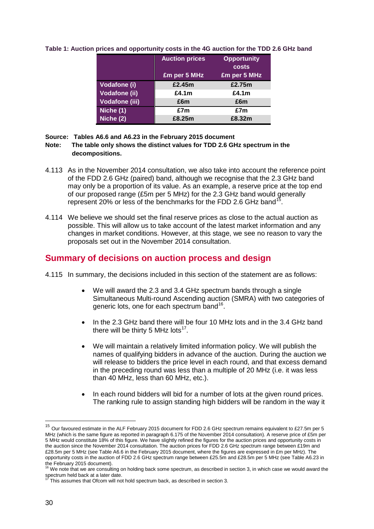|                       | <b>Auction prices</b> | <b>Opportunity</b><br>costs |
|-----------------------|-----------------------|-----------------------------|
|                       | £m per 5 MHz          | £m per 5 MHz                |
| Vodafone (i)          | £2.45m                | £2.75m                      |
| <b>Vodafone (ii)</b>  | £4.1 $m$              | £4.1 $m$                    |
| <b>Vodafone (iii)</b> | £6m                   | £6m                         |
| Niche (1)             | £7m                   | £7m                         |
| Niche (2)             | £8.25m                | £8.32m                      |

#### **Table 1: Auction prices and opportunity costs in the 4G auction for the TDD 2.6 GHz band**

#### **Source: Tables A6.6 and A6.23 in the February 2015 document**

#### **Note: The table only shows the distinct values for TDD 2.6 GHz spectrum in the decompositions.**

- 4.113 As in the November 2014 consultation, we also take into account the reference point of the FDD 2.6 GHz (paired) band, although we recognise that the 2.3 GHz band may only be a proportion of its value. As an example, a reserve price at the top end of our proposed range (£5m per 5 MHz) for the 2.3 GHz band would generally represent 20% or less of the benchmarks for the FDD 2.6 GHz band<sup>1</sup>
- 4.114 We believe we should set the final reserve prices as close to the actual auction as possible. This will allow us to take account of the latest market information and any changes in market conditions. However, at this stage, we see no reason to vary the proposals set out in the November 2014 consultation.

## **Summary of decisions on auction process and design**

- 4.115 In summary, the decisions included in this section of the statement are as follows:
	- We will award the 2.3 and 3.4 GHz spectrum bands through a single Simultaneous Multi-round Ascending auction (SMRA) with two categories of generic lots, one for each spectrum band<sup>[16](#page-30-1)</sup>.
	- In the 2.3 GHz band there will be four 10 MHz lots and in the 3.4 GHz band there will be thirty 5 MHz lots<sup>17</sup>.
	- We will maintain a relatively limited information policy. We will publish the names of qualifying bidders in advance of the auction. During the auction we will release to bidders the price level in each round, and that excess demand in the preceding round was less than a multiple of 20 MHz (i.e. it was less than 40 MHz, less than 60 MHz, etc.).
	- In each round bidders will bid for a number of lots at the given round prices. The ranking rule to assign standing high bidders will be random in the way it

<u>.</u>

<span id="page-30-0"></span><sup>&</sup>lt;sup>15</sup> Our favoured estimate in the ALF February 2015 document for FDD 2.6 GHz spectrum remains equivalent to £27.5m per 5 MHz (which is the same figure as reported in paragraph 6.175 of the November 2014 consultation). A reserve price of £5m per 5 MHz would constitute 18% of this figure. We have slightly refined the figures for the auction prices and opportunity costs in the auction since the November 2014 consultation. The auction prices for FDD 2.6 GHz spectrum range between £19m and £28.5m per 5 MHz (see Table A6.6 in the February 2015 document, where the figures are expressed in £m per MHz). The opportunity costs in the auction of FDD 2.6 GHz spectrum range between £25.5m and £28.5m per 5 MHz (see Table A6.23 in the February 2015 document).

<span id="page-30-1"></span> $16$  We note that we are consulting on holding back some spectrum, as described in section 3, in which case we would award the

<span id="page-30-2"></span>spectrum held back at a later date.<br><sup>17</sup> This assumes that Ofcom will not hold spectrum back, as described in section 3.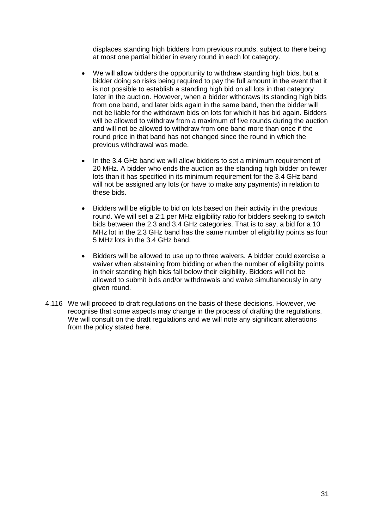displaces standing high bidders from previous rounds, subject to there being at most one partial bidder in every round in each lot category.

- We will allow bidders the opportunity to withdraw standing high bids, but a bidder doing so risks being required to pay the full amount in the event that it is not possible to establish a standing high bid on all lots in that category later in the auction. However, when a bidder withdraws its standing high bids from one band, and later bids again in the same band, then the bidder will not be liable for the withdrawn bids on lots for which it has bid again. Bidders will be allowed to withdraw from a maximum of five rounds during the auction and will not be allowed to withdraw from one band more than once if the round price in that band has not changed since the round in which the previous withdrawal was made.
- In the 3.4 GHz band we will allow bidders to set a minimum requirement of 20 MHz. A bidder who ends the auction as the standing high bidder on fewer lots than it has specified in its minimum requirement for the 3.4 GHz band will not be assigned any lots (or have to make any payments) in relation to these bids.
- Bidders will be eligible to bid on lots based on their activity in the previous round. We will set a 2:1 per MHz eligibility ratio for bidders seeking to switch bids between the 2.3 and 3.4 GHz categories. That is to say, a bid for a 10 MHz lot in the 2.3 GHz band has the same number of eligibility points as four 5 MHz lots in the 3.4 GHz band.
- Bidders will be allowed to use up to three waivers. A bidder could exercise a waiver when abstaining from bidding or when the number of eligibility points in their standing high bids fall below their eligibility. Bidders will not be allowed to submit bids and/or withdrawals and waive simultaneously in any given round.
- 4.116 We will proceed to draft regulations on the basis of these decisions. However, we recognise that some aspects may change in the process of drafting the regulations. We will consult on the draft regulations and we will note any significant alterations from the policy stated here.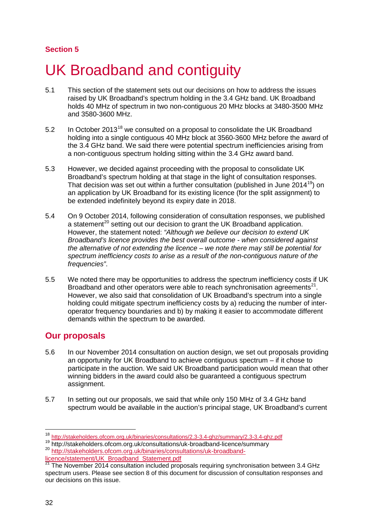## **Section 5**

# <span id="page-32-0"></span>UK Broadband and contiguity

- 5.1 This section of the statement sets out our decisions on how to address the issues raised by UK Broadband's spectrum holding in the 3.4 GHz band. UK Broadband holds 40 MHz of spectrum in two non-contiguous 20 MHz blocks at 3480-3500 MHz and 3580-3600 MHz.
- 5.2 In October 2013<sup>[18](#page-32-1)</sup> we consulted on a proposal to consolidate the UK Broadband holding into a single contiguous 40 MHz block at 3560-3600 MHz before the award of the 3.4 GHz band. We said there were potential spectrum inefficiencies arising from a non-contiguous spectrum holding sitting within the 3.4 GHz award band.
- 5.3 However, we decided against proceeding with the proposal to consolidate UK Broadband's spectrum holding at that stage in the light of consultation responses. That decision was set out within a further consultation (published in June 2014<sup>[19](#page-32-2)</sup>) on an application by UK Broadband for its existing licence (for the split assignment) to be extended indefinitely beyond its expiry date in 2018.
- 5.4 On 9 October 2014, following consideration of consultation responses, we published a statement<sup>[20](#page-32-3)</sup> setting out our decision to grant the UK Broadband application. However, the statement noted: *"Although we believe our decision to extend UK Broadband's licence provides the best overall outcome - when considered against the alternative of not extending the licence – we note there may still be potential for spectrum inefficiency costs to arise as a result of the non-contiguous nature of the frequencies"*.
- 5.5 We noted there may be opportunities to address the spectrum inefficiency costs if UK Broadband and other operators were able to reach synchronisation agreements<sup>[21](#page-32-4)</sup>. However, we also said that consolidation of UK Broadband's spectrum into a single holding could mitigate spectrum inefficiency costs by a) reducing the number of interoperator frequency boundaries and b) by making it easier to accommodate different demands within the spectrum to be awarded.

## **Our proposals**

- 5.6 In our November 2014 consultation on auction design, we set out proposals providing an opportunity for UK Broadband to achieve contiguous spectrum – if it chose to participate in the auction. We said UK Broadband participation would mean that other winning bidders in the award could also be guaranteed a contiguous spectrum assignment.
- 5.7 In setting out our proposals, we said that while only 150 MHz of 3.4 GHz band spectrum would be available in the auction's principal stage, UK Broadband's current

<span id="page-32-3"></span>[licence/statement/UK\\_Broadband\\_Statement.pdf](http://stakeholders.ofcom.org.uk/binaries/consultations/uk-broadband-licence/statement/UK_Broadband_Statement.pdf)

<sup>&</sup>lt;sup>18</sup> http://stakeholders.ofcom.org.uk/binaries/consultations/2.3-3.4-ghz/summary/2.3-3.4-ghz.pdf

<span id="page-32-2"></span><span id="page-32-1"></span><sup>&</sup>lt;sup>19</sup> http://stakeholders.ofcom.org.uk/consultations/uk-broadband-licence/summary<br><sup>20</sup> [http://stakeholders.ofcom.org.uk/binaries/consultations/uk-broadband-](http://stakeholders.ofcom.org.uk/binaries/consultations/uk-broadband-licence/statement/UK_Broadband_Statement.pdf)

<span id="page-32-4"></span><sup>&</sup>lt;sup>21</sup> The November 2014 consultation included proposals requiring synchronisation between 3.4 GHz spectrum users. Please see section 8 of this document for discussion of consultation responses and our decisions on this issue.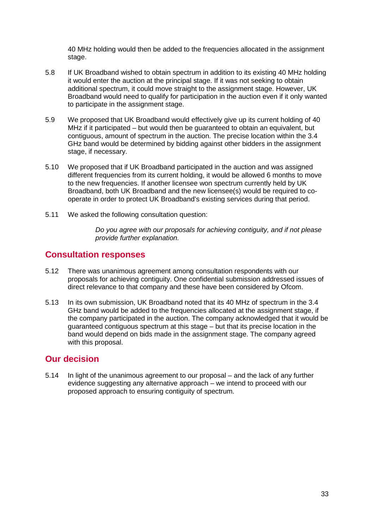40 MHz holding would then be added to the frequencies allocated in the assignment stage.

- 5.8 If UK Broadband wished to obtain spectrum in addition to its existing 40 MHz holding it would enter the auction at the principal stage. If it was not seeking to obtain additional spectrum, it could move straight to the assignment stage. However, UK Broadband would need to qualify for participation in the auction even if it only wanted to participate in the assignment stage.
- 5.9 We proposed that UK Broadband would effectively give up its current holding of 40 MHz if it participated – but would then be guaranteed to obtain an equivalent, but contiguous, amount of spectrum in the auction. The precise location within the 3.4 GHz band would be determined by bidding against other bidders in the assignment stage, if necessary.
- 5.10 We proposed that if UK Broadband participated in the auction and was assigned different frequencies from its current holding, it would be allowed 6 months to move to the new frequencies. If another licensee won spectrum currently held by UK Broadband, both UK Broadband and the new licensee(s) would be required to cooperate in order to protect UK Broadband's existing services during that period.
- 5.11 We asked the following consultation question:

*Do you agree with our proposals for achieving contiguity, and if not please provide further explanation.*

## **Consultation responses**

- 5.12 There was unanimous agreement among consultation respondents with our proposals for achieving contiguity. One confidential submission addressed issues of direct relevance to that company and these have been considered by Ofcom.
- 5.13 In its own submission, UK Broadband noted that its 40 MHz of spectrum in the 3.4 GHz band would be added to the frequencies allocated at the assignment stage, if the company participated in the auction. The company acknowledged that it would be guaranteed contiguous spectrum at this stage – but that its precise location in the band would depend on bids made in the assignment stage. The company agreed with this proposal.

## **Our decision**

5.14 In light of the unanimous agreement to our proposal – and the lack of any further evidence suggesting any alternative approach – we intend to proceed with our proposed approach to ensuring contiguity of spectrum.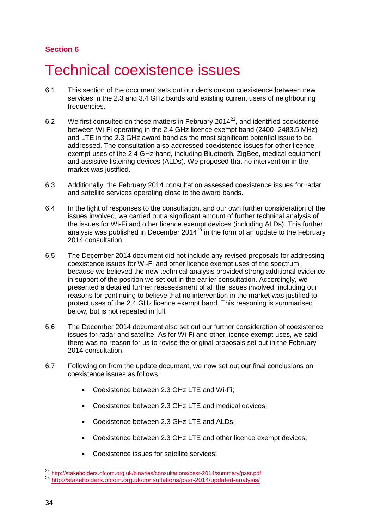## **Section 6**

# <span id="page-34-0"></span>Technical coexistence issues

- 6.1 This section of the document sets out our decisions on coexistence between new services in the 2.3 and 3.4 GHz bands and existing current users of neighbouring frequencies.
- 6.2 We first consulted on these matters in February 2014 $^{22}$ , and identified coexistence between Wi-Fi operating in the 2.4 GHz licence exempt band (2400- 2483.5 MHz) and LTE in the 2.3 GHz award band as the most significant potential issue to be addressed. The consultation also addressed coexistence issues for other licence exempt uses of the 2.4 GHz band, including Bluetooth, ZigBee, medical equipment and assistive listening devices (ALDs). We proposed that no intervention in the market was justified.
- 6.3 Additionally, the February 2014 consultation assessed coexistence issues for radar and satellite services operating close to the award bands.
- 6.4 In the light of responses to the consultation, and our own further consideration of the issues involved, we carried out a significant amount of further technical analysis of the issues for Wi-Fi and other licence exempt devices (including ALDs). This further analysis was published in December 2014<sup>[23](#page-34-2)</sup> in the form of an update to the February 2014 consultation.
- 6.5 The December 2014 document did not include any revised proposals for addressing coexistence issues for Wi-Fi and other licence exempt uses of the spectrum, because we believed the new technical analysis provided strong additional evidence in support of the position we set out in the earlier consultation. Accordingly, we presented a detailed further reassessment of all the issues involved, including our reasons for continuing to believe that no intervention in the market was justified to protect uses of the 2.4 GHz licence exempt band. This reasoning is summarised below, but is not repeated in full.
- 6.6 The December 2014 document also set out our further consideration of coexistence issues for radar and satellite. As for Wi-Fi and other licence exempt uses, we said there was no reason for us to revise the original proposals set out in the February 2014 consultation.
- 6.7 Following on from the update document, we now set out our final conclusions on coexistence issues as follows:
	- Coexistence between 2.3 GHz LTE and Wi-Fi;
	- Coexistence between 2.3 GHz LTE and medical devices;
	- Coexistence between 2.3 GHz LTE and ALDs;
	- Coexistence between 2.3 GHz LTE and other licence exempt devices;
	- Coexistence issues for satellite services;

<span id="page-34-1"></span><sup>&</sup>lt;sup>22</sup> <http://stakeholders.ofcom.org.uk/binaries/consultations/pssr-2014/summary/pssr.pdf> 23 <http://stakeholders.ofcom.org.uk/consultations/pssr-2014/updated-analysis/> <u>.</u>

<span id="page-34-2"></span>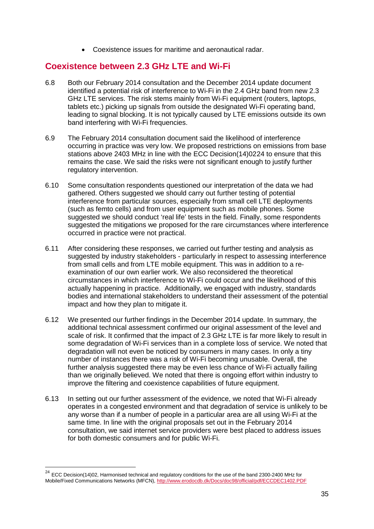• Coexistence issues for maritime and aeronautical radar.

## **Coexistence between 2.3 GHz LTE and Wi-Fi**

- 6.8 Both our February 2014 consultation and the December 2014 update document identified a potential risk of interference to Wi-Fi in the 2.4 GHz band from new 2.3 GHz LTE services. The risk stems mainly from Wi-Fi equipment (routers, laptops, tablets etc.) picking up signals from outside the designated Wi-Fi operating band, leading to signal blocking. It is not typically caused by LTE emissions outside its own band interfering with Wi-Fi frequencies.
- 6.9 The February 2014 consultation document said the likelihood of interference occurring in practice was very low. We proposed restrictions on emissions from base stations above 2403 MHz in line with the ECC Decision(14)02[24](#page-35-0) to ensure that this remains the case. We said the risks were not significant enough to justify further regulatory intervention.
- 6.10 Some consultation respondents questioned our interpretation of the data we had gathered. Others suggested we should carry out further testing of potential interference from particular sources, especially from small cell LTE deployments (such as femto cells) and from user equipment such as mobile phones. Some suggested we should conduct 'real life' tests in the field. Finally, some respondents suggested the mitigations we proposed for the rare circumstances where interference occurred in practice were not practical.
- 6.11 After considering these responses, we carried out further testing and analysis as suggested by industry stakeholders - particularly in respect to assessing interference from small cells and from LTE mobile equipment. This was in addition to a reexamination of our own earlier work. We also reconsidered the theoretical circumstances in which interference to Wi-Fi could occur and the likelihood of this actually happening in practice. Additionally, we engaged with industry, standards bodies and international stakeholders to understand their assessment of the potential impact and how they plan to mitigate it.
- 6.12 We presented our further findings in the December 2014 update. In summary, the additional technical assessment confirmed our original assessment of the level and scale of risk. It confirmed that the impact of 2.3 GHz LTE is far more likely to result in some degradation of Wi-Fi services than in a complete loss of service. We noted that degradation will not even be noticed by consumers in many cases. In only a tiny number of instances there was a risk of Wi-Fi becoming unusable. Overall, the further analysis suggested there may be even less chance of Wi-Fi actually failing than we originally believed. We noted that there is ongoing effort within industry to improve the filtering and coexistence capabilities of future equipment.
- 6.13 In setting out our further assessment of the evidence, we noted that Wi-Fi already operates in a congested environment and that degradation of service is unlikely to be any worse than if a number of people in a particular area are all using Wi-Fi at the same time. In line with the original proposals set out in the February 2014 consultation, we said internet service providers were best placed to address issues for both domestic consumers and for public Wi-Fi.

 $\overline{a}$ 

<span id="page-35-0"></span> $^{24}$  ECC Decision(14)02, Harmonised technical and regulatory conditions for the use of the band 2300-2400 MHz for Mobile/Fixed Communications Networks (MFCN),<http://www.erodocdb.dk/Docs/doc98/official/pdf/ECCDEC1402.PDF>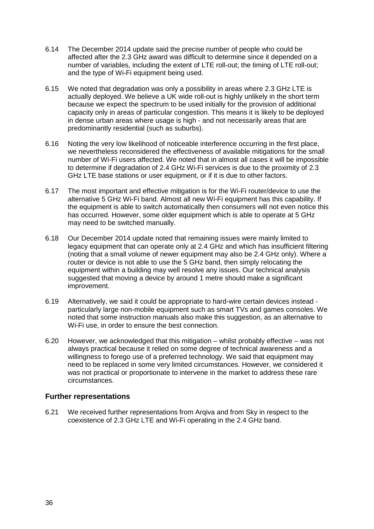- 6.14 The December 2014 update said the precise number of people who could be affected after the 2.3 GHz award was difficult to determine since it depended on a number of variables, including the extent of LTE roll-out; the timing of LTE roll-out; and the type of Wi-Fi equipment being used.
- 6.15 We noted that degradation was only a possibility in areas where 2.3 GHz LTE is actually deployed. We believe a UK wide roll-out is highly unlikely in the short term because we expect the spectrum to be used initially for the provision of additional capacity only in areas of particular congestion. This means it is likely to be deployed in dense urban areas where usage is high - and not necessarily areas that are predominantly residential (such as suburbs).
- 6.16 Noting the very low likelihood of noticeable interference occurring in the first place, we nevertheless reconsidered the effectiveness of available mitigations for the small number of Wi-Fi users affected. We noted that in almost all cases it will be impossible to determine if degradation of 2.4 GHz Wi-Fi services is due to the proximity of 2.3 GHz LTE base stations or user equipment, or if it is due to other factors.
- 6.17 The most important and effective mitigation is for the Wi-Fi router/device to use the alternative 5 GHz Wi-Fi band. Almost all new Wi-Fi equipment has this capability. If the equipment is able to switch automatically then consumers will not even notice this has occurred. However, some older equipment which is able to operate at 5 GHz may need to be switched manually.
- 6.18 Our December 2014 update noted that remaining issues were mainly limited to legacy equipment that can operate only at 2.4 GHz and which has insufficient filtering (noting that a small volume of newer equipment may also be 2.4 GHz only). Where a router or device is not able to use the 5 GHz band, then simply relocating the equipment within a building may well resolve any issues. Our technical analysis suggested that moving a device by around 1 metre should make a significant improvement.
- 6.19 Alternatively, we said it could be appropriate to hard-wire certain devices instead particularly large non-mobile equipment such as smart TVs and games consoles. We noted that some instruction manuals also make this suggestion, as an alternative to Wi-Fi use, in order to ensure the best connection.
- 6.20 However, we acknowledged that this mitigation whilst probably effective was not always practical because it relied on some degree of technical awareness and a willingness to forego use of a preferred technology. We said that equipment may need to be replaced in some very limited circumstances. However, we considered it was not practical or proportionate to intervene in the market to address these rare circumstances.

# **Further representations**

6.21 We received further representations from Arqiva and from Sky in respect to the coexistence of 2.3 GHz LTE and Wi-Fi operating in the 2.4 GHz band.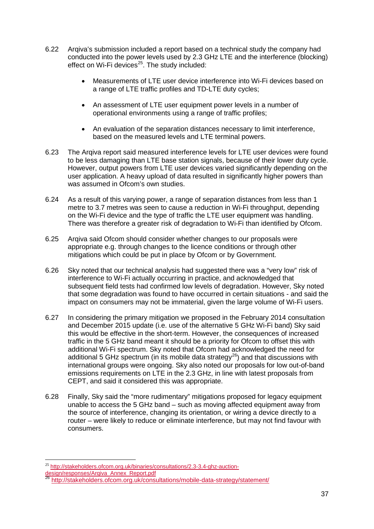- 6.22 Arqiva's submission included a report based on a technical study the company had conducted into the power levels used by 2.3 GHz LTE and the interference (blocking) effect on Wi-Fi devices $25$ . The study included:
	- Measurements of LTE user device interference into Wi-Fi devices based on a range of LTE traffic profiles and TD-LTE duty cycles;
	- An assessment of LTE user equipment power levels in a number of operational environments using a range of traffic profiles;
	- An evaluation of the separation distances necessary to limit interference, based on the measured levels and LTE terminal powers.
- 6.23 The Arqiva report said measured interference levels for LTE user devices were found to be less damaging than LTE base station signals, because of their lower duty cycle. However, output powers from LTE user devices varied significantly depending on the user application. A heavy upload of data resulted in significantly higher powers than was assumed in Ofcom's own studies.
- 6.24 As a result of this varying power, a range of separation distances from less than 1 metre to 3.7 metres was seen to cause a reduction in Wi-Fi throughput, depending on the Wi-Fi device and the type of traffic the LTE user equipment was handling. There was therefore a greater risk of degradation to Wi-Fi than identified by Ofcom.
- 6.25 Arqiva said Ofcom should consider whether changes to our proposals were appropriate e.g. through changes to the licence conditions or through other mitigations which could be put in place by Ofcom or by Government.
- 6.26 Sky noted that our technical analysis had suggested there was a "very low" risk of interference to Wi-Fi actually occurring in practice, and acknowledged that subsequent field tests had confirmed low levels of degradation. However, Sky noted that some degradation was found to have occurred in certain situations - and said the impact on consumers may not be immaterial, given the large volume of Wi-Fi users.
- 6.27 In considering the primary mitigation we proposed in the February 2014 consultation and December 2015 update (i.e. use of the alternative 5 GHz Wi-Fi band) Sky said this would be effective in the short-term. However, the consequences of increased traffic in the 5 GHz band meant it should be a priority for Ofcom to offset this with additional Wi-Fi spectrum. Sky noted that Ofcom had acknowledged the need for additional 5 GHz spectrum (in its mobile data strategy<sup>[26](#page-37-1)</sup>) and that discussions with international groups were ongoing. Sky also noted our proposals for low out-of-band emissions requirements on LTE in the 2.3 GHz, in line with latest proposals from CEPT, and said it considered this was appropriate.
- 6.28 Finally, Sky said the "more rudimentary" mitigations proposed for legacy equipment unable to access the 5 GHz band – such as moving affected equipment away from the source of interference, changing its orientation, or wiring a device directly to a router – were likely to reduce or eliminate interference, but may not find favour with consumers.

<sup>&</sup>lt;sup>25</sup> [http://stakeholders.ofcom.org.uk/binaries/consultations/2.3-3.4-ghz-auction-](http://stakeholders.ofcom.org.uk/binaries/consultations/2.3-3.4-ghz-auction-design/responses/Arqiva_Annex_Report.pdf)-

<span id="page-37-0"></span>[design/responses/Arqiva\\_Annex\\_Report.pdf](http://stakeholders.ofcom.org.uk/binaries/consultations/2.3-3.4-ghz-auction-design/responses/Arqiva_Annex_Report.pdf)

<span id="page-37-1"></span><http://stakeholders.ofcom.org.uk/consultations/mobile-data-strategy/statement/>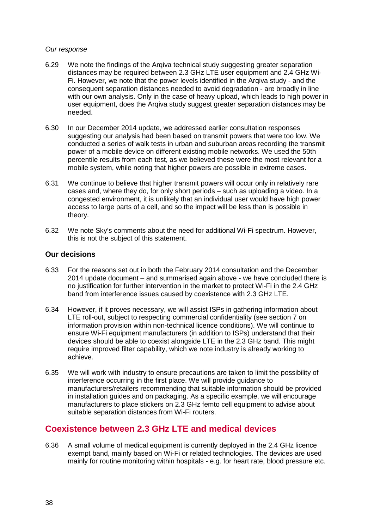#### *Our response*

- 6.29 We note the findings of the Arqiva technical study suggesting greater separation distances may be required between 2.3 GHz LTE user equipment and 2.4 GHz Wi-Fi. However, we note that the power levels identified in the Arqiva study - and the consequent separation distances needed to avoid degradation - are broadly in line with our own analysis. Only in the case of heavy upload, which leads to high power in user equipment, does the Arqiva study suggest greater separation distances may be needed.
- 6.30 In our December 2014 update, we addressed earlier consultation responses suggesting our analysis had been based on transmit powers that were too low. We conducted a series of walk tests in urban and suburban areas recording the transmit power of a mobile device on different existing mobile networks. We used the 50th percentile results from each test, as we believed these were the most relevant for a mobile system, while noting that higher powers are possible in extreme cases.
- 6.31 We continue to believe that higher transmit powers will occur only in relatively rare cases and, where they do, for only short periods – such as uploading a video. In a congested environment, it is unlikely that an individual user would have high power access to large parts of a cell, and so the impact will be less than is possible in theory.
- 6.32 We note Sky's comments about the need for additional Wi-Fi spectrum. However, this is not the subject of this statement.

#### **Our decisions**

- 6.33 For the reasons set out in both the February 2014 consultation and the December 2014 update document – and summarised again above - we have concluded there is no justification for further intervention in the market to protect Wi-Fi in the 2.4 GHz band from interference issues caused by coexistence with 2.3 GHz LTE.
- 6.34 However, if it proves necessary, we will assist ISPs in gathering information about LTE roll-out, subject to respecting commercial confidentiality (see section 7 on information provision within non-technical licence conditions). We will continue to ensure Wi-Fi equipment manufacturers (in addition to ISPs) understand that their devices should be able to coexist alongside LTE in the 2.3 GHz band. This might require improved filter capability, which we note industry is already working to achieve.
- 6.35 We will work with industry to ensure precautions are taken to limit the possibility of interference occurring in the first place. We will provide guidance to manufacturers/retailers recommending that suitable information should be provided in installation guides and on packaging. As a specific example, we will encourage manufacturers to place stickers on 2.3 GHz femto cell equipment to advise about suitable separation distances from Wi-Fi routers.

# **Coexistence between 2.3 GHz LTE and medical devices**

6.36 A small volume of medical equipment is currently deployed in the 2.4 GHz licence exempt band, mainly based on Wi-Fi or related technologies. The devices are used mainly for routine monitoring within hospitals - e.g. for heart rate, blood pressure etc.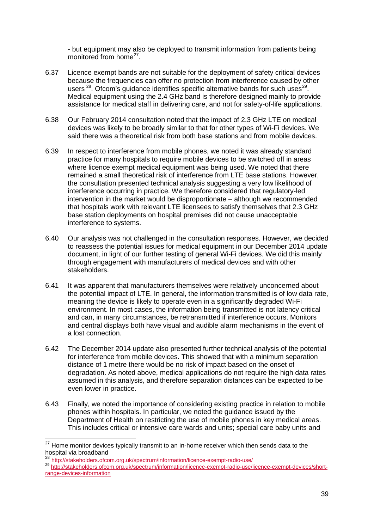- but equipment may also be deployed to transmit information from patients being monitored from home<sup>27</sup>.

- 6.37 Licence exempt bands are not suitable for the deployment of safety critical devices because the frequencies can offer no protection from interference caused by other users  $^{28}$  $^{28}$  $^{28}$ . Ofcom's guidance identifies specific alternative bands for such uses  $^{29}$ . Medical equipment using the 2.4 GHz band is therefore designed mainly to provide assistance for medical staff in delivering care, and not for safety-of-life applications.
- 6.38 Our February 2014 consultation noted that the impact of 2.3 GHz LTE on medical devices was likely to be broadly similar to that for other types of Wi-Fi devices. We said there was a theoretical risk from both base stations and from mobile devices.
- 6.39 In respect to interference from mobile phones, we noted it was already standard practice for many hospitals to require mobile devices to be switched off in areas where licence exempt medical equipment was being used. We noted that there remained a small theoretical risk of interference from LTE base stations. However, the consultation presented technical analysis suggesting a very low likelihood of interference occurring in practice. We therefore considered that regulatory-led intervention in the market would be disproportionate – although we recommended that hospitals work with relevant LTE licensees to satisfy themselves that 2.3 GHz base station deployments on hospital premises did not cause unacceptable interference to systems.
- 6.40 Our analysis was not challenged in the consultation responses. However, we decided to reassess the potential issues for medical equipment in our December 2014 update document, in light of our further testing of general Wi-Fi devices. We did this mainly through engagement with manufacturers of medical devices and with other stakeholders.
- 6.41 It was apparent that manufacturers themselves were relatively unconcerned about the potential impact of LTE. In general, the information transmitted is of low data rate, meaning the device is likely to operate even in a significantly degraded Wi-Fi environment. In most cases, the information being transmitted is not latency critical and can, in many circumstances, be retransmitted if interference occurs. Monitors and central displays both have visual and audible alarm mechanisms in the event of a lost connection.
- 6.42 The December 2014 update also presented further technical analysis of the potential for interference from mobile devices. This showed that with a minimum separation distance of 1 metre there would be no risk of impact based on the onset of degradation. As noted above, medical applications do not require the high data rates assumed in this analysis, and therefore separation distances can be expected to be even lower in practice.
- 6.43 Finally, we noted the importance of considering existing practice in relation to mobile phones within hospitals. In particular, we noted the guidance issued by the Department of Health on restricting the use of mobile phones in key medical areas. This includes critical or intensive care wards and units; special care baby units and

 $\overline{a}$ 

<span id="page-39-0"></span><sup>&</sup>lt;sup>27</sup> Home monitor devices typically transmit to an in-home receiver which then sends data to the hospital via broadband

<span id="page-39-2"></span><span id="page-39-1"></span><sup>&</sup>lt;sup>28</sup> <http://stakeholders.ofcom.org.uk/spectrum/information/licence-exempt-radio-use/><br><sup>29</sup> http://stakeholders.<u>ofcom.org.uk/spectrum/information/licence-exempt-radio-use/licence-exempt-devices/short-</u> [range-devices-information](http://stakeholders.ofcom.org.uk/spectrum/information/licence-exempt-radio-use/licence-exempt-devices/short-range-devices-information)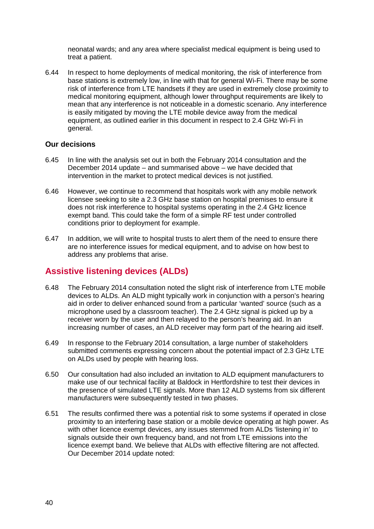neonatal wards; and any area where specialist medical equipment is being used to treat a patient.

6.44 In respect to home deployments of medical monitoring, the risk of interference from base stations is extremely low, in line with that for general Wi-Fi. There may be some risk of interference from LTE handsets if they are used in extremely close proximity to medical monitoring equipment, although lower throughput requirements are likely to mean that any interference is not noticeable in a domestic scenario. Any interference is easily mitigated by moving the LTE mobile device away from the medical equipment, as outlined earlier in this document in respect to 2.4 GHz Wi-Fi in general.

## **Our decisions**

- 6.45 In line with the analysis set out in both the February 2014 consultation and the December 2014 update – and summarised above – we have decided that intervention in the market to protect medical devices is not justified.
- 6.46 However, we continue to recommend that hospitals work with any mobile network licensee seeking to site a 2.3 GHz base station on hospital premises to ensure it does not risk interference to hospital systems operating in the 2.4 GHz licence exempt band. This could take the form of a simple RF test under controlled conditions prior to deployment for example.
- 6.47 In addition, we will write to hospital trusts to alert them of the need to ensure there are no interference issues for medical equipment, and to advise on how best to address any problems that arise.

# **Assistive listening devices (ALDs)**

- 6.48 The February 2014 consultation noted the slight risk of interference from LTE mobile devices to ALDs. An ALD might typically work in conjunction with a person's hearing aid in order to deliver enhanced sound from a particular 'wanted' source (such as a microphone used by a classroom teacher). The 2.4 GHz signal is picked up by a receiver worn by the user and then relayed to the person's hearing aid. In an increasing number of cases, an ALD receiver may form part of the hearing aid itself.
- 6.49 In response to the February 2014 consultation, a large number of stakeholders submitted comments expressing concern about the potential impact of 2.3 GHz LTE on ALDs used by people with hearing loss.
- 6.50 Our consultation had also included an invitation to ALD equipment manufacturers to make use of our technical facility at Baldock in Hertfordshire to test their devices in the presence of simulated LTE signals. More than 12 ALD systems from six different manufacturers were subsequently tested in two phases.
- 6.51 The results confirmed there was a potential risk to some systems if operated in close proximity to an interfering base station or a mobile device operating at high power. As with other licence exempt devices, any issues stemmed from ALDs 'listening in' to signals outside their own frequency band, and not from LTE emissions into the licence exempt band. We believe that ALDs with effective filtering are not affected. Our December 2014 update noted: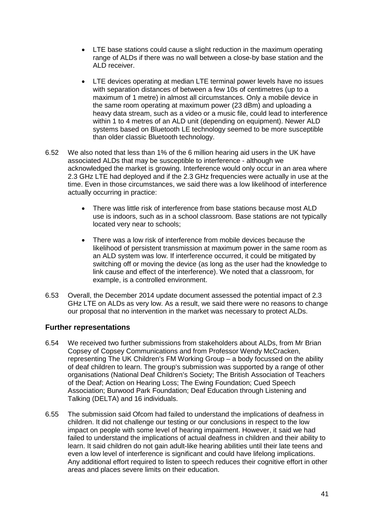- LTE base stations could cause a slight reduction in the maximum operating range of ALDs if there was no wall between a close-by base station and the ALD receiver.
- LTE devices operating at median LTE terminal power levels have no issues with separation distances of between a few 10s of centimetres (up to a maximum of 1 metre) in almost all circumstances. Only a mobile device in the same room operating at maximum power (23 dBm) and uploading a heavy data stream, such as a video or a music file, could lead to interference within 1 to 4 metres of an ALD unit (depending on equipment). Newer ALD systems based on Bluetooth LE technology seemed to be more susceptible than older classic Bluetooth technology.
- 6.52 We also noted that less than 1% of the 6 million hearing aid users in the UK have associated ALDs that may be susceptible to interference - although we acknowledged the market is growing. Interference would only occur in an area where 2.3 GHz LTE had deployed and if the 2.3 GHz frequencies were actually in use at the time. Even in those circumstances, we said there was a low likelihood of interference actually occurring in practice:
	- There was little risk of interference from base stations because most ALD use is indoors, such as in a school classroom. Base stations are not typically located very near to schools;
	- There was a low risk of interference from mobile devices because the likelihood of persistent transmission at maximum power in the same room as an ALD system was low. If interference occurred, it could be mitigated by switching off or moving the device (as long as the user had the knowledge to link cause and effect of the interference). We noted that a classroom, for example, is a controlled environment.
- 6.53 Overall, the December 2014 update document assessed the potential impact of 2.3 GHz LTE on ALDs as very low. As a result, we said there were no reasons to change our proposal that no intervention in the market was necessary to protect ALDs.

# **Further representations**

- 6.54 We received two further submissions from stakeholders about ALDs, from Mr Brian Copsey of Copsey Communications and from Professor Wendy McCracken, representing The UK Children's FM Working Group – a body focussed on the ability of deaf children to learn. The group's submission was supported by a range of other organisations (National Deaf Children's Society; The British Association of Teachers of the Deaf; Action on Hearing Loss; The Ewing Foundation; Cued Speech Association; Burwood Park Foundation; Deaf Education through Listening and Talking (DELTA) and 16 individuals.
- 6.55 The submission said Ofcom had failed to understand the implications of deafness in children. It did not challenge our testing or our conclusions in respect to the low impact on people with some level of hearing impairment. However, it said we had failed to understand the implications of actual deafness in children and their ability to learn. It said children do not gain adult-like hearing abilities until their late teens and even a low level of interference is significant and could have lifelong implications. Any additional effort required to listen to speech reduces their cognitive effort in other areas and places severe limits on their education.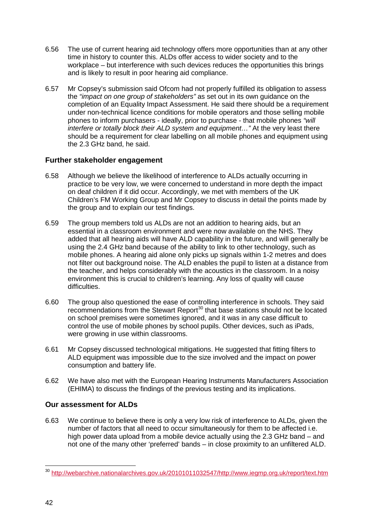- 6.56 The use of current hearing aid technology offers more opportunities than at any other time in history to counter this. ALDs offer access to wider society and to the workplace – but interference with such devices reduces the opportunities this brings and is likely to result in poor hearing aid compliance.
- 6.57 Mr Copsey's submission said Ofcom had not properly fulfilled its obligation to assess the *"impact on one group of stakeholders"* as set out in its own guidance on the completion of an Equality Impact Assessment. He said there should be a requirement under non-technical licence conditions for mobile operators and those selling mobile phones to inform purchasers - ideally, prior to purchase - that mobile phones *"will interfere or totally block their ALD system and equipment…"* At the very least there should be a requirement for clear labelling on all mobile phones and equipment using the 2.3 GHz band, he said.

# **Further stakeholder engagement**

- 6.58 Although we believe the likelihood of interference to ALDs actually occurring in practice to be very low, we were concerned to understand in more depth the impact on deaf children if it did occur. Accordingly, we met with members of the UK Children's FM Working Group and Mr Copsey to discuss in detail the points made by the group and to explain our test findings.
- 6.59 The group members told us ALDs are not an addition to hearing aids, but an essential in a classroom environment and were now available on the NHS. They added that all hearing aids will have ALD capability in the future, and will generally be using the 2.4 GHz band because of the ability to link to other technology, such as mobile phones. A hearing aid alone only picks up signals within 1-2 metres and does not filter out background noise. The ALD enables the pupil to listen at a distance from the teacher, and helps considerably with the acoustics in the classroom. In a noisy environment this is crucial to children's learning. Any loss of quality will cause difficulties.
- 6.60 The group also questioned the ease of controlling interference in schools. They said recommendations from the Stewart Report<sup>[30](#page-42-0)</sup> that base stations should not be located on school premises were sometimes ignored, and it was in any case difficult to control the use of mobile phones by school pupils. Other devices, such as iPads, were growing in use within classrooms.
- 6.61 Mr Copsey discussed technological mitigations. He suggested that fitting filters to ALD equipment was impossible due to the size involved and the impact on power consumption and battery life.
- 6.62 We have also met with the European Hearing Instruments Manufacturers Association (EHIMA) to discuss the findings of the previous testing and its implications.

# **Our assessment for ALDs**

6.63 We continue to believe there is only a very low risk of interference to ALDs, given the number of factors that all need to occur simultaneously for them to be affected i.e. high power data upload from a mobile device actually using the 2.3 GHz band – and not one of the many other 'preferred' bands – in close proximity to an unfiltered ALD.

<u>.</u>

<span id="page-42-0"></span><sup>&</sup>lt;sup>30</sup> [http://webarchive.nationalarchives.gov.uk/20101011032547/http://www.iegmp.org.uk/report/text.htm](http://webarchive.nationalarchives.gov.uk/20101011032547/http:/www.iegmp.org.uk/report/text.htm)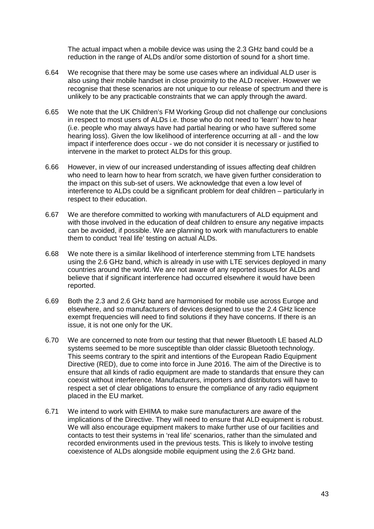The actual impact when a mobile device was using the 2.3 GHz band could be a reduction in the range of ALDs and/or some distortion of sound for a short time.

- 6.64 We recognise that there may be some use cases where an individual ALD user is also using their mobile handset in close proximity to the ALD receiver. However we recognise that these scenarios are not unique to our release of spectrum and there is unlikely to be any practicable constraints that we can apply through the award.
- 6.65 We note that the UK Children's FM Working Group did not challenge our conclusions in respect to most users of ALDs i.e. those who do not need to 'learn' how to hear (i.e. people who may always have had partial hearing or who have suffered some hearing loss). Given the low likelihood of interference occurring at all - and the low impact if interference does occur - we do not consider it is necessary or justified to intervene in the market to protect ALDs for this group.
- 6.66 However, in view of our increased understanding of issues affecting deaf children who need to learn how to hear from scratch, we have given further consideration to the impact on this sub-set of users. We acknowledge that even a low level of interference to ALDs could be a significant problem for deaf children – particularly in respect to their education.
- 6.67 We are therefore committed to working with manufacturers of ALD equipment and with those involved in the education of deaf children to ensure any negative impacts can be avoided, if possible. We are planning to work with manufacturers to enable them to conduct 'real life' testing on actual ALDs.
- 6.68 We note there is a similar likelihood of interference stemming from LTE handsets using the 2.6 GHz band, which is already in use with LTE services deployed in many countries around the world. We are not aware of any reported issues for ALDs and believe that if significant interference had occurred elsewhere it would have been reported.
- 6.69 Both the 2.3 and 2.6 GHz band are harmonised for mobile use across Europe and elsewhere, and so manufacturers of devices designed to use the 2.4 GHz licence exempt frequencies will need to find solutions if they have concerns. If there is an issue, it is not one only for the UK.
- 6.70 We are concerned to note from our testing that that newer Bluetooth LE based ALD systems seemed to be more susceptible than older classic Bluetooth technology. This seems contrary to the spirit and intentions of the European Radio Equipment Directive (RED), due to come into force in June 2016. The aim of the Directive is to ensure that all kinds of radio equipment are made to standards that ensure they can coexist without interference. Manufacturers, importers and distributors will have to respect a set of clear obligations to ensure the compliance of any radio equipment placed in the EU market.
- 6.71 We intend to work with EHIMA to make sure manufacturers are aware of the implications of the Directive. They will need to ensure that ALD equipment is robust. We will also encourage equipment makers to make further use of our facilities and contacts to test their systems in 'real life' scenarios, rather than the simulated and recorded environments used in the previous tests. This is likely to involve testing coexistence of ALDs alongside mobile equipment using the 2.6 GHz band.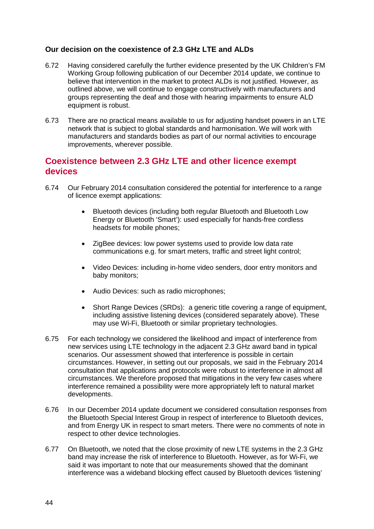# **Our decision on the coexistence of 2.3 GHz LTE and ALDs**

- 6.72 Having considered carefully the further evidence presented by the UK Children's FM Working Group following publication of our December 2014 update, we continue to believe that intervention in the market to protect ALDs is not justified. However, as outlined above, we will continue to engage constructively with manufacturers and groups representing the deaf and those with hearing impairments to ensure ALD equipment is robust.
- 6.73 There are no practical means available to us for adjusting handset powers in an LTE network that is subject to global standards and harmonisation. We will work with manufacturers and standards bodies as part of our normal activities to encourage improvements, wherever possible.

# **Coexistence between 2.3 GHz LTE and other licence exempt devices**

- 6.74 Our February 2014 consultation considered the potential for interference to a range of licence exempt applications:
	- Bluetooth devices (including both regular Bluetooth and Bluetooth Low Energy or Bluetooth 'Smart'): used especially for hands-free cordless headsets for mobile phones;
	- ZigBee devices: low power systems used to provide low data rate communications e.g. for smart meters, traffic and street light control;
	- Video Devices: including in-home video senders, door entry monitors and baby monitors;
	- Audio Devices: such as radio microphones;
	- Short Range Devices (SRDs): a generic title covering a range of equipment, including assistive listening devices (considered separately above). These may use Wi-Fi, Bluetooth or similar proprietary technologies.
- 6.75 For each technology we considered the likelihood and impact of interference from new services using LTE technology in the adjacent 2.3 GHz award band in typical scenarios. Our assessment showed that interference is possible in certain circumstances. However, in setting out our proposals, we said in the February 2014 consultation that applications and protocols were robust to interference in almost all circumstances. We therefore proposed that mitigations in the very few cases where interference remained a possibility were more appropriately left to natural market developments.
- 6.76 In our December 2014 update document we considered consultation responses from the Bluetooth Special Interest Group in respect of interference to Bluetooth devices, and from Energy UK in respect to smart meters. There were no comments of note in respect to other device technologies.
- 6.77 On Bluetooth, we noted that the close proximity of new LTE systems in the 2.3 GHz band may increase the risk of interference to Bluetooth. However, as for Wi-Fi, we said it was important to note that our measurements showed that the dominant interference was a wideband blocking effect caused by Bluetooth devices 'listening'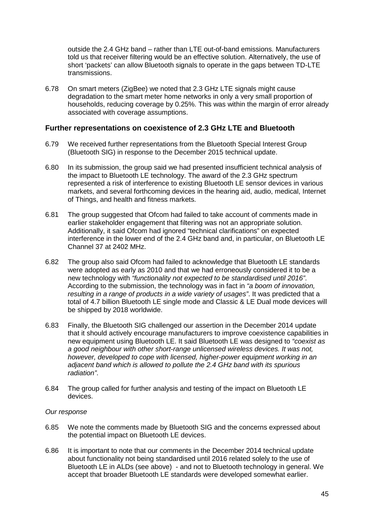outside the 2.4 GHz band – rather than LTE out-of-band emissions. Manufacturers told us that receiver filtering would be an effective solution. Alternatively, the use of short 'packets' can allow Bluetooth signals to operate in the gaps between TD-LTE transmissions.

6.78 On smart meters (ZigBee) we noted that 2.3 GHz LTE signals might cause degradation to the smart meter home networks in only a very small proportion of households, reducing coverage by 0.25%. This was within the margin of error already associated with coverage assumptions.

## **Further representations on coexistence of 2.3 GHz LTE and Bluetooth**

- 6.79 We received further representations from the Bluetooth Special Interest Group (Bluetooth SIG) in response to the December 2015 technical update.
- 6.80 In its submission, the group said we had presented insufficient technical analysis of the impact to Bluetooth LE technology. The award of the 2.3 GHz spectrum represented a risk of interference to existing Bluetooth LE sensor devices in various markets, and several forthcoming devices in the hearing aid, audio, medical, Internet of Things, and health and fitness markets.
- 6.81 The group suggested that Ofcom had failed to take account of comments made in earlier stakeholder engagement that filtering was not an appropriate solution. Additionally, it said Ofcom had ignored "technical clarifications" on expected interference in the lower end of the 2.4 GHz band and, in particular, on Bluetooth LE Channel 37 at 2402 MHz.
- 6.82 The group also said Ofcom had failed to acknowledge that Bluetooth LE standards were adopted as early as 2010 and that we had erroneously considered it to be a new technology with *"functionality not expected to be standardised until 2016"*. According to the submission, the technology was in fact in *"a boom of innovation, resulting in a range of products in a wide variety of usages"*. It was predicted that a total of 4.7 billion Bluetooth LE single mode and Classic & LE Dual mode devices will be shipped by 2018 worldwide.
- 6.83 Finally, the Bluetooth SIG challenged our assertion in the December 2014 update that it should actively encourage manufacturers to improve coexistence capabilities in new equipment using Bluetooth LE. It said Bluetooth LE was designed to *"coexist as a good neighbour with other short-range unlicensed wireless devices. It was not, however, developed to cope with licensed, higher-power equipment working in an adjacent band which is allowed to pollute the 2.4 GHz band with its spurious radiation"*.
- 6.84 The group called for further analysis and testing of the impact on Bluetooth LE devices.

#### *Our response*

- 6.85 We note the comments made by Bluetooth SIG and the concerns expressed about the potential impact on Bluetooth LE devices.
- 6.86 It is important to note that our comments in the December 2014 technical update about functionality not being standardised until 2016 related solely to the use of Bluetooth LE in ALDs (see above) - and not to Bluetooth technology in general. We accept that broader Bluetooth LE standards were developed somewhat earlier.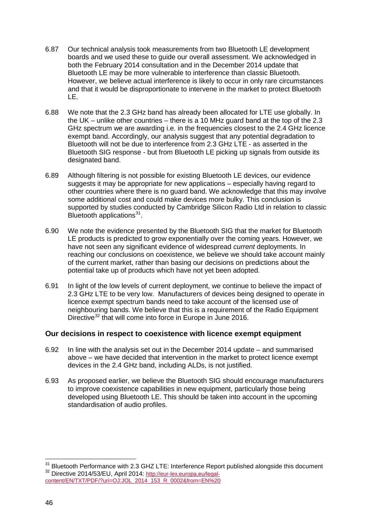- 6.87 Our technical analysis took measurements from two Bluetooth LE development boards and we used these to guide our overall assessment. We acknowledged in both the February 2014 consultation and in the December 2014 update that Bluetooth LE may be more vulnerable to interference than classic Bluetooth. However, we believe actual interference is likely to occur in only rare circumstances and that it would be disproportionate to intervene in the market to protect Bluetooth LE.
- 6.88 We note that the 2.3 GHz band has already been allocated for LTE use globally. In the UK – unlike other countries – there is a 10 MHz guard band at the top of the 2.3 GHz spectrum we are awarding i.e. in the frequencies closest to the 2.4 GHz licence exempt band. Accordingly, our analysis suggest that any potential degradation to Bluetooth will not be due to interference from 2.3 GHz LTE - as asserted in the Bluetooth SIG response - but from Bluetooth LE picking up signals from outside its designated band.
- 6.89 Although filtering is not possible for existing Bluetooth LE devices, our evidence suggests it may be appropriate for new applications – especially having regard to other countries where there is no guard band. We acknowledge that this may involve some additional cost and could make devices more bulky. This conclusion is supported by studies conducted by Cambridge Silicon Radio Ltd in relation to classic Bluetooth applications $31$ .
- 6.90 We note the evidence presented by the Bluetooth SIG that the market for Bluetooth LE products is predicted to grow exponentially over the coming years. However, we have not seen any significant evidence of widespread *current* deployments. In reaching our conclusions on coexistence, we believe we should take account mainly of the current market, rather than basing our decisions on predictions about the potential take up of products which have not yet been adopted.
- 6.91 In light of the low levels of current deployment, we continue to believe the impact of 2.3 GHz LTE to be very low. Manufacturers of devices being designed to operate in licence exempt spectrum bands need to take account of the licensed use of neighbouring bands. We believe that this is a requirement of the Radio Equipment Directive<sup>[32](#page-46-1)</sup> that will come into force in Europe in June 2016.

#### **Our decisions in respect to coexistence with licence exempt equipment**

- 6.92 In line with the analysis set out in the December 2014 update and summarised above – we have decided that intervention in the market to protect licence exempt devices in the 2.4 GHz band, including ALDs, is not justified.
- 6.93 As proposed earlier, we believe the Bluetooth SIG should encourage manufacturers to improve coexistence capabilities in new equipment, particularly those being developed using Bluetooth LE. This should be taken into account in the upcoming standardisation of audio profiles.

 $\overline{a}$ 

<span id="page-46-1"></span><span id="page-46-0"></span><sup>&</sup>lt;sup>31</sup> Bluetooth Performance with 2.3 GHZ LTE: Interference Report published alongside this document<br><sup>32</sup> Directive 2014/53/EU, April 2014: <u>http://eur-lex.europa.eu/legal-</u> [content/EN/TXT/PDF/?uri=OJ:JOL\\_2014\\_153\\_R\\_0002&from=EN%20](http://eur-lex.europa.eu/legal-content/EN/TXT/PDF/?uri=OJ:JOL_2014_153_R_0002&from=EN%20)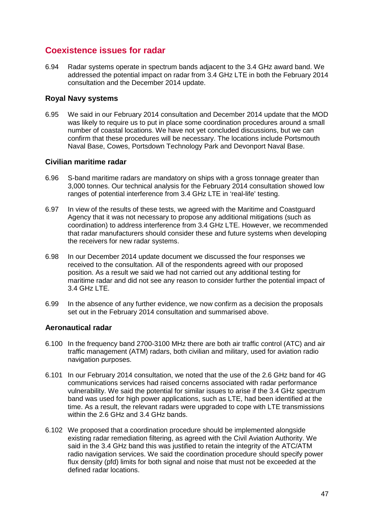# **Coexistence issues for radar**

6.94 Radar systems operate in spectrum bands adjacent to the 3.4 GHz award band. We addressed the potential impact on radar from 3.4 GHz LTE in both the February 2014 consultation and the December 2014 update.

## **Royal Navy systems**

6.95 We said in our February 2014 consultation and December 2014 update that the MOD was likely to require us to put in place some coordination procedures around a small number of coastal locations. We have not yet concluded discussions, but we can confirm that these procedures will be necessary. The locations include Portsmouth Naval Base, Cowes, Portsdown Technology Park and Devonport Naval Base.

## **Civilian maritime radar**

- 6.96 S-band maritime radars are mandatory on ships with a gross tonnage greater than 3,000 tonnes. Our technical analysis for the February 2014 consultation showed low ranges of potential interference from 3.4 GHz LTE in 'real-life' testing.
- 6.97 In view of the results of these tests, we agreed with the Maritime and Coastguard Agency that it was not necessary to propose any additional mitigations (such as coordination) to address interference from 3.4 GHz LTE. However, we recommended that radar manufacturers should consider these and future systems when developing the receivers for new radar systems.
- 6.98 In our December 2014 update document we discussed the four responses we received to the consultation. All of the respondents agreed with our proposed position. As a result we said we had not carried out any additional testing for maritime radar and did not see any reason to consider further the potential impact of 3.4 GHz LTE.
- 6.99 In the absence of any further evidence, we now confirm as a decision the proposals set out in the February 2014 consultation and summarised above.

# **Aeronautical radar**

- 6.100 In the frequency band 2700-3100 MHz there are both air traffic control (ATC) and air traffic management (ATM) radars, both civilian and military, used for aviation radio navigation purposes.
- 6.101 In our February 2014 consultation, we noted that the use of the 2.6 GHz band for 4G communications services had raised concerns associated with radar performance vulnerability. We said the potential for similar issues to arise if the 3.4 GHz spectrum band was used for high power applications, such as LTE, had been identified at the time. As a result, the relevant radars were upgraded to cope with LTE transmissions within the 2.6 GHz and 3.4 GHz bands.
- 6.102 We proposed that a coordination procedure should be implemented alongside existing radar remediation filtering, as agreed with the Civil Aviation Authority. We said in the 3.4 GHz band this was justified to retain the integrity of the ATC/ATM radio navigation services. We said the coordination procedure should specify power flux density (pfd) limits for both signal and noise that must not be exceeded at the defined radar locations.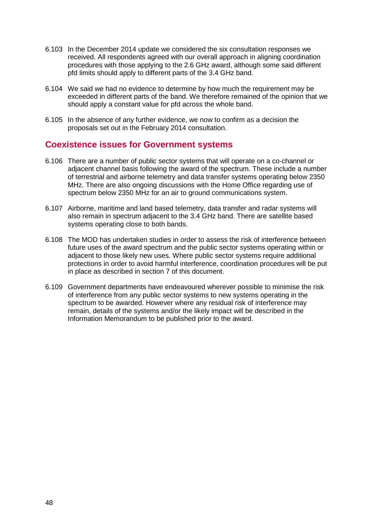- 6.103 In the December 2014 update we considered the six consultation responses we received. All respondents agreed with our overall approach in aligning coordination procedures with those applying to the 2.6 GHz award, although some said different pfd limits should apply to different parts of the 3.4 GHz band.
- 6.104 We said we had no evidence to determine by how much the requirement may be exceeded in different parts of the band. We therefore remained of the opinion that we should apply a constant value for pfd across the whole band.
- 6.105 In the absence of any further evidence, we now to confirm as a decision the proposals set out in the February 2014 consultation.

# **Coexistence issues for Government systems**

- 6.106 There are a number of public sector systems that will operate on a co-channel or adjacent channel basis following the award of the spectrum. These include a number of terrestrial and airborne telemetry and data transfer systems operating below 2350 MHz. There are also ongoing discussions with the Home Office regarding use of spectrum below 2350 MHz for an air to ground communications system.
- 6.107 Airborne, maritime and land based telemetry, data transfer and radar systems will also remain in spectrum adjacent to the 3.4 GHz band. There are satellite based systems operating close to both bands.
- 6.108 The MOD has undertaken studies in order to assess the risk of interference between future uses of the award spectrum and the public sector systems operating within or adjacent to those likely new uses. Where public sector systems require additional protections in order to avoid harmful interference, coordination procedures will be put in place as described in section 7 of this document.
- 6.109 Government departments have endeavoured wherever possible to minimise the risk of interference from any public sector systems to new systems operating in the spectrum to be awarded. However where any residual risk of interference may remain, details of the systems and/or the likely impact will be described in the Information Memorandum to be published prior to the award.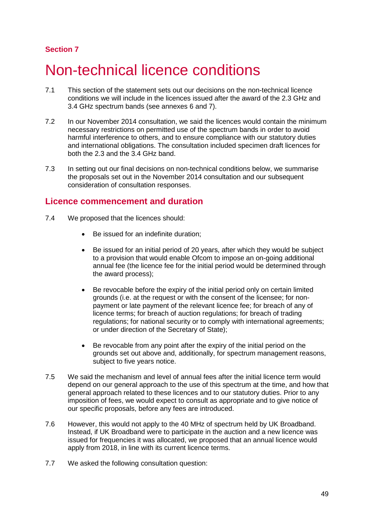# **Section 7**

# Non-technical licence conditions

- 7.1 This section of the statement sets out our decisions on the non-technical licence conditions we will include in the licences issued after the award of the 2.3 GHz and 3.4 GHz spectrum bands (see annexes 6 and 7).
- 7.2 In our November 2014 consultation, we said the licences would contain the minimum necessary restrictions on permitted use of the spectrum bands in order to avoid harmful interference to others, and to ensure compliance with our statutory duties and international obligations. The consultation included specimen draft licences for both the 2.3 and the 3.4 GHz band.
- 7.3 In setting out our final decisions on non-technical conditions below, we summarise the proposals set out in the November 2014 consultation and our subsequent consideration of consultation responses.

# **Licence commencement and duration**

- 7.4 We proposed that the licences should:
	- Be issued for an indefinite duration;
	- Be issued for an initial period of 20 years, after which they would be subject to a provision that would enable Ofcom to impose an on-going additional annual fee (the licence fee for the initial period would be determined through the award process);
	- Be revocable before the expiry of the initial period only on certain limited grounds (i.e. at the request or with the consent of the licensee; for nonpayment or late payment of the relevant licence fee; for breach of any of licence terms; for breach of auction regulations; for breach of trading regulations; for national security or to comply with international agreements; or under direction of the Secretary of State);
	- Be revocable from any point after the expiry of the initial period on the grounds set out above and, additionally, for spectrum management reasons, subject to five years notice.
- 7.5 We said the mechanism and level of annual fees after the initial licence term would depend on our general approach to the use of this spectrum at the time, and how that general approach related to these licences and to our statutory duties. Prior to any imposition of fees, we would expect to consult as appropriate and to give notice of our specific proposals, before any fees are introduced.
- 7.6 However, this would not apply to the 40 MHz of spectrum held by UK Broadband. Instead, if UK Broadband were to participate in the auction and a new licence was issued for frequencies it was allocated, we proposed that an annual licence would apply from 2018, in line with its current licence terms.
- 7.7 We asked the following consultation question: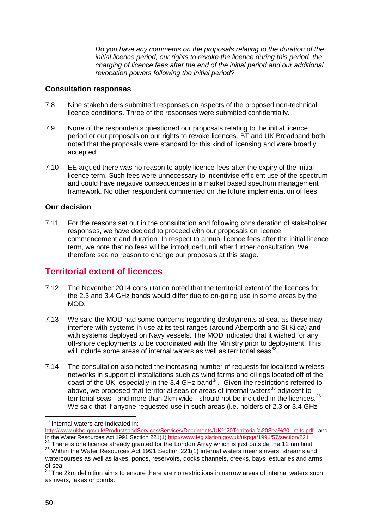*Do you have any comments on the proposals relating to the duration of the initial licence period, our rights to revoke the licence during this period, the charging of licence fees after the end of the initial period and our additional revocation powers following the initial period?*

## **Consultation responses**

- 7.8 Nine stakeholders submitted responses on aspects of the proposed non-technical licence conditions. Three of the responses were submitted confidentially.
- 7.9 None of the respondents questioned our proposals relating to the initial licence period or our proposals on our rights to revoke licences. BT and UK Broadband both noted that the proposals were standard for this kind of licensing and were broadly accepted.
- 7.10 EE argued there was no reason to apply licence fees after the expiry of the initial licence term. Such fees were unnecessary to incentivise efficient use of the spectrum and could have negative consequences in a market based spectrum management framework. No other respondent commented on the future implementation of fees.

## **Our decision**

7.11 For the reasons set out in the consultation and following consideration of stakeholder responses, we have decided to proceed with our proposals on licence commencement and duration. In respect to annual licence fees after the initial licence term, we note that no fees will be introduced until after further consultation. We therefore see no reason to change our proposals at this stage.

# **Territorial extent of licences**

- 7.12 The November 2014 consultation noted that the territorial extent of the licences for the 2.3 and 3.4 GHz bands would differ due to on-going use in some areas by the MOD.
- 7.13 We said the MOD had some concerns regarding deployments at sea, as these may interfere with systems in use at its test ranges (around Aberporth and St Kilda) and with systems deployed on Navy vessels. The MOD indicated that it wished for any off-shore deployments to be coordinated with the Ministry prior to deployment. This will include some areas of internal waters as well as territorial seas $^{33}$  $^{33}$  $^{33}$ .
- 7.14 The consultation also noted the increasing number of requests for localised wireless networks in support of installations such as wind farms and oil rigs located off of the coast of the UK, especially in the 3.4 GHz band<sup>34</sup>. Given the restrictions referred to above, we proposed that territorial seas or areas of internal waters $35$  adjacent to territorial seas - and more than 2km wide - should not be included in the licences.<sup>[36](#page-50-3)</sup> We said that if anyone requested use in such areas (i.e. holders of 2.3 or 3.4 GHz

 $33$  Internal waters are indicated in:  $\overline{\phantom{a}}$ 

<span id="page-50-0"></span><http://www.ukho.gov.uk/ProductsandServices/Services/Documents/UK%20Territorial%20Sea%20Limits.pdf>and in the Water Resources Act 1991 Section 221(1[\) http://www.legislation.gov.uk/ukpga/1991/57/section/221](http://www.legislation.gov.uk/ukpga/1991/57/section/221)<br><sup>34</sup> There is one licence already granted for the London Array which is just outside the 12 nm limit

<span id="page-50-2"></span><span id="page-50-1"></span> $35$  Within the Water Resources Act 1991 Section 221(1) internal waters means rivers, streams and watercourses as well as lakes, ponds, reservoirs, docks channels, creeks, bays, estuaries and arms of sea.

<span id="page-50-3"></span><sup>&</sup>lt;sup>36</sup> The 2km definition aims to ensure there are no restrictions in narrow areas of internal waters such as rivers, lakes or ponds.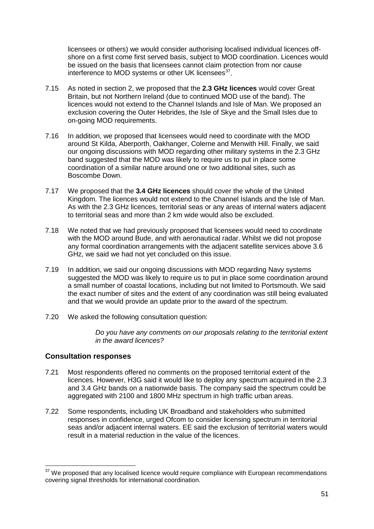licensees or others) we would consider authorising localised individual licences offshore on a first come first served basis, subject to MOD coordination. Licences would be issued on the basis that licensees cannot claim protection from nor cause interference to MOD systems or other UK licensees<sup>37</sup>.

- 7.15 As noted in section 2, we proposed that the **2.3 GHz licences** would cover Great Britain, but not Northern Ireland (due to continued MOD use of the band). The licences would not extend to the Channel Islands and Isle of Man. We proposed an exclusion covering the Outer Hebrides, the Isle of Skye and the Small Isles due to on-going MOD requirements.
- 7.16 In addition, we proposed that licensees would need to coordinate with the MOD around St Kilda, Aberporth, Oakhanger, Colerne and Menwith Hill. Finally, we said our ongoing discussions with MOD regarding other military systems in the 2.3 GHz band suggested that the MOD was likely to require us to put in place some coordination of a similar nature around one or two additional sites, such as Boscombe Down.
- 7.17 We proposed that the **3.4 GHz licences** should cover the whole of the United Kingdom. The licences would not extend to the Channel Islands and the Isle of Man. As with the 2.3 GHz licences, territorial seas or any areas of internal waters adjacent to territorial seas and more than 2 km wide would also be excluded.
- 7.18 We noted that we had previously proposed that licensees would need to coordinate with the MOD around Bude, and with aeronautical radar. Whilst we did not propose any formal coordination arrangements with the adjacent satellite services above 3.6 GHz, we said we had not yet concluded on this issue.
- 7.19 In addition, we said our ongoing discussions with MOD regarding Navy systems suggested the MOD was likely to require us to put in place some coordination around a small number of coastal locations, including but not limited to Portsmouth. We said the exact number of sites and the extent of any coordination was still being evaluated and that we would provide an update prior to the award of the spectrum.
- 7.20 We asked the following consultation question:

*Do you have any comments on our proposals relating to the territorial extent in the award licences?* 

# **Consultation responses**

<u>.</u>

- 7.21 Most respondents offered no comments on the proposed territorial extent of the licences. However, H3G said it would like to deploy any spectrum acquired in the 2.3 and 3.4 GHz bands on a nationwide basis. The company said the spectrum could be aggregated with 2100 and 1800 MHz spectrum in high traffic urban areas.
- 7.22 Some respondents, including UK Broadband and stakeholders who submitted responses in confidence, urged Ofcom to consider licensing spectrum in territorial seas and/or adjacent internal waters. EE said the exclusion of territorial waters would result in a material reduction in the value of the licences.

<span id="page-51-0"></span> $37$  We proposed that any localised licence would require compliance with European recommendations covering signal thresholds for international coordination.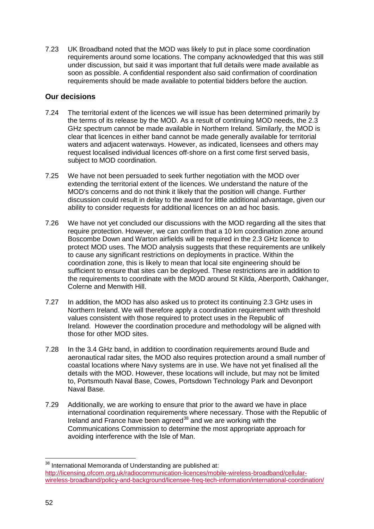7.23 UK Broadband noted that the MOD was likely to put in place some coordination requirements around some locations. The company acknowledged that this was still under discussion, but said it was important that full details were made available as soon as possible. A confidential respondent also said confirmation of coordination requirements should be made available to potential bidders before the auction.

# **Our decisions**

- 7.24 The territorial extent of the licences we will issue has been determined primarily by the terms of its release by the MOD. As a result of continuing MOD needs, the 2.3 GHz spectrum cannot be made available in Northern Ireland. Similarly, the MOD is clear that licences in either band cannot be made generally available for territorial waters and adjacent waterways. However, as indicated, licensees and others may request localised individual licences off-shore on a first come first served basis, subject to MOD coordination.
- 7.25 We have not been persuaded to seek further negotiation with the MOD over extending the territorial extent of the licences. We understand the nature of the MOD's concerns and do not think it likely that the position will change. Further discussion could result in delay to the award for little additional advantage, given our ability to consider requests for additional licences on an ad hoc basis.
- 7.26 We have not yet concluded our discussions with the MOD regarding all the sites that require protection. However, we can confirm that a 10 km coordination zone around Boscombe Down and Warton airfields will be required in the 2.3 GHz licence to protect MOD uses. The MOD analysis suggests that these requirements are unlikely to cause any significant restrictions on deployments in practice. Within the coordination zone, this is likely to mean that local site engineering should be sufficient to ensure that sites can be deployed. These restrictions are in addition to the requirements to coordinate with the MOD around St Kilda, Aberporth, Oakhanger, Colerne and Menwith Hill.
- 7.27 In addition, the MOD has also asked us to protect its continuing 2.3 GHz uses in Northern Ireland. We will therefore apply a coordination requirement with threshold values consistent with those required to protect uses in the Republic of Ireland. However the coordination procedure and methodology will be aligned with those for other MOD sites.
- 7.28 In the 3.4 GHz band, in addition to coordination requirements around Bude and aeronautical radar sites, the MOD also requires protection around a small number of coastal locations where Navy systems are in use. We have not yet finalised all the details with the MOD. However, these locations will include, but may not be limited to, Portsmouth Naval Base, Cowes, Portsdown Technology Park and Devonport Naval Base.
- 7.29 Additionally, we are working to ensure that prior to the award we have in place international coordination requirements where necessary. Those with the Republic of Ireland and France have been agreed<sup>[38](#page-52-0)</sup> and we are working with the Communications Commission to determine the most appropriate approach for avoiding interference with the Isle of Man.

<span id="page-52-0"></span> $38$  International Memoranda of Understanding are published at: [http://licensing.ofcom.org.uk/radiocommunication-licences/mobile-wireless-broadband/cellular](http://licensing.ofcom.org.uk/radiocommunication-licences/mobile-wireless-broadband/cellular-wireless-broadband/policy-and-background/licensee-freq-tech-information/international-coordination/)[wireless-broadband/policy-and-background/licensee-freq-tech-information/international-coordination/](http://licensing.ofcom.org.uk/radiocommunication-licences/mobile-wireless-broadband/cellular-wireless-broadband/policy-and-background/licensee-freq-tech-information/international-coordination/)  $\overline{a}$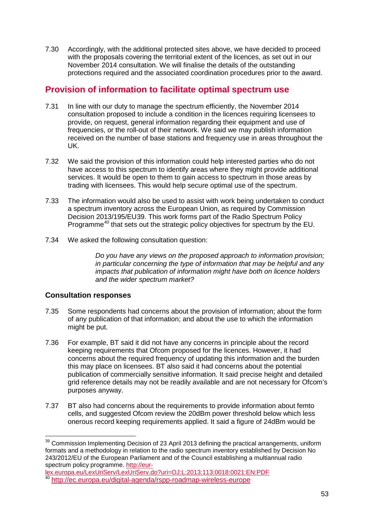7.30 Accordingly, with the additional protected sites above, we have decided to proceed with the proposals covering the territorial extent of the licences, as set out in our November 2014 consultation. We will finalise the details of the outstanding protections required and the associated coordination procedures prior to the award.

# **Provision of information to facilitate optimal spectrum use**

- 7.31 In line with our duty to manage the spectrum efficiently, the November 2014 consultation proposed to include a condition in the licences requiring licensees to provide, on request, general information regarding their equipment and use of frequencies, or the roll-out of their network. We said we may publish information received on the number of base stations and frequency use in areas throughout the UK.
- 7.32 We said the provision of this information could help interested parties who do not have access to this spectrum to identify areas where they might provide additional services. It would be open to them to gain access to spectrum in those areas by trading with licensees. This would help secure optimal use of the spectrum.
- 7.33 The information would also be used to assist with work being undertaken to conduct a spectrum inventory across the European Union, as required by Commission Decision 2013/195/EU[39](#page-53-0). This work forms part of the Radio Spectrum Policy Programme<sup>[40](#page-53-1)</sup> that sets out the strategic policy objectives for spectrum by the EU.
- 7.34 We asked the following consultation question:

*Do you have any views on the proposed approach to information provision; in particular concerning the type of information that may be helpful and any impacts that publication of information might have both on licence holders and the wider spectrum market?* 

# **Consultation responses**

- 7.35 Some respondents had concerns about the provision of information; about the form of any publication of that information; and about the use to which the information might be put.
- 7.36 For example, BT said it did not have any concerns in principle about the record keeping requirements that Ofcom proposed for the licences. However, it had concerns about the required frequency of updating this information and the burden this may place on licensees. BT also said it had concerns about the potential publication of commercially sensitive information. It said precise height and detailed grid reference details may not be readily available and are not necessary for Ofcom's purposes anyway.
- 7.37 BT also had concerns about the requirements to provide information about femto cells, and suggested Ofcom review the 20dBm power threshold below which less onerous record keeping requirements applied. It said a figure of 24dBm would be

<span id="page-53-0"></span> $39$  Commission Implementing Decision of 23 April 2013 defining the practical arrangements, uniform formats and a methodology in relation to the radio spectrum inventory established by Decision No 243/2012/EU of the European Parliament and of the Council establishing a multiannual radio spectrum policy programme. [http://eur-](http://eur-lex.europa.eu/LexUriServ/LexUriServ.do?uri=OJ:L:2013:113:0018:0021:EN:PDF) $\overline{a}$ 

[lex.europa.eu/LexUriServ/LexUriServ.do?uri=OJ:L:2013:113:0018:0021:EN:PDF](http://eur-lex.europa.eu/LexUriServ/LexUriServ.do?uri=OJ:L:2013:113:0018:0021:EN:PDF)

<span id="page-53-1"></span><sup>40</sup> <http://ec.europa.eu/digital-agenda/rspp-roadmap-wireless-europe>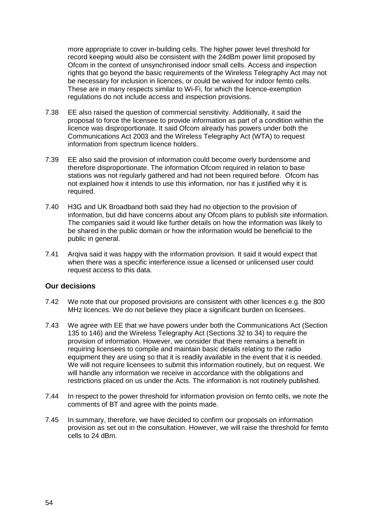more appropriate to cover in-building cells. The higher power level threshold for record keeping would also be consistent with the 24dBm power limit proposed by Ofcom in the context of unsynchronised indoor small cells. Access and inspection rights that go beyond the basic requirements of the Wireless Telegraphy Act may not be necessary for inclusion in licences, or could be waived for indoor femto cells. These are in many respects similar to Wi-Fi, for which the licence-exemption regulations do not include access and inspection provisions.

- 7.38 EE also raised the question of commercial sensitivity. Additionally, it said the proposal to force the licensee to provide information as part of a condition within the licence was disproportionate. It said Ofcom already has powers under both the Communications Act 2003 and the Wireless Telegraphy Act (WTA) to request information from spectrum licence holders.
- 7.39 EE also said the provision of information could become overly burdensome and therefore disproportionate. The information Ofcom required in relation to base stations was not regularly gathered and had not been required before. Ofcom has not explained how it intends to use this information, nor has it justified why it is required.
- 7.40 H3G and UK Broadband both said they had no objection to the provision of information, but did have concerns about any Ofcom plans to publish site information. The companies said it would like further details on how the information was likely to be shared in the public domain or how the information would be beneficial to the public in general.
- 7.41 Arqiva said it was happy with the information provision. It said it would expect that when there was a specific interference issue a licensed or unlicensed user could request access to this data.

#### **Our decisions**

- 7.42 We note that our proposed provisions are consistent with other licences e.g. the 800 MHz licences. We do not believe they place a significant burden on licensees.
- 7.43 We agree with EE that we have powers under both the Communications Act (Section 135 to 146) and the Wireless Telegraphy Act (Sections 32 to 34) to require the provision of information. However, we consider that there remains a benefit in requiring licensees to compile and maintain basic details relating to the radio equipment they are using so that it is readily available in the event that it is needed. We will not require licensees to submit this information routinely, but on request. We will handle any information we receive in accordance with the obligations and restrictions placed on us under the Acts. The information is not routinely published.
- 7.44 In respect to the power threshold for information provision on femto cells, we note the comments of BT and agree with the points made.
- 7.45 In summary, therefore, we have decided to confirm our proposals on information provision as set out in the consultation. However, we will raise the threshold for femto cells to 24 dBm.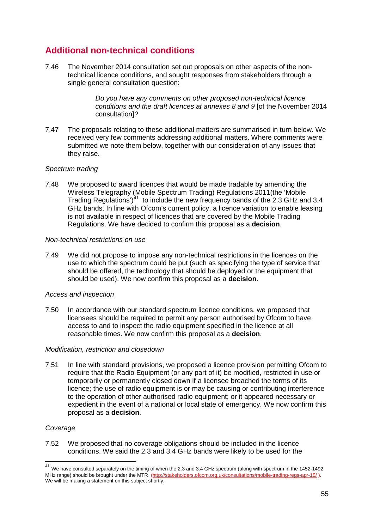# **Additional non-technical conditions**

7.46 The November 2014 consultation set out proposals on other aspects of the nontechnical licence conditions, and sought responses from stakeholders through a single general consultation question:

> *Do you have any comments on other proposed non-technical licence conditions and the draft licences at annexes 8 and 9* [of the November 2014 consultation]*?*

7.47 The proposals relating to these additional matters are summarised in turn below. We received very few comments addressing additional matters. Where comments were submitted we note them below, together with our consideration of any issues that they raise.

#### *Spectrum trading*

7.48 We proposed to award licences that would be made tradable by amending the Wireless Telegraphy (Mobile Spectrum Trading) Regulations 2011(the 'Mobile Trading Regulations')<sup>[41](#page-55-0)</sup> to include the new frequency bands of the 2.3 GHz and 3.4 GHz bands. In line with Ofcom's current policy, a licence variation to enable leasing is not available in respect of licences that are covered by the Mobile Trading Regulations. We have decided to confirm this proposal as a **decision**.

#### *Non-technical restrictions on use*

7.49 We did not propose to impose any non-technical restrictions in the licences on the use to which the spectrum could be put (such as specifying the type of service that should be offered, the technology that should be deployed or the equipment that should be used). We now confirm this proposal as a **decision**.

#### *Access and inspection*

7.50 In accordance with our standard spectrum licence conditions, we proposed that licensees should be required to permit any person authorised by Ofcom to have access to and to inspect the radio equipment specified in the licence at all reasonable times. We now confirm this proposal as a **decision**.

#### *Modification, restriction and closedown*

7.51 In line with standard provisions, we proposed a licence provision permitting Ofcom to require that the Radio Equipment (or any part of it) be modified, restricted in use or temporarily or permanently closed down if a licensee breached the terms of its licence; the use of radio equipment is or may be causing or contributing interference to the operation of other authorised radio equipment; or it appeared necessary or expedient in the event of a national or local state of emergency. We now confirm this proposal as a **decision**.

#### *Coverage*

 $\overline{a}$ 

7.52 We proposed that no coverage obligations should be included in the licence conditions. We said the 2.3 and 3.4 GHz bands were likely to be used for the

<span id="page-55-0"></span> $^{41}$  We have consulted separately on the timing of when the 2.3 and 3.4 GHz spectrum (along with spectrum in the 1452-1492 MHz range) should be brought under the MTR [\(http://stakeholders.ofcom.org.uk/consultations/mobile-trading-regs-apr-15/](http://stakeholders.ofcom.org.uk/consultations/mobile-trading-regs-apr-15/) ). We will be making a statement on this subject shortly.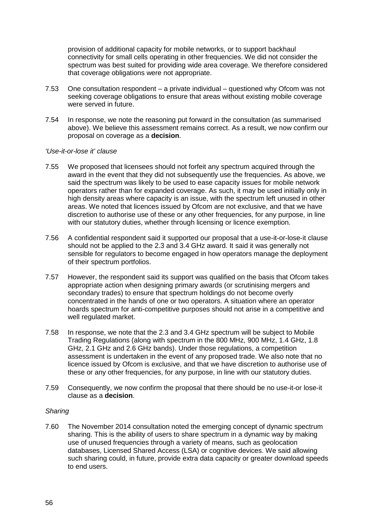provision of additional capacity for mobile networks, or to support backhaul connectivity for small cells operating in other frequencies. We did not consider the spectrum was best suited for providing wide area coverage. We therefore considered that coverage obligations were not appropriate.

- 7.53 One consultation respondent a private individual questioned why Ofcom was not seeking coverage obligations to ensure that areas without existing mobile coverage were served in future.
- 7.54 In response, we note the reasoning put forward in the consultation (as summarised above). We believe this assessment remains correct. As a result, we now confirm our proposal on coverage as a **decision**.

#### *'Use-it-or-lose it' clause*

- 7.55 We proposed that licensees should not forfeit any spectrum acquired through the award in the event that they did not subsequently use the frequencies. As above, we said the spectrum was likely to be used to ease capacity issues for mobile network operators rather than for expanded coverage. As such, it may be used initially only in high density areas where capacity is an issue, with the spectrum left unused in other areas. We noted that licences issued by Ofcom are not exclusive, and that we have discretion to authorise use of these or any other frequencies, for any purpose, in line with our statutory duties, whether through licensing or licence exemption.
- 7.56 A confidential respondent said it supported our proposal that a use-it-or-lose-it clause should not be applied to the 2.3 and 3.4 GHz award. It said it was generally not sensible for regulators to become engaged in how operators manage the deployment of their spectrum portfolios.
- 7.57 However, the respondent said its support was qualified on the basis that Ofcom takes appropriate action when designing primary awards (or scrutinising mergers and secondary trades) to ensure that spectrum holdings do not become overly concentrated in the hands of one or two operators. A situation where an operator hoards spectrum for anti-competitive purposes should not arise in a competitive and well regulated market.
- 7.58 In response, we note that the 2.3 and 3.4 GHz spectrum will be subject to Mobile Trading Regulations (along with spectrum in the 800 MHz, 900 MHz, 1.4 GHz, 1.8 GHz, 2.1 GHz and 2.6 GHz bands). Under those regulations, a competition assessment is undertaken in the event of any proposed trade. We also note that no licence issued by Ofcom is exclusive, and that we have discretion to authorise use of these or any other frequencies, for any purpose, in line with our statutory duties.
- 7.59 Consequently, we now confirm the proposal that there should be no use-it-or lose-it clause as a **decision**.

#### *Sharing*

7.60 The November 2014 consultation noted the emerging concept of dynamic spectrum sharing. This is the ability of users to share spectrum in a dynamic way by making use of unused frequencies through a variety of means, such as geolocation databases, Licensed Shared Access (LSA) or cognitive devices. We said allowing such sharing could, in future, provide extra data capacity or greater download speeds to end users.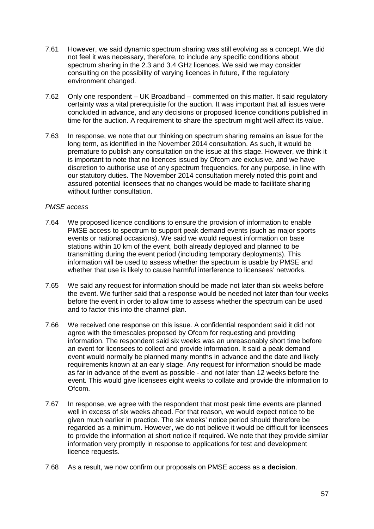- 7.61 However, we said dynamic spectrum sharing was still evolving as a concept. We did not feel it was necessary, therefore, to include any specific conditions about spectrum sharing in the 2.3 and 3.4 GHz licences. We said we may consider consulting on the possibility of varying licences in future, if the regulatory environment changed.
- 7.62 Only one respondent UK Broadband commented on this matter. It said regulatory certainty was a vital prerequisite for the auction. It was important that all issues were concluded in advance, and any decisions or proposed licence conditions published in time for the auction. A requirement to share the spectrum might well affect its value.
- 7.63 In response, we note that our thinking on spectrum sharing remains an issue for the long term, as identified in the November 2014 consultation. As such, it would be premature to publish any consultation on the issue at this stage. However, we think it is important to note that no licences issued by Ofcom are exclusive, and we have discretion to authorise use of any spectrum frequencies, for any purpose, in line with our statutory duties. The November 2014 consultation merely noted this point and assured potential licensees that no changes would be made to facilitate sharing without further consultation.

#### *PMSE access*

- 7.64 We proposed licence conditions to ensure the provision of information to enable PMSE access to spectrum to support peak demand events (such as major sports events or national occasions). We said we would request information on base stations within 10 km of the event, both already deployed and planned to be transmitting during the event period (including temporary deployments). This information will be used to assess whether the spectrum is usable by PMSE and whether that use is likely to cause harmful interference to licensees' networks.
- 7.65 We said any request for information should be made not later than six weeks before the event. We further said that a response would be needed not later than four weeks before the event in order to allow time to assess whether the spectrum can be used and to factor this into the channel plan.
- 7.66 We received one response on this issue. A confidential respondent said it did not agree with the timescales proposed by Ofcom for requesting and providing information. The respondent said six weeks was an unreasonably short time before an event for licensees to collect and provide information. It said a peak demand event would normally be planned many months in advance and the date and likely requirements known at an early stage. Any request for information should be made as far in advance of the event as possible - and not later than 12 weeks before the event. This would give licensees eight weeks to collate and provide the information to Ofcom.
- 7.67 In response, we agree with the respondent that most peak time events are planned well in excess of six weeks ahead. For that reason, we would expect notice to be given much earlier in practice. The six weeks' notice period should therefore be regarded as a minimum. However, we do not believe it would be difficult for licensees to provide the information at short notice if required. We note that they provide similar information very promptly in response to applications for test and development licence requests.
- 7.68 As a result, we now confirm our proposals on PMSE access as a **decision**.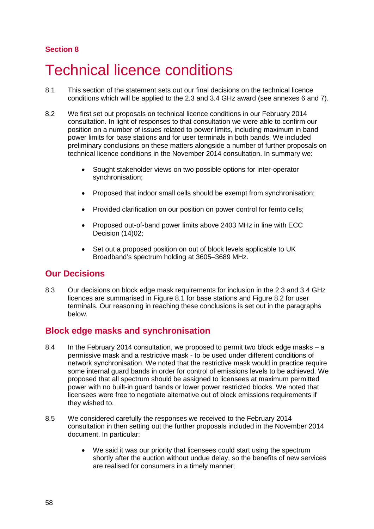# **Section 8**

# **Technical licence conditions**

- 8.1 This section of the statement sets out our final decisions on the technical licence conditions which will be applied to the 2.3 and 3.4 GHz award (see annexes 6 and 7).
- 8.2 We first set out proposals on technical licence conditions in our February 2014 consultation. In light of responses to that consultation we were able to confirm our position on a number of issues related to power limits, including maximum in band power limits for base stations and for user terminals in both bands. We included preliminary conclusions on these matters alongside a number of further proposals on technical licence conditions in the November 2014 consultation. In summary we:
	- Sought stakeholder views on two possible options for inter-operator synchronisation;
	- Proposed that indoor small cells should be exempt from synchronisation:
	- Provided clarification on our position on power control for femto cells;
	- Proposed out-of-band power limits above 2403 MHz in line with ECC Decision (14)02;
	- Set out a proposed position on out of block levels applicable to UK Broadband's spectrum holding at 3605–3689 MHz.

# **Our Decisions**

8.3 Our decisions on block edge mask requirements for inclusion in the 2.3 and 3.4 GHz licences are summarised in [Figure 8.1](#page-58-0) for base stations and Figure 8.2 for user terminals. Our reasoning in reaching these conclusions is set out in the paragraphs below.

# <span id="page-58-0"></span>**Block edge masks and synchronisation**

- 8.4 In the February 2014 consultation, we proposed to permit two block edge masks a permissive mask and a restrictive mask - to be used under different conditions of network synchronisation. We noted that the restrictive mask would in practice require some internal guard bands in order for control of emissions levels to be achieved. We proposed that all spectrum should be assigned to licensees at maximum permitted power with no built-in guard bands or lower power restricted blocks. We noted that licensees were free to negotiate alternative out of block emissions requirements if they wished to.
- 8.5 We considered carefully the responses we received to the February 2014 consultation in then setting out the further proposals included in the November 2014 document. In particular:
	- We said it was our priority that licensees could start using the spectrum shortly after the auction without undue delay, so the benefits of new services are realised for consumers in a timely manner;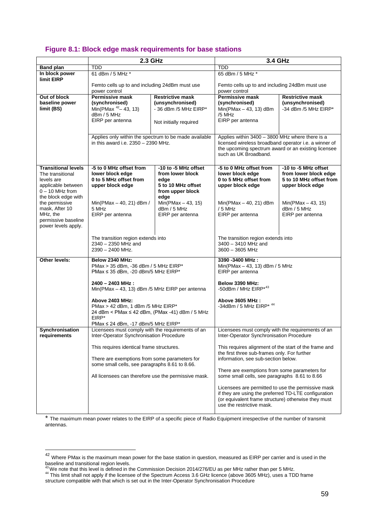# **Figure 8.1: Block edge mask requirements for base stations**

|                                                                                                                                | 2.3 GHz                                                                                                                                                          |                                                                                                    | 3.4 GHz                                                                                                                                                                                                                                         |                                                                                              |
|--------------------------------------------------------------------------------------------------------------------------------|------------------------------------------------------------------------------------------------------------------------------------------------------------------|----------------------------------------------------------------------------------------------------|-------------------------------------------------------------------------------------------------------------------------------------------------------------------------------------------------------------------------------------------------|----------------------------------------------------------------------------------------------|
| <b>Band plan</b>                                                                                                               | TDD                                                                                                                                                              |                                                                                                    | TDD                                                                                                                                                                                                                                             |                                                                                              |
| In block power                                                                                                                 | 61 dBm / 5 MHz *                                                                                                                                                 |                                                                                                    | 65 dBm / 5 MHz *                                                                                                                                                                                                                                |                                                                                              |
| limit EIRP                                                                                                                     | Femto cells up to and including 24dBm must use<br>power control                                                                                                  |                                                                                                    | Femto cells up to and including 24dBm must use<br>power control                                                                                                                                                                                 |                                                                                              |
| Out of block<br>baseline power<br>limit (BS)                                                                                   | <b>Permissive mask</b><br>(synchronised)<br>Min(PMax $42 - 43$ , 13)<br>dBm / 5 MHz<br>EIRP per antenna<br>Applies only within the spectrum to be made available | <b>Restrictive mask</b><br>(unsynchronised)<br>- 36 dBm /5 MHz EIRP*<br>Not initially required     | <b>Permissive mask</b><br>(synchronised)<br>$Min(PMax - 43, 13)$ dBm<br>/5 MHz<br>EIRP per antenna<br>Applies within 3400 - 3800 MHz where there is a                                                                                           | <b>Restrictive mask</b><br>(unsynchronised)<br>-34 dBm /5 MHz EIRP*                          |
|                                                                                                                                | in this award i.e. 2350 - 2390 MHz.                                                                                                                              |                                                                                                    | licensed wireless broadband operator i.e. a winner of<br>the upcoming spectrum award or an existing licensee<br>such as UK Broadband.                                                                                                           |                                                                                              |
| <b>Transitional levels</b><br>The transitional<br>levels are<br>applicable between<br>$0 - 10$ MHz from<br>the block edge with | -5 to 0 MHz offset from<br>lower block edge<br>0 to 5 MHz offset from<br>upper block edge                                                                        | -10 to -5 MHz offset<br>from lower block<br>edge<br>5 to 10 MHz offset<br>from upper block<br>edge | -5 to 0 MHz offset from<br>lower block edge<br>0 to 5 MHz offset from<br>upper block edge                                                                                                                                                       | -10 to -5 MHz offset<br>from lower block edge<br>5 to 10 MHz offset from<br>upper block edge |
| the permissive<br>mask, After 10<br>MHz, the<br>permissive baseline<br>power levels apply.                                     | Min(PMax - 40, 21) dBm /<br>5 MHz<br>EIRP per antenna                                                                                                            | $Min(PMax - 43, 15)$<br>dBm / 5 MHz<br>EIRP per antenna                                            | $Min(PMax - 40, 21)$ dBm<br>$/5$ MHz<br>EIRP per antenna                                                                                                                                                                                        | $Min(PMax - 43, 15)$<br>dBm / 5 MHz<br>EIRP per antenna                                      |
|                                                                                                                                | The transition region extends into<br>$2340 - 2350$ MHz and<br>$2390 - 2400$ MHz.                                                                                |                                                                                                    | The transition region extends into<br>3400 - 3410 MHz and<br>3600 - 3605 MHz                                                                                                                                                                    |                                                                                              |
| Other levels:                                                                                                                  | Below 2340 MHz:<br>PMax > 35 dBm, -36 dBm / 5 MHz EIRP*<br>PMax $\leq$ 35 dBm, -20 dBm/5 MHz EIRP*                                                               |                                                                                                    | 3390 -3400 MHz:<br>Min(PMax - 43, 13) dBm / 5 MHz<br>EIRP per antenna                                                                                                                                                                           |                                                                                              |
|                                                                                                                                | 2400 - 2403 MHz:<br>Min(PMax - 43, 13) dBm /5 MHz EIRP per antenna                                                                                               |                                                                                                    | Below 3390 MHz:<br>-50dBm / MHz EIRP*43                                                                                                                                                                                                         |                                                                                              |
|                                                                                                                                | Above 2403 MHz:<br>PMax > 42 dBm, 1 dBm /5 MHz EIRP*<br>24 dBm < PMax ≤ 42 dBm, (PMax -41) dBm / 5 MHz<br>EIRP*<br>PMax $\leq$ 24 dBm, -17 dBm/5 MHz EIRP*       |                                                                                                    | Above 3605 MHz:<br>-34dBm / 5 MHz EIRP* 44                                                                                                                                                                                                      |                                                                                              |
| Synchronisation<br>requirements                                                                                                | Licensees must comply with the requirements of an<br>Inter-Operator Synchronisation Procedure                                                                    |                                                                                                    | Licensees must comply with the requirements of an<br>Inter-Operator Synchronisation Procedure                                                                                                                                                   |                                                                                              |
|                                                                                                                                | This requires identical frame structures.<br>There are exemptions from some parameters for<br>some small cells, see paragraphs 8.61 to 8.66.                     |                                                                                                    | This requires alignment of the start of the frame and<br>the first three sub-frames only. For further<br>information, see sub-section below.<br>There are exemptions from some parameters for                                                   |                                                                                              |
|                                                                                                                                | All licensees can therefore use the permissive mask.                                                                                                             |                                                                                                    | some small cells, see paragraphs 8.61 to 8.66<br>Licensees are permitted to use the permissive mask<br>if they are using the preferred TD-LTE configuration<br>(or equivalent frame structure) otherwise they must<br>use the restrictive mask. |                                                                                              |

\* The maximum mean power relates to the EIRP of a specific piece of Radio Equipment irrespective of the number of transmit antennas.

 $\overline{a}$ 

<span id="page-59-0"></span> $^{42}$  Where PMax is the maximum mean power for the base station in question, measured as EIRP per carrier and is used in the

<span id="page-59-1"></span>baseline and transitional region levels.<br><sup>43</sup>We note that this level is defined in the Commission Decision 2014/276/EU as per MHz rather than per 5 MHz.<br><sup>44</sup> This limit shall not apply if the licensee of the Spectrum Acces

<span id="page-59-2"></span>structure compatible with that which is set out in the Inter-Operator Synchronisation Procedure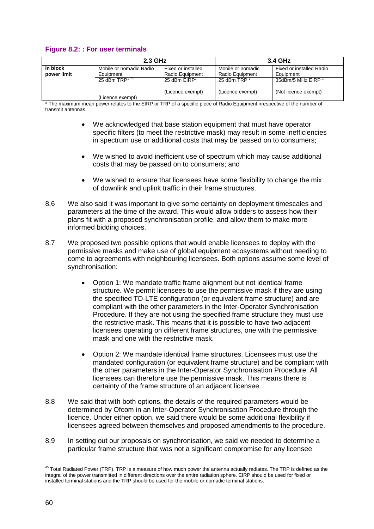# **Figure 8.2: : For user terminals**

|             | 2.3 GHz                      |                    | 3.4 GHz           |                          |
|-------------|------------------------------|--------------------|-------------------|--------------------------|
| In block    | Mobile or nomadic Radio      | Fixed or installed | Mobile or nomadic | Fixed or installed Radio |
| power limit | Equipment                    | Radio Equipment    | Radio Equipment   | Equipment                |
|             | 25 dBm TRP $*$ <sup>45</sup> | 25 dBm EIRP*       | 25 dBm TRP *      | 35dBm/5 MHz EIRP *       |
|             | (Licence exempt)             | (Licence exempt)   | (Licence exempt)  | (Not licence exempt)     |

The maximum mean power relates to the EIRP or TRP of a specific piece of Radio Equipment irrespective of the number of transmit antennas.

- We acknowledged that base station equipment that must have operator specific filters (to meet the restrictive mask) may result in some inefficiencies in spectrum use or additional costs that may be passed on to consumers;
- We wished to avoid inefficient use of spectrum which may cause additional costs that may be passed on to consumers; and
- We wished to ensure that licensees have some flexibility to change the mix of downlink and uplink traffic in their frame structures.
- 8.6 We also said it was important to give some certainty on deployment timescales and parameters at the time of the award. This would allow bidders to assess how their plans fit with a proposed synchronisation profile, and allow them to make more informed bidding choices.
- 8.7 We proposed two possible options that would enable licensees to deploy with the permissive masks and make use of global equipment ecosystems without needing to come to agreements with neighbouring licensees. Both options assume some level of synchronisation:
	- Option 1: We mandate traffic frame alignment but not identical frame structure. We permit licensees to use the permissive mask if they are using the specified TD-LTE configuration (or equivalent frame structure) and are compliant with the other parameters in the Inter-Operator Synchronisation Procedure. If they are not using the specified frame structure they must use the restrictive mask. This means that it is possible to have two adjacent licensees operating on different frame structures, one with the permissive mask and one with the restrictive mask.
	- Option 2: We mandate identical frame structures. Licensees must use the mandated configuration (or equivalent frame structure) and be compliant with the other parameters in the Inter-Operator Synchronisation Procedure. All licensees can therefore use the permissive mask. This means there is certainty of the frame structure of an adjacent licensee.
- 8.8 We said that with both options, the details of the required parameters would be determined by Ofcom in an Inter-Operator Synchronisation Procedure through the licence. Under either option, we said there would be some additional flexibility if licensees agreed between themselves and proposed amendments to the procedure.
- 8.9 In setting out our proposals on synchronisation, we said we needed to determine a particular frame structure that was not a significant compromise for any licensee

<span id="page-60-0"></span><sup>&</sup>lt;sup>45</sup> Total Radiated Power (TRP). TRP is a measure of how much power the antenna actually radiates. The TRP is defined as the integral of the power transmitted in different directions over the entire radiation sphere. EIRP should be used for fixed or installed terminal stations and the TRP should be used for the mobile or nomadic terminal stations. <u>.</u>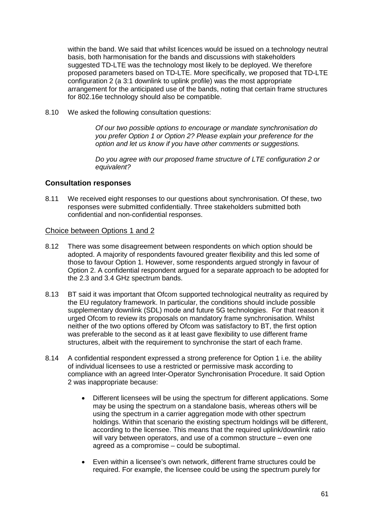within the band. We said that whilst licences would be issued on a technology neutral basis, both harmonisation for the bands and discussions with stakeholders suggested TD-LTE was the technology most likely to be deployed. We therefore proposed parameters based on TD-LTE. More specifically, we proposed that TD-LTE configuration 2 (a 3:1 downlink to uplink profile) was the most appropriate arrangement for the anticipated use of the bands, noting that certain frame structures for 802.16e technology should also be compatible.

8.10 We asked the following consultation questions:

*Of our two possible options to encourage or mandate synchronisation do you prefer Option 1 or Option 2? Please explain your preference for the option and let us know if you have other comments or suggestions.*

*Do you agree with our proposed frame structure of LTE configuration 2 or equivalent?*

## **Consultation responses**

8.11 We received eight responses to our questions about synchronisation. Of these, two responses were submitted confidentially. Three stakeholders submitted both confidential and non-confidential responses.

#### Choice between Options 1 and 2

- 8.12 There was some disagreement between respondents on which option should be adopted. A majority of respondents favoured greater flexibility and this led some of those to favour Option 1. However, some respondents argued strongly in favour of Option 2. A confidential respondent argued for a separate approach to be adopted for the 2.3 and 3.4 GHz spectrum bands.
- 8.13 BT said it was important that Ofcom supported technological neutrality as required by the EU regulatory framework. In particular, the conditions should include possible supplementary downlink (SDL) mode and future 5G technologies. For that reason it urged Ofcom to review its proposals on mandatory frame synchronisation. Whilst neither of the two options offered by Ofcom was satisfactory to BT, the first option was preferable to the second as it at least gave flexibility to use different frame structures, albeit with the requirement to synchronise the start of each frame.
- 8.14 A confidential respondent expressed a strong preference for Option 1 i.e. the ability of individual licensees to use a restricted or permissive mask according to compliance with an agreed Inter-Operator Synchronisation Procedure. It said Option 2 was inappropriate because:
	- Different licensees will be using the spectrum for different applications. Some may be using the spectrum on a standalone basis, whereas others will be using the spectrum in a carrier aggregation mode with other spectrum holdings. Within that scenario the existing spectrum holdings will be different, according to the licensee. This means that the required uplink/downlink ratio will vary between operators, and use of a common structure – even one agreed as a compromise – could be suboptimal.
	- Even within a licensee's own network, different frame structures could be required. For example, the licensee could be using the spectrum purely for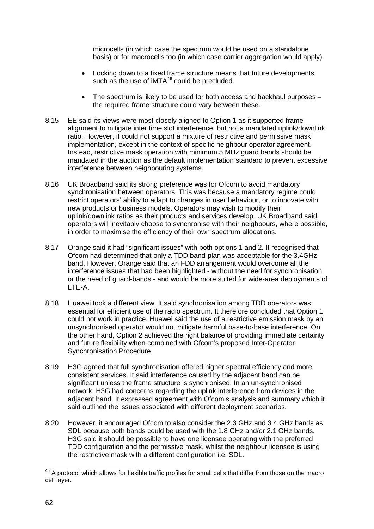microcells (in which case the spectrum would be used on a standalone basis) or for macrocells too (in which case carrier aggregation would apply).

- Locking down to a fixed frame structure means that future developments such as the use of  $MTA^{46}$  $MTA^{46}$  $MTA^{46}$  could be precluded.
- The spectrum is likely to be used for both access and backhaul purposes the required frame structure could vary between these.
- 8.15 EE said its views were most closely aligned to Option 1 as it supported frame alignment to mitigate inter time slot interference, but not a mandated uplink/downlink ratio. However, it could not support a mixture of restrictive and permissive mask implementation, except in the context of specific neighbour operator agreement. Instead, restrictive mask operation with minimum 5 MHz guard bands should be mandated in the auction as the default implementation standard to prevent excessive interference between neighbouring systems.
- 8.16 UK Broadband said its strong preference was for Ofcom to avoid mandatory synchronisation between operators. This was because a mandatory regime could restrict operators' ability to adapt to changes in user behaviour, or to innovate with new products or business models. Operators may wish to modify their uplink/downlink ratios as their products and services develop. UK Broadband said operators will inevitably choose to synchronise with their neighbours, where possible, in order to maximise the efficiency of their own spectrum allocations.
- 8.17 Orange said it had "significant issues" with both options 1 and 2. It recognised that Ofcom had determined that only a TDD band-plan was acceptable for the 3.4GHz band. However, Orange said that an FDD arrangement would overcome all the interference issues that had been highlighted - without the need for synchronisation or the need of guard-bands - and would be more suited for wide-area deployments of LTE-A.
- 8.18 Huawei took a different view. It said synchronisation among TDD operators was essential for efficient use of the radio spectrum. It therefore concluded that Option 1 could not work in practice. Huawei said the use of a restrictive emission mask by an unsynchronised operator would not mitigate harmful base-to-base interference. On the other hand, Option 2 achieved the right balance of providing immediate certainty and future flexibility when combined with Ofcom's proposed Inter-Operator Synchronisation Procedure.
- 8.19 H3G agreed that full synchronisation offered higher spectral efficiency and more consistent services. It said interference caused by the adjacent band can be significant unless the frame structure is synchronised. In an un-synchronised network, H3G had concerns regarding the uplink interference from devices in the adjacent band. It expressed agreement with Ofcom's analysis and summary which it said outlined the issues associated with different deployment scenarios.
- 8.20 However, it encouraged Ofcom to also consider the 2.3 GHz and 3.4 GHz bands as SDL because both bands could be used with the 1.8 GHz and/or 2.1 GHz bands. H3G said it should be possible to have one licensee operating with the preferred TDD configuration and the permissive mask, whilst the neighbour licensee is using the restrictive mask with a different configuration i.e. SDL.

<span id="page-62-0"></span><sup>&</sup>lt;sup>46</sup> A protocol which allows for flexible traffic profiles for small cells that differ from those on the macro cell layer. <u>.</u>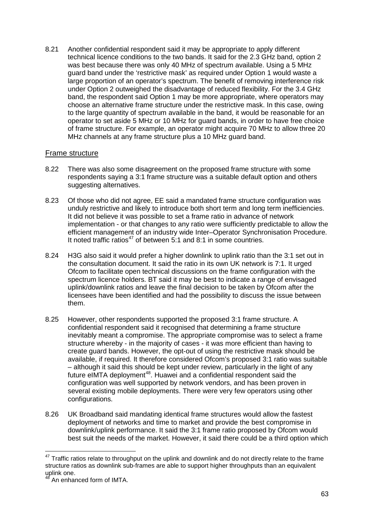8.21 Another confidential respondent said it may be appropriate to apply different technical licence conditions to the two bands. It said for the 2.3 GHz band, option 2 was best because there was only 40 MHz of spectrum available. Using a 5 MHz guard band under the 'restrictive mask' as required under Option 1 would waste a large proportion of an operator's spectrum. The benefit of removing interference risk under Option 2 outweighed the disadvantage of reduced flexibility. For the 3.4 GHz band, the respondent said Option 1 may be more appropriate, where operators may choose an alternative frame structure under the restrictive mask. In this case, owing to the large quantity of spectrum available in the band, it would be reasonable for an operator to set aside 5 MHz or 10 MHz for guard bands, in order to have free choice of frame structure. For example, an operator might acquire 70 MHz to allow three 20 MHz channels at any frame structure plus a 10 MHz guard band.

#### Frame structure

- 8.22 There was also some disagreement on the proposed frame structure with some respondents saying a 3:1 frame structure was a suitable default option and others suggesting alternatives.
- 8.23 Of those who did not agree, EE said a mandated frame structure configuration was unduly restrictive and likely to introduce both short term and long term inefficiencies. It did not believe it was possible to set a frame ratio in advance of network implementation - or that changes to any ratio were sufficiently predictable to allow the efficient management of an industry wide Inter–Operator Synchronisation Procedure. It noted traffic ratios<sup>[47](#page-63-0)</sup> of between 5:1 and 8:1 in some countries.
- 8.24 H3G also said it would prefer a higher downlink to uplink ratio than the 3:1 set out in the consultation document. It said the ratio in its own UK network is 7:1. It urged Ofcom to facilitate open technical discussions on the frame configuration with the spectrum licence holders. BT said it may be best to indicate a range of envisaged uplink/downlink ratios and leave the final decision to be taken by Ofcom after the licensees have been identified and had the possibility to discuss the issue between them.
- 8.25 However, other respondents supported the proposed 3:1 frame structure. A confidential respondent said it recognised that determining a frame structure inevitably meant a compromise. The appropriate compromise was to select a frame structure whereby - in the majority of cases - it was more efficient than having to create guard bands. However, the opt-out of using the restrictive mask should be available, if required. It therefore considered Ofcom's proposed 3:1 ratio was suitable – although it said this should be kept under review, particularly in the light of any future eIMTA deployment<sup>48</sup>. Huawei and a confidential respondent said the configuration was well supported by network vendors, and has been proven in several existing mobile deployments. There were very few operators using other configurations.
- 8.26 UK Broadband said mandating identical frame structures would allow the fastest deployment of networks and time to market and provide the best compromise in downlink/uplink performance. It said the 3:1 frame ratio proposed by Ofcom would best suit the needs of the market. However, it said there could be a third option which

<span id="page-63-0"></span> $47$  Traffic ratios relate to throughput on the uplink and downlink and do not directly relate to the frame structure ratios as downlink sub-frames are able to support higher throughputs than an equivalent  $\mathsf{uplink\,one}.$ <u>.</u>

<span id="page-63-1"></span>An enhanced form of IMTA.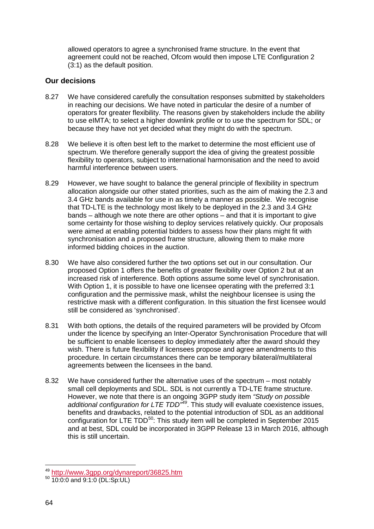allowed operators to agree a synchronised frame structure. In the event that agreement could not be reached, Ofcom would then impose LTE Configuration 2 (3:1) as the default position.

## **Our decisions**

- 8.27 We have considered carefully the consultation responses submitted by stakeholders in reaching our decisions. We have noted in particular the desire of a number of operators for greater flexibility. The reasons given by stakeholders include the ability to use eIMTA; to select a higher downlink profile or to use the spectrum for SDL; or because they have not yet decided what they might do with the spectrum.
- 8.28 We believe it is often best left to the market to determine the most efficient use of spectrum. We therefore generally support the idea of giving the greatest possible flexibility to operators, subject to international harmonisation and the need to avoid harmful interference between users.
- 8.29 However, we have sought to balance the general principle of flexibility in spectrum allocation alongside our other stated priorities, such as the aim of making the 2.3 and 3.4 GHz bands available for use in as timely a manner as possible. We recognise that TD-LTE is the technology most likely to be deployed in the 2.3 and 3.4 GHz bands – although we note there are other options – and that it is important to give some certainty for those wishing to deploy services relatively quickly. Our proposals were aimed at enabling potential bidders to assess how their plans might fit with synchronisation and a proposed frame structure, allowing them to make more informed bidding choices in the auction.
- 8.30 We have also considered further the two options set out in our consultation. Our proposed Option 1 offers the benefits of greater flexibility over Option 2 but at an increased risk of interference. Both options assume some level of synchronisation. With Option 1, it is possible to have one licensee operating with the preferred 3:1 configuration and the permissive mask, whilst the neighbour licensee is using the restrictive mask with a different configuration. In this situation the first licensee would still be considered as 'synchronised'.
- 8.31 With both options, the details of the required parameters will be provided by Ofcom under the licence by specifying an Inter-Operator Synchronisation Procedure that will be sufficient to enable licensees to deploy immediately after the award should they wish. There is future flexibility if licensees propose and agree amendments to this procedure. In certain circumstances there can be temporary bilateral/multilateral agreements between the licensees in the band.
- 8.32 We have considered further the alternative uses of the spectrum most notably small cell deployments and SDL. SDL is not currently a TD-LTE frame structure. However, we note that there is an ongoing 3GPP study item *"Study on possible additional configuration for LTE TDD"[49](#page-64-0)*. This study will evaluate coexistence issues, benefits and drawbacks, related to the potential introduction of SDL as an additional configuration for LTE TDD<sup>50</sup>: This study item will be completed in September 2015 and at best, SDL could be incorporated in 3GPP Release 13 in March 2016, although this is still uncertain.

<span id="page-64-0"></span> $^{49}_{50}$  <http://www.3gpp.org/dynareport/36825.htm><br> $^{49}_{50}$  10:0:0 and 9:1:0 (DL:Sp:UL) -

<span id="page-64-1"></span>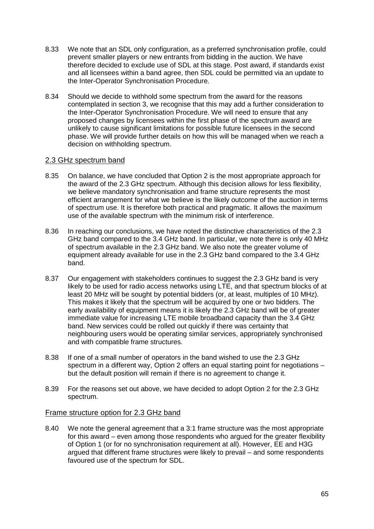- 8.33 We note that an SDL only configuration, as a preferred synchronisation profile, could prevent smaller players or new entrants from bidding in the auction. We have therefore decided to exclude use of SDL at this stage. Post award, if standards exist and all licensees within a band agree, then SDL could be permitted via an update to the Inter-Operator Synchronisation Procedure.
- 8.34 Should we decide to withhold some spectrum from the award for the reasons contemplated in section 3, we recognise that this may add a further consideration to the Inter-Operator Synchronisation Procedure. We will need to ensure that any proposed changes by licensees within the first phase of the spectrum award are unlikely to cause significant limitations for possible future licensees in the second phase. We will provide further details on how this will be managed when we reach a decision on withholding spectrum.

## 2.3 GHz spectrum band

- 8.35 On balance, we have concluded that Option 2 is the most appropriate approach for the award of the 2.3 GHz spectrum. Although this decision allows for less flexibility, we believe mandatory synchronisation and frame structure represents the most efficient arrangement for what we believe is the likely outcome of the auction in terms of spectrum use. It is therefore both practical and pragmatic. It allows the maximum use of the available spectrum with the minimum risk of interference.
- 8.36 In reaching our conclusions, we have noted the distinctive characteristics of the 2.3 GHz band compared to the 3.4 GHz band. In particular, we note there is only 40 MHz of spectrum available in the 2.3 GHz band. We also note the greater volume of equipment already available for use in the 2.3 GHz band compared to the 3.4 GHz band.
- 8.37 Our engagement with stakeholders continues to suggest the 2.3 GHz band is very likely to be used for radio access networks using LTE, and that spectrum blocks of at least 20 MHz will be sought by potential bidders (or, at least, multiples of 10 MHz). This makes it likely that the spectrum will be acquired by one or two bidders. The early availability of equipment means it is likely the 2.3 GHz band will be of greater immediate value for increasing LTE mobile broadband capacity than the 3.4 GHz band. New services could be rolled out quickly if there was certainty that neighbouring users would be operating similar services, appropriately synchronised and with compatible frame structures.
- 8.38 If one of a small number of operators in the band wished to use the 2.3 GHz spectrum in a different way, Option 2 offers an equal starting point for negotiations – but the default position will remain if there is no agreement to change it.
- 8.39 For the reasons set out above, we have decided to adopt Option 2 for the 2.3 GHz spectrum.

#### Frame structure option for 2.3 GHz band

8.40 We note the general agreement that a 3:1 frame structure was the most appropriate for this award – even among those respondents who argued for the greater flexibility of Option 1 (or for no synchronisation requirement at all). However, EE and H3G argued that different frame structures were likely to prevail – and some respondents favoured use of the spectrum for SDL.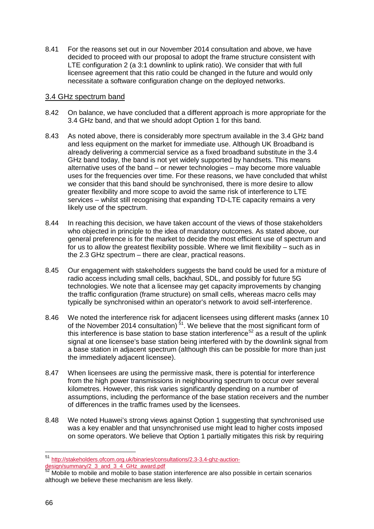8.41 For the reasons set out in our November 2014 consultation and above, we have decided to proceed with our proposal to adopt the frame structure consistent with LTE configuration 2 (a 3:1 downlink to uplink ratio). We consider that with full licensee agreement that this ratio could be changed in the future and would only necessitate a software configuration change on the deployed networks.

#### 3.4 GHz spectrum band

- 8.42 On balance, we have concluded that a different approach is more appropriate for the 3.4 GHz band, and that we should adopt Option 1 for this band.
- 8.43 As noted above, there is considerably more spectrum available in the 3.4 GHz band and less equipment on the market for immediate use. Although UK Broadband is already delivering a commercial service as a fixed broadband substitute in the 3.4 GHz band today, the band is not yet widely supported by handsets. This means alternative uses of the band – or newer technologies – may become more valuable uses for the frequencies over time. For these reasons, we have concluded that whilst we consider that this band should be synchronised, there is more desire to allow greater flexibility and more scope to avoid the same risk of interference to LTE services – whilst still recognising that expanding TD-LTE capacity remains a very likely use of the spectrum.
- 8.44 In reaching this decision, we have taken account of the views of those stakeholders who objected in principle to the idea of mandatory outcomes. As stated above, our general preference is for the market to decide the most efficient use of spectrum and for us to allow the greatest flexibility possible. Where we limit flexibility – such as in the 2.3 GHz spectrum – there are clear, practical reasons.
- 8.45 Our engagement with stakeholders suggests the band could be used for a mixture of radio access including small cells, backhaul, SDL, and possibly for future 5G technologies. We note that a licensee may get capacity improvements by changing the traffic configuration (frame structure) on small cells, whereas macro cells may typically be synchronised within an operator's network to avoid self-interference.
- 8.46 We noted the interference risk for adjacent licensees using different masks (annex 10 of the November 2014 consultation)<sup>[51](#page-66-0)</sup>. We believe that the most significant form of this interference is base station to base station interference<sup>[52](#page-66-1)</sup> as a result of the uplink signal at one licensee's base station being interfered with by the downlink signal from a base station in adjacent spectrum (although this can be possible for more than just the immediately adjacent licensee).
- 8.47 When licensees are using the permissive mask, there is potential for interference from the high power transmissions in neighbouring spectrum to occur over several kilometres. However, this risk varies significantly depending on a number of assumptions, including the performance of the base station receivers and the number of differences in the traffic frames used by the licensees.
- 8.48 We noted Huawei's strong views against Option 1 suggesting that synchronised use was a key enabler and that unsynchronised use might lead to higher costs imposed on some operators. We believe that Option 1 partially mitigates this risk by requiring

<u>.</u>

<span id="page-66-0"></span><sup>51</sup> [http://stakeholders.ofcom.org.uk/binaries/consultations/2.3-3.4-ghz-auction](http://stakeholders.ofcom.org.uk/binaries/consultations/2.3-3.4-ghz-auction-design/summary/2_3_and_3_4_GHz_award.pdf)[design/summary/2\\_3\\_and\\_3\\_4\\_GHz\\_award.pdf](http://stakeholders.ofcom.org.uk/binaries/consultations/2.3-3.4-ghz-auction-design/summary/2_3_and_3_4_GHz_award.pdf)<br>
52\_Mekilic.fr

<span id="page-66-1"></span>Mobile to mobile and mobile to base station interference are also possible in certain scenarios although we believe these mechanism are less likely.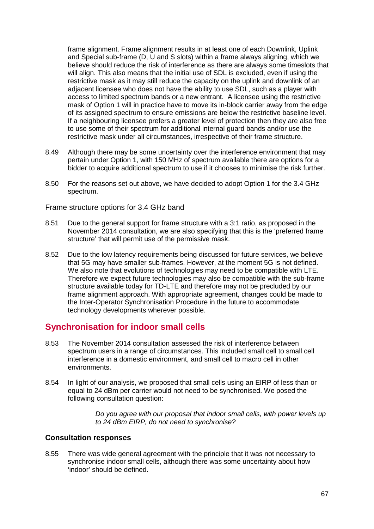frame alignment. Frame alignment results in at least one of each Downlink, Uplink and Special sub-frame (D, U and S slots) within a frame always aligning, which we believe should reduce the risk of interference as there are always some timeslots that will align. This also means that the initial use of SDL is excluded, even if using the restrictive mask as it may still reduce the capacity on the uplink and downlink of an adjacent licensee who does not have the ability to use SDL, such as a player with access to limited spectrum bands or a new entrant. A licensee using the restrictive mask of Option 1 will in practice have to move its in-block carrier away from the edge of its assigned spectrum to ensure emissions are below the restrictive baseline level. If a neighbouring licensee prefers a greater level of protection then they are also free to use some of their spectrum for additional internal guard bands and/or use the restrictive mask under all circumstances, irrespective of their frame structure.

- 8.49 Although there may be some uncertainty over the interference environment that may pertain under Option 1, with 150 MHz of spectrum available there are options for a bidder to acquire additional spectrum to use if it chooses to minimise the risk further.
- 8.50 For the reasons set out above, we have decided to adopt Option 1 for the 3.4 GHz spectrum.

#### Frame structure options for 3.4 GHz band

- 8.51 Due to the general support for frame structure with a 3:1 ratio, as proposed in the November 2014 consultation, we are also specifying that this is the 'preferred frame structure' that will permit use of the permissive mask.
- 8.52 Due to the low latency requirements being discussed for future services, we believe that 5G may have smaller sub-frames. However, at the moment 5G is not defined. We also note that evolutions of technologies may need to be compatible with LTE. Therefore we expect future technologies may also be compatible with the sub-frame structure available today for TD-LTE and therefore may not be precluded by our frame alignment approach. With appropriate agreement, changes could be made to the Inter-Operator Synchronisation Procedure in the future to accommodate technology developments wherever possible.

# **Synchronisation for indoor small cells**

- 8.53 The November 2014 consultation assessed the risk of interference between spectrum users in a range of circumstances. This included small cell to small cell interference in a domestic environment, and small cell to macro cell in other environments.
- 8.54 In light of our analysis, we proposed that small cells using an EIRP of less than or equal to 24 dBm per carrier would not need to be synchronised. We posed the following consultation question:

*Do you agree with our proposal that indoor small cells, with power levels up to 24 dBm EIRP, do not need to synchronise?* 

#### **Consultation responses**

8.55 There was wide general agreement with the principle that it was not necessary to synchronise indoor small cells, although there was some uncertainty about how 'indoor' should be defined.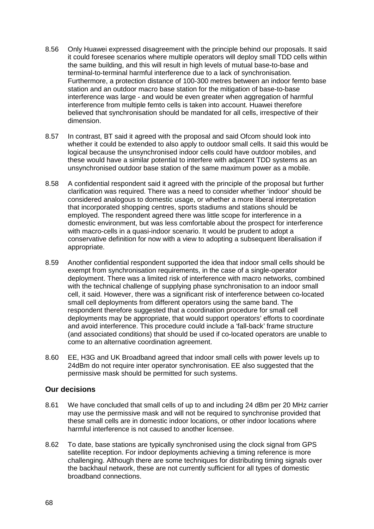- 8.56 Only Huawei expressed disagreement with the principle behind our proposals. It said it could foresee scenarios where multiple operators will deploy small TDD cells within the same building, and this will result in high levels of mutual base-to-base and terminal-to-terminal harmful interference due to a lack of synchronisation. Furthermore, a protection distance of 100-300 metres between an indoor femto base station and an outdoor macro base station for the mitigation of base-to-base interference was large - and would be even greater when aggregation of harmful interference from multiple femto cells is taken into account. Huawei therefore believed that synchronisation should be mandated for all cells, irrespective of their dimension.
- 8.57 In contrast, BT said it agreed with the proposal and said Ofcom should look into whether it could be extended to also apply to outdoor small cells. It said this would be logical because the unsynchronised indoor cells could have outdoor mobiles, and these would have a similar potential to interfere with adjacent TDD systems as an unsynchronised outdoor base station of the same maximum power as a mobile.
- 8.58 A confidential respondent said it agreed with the principle of the proposal but further clarification was required. There was a need to consider whether 'indoor' should be considered analogous to domestic usage, or whether a more liberal interpretation that incorporated shopping centres, sports stadiums and stations should be employed. The respondent agreed there was little scope for interference in a domestic environment, but was less comfortable about the prospect for interference with macro-cells in a quasi-indoor scenario. It would be prudent to adopt a conservative definition for now with a view to adopting a subsequent liberalisation if appropriate.
- 8.59 Another confidential respondent supported the idea that indoor small cells should be exempt from synchronisation requirements, in the case of a single-operator deployment. There was a limited risk of interference with macro networks, combined with the technical challenge of supplying phase synchronisation to an indoor small cell, it said. However, there was a significant risk of interference between co-located small cell deployments from different operators using the same band. The respondent therefore suggested that a coordination procedure for small cell deployments may be appropriate, that would support operators' efforts to coordinate and avoid interference. This procedure could include a 'fall-back' frame structure (and associated conditions) that should be used if co-located operators are unable to come to an alternative coordination agreement.
- 8.60 EE, H3G and UK Broadband agreed that indoor small cells with power levels up to 24dBm do not require inter operator synchronisation. EE also suggested that the permissive mask should be permitted for such systems.

#### **Our decisions**

- 8.61 We have concluded that small cells of up to and including 24 dBm per 20 MHz carrier may use the permissive mask and will not be required to synchronise provided that these small cells are in domestic indoor locations, or other indoor locations where harmful interference is not caused to another licensee.
- 8.62 To date, base stations are typically synchronised using the clock signal from GPS satellite reception. For indoor deployments achieving a timing reference is more challenging. Although there are some techniques for distributing timing signals over the backhaul network, these are not currently sufficient for all types of domestic broadband connections.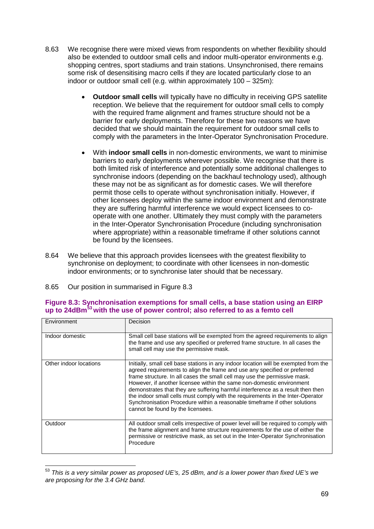- 8.63 We recognise there were mixed views from respondents on whether flexibility should also be extended to outdoor small cells and indoor multi-operator environments e.g. shopping centres, sport stadiums and train stations. Unsynchronised, there remains some risk of desensitising macro cells if they are located particularly close to an indoor or outdoor small cell (e.g. within approximately 100 – 325m):
	- **Outdoor small cells** will typically have no difficulty in receiving GPS satellite reception. We believe that the requirement for outdoor small cells to comply with the required frame alignment and frames structure should not be a barrier for early deployments. Therefore for these two reasons we have decided that we should maintain the requirement for outdoor small cells to comply with the parameters in the Inter-Operator Synchronisation Procedure.
	- With **indoor small cells** in non-domestic environments, we want to minimise barriers to early deployments wherever possible. We recognise that there is both limited risk of interference and potentially some additional challenges to synchronise indoors (depending on the backhaul technology used), although these may not be as significant as for domestic cases. We will therefore permit those cells to operate without synchronisation initially. However, if other licensees deploy within the same indoor environment and demonstrate they are suffering harmful interference we would expect licensees to cooperate with one another. Ultimately they must comply with the parameters in the Inter-Operator Synchronisation Procedure (including synchronisation where appropriate) within a reasonable timeframe if other solutions cannot be found by the licensees.
- 8.64 We believe that this approach provides licensees with the greatest flexibility to synchronise on deployment; to coordinate with other licensees in non-domestic indoor environments; or to synchronise later should that be necessary.
- 8.65 Our position in summarised in Figure 8.3

| Environment            | Decision                                                                                                                                                                                                                                                                                                                                                                                                                                                                                                                                                                                                        |
|------------------------|-----------------------------------------------------------------------------------------------------------------------------------------------------------------------------------------------------------------------------------------------------------------------------------------------------------------------------------------------------------------------------------------------------------------------------------------------------------------------------------------------------------------------------------------------------------------------------------------------------------------|
| Indoor domestic        | Small cell base stations will be exempted from the agreed requirements to align<br>the frame and use any specified or preferred frame structure. In all cases the<br>small cell may use the permissive mask.                                                                                                                                                                                                                                                                                                                                                                                                    |
| Other indoor locations | Initially, small cell base stations in any indoor location will be exempted from the<br>agreed requirements to align the frame and use any specified or preferred<br>frame structure. In all cases the small cell may use the permissive mask.<br>However, if another licensee within the same non-domestic environment<br>demonstrates that they are suffering harmful interference as a result then then<br>the indoor small cells must comply with the requirements in the Inter-Operator<br>Synchronisation Procedure within a reasonable timeframe if other solutions<br>cannot be found by the licensees. |
| Outdoor                | All outdoor small cells irrespective of power level will be required to comply with<br>the frame alignment and frame structure requirements for the use of either the<br>permissive or restrictive mask, as set out in the Inter-Operator Synchronisation<br>Procedure                                                                                                                                                                                                                                                                                                                                          |

## **Figure 8.3: Synchronisation exemptions for small cells, a base station using an EIRP up to 24dBm[53](#page-69-0) with the use of power control; also referred to as a femto cell**

<span id="page-69-0"></span><sup>53</sup> *This is a very similar power as proposed UE's, 25 dBm, and is a lower power than fixed UE's we are proposing for the 3.4 GHz band.* <u>.</u>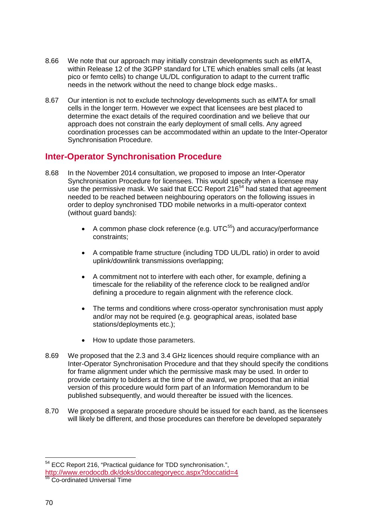- 8.66 We note that our approach may initially constrain developments such as eIMTA, within Release 12 of the 3GPP standard for LTE which enables small cells (at least pico or femto cells) to change UL/DL configuration to adapt to the current traffic needs in the network without the need to change block edge masks..
- 8.67 Our intention is not to exclude technology developments such as eIMTA for small cells in the longer term. However we expect that licensees are best placed to determine the exact details of the required coordination and we believe that our approach does not constrain the early deployment of small cells. Any agreed coordination processes can be accommodated within an update to the Inter-Operator Synchronisation Procedure.

# **Inter-Operator Synchronisation Procedure**

- 8.68 In the November 2014 consultation, we proposed to impose an Inter-Operator Synchronisation Procedure for licensees. This would specify when a licensee may use the permissive mask. We said that ECC Report 216<sup>[54](#page-70-0)</sup> had stated that agreement needed to be reached between neighbouring operators on the following issues in order to deploy synchronised TDD mobile networks in a multi-operator context (without guard bands):
	- A common phase clock reference (e.g.  $UTC^{55}$  $UTC^{55}$  $UTC^{55}$ ) and accuracy/performance constraints;
	- A compatible frame structure (including TDD UL/DL ratio) in order to avoid uplink/downlink transmissions overlapping;
	- A commitment not to interfere with each other, for example, defining a timescale for the reliability of the reference clock to be realigned and/or defining a procedure to regain alignment with the reference clock.
	- The terms and conditions where cross-operator synchronisation must apply and/or may not be required (e.g. geographical areas, isolated base stations/deployments etc.);
	- How to update those parameters.
- 8.69 We proposed that the 2.3 and 3.4 GHz licences should require compliance with an Inter-Operator Synchronisation Procedure and that they should specify the conditions for frame alignment under which the permissive mask may be used. In order to provide certainty to bidders at the time of the award, we proposed that an initial version of this procedure would form part of an Information Memorandum to be published subsequently, and would thereafter be issued with the licences.
- 8.70 We proposed a separate procedure should be issued for each band, as the licensees will likely be different, and those procedures can therefore be developed separately

<sup>&</sup>lt;sup>54</sup> ECC Report 216, "Practical guidance for TDD synchronisation.", -

<span id="page-70-0"></span><http://www.erodocdb.dk/doks/doccategoryecc.aspx?doccatid=4>

<span id="page-70-1"></span><sup>55</sup> Co-ordinated Universal Time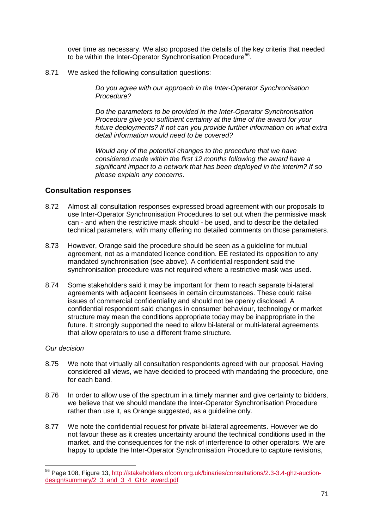over time as necessary. We also proposed the details of the key criteria that needed to be within the Inter-Operator Synchronisation Procedure<sup>[56](#page-71-0)</sup>.

8.71 We asked the following consultation questions:

*Do you agree with our approach in the Inter-Operator Synchronisation Procedure?* 

*Do the parameters to be provided in the Inter-Operator Synchronisation Procedure give you sufficient certainty at the time of the award for your future deployments? If not can you provide further information on what extra detail information would need to be covered?*

*Would any of the potential changes to the procedure that we have considered made within the first 12 months following the award have a significant impact to a network that has been deployed in the interim? If so please explain any concerns.*

## **Consultation responses**

- 8.72 Almost all consultation responses expressed broad agreement with our proposals to use Inter-Operator Synchronisation Procedures to set out when the permissive mask can - and when the restrictive mask should - be used, and to describe the detailed technical parameters, with many offering no detailed comments on those parameters.
- 8.73 However, Orange said the procedure should be seen as a guideline for mutual agreement, not as a mandated licence condition. EE restated its opposition to any mandated synchronisation (see above). A confidential respondent said the synchronisation procedure was not required where a restrictive mask was used.
- 8.74 Some stakeholders said it may be important for them to reach separate bi-lateral agreements with adjacent licensees in certain circumstances. These could raise issues of commercial confidentiality and should not be openly disclosed. A confidential respondent said changes in consumer behaviour, technology or market structure may mean the conditions appropriate today may be inappropriate in the future. It strongly supported the need to allow bi-lateral or multi-lateral agreements that allow operators to use a different frame structure.

#### *Our decision*

<u>.</u>

- 8.75 We note that virtually all consultation respondents agreed with our proposal. Having considered all views, we have decided to proceed with mandating the procedure, one for each band.
- 8.76 In order to allow use of the spectrum in a timely manner and give certainty to bidders, we believe that we should mandate the Inter-Operator Synchronisation Procedure rather than use it, as Orange suggested, as a guideline only.
- 8.77 We note the confidential request for private bi-lateral agreements. However we do not favour these as it creates uncertainty around the technical conditions used in the market, and the consequences for the risk of interference to other operators. We are happy to update the Inter-Operator Synchronisation Procedure to capture revisions,

<span id="page-71-0"></span><sup>&</sup>lt;sup>56</sup> Page 108, Figure 13, [http://stakeholders.ofcom.org.uk/binaries/consultations/2.3-3.4-ghz-auction](http://stakeholders.ofcom.org.uk/binaries/consultations/2.3-3.4-ghz-auction-design/summary/2_3_and_3_4_GHz_award.pdf)[design/summary/2\\_3\\_and\\_3\\_4\\_GHz\\_award.pdf](http://stakeholders.ofcom.org.uk/binaries/consultations/2.3-3.4-ghz-auction-design/summary/2_3_and_3_4_GHz_award.pdf)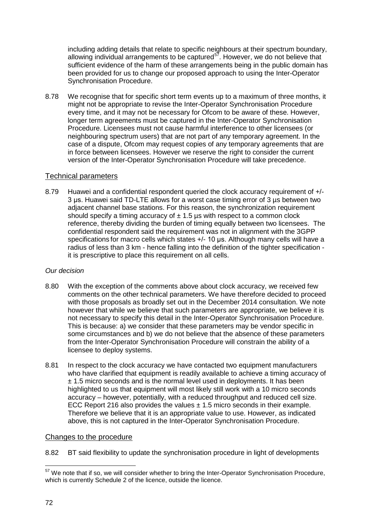including adding details that relate to specific neighbours at their spectrum boundary, allowing individual arrangements to be captured<sup>[57](#page-72-0)</sup>. However, we do not believe that sufficient evidence of the harm of these arrangements being in the public domain has been provided for us to change our proposed approach to using the Inter-Operator Synchronisation Procedure.

8.78 We recognise that for specific short term events up to a maximum of three months, it might not be appropriate to revise the Inter-Operator Synchronisation Procedure every time, and it may not be necessary for Ofcom to be aware of these. However, longer term agreements must be captured in the Inter-Operator Synchronisation Procedure. Licensees must not cause harmful interference to other licensees (or neighbouring spectrum users) that are not part of any temporary agreement. In the case of a dispute, Ofcom may request copies of any temporary agreements that are in force between licensees. However we reserve the right to consider the current version of the Inter-Operator Synchronisation Procedure will take precedence.

## Technical parameters

8.79 Huawei and a confidential respondent queried the clock accuracy requirement of +/- 3 μs. Huawei said TD-LTE allows for a worst case timing error of 3 µs between two adjacent channel base stations. For this reason, the synchronization requirement should specify a timing accuracy of  $\pm$  1.5 µs with respect to a common clock reference, thereby dividing the burden of timing equally between two licensees. The confidential respondent said the requirement was not in alignment with the 3GPP specifications for macro cells which states +/- 10 us. Although many cells will have a radius of less than 3 km - hence falling into the definition of the tighter specification it is prescriptive to place this requirement on all cells.

# *Our decision*

- 8.80 With the exception of the comments above about clock accuracy, we received few comments on the other technical parameters. We have therefore decided to proceed with those proposals as broadly set out in the December 2014 consultation. We note however that while we believe that such parameters are appropriate, we believe it is not necessary to specify this detail in the Inter-Operator Synchronisation Procedure. This is because: a) we consider that these parameters may be vendor specific in some circumstances and b) we do not believe that the absence of these parameters from the Inter-Operator Synchronisation Procedure will constrain the ability of a licensee to deploy systems.
- 8.81 In respect to the clock accuracy we have contacted two equipment manufacturers who have clarified that equipment is readily available to achieve a timing accuracy of  $± 1.5$  micro seconds and is the normal level used in deployments. It has been highlighted to us that equipment will most likely still work with a 10 micro seconds accuracy – however, potentially, with a reduced throughput and reduced cell size. ECC Report 216 also provides the values  $\pm$  1.5 micro seconds in their example. Therefore we believe that it is an appropriate value to use. However, as indicated above, this is not captured in the Inter-Operator Synchronisation Procedure.

# Changes to the procedure

8.82 BT said flexibility to update the synchronisation procedure in light of developments

<span id="page-72-0"></span> $57$  We note that if so, we will consider whether to bring the Inter-Operator Synchronisation Procedure, which is currently Schedule 2 of the licence, outside the licence. <u>.</u>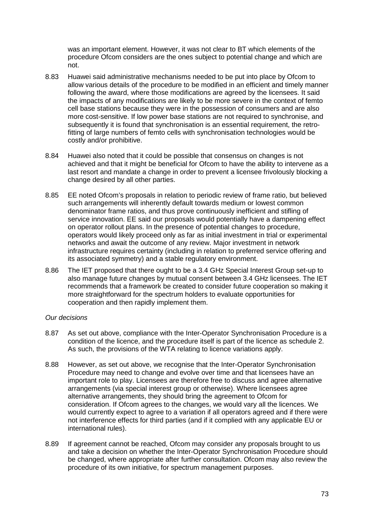was an important element. However, it was not clear to BT which elements of the procedure Ofcom considers are the ones subject to potential change and which are not.

- 8.83 Huawei said administrative mechanisms needed to be put into place by Ofcom to allow various details of the procedure to be modified in an efficient and timely manner following the award, where those modifications are agreed by the licensees. It said the impacts of any modifications are likely to be more severe in the context of femto cell base stations because they were in the possession of consumers and are also more cost-sensitive. If low power base stations are not required to synchronise, and subsequently it is found that synchronisation is an essential requirement, the retrofitting of large numbers of femto cells with synchronisation technologies would be costly and/or prohibitive.
- 8.84 Huawei also noted that it could be possible that consensus on changes is not achieved and that it might be beneficial for Ofcom to have the ability to intervene as a last resort and mandate a change in order to prevent a licensee frivolously blocking a change desired by all other parties.
- 8.85 EE noted Ofcom's proposals in relation to periodic review of frame ratio, but believed such arrangements will inherently default towards medium or lowest common denominator frame ratios, and thus prove continuously inefficient and stifling of service innovation. EE said our proposals would potentially have a dampening effect on operator rollout plans. In the presence of potential changes to procedure, operators would likely proceed only as far as initial investment in trial or experimental networks and await the outcome of any review. Major investment in network infrastructure requires certainty (including in relation to preferred service offering and its associated symmetry) and a stable regulatory environment.
- 8.86 The IET proposed that there ought to be a 3.4 GHz Special Interest Group set-up to also manage future changes by mutual consent between 3.4 GHz licensees. The IET recommends that a framework be created to consider future cooperation so making it more straightforward for the spectrum holders to evaluate opportunities for cooperation and then rapidly implement them.

## *Our decisions*

- 8.87 As set out above, compliance with the Inter-Operator Synchronisation Procedure is a condition of the licence, and the procedure itself is part of the licence as schedule 2. As such, the provisions of the WTA relating to licence variations apply.
- 8.88 However, as set out above, we recognise that the Inter-Operator Synchronisation Procedure may need to change and evolve over time and that licensees have an important role to play. Licensees are therefore free to discuss and agree alternative arrangements (via special interest group or otherwise). Where licensees agree alternative arrangements, they should bring the agreement to Ofcom for consideration. If Ofcom agrees to the changes, we would vary all the licences. We would currently expect to agree to a variation if all operators agreed and if there were not interference effects for third parties (and if it complied with any applicable EU or international rules).
- 8.89 If agreement cannot be reached, Ofcom may consider any proposals brought to us and take a decision on whether the Inter-Operator Synchronisation Procedure should be changed, where appropriate after further consultation. Ofcom may also review the procedure of its own initiative, for spectrum management purposes.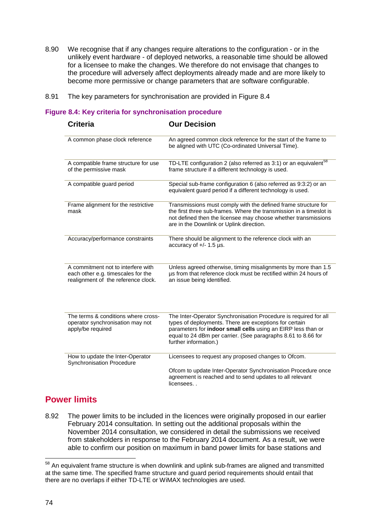- 8.90 We recognise that if any changes require alterations to the configuration or in the unlikely event hardware - of deployed networks, a reasonable time should be allowed for a licensee to make the changes. We therefore do not envisage that changes to the procedure will adversely affect deployments already made and are more likely to become more permissive or change parameters that are software configurable.
- 8.91 The key parameters for synchronisation are provided in Figure 8.4

### **Figure 8.4: Key criteria for synchronisation procedure**

| <b>Criteria</b>                                                                                                 | <b>Our Decision</b>                                                                                                                                                                                                                                                                  |
|-----------------------------------------------------------------------------------------------------------------|--------------------------------------------------------------------------------------------------------------------------------------------------------------------------------------------------------------------------------------------------------------------------------------|
| A common phase clock reference                                                                                  | An agreed common clock reference for the start of the frame to<br>be aligned with UTC (Co-ordinated Universal Time).                                                                                                                                                                 |
| A compatible frame structure for use<br>of the permissive mask                                                  | TD-LTE configuration 2 (also referred as 3:1) or an equivalent <sup>58</sup><br>frame structure if a different technology is used.                                                                                                                                                   |
| A compatible guard period                                                                                       | Special sub-frame configuration 6 (also referred as 9:3:2) or an<br>equivalent guard period if a different technology is used.                                                                                                                                                       |
| Frame alignment for the restrictive<br>mask                                                                     | Transmissions must comply with the defined frame structure for<br>the first three sub-frames. Where the transmission in a timeslot is<br>not defined then the licensee may choose whether transmissions<br>are in the Downlink or Uplink direction.                                  |
| Accuracy/performance constraints                                                                                | There should be alignment to the reference clock with an<br>accuracy of $+/- 1.5$ µs.                                                                                                                                                                                                |
| A commitment not to interfere with<br>each other e.g. timescales for the<br>realignment of the reference clock. | Unless agreed otherwise, timing misalignments by more than 1.5<br>µs from that reference clock must be rectified within 24 hours of<br>an issue being identified.                                                                                                                    |
| The terms & conditions where cross-<br>operator synchronisation may not<br>apply/be required                    | The Inter-Operator Synchronisation Procedure is required for all<br>types of deployments. There are exceptions for certain<br>parameters for indoor small cells using an EIRP less than or<br>equal to 24 dBm per carrier. (See paragraphs 8.61 to 8.66 for<br>further information.) |
| How to update the Inter-Operator<br>Synchronisation Procedure                                                   | Licensees to request any proposed changes to Ofcom.                                                                                                                                                                                                                                  |
|                                                                                                                 | Ofcom to update Inter-Operator Synchronisation Procedure once<br>agreement is reached and to send updates to all relevant<br>licensees                                                                                                                                               |

# **Power limits**

8.92 The power limits to be included in the licences were originally proposed in our earlier February 2014 consultation. In setting out the additional proposals within the November 2014 consultation, we considered in detail the submissions we received from stakeholders in response to the February 2014 document. As a result, we were able to confirm our position on maximum in band power limits for base stations and

<span id="page-74-0"></span> $58$  An equivalent frame structure is when downlink and uplink sub-frames are aligned and transmitted at the same time. The specified frame structure and guard period requirements should entail that there are no overlaps if either TD-LTE or WiMAX technologies are used. -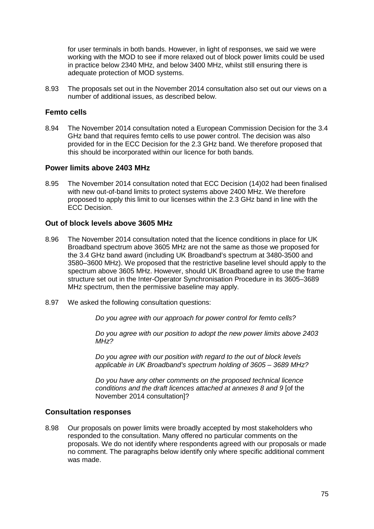for user terminals in both bands. However, in light of responses, we said we were working with the MOD to see if more relaxed out of block power limits could be used in practice below 2340 MHz, and below 3400 MHz, whilst still ensuring there is adequate protection of MOD systems.

8.93 The proposals set out in the November 2014 consultation also set out our views on a number of additional issues, as described below.

## **Femto cells**

8.94 The November 2014 consultation noted a European Commission Decision for the 3.4 GHz band that requires femto cells to use power control. The decision was also provided for in the ECC Decision for the 2.3 GHz band. We therefore proposed that this should be incorporated within our licence for both bands.

## **Power limits above 2403 MHz**

8.95 The November 2014 consultation noted that ECC Decision (14)02 had been finalised with new out-of-band limits to protect systems above 2400 MHz. We therefore proposed to apply this limit to our licenses within the 2.3 GHz band in line with the ECC Decision.

# **Out of block levels above 3605 MHz**

- 8.96 The November 2014 consultation noted that the licence conditions in place for UK Broadband spectrum above 3605 MHz are not the same as those we proposed for the 3.4 GHz band award (including UK Broadband's spectrum at 3480-3500 and 3580–3600 MHz). We proposed that the restrictive baseline level should apply to the spectrum above 3605 MHz. However, should UK Broadband agree to use the frame structure set out in the Inter-Operator Synchronisation Procedure in its 3605–3689 MHz spectrum, then the permissive baseline may apply.
- 8.97 We asked the following consultation questions:

*Do you agree with our approach for power control for femto cells?*

*Do you agree with our position to adopt the new power limits above 2403 MHz?* 

*Do you agree with our position with regard to the out of block levels applicable in UK Broadband's spectrum holding of 3605 – 3689 MHz?*

*Do you have any other comments on the proposed technical licence conditions and the draft licences attached at annexes 8 and 9* [of the November 2014 consultation]?

## **Consultation responses**

8.98 Our proposals on power limits were broadly accepted by most stakeholders who responded to the consultation. Many offered no particular comments on the proposals. We do not identify where respondents agreed with our proposals or made no comment. The paragraphs below identify only where specific additional comment was made.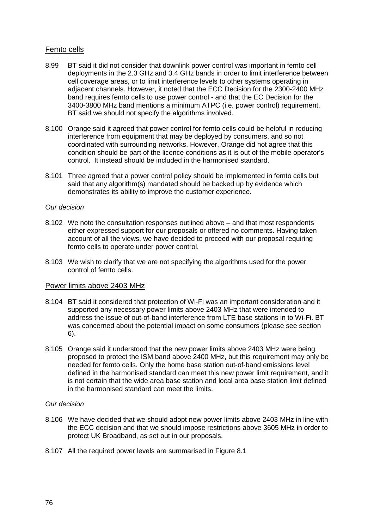# Femto cells

- 8.99 BT said it did not consider that downlink power control was important in femto cell deployments in the 2.3 GHz and 3.4 GHz bands in order to limit interference between cell coverage areas, or to limit interference levels to other systems operating in adjacent channels. However, it noted that the ECC Decision for the 2300-2400 MHz band requires femto cells to use power control - and that the EC Decision for the 3400-3800 MHz band mentions a minimum ATPC (i.e. power control) requirement. BT said we should not specify the algorithms involved.
- 8.100 Orange said it agreed that power control for femto cells could be helpful in reducing interference from equipment that may be deployed by consumers, and so not coordinated with surrounding networks. However, Orange did not agree that this condition should be part of the licence conditions as it is out of the mobile operator's control. It instead should be included in the harmonised standard.
- 8.101 Three agreed that a power control policy should be implemented in femto cells but said that any algorithm(s) mandated should be backed up by evidence which demonstrates its ability to improve the customer experience.

### *Our decision*

- 8.102 We note the consultation responses outlined above and that most respondents either expressed support for our proposals or offered no comments. Having taken account of all the views, we have decided to proceed with our proposal requiring femto cells to operate under power control.
- 8.103 We wish to clarify that we are not specifying the algorithms used for the power control of femto cells.

## Power limits above 2403 MHz

- 8.104 BT said it considered that protection of Wi-Fi was an important consideration and it supported any necessary power limits above 2403 MHz that were intended to address the issue of out-of-band interference from LTE base stations in to Wi-Fi. BT was concerned about the potential impact on some consumers (please see section 6).
- 8.105 Orange said it understood that the new power limits above 2403 MHz were being proposed to protect the ISM band above 2400 MHz, but this requirement may only be needed for femto cells. Only the home base station out-of-band emissions level defined in the harmonised standard can meet this new power limit requirement, and it is not certain that the wide area base station and local area base station limit defined in the harmonised standard can meet the limits.

## *Our decision*

- 8.106 We have decided that we should adopt new power limits above 2403 MHz in line with the ECC decision and that we should impose restrictions above 3605 MHz in order to protect UK Broadband, as set out in our proposals.
- 8.107 All the required power levels are summarised in Figure 8.1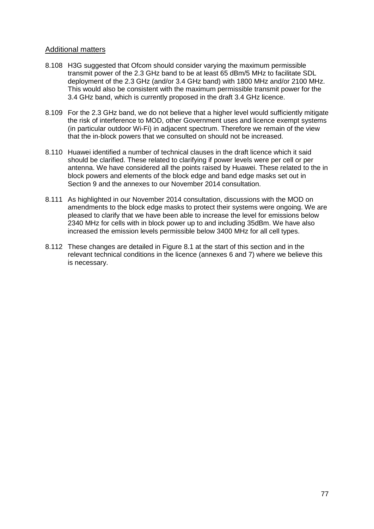# Additional matters

- 8.108 H3G suggested that Ofcom should consider varying the maximum permissible transmit power of the 2.3 GHz band to be at least 65 dBm/5 MHz to facilitate SDL deployment of the 2.3 GHz (and/or 3.4 GHz band) with 1800 MHz and/or 2100 MHz. This would also be consistent with the maximum permissible transmit power for the 3.4 GHz band, which is currently proposed in the draft 3.4 GHz licence.
- 8.109 For the 2.3 GHz band, we do not believe that a higher level would sufficiently mitigate the risk of interference to MOD, other Government uses and licence exempt systems (in particular outdoor Wi-Fi) in adjacent spectrum. Therefore we remain of the view that the in-block powers that we consulted on should not be increased.
- 8.110 Huawei identified a number of technical clauses in the draft licence which it said should be clarified. These related to clarifying if power levels were per cell or per antenna. We have considered all the points raised by Huawei. These related to the in block powers and elements of the block edge and band edge masks set out in Section 9 and the annexes to our November 2014 consultation.
- 8.111 As highlighted in our November 2014 consultation, discussions with the MOD on amendments to the block edge masks to protect their systems were ongoing. We are pleased to clarify that we have been able to increase the level for emissions below 2340 MHz for cells with in block power up to and including 35dBm. We have also increased the emission levels permissible below 3400 MHz for all cell types.
- 8.112 These changes are detailed in Figure 8.1 at the start of this section and in the relevant technical conditions in the licence (annexes 6 and 7) where we believe this is necessary.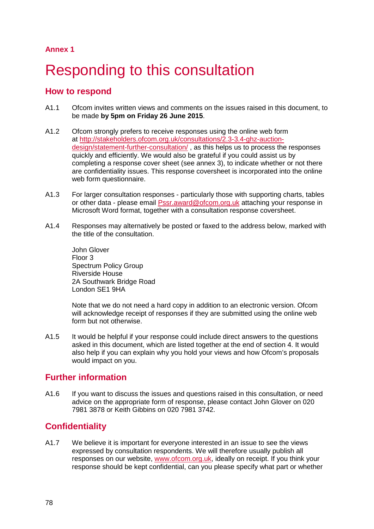**Annex 1**

# Responding to this consultation

# **How to respond**

- A1.1 Ofcom invites written views and comments on the issues raised in this document, to be made **by 5pm on Friday 26 June 2015**.
- A1.2 Ofcom strongly prefers to receive responses using the online web form at [http://stakeholders.ofcom.org.uk/consultations/2.3-3.4-ghz-auction](http://stakeholders.ofcom.org.uk/consultations/2.3-3.4-ghz-auction-design/statement-further-consultation/)[design/statement-further-consultation/](http://stakeholders.ofcom.org.uk/consultations/2.3-3.4-ghz-auction-design/statement-further-consultation/) , as this helps us to process the responses quickly and efficiently. We would also be grateful if you could assist us by completing a response cover sheet (see annex 3), to indicate whether or not there are confidentiality issues. This response coversheet is incorporated into the online web form questionnaire.
- A1.3 For larger consultation responses particularly those with supporting charts, tables or other data - please email [Pssr.award@ofcom.org.uk](mailto:Pssr.award@ofcom.org.uk) attaching your response in Microsoft Word format, together with a consultation response coversheet.
- A1.4 Responses may alternatively be posted or faxed to the address below, marked with the title of the consultation.

John Glover Floor 3 Spectrum Policy Group Riverside House 2A Southwark Bridge Road London SE1 9HA

Note that we do not need a hard copy in addition to an electronic version. Ofcom will acknowledge receipt of responses if they are submitted using the online web form but not otherwise.

A1.5 It would be helpful if your response could include direct answers to the questions asked in this document, which are listed together at the end of section 4. It would also help if you can explain why you hold your views and how Ofcom's proposals would impact on you.

# **Further information**

A1.6 If you want to discuss the issues and questions raised in this consultation, or need advice on the appropriate form of response, please contact John Glover on 020 7981 3878 or Keith Gibbins on 020 7981 3742.

# **Confidentiality**

A1.7 We believe it is important for everyone interested in an issue to see the views expressed by consultation respondents. We will therefore usually publish all responses on our website, [www.ofcom.org.uk,](http://www.ofcom.org.uk/) ideally on receipt. If you think your response should be kept confidential, can you please specify what part or whether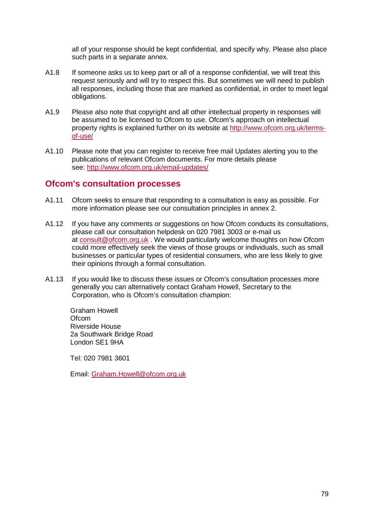all of your response should be kept confidential, and specify why. Please also place such parts in a separate annex.

- A1.8 If someone asks us to keep part or all of a response confidential, we will treat this request seriously and will try to respect this. But sometimes we will need to publish all responses, including those that are marked as confidential, in order to meet legal obligations.
- A1.9 Please also note that copyright and all other intellectual property in responses will be assumed to be licensed to Ofcom to use. Ofcom's approach on intellectual property rights is explained further on its website at [http://www.ofcom.org.uk/terms](http://www.ofcom.org.uk/terms-of-use/)[of-use/](http://www.ofcom.org.uk/terms-of-use/)
- A1.10 Please note that you can register to receive free mail Updates alerting you to the publications of relevant Ofcom documents. For more details please see:<http://www.ofcom.org.uk/email-updates/>

# **Ofcom's consultation processes**

- A1.11 Ofcom seeks to ensure that responding to a consultation is easy as possible. For more information please see our consultation principles in annex 2.
- A1.12 If you have any comments or suggestions on how Ofcom conducts its consultations, please call our consultation helpdesk on 020 7981 3003 or e-mail us at [consult@ofcom.org.uk](mailto:consult@ofcom.org.uk) . We would particularly welcome thoughts on how Ofcom could more effectively seek the views of those groups or individuals, such as small businesses or particular types of residential consumers, who are less likely to give their opinions through a formal consultation.
- A1.13 If you would like to discuss these issues or Ofcom's consultation processes more generally you can alternatively contact Graham Howell, Secretary to the Corporation, who is Ofcom's consultation champion:

Graham Howell **Ofcom** Riverside House 2a Southwark Bridge Road London SE1 9HA

Tel: 020 7981 3601

Email: [Graham.Howell@ofcom.org.uk](mailto:Graham.Howell@ofcom.org.uk)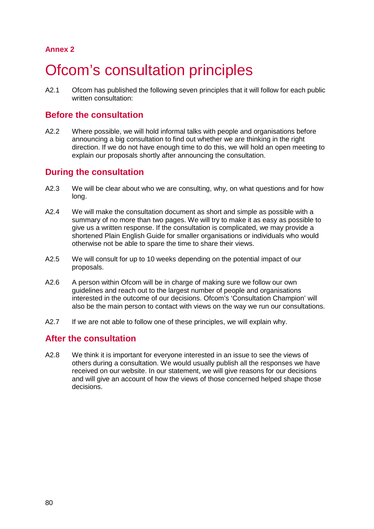# **Annex 2**

# **Ofcom's consultation principles**

A2.1 Ofcom has published the following seven principles that it will follow for each public written consultation:

# **Before the consultation**

A2.2 Where possible, we will hold informal talks with people and organisations before announcing a big consultation to find out whether we are thinking in the right direction. If we do not have enough time to do this, we will hold an open meeting to explain our proposals shortly after announcing the consultation.

# **During the consultation**

- A2.3 We will be clear about who we are consulting, why, on what questions and for how long.
- A2.4 We will make the consultation document as short and simple as possible with a summary of no more than two pages. We will try to make it as easy as possible to give us a written response. If the consultation is complicated, we may provide a shortened Plain English Guide for smaller organisations or individuals who would otherwise not be able to spare the time to share their views.
- A2.5 We will consult for up to 10 weeks depending on the potential impact of our proposals.
- A2.6 A person within Ofcom will be in charge of making sure we follow our own guidelines and reach out to the largest number of people and organisations interested in the outcome of our decisions. Ofcom's 'Consultation Champion' will also be the main person to contact with views on the way we run our consultations.
- A2.7 If we are not able to follow one of these principles, we will explain why.

# **After the consultation**

A2.8 We think it is important for everyone interested in an issue to see the views of others during a consultation. We would usually publish all the responses we have received on our website. In our statement, we will give reasons for our decisions and will give an account of how the views of those concerned helped shape those decisions.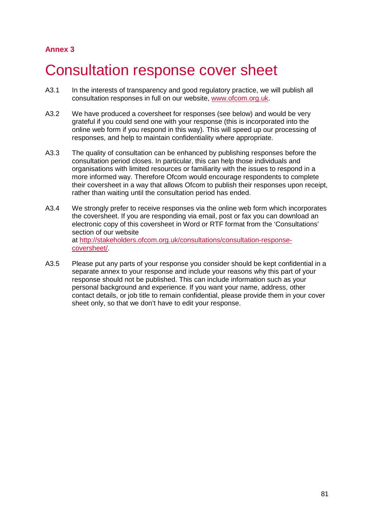# **Annex 3**

# 3 Consultation response cover sheet

- A3.1 In the interests of transparency and good regulatory practice, we will publish all consultation responses in full on our website, [www.ofcom.org.uk.](http://www.ofcom.org.uk/)
- A3.2 We have produced a coversheet for responses (see below) and would be very grateful if you could send one with your response (this is incorporated into the online web form if you respond in this way). This will speed up our processing of responses, and help to maintain confidentiality where appropriate.
- A3.3 The quality of consultation can be enhanced by publishing responses before the consultation period closes. In particular, this can help those individuals and organisations with limited resources or familiarity with the issues to respond in a more informed way. Therefore Ofcom would encourage respondents to complete their coversheet in a way that allows Ofcom to publish their responses upon receipt, rather than waiting until the consultation period has ended.
- A3.4 We strongly prefer to receive responses via the online web form which incorporates the coversheet. If you are responding via email, post or fax you can download an electronic copy of this coversheet in Word or RTF format from the 'Consultations' section of our website at [http://stakeholders.ofcom.org.uk/consultations/consultation-response](http://stakeholders.ofcom.org.uk/consultations/consultation-response-coversheet/)[coversheet/.](http://stakeholders.ofcom.org.uk/consultations/consultation-response-coversheet/)
- A3.5 Please put any parts of your response you consider should be kept confidential in a separate annex to your response and include your reasons why this part of your response should not be published. This can include information such as your personal background and experience. If you want your name, address, other contact details, or job title to remain confidential, please provide them in your cover sheet only, so that we don't have to edit your response.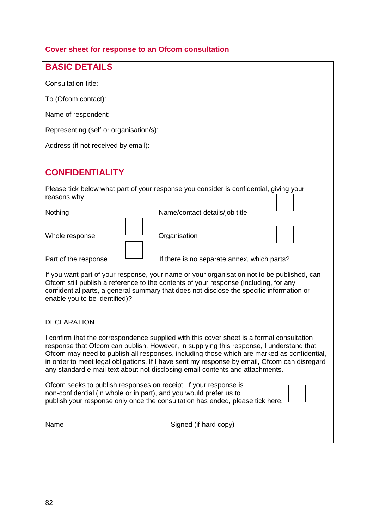# **Cover sheet for response to an Ofcom consultation**

| <b>BASIC DETAILS</b>                                                                                                                                                                                                                                                                                                                                                                                                                                                |  |
|---------------------------------------------------------------------------------------------------------------------------------------------------------------------------------------------------------------------------------------------------------------------------------------------------------------------------------------------------------------------------------------------------------------------------------------------------------------------|--|
| Consultation title:                                                                                                                                                                                                                                                                                                                                                                                                                                                 |  |
| To (Ofcom contact):                                                                                                                                                                                                                                                                                                                                                                                                                                                 |  |
| Name of respondent:                                                                                                                                                                                                                                                                                                                                                                                                                                                 |  |
|                                                                                                                                                                                                                                                                                                                                                                                                                                                                     |  |
| Representing (self or organisation/s):                                                                                                                                                                                                                                                                                                                                                                                                                              |  |
| Address (if not received by email):                                                                                                                                                                                                                                                                                                                                                                                                                                 |  |
| <b>CONFIDENTIALITY</b>                                                                                                                                                                                                                                                                                                                                                                                                                                              |  |
| Please tick below what part of your response you consider is confidential, giving your<br>reasons why                                                                                                                                                                                                                                                                                                                                                               |  |
| Nothing<br>Name/contact details/job title                                                                                                                                                                                                                                                                                                                                                                                                                           |  |
| Whole response<br>Organisation                                                                                                                                                                                                                                                                                                                                                                                                                                      |  |
| Part of the response<br>If there is no separate annex, which parts?                                                                                                                                                                                                                                                                                                                                                                                                 |  |
| If you want part of your response, your name or your organisation not to be published, can<br>Ofcom still publish a reference to the contents of your response (including, for any<br>confidential parts, a general summary that does not disclose the specific information or<br>enable you to be identified)?                                                                                                                                                     |  |
| <b>DECLARATION</b>                                                                                                                                                                                                                                                                                                                                                                                                                                                  |  |
| I confirm that the correspondence supplied with this cover sheet is a formal consultation<br>response that Ofcom can publish. However, in supplying this response, I understand that<br>Ofcom may need to publish all responses, including those which are marked as confidential,<br>in order to meet legal obligations. If I have sent my response by email, Ofcom can disregard<br>any standard e-mail text about not disclosing email contents and attachments. |  |
| Ofcom seeks to publish responses on receipt. If your response is<br>non-confidential (in whole or in part), and you would prefer us to<br>publish your response only once the consultation has ended, please tick here.                                                                                                                                                                                                                                             |  |
| Name<br>Signed (if hard copy)                                                                                                                                                                                                                                                                                                                                                                                                                                       |  |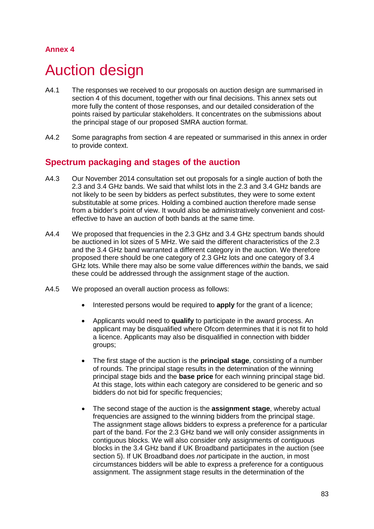# **Annex 4**

# 4 Auction design

- A4.1 The responses we received to our proposals on auction design are summarised in section 4 of this document, together with our final decisions. This annex sets out more fully the content of those responses, and our detailed consideration of the points raised by particular stakeholders. It concentrates on the submissions about the principal stage of our proposed SMRA auction format.
- A4.2 Some paragraphs from section 4 are repeated or summarised in this annex in order to provide context.

# **Spectrum packaging and stages of the auction**

- A4.3 Our November 2014 consultation set out proposals for a single auction of both the 2.3 and 3.4 GHz bands. We said that whilst lots in the 2.3 and 3.4 GHz bands are not likely to be seen by bidders as perfect substitutes, they were to some extent substitutable at some prices. Holding a combined auction therefore made sense from a bidder's point of view. It would also be administratively convenient and costeffective to have an auction of both bands at the same time.
- A4.4 We proposed that frequencies in the 2.3 GHz and 3.4 GHz spectrum bands should be auctioned in lot sizes of 5 MHz. We said the different characteristics of the 2.3 and the 3.4 GHz band warranted a different category in the auction. We therefore proposed there should be one category of 2.3 GHz lots and one category of 3.4 GHz lots. While there may also be some value differences *within* the bands, we said these could be addressed through the assignment stage of the auction.
- A4.5 We proposed an overall auction process as follows:
	- Interested persons would be required to **apply** for the grant of a licence;
	- Applicants would need to **qualify** to participate in the award process. An applicant may be disqualified where Ofcom determines that it is not fit to hold a licence. Applicants may also be disqualified in connection with bidder groups;
	- The first stage of the auction is the **principal stage**, consisting of a number of rounds. The principal stage results in the determination of the winning principal stage bids and the **base price** for each winning principal stage bid. At this stage, lots within each category are considered to be generic and so bidders do not bid for specific frequencies;
	- The second stage of the auction is the **assignment stage**, whereby actual frequencies are assigned to the winning bidders from the principal stage. The assignment stage allows bidders to express a preference for a particular part of the band. For the 2.3 GHz band we will only consider assignments in contiguous blocks. We will also consider only assignments of contiguous blocks in the 3.4 GHz band if UK Broadband participates in the auction (see section 5). If UK Broadband does *not* participate in the auction, in most circumstances bidders will be able to express a preference for a contiguous assignment. The assignment stage results in the determination of the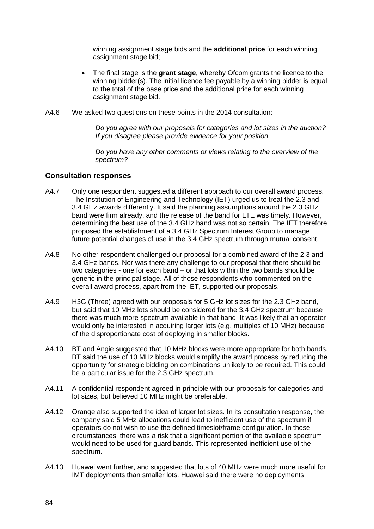winning assignment stage bids and the **additional price** for each winning assignment stage bid;

- The final stage is the **grant stage**, whereby Ofcom grants the licence to the winning bidder(s). The initial licence fee payable by a winning bidder is equal to the total of the base price and the additional price for each winning assignment stage bid.
- A4.6 We asked two questions on these points in the 2014 consultation:

*Do you agree with our proposals for categories and lot sizes in the auction? If you disagree please provide evidence for your position.*

*Do you have any other comments or views relating to the overview of the spectrum?*

# **Consultation responses**

- A4.7 Only one respondent suggested a different approach to our overall award process. The Institution of Engineering and Technology (IET) urged us to treat the 2.3 and 3.4 GHz awards differently. It said the planning assumptions around the 2.3 GHz band were firm already, and the release of the band for LTE was timely. However, determining the best use of the 3.4 GHz band was not so certain. The IET therefore proposed the establishment of a 3.4 GHz Spectrum Interest Group to manage future potential changes of use in the 3.4 GHz spectrum through mutual consent.
- A4.8 No other respondent challenged our proposal for a combined award of the 2.3 and 3.4 GHz bands. Nor was there any challenge to our proposal that there should be two categories - one for each band – or that lots within the two bands should be generic in the principal stage. All of those respondents who commented on the overall award process, apart from the IET, supported our proposals.
- A4.9 H3G (Three) agreed with our proposals for 5 GHz lot sizes for the 2.3 GHz band, but said that 10 MHz lots should be considered for the 3.4 GHz spectrum because there was much more spectrum available in that band. It was likely that an operator would only be interested in acquiring larger lots (e.g. multiples of 10 MHz) because of the disproportionate cost of deploying in smaller blocks.
- A4.10 BT and Angie suggested that 10 MHz blocks were more appropriate for both bands. BT said the use of 10 MHz blocks would simplify the award process by reducing the opportunity for strategic bidding on combinations unlikely to be required. This could be a particular issue for the 2.3 GHz spectrum.
- A4.11 A confidential respondent agreed in principle with our proposals for categories and lot sizes, but believed 10 MHz might be preferable.
- A4.12 Orange also supported the idea of larger lot sizes. In its consultation response, the company said 5 MHz allocations could lead to inefficient use of the spectrum if operators do not wish to use the defined timeslot/frame configuration. In those circumstances, there was a risk that a significant portion of the available spectrum would need to be used for guard bands. This represented inefficient use of the spectrum.
- A4.13 Huawei went further, and suggested that lots of 40 MHz were much more useful for IMT deployments than smaller lots. Huawei said there were no deployments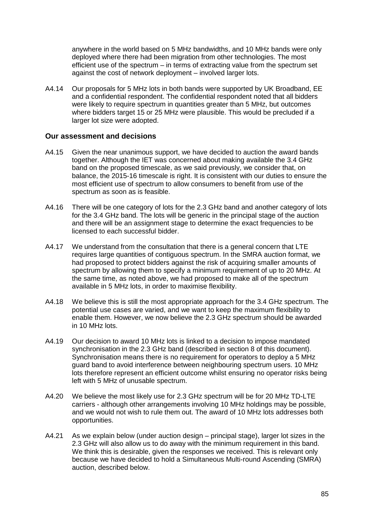anywhere in the world based on 5 MHz bandwidths, and 10 MHz bands were only deployed where there had been migration from other technologies. The most efficient use of the spectrum – in terms of extracting value from the spectrum set against the cost of network deployment – involved larger lots.

A4.14 Our proposals for 5 MHz lots in both bands were supported by UK Broadband, EE and a confidential respondent. The confidential respondent noted that all bidders were likely to require spectrum in quantities greater than 5 MHz, but outcomes where bidders target 15 or 25 MHz were plausible. This would be precluded if a larger lot size were adopted.

## **Our assessment and decisions**

- A4.15 Given the near unanimous support, we have decided to auction the award bands together. Although the IET was concerned about making available the 3.4 GHz band on the proposed timescale, as we said previously, we consider that, on balance, the 2015-16 timescale is right. It is consistent with our duties to ensure the most efficient use of spectrum to allow consumers to benefit from use of the spectrum as soon as is feasible.
- A4.16 There will be one category of lots for the 2.3 GHz band and another category of lots for the 3.4 GHz band. The lots will be generic in the principal stage of the auction and there will be an assignment stage to determine the exact frequencies to be licensed to each successful bidder.
- A4.17 We understand from the consultation that there is a general concern that LTE requires large quantities of contiguous spectrum. In the SMRA auction format, we had proposed to protect bidders against the risk of acquiring smaller amounts of spectrum by allowing them to specify a minimum requirement of up to 20 MHz. At the same time, as noted above, we had proposed to make all of the spectrum available in 5 MHz lots, in order to maximise flexibility.
- A4.18 We believe this is still the most appropriate approach for the 3.4 GHz spectrum. The potential use cases are varied, and we want to keep the maximum flexibility to enable them. However, we now believe the 2.3 GHz spectrum should be awarded in 10 MHz lots.
- A4.19 Our decision to award 10 MHz lots is linked to a decision to impose mandated synchronisation in the 2.3 GHz band (described in section 8 of this document). Synchronisation means there is no requirement for operators to deploy a 5 MHz guard band to avoid interference between neighbouring spectrum users. 10 MHz lots therefore represent an efficient outcome whilst ensuring no operator risks being left with 5 MHz of unusable spectrum.
- A4.20 We believe the most likely use for 2.3 GHz spectrum will be for 20 MHz TD-LTE carriers - although other arrangements involving 10 MHz holdings may be possible, and we would not wish to rule them out. The award of 10 MHz lots addresses both opportunities.
- A4.21 As we explain below (under auction design principal stage), larger lot sizes in the 2.3 GHz will also allow us to do away with the minimum requirement in this band. We think this is desirable, given the responses we received. This is relevant only because we have decided to hold a Simultaneous Multi-round Ascending (SMRA) auction, described below.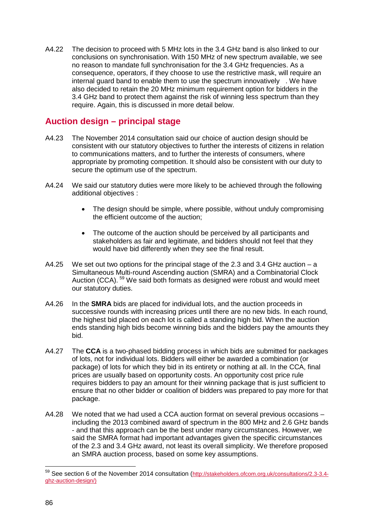A4.22 The decision to proceed with 5 MHz lots in the 3.4 GHz band is also linked to our conclusions on synchronisation. With 150 MHz of new spectrum available, we see no reason to mandate full synchronisation for the 3.4 GHz frequencies. As a consequence, operators, if they choose to use the restrictive mask, will require an internal guard band to enable them to use the spectrum innovatively . We have also decided to retain the 20 MHz minimum requirement option for bidders in the 3.4 GHz band to protect them against the risk of winning less spectrum than they require. Again, this is discussed in more detail below.

# **Auction design – principal stage**

- A4.23 The November 2014 consultation said our choice of auction design should be consistent with our statutory objectives to further the interests of citizens in relation to communications matters, and to further the interests of consumers, where appropriate by promoting competition. It should also be consistent with our duty to secure the optimum use of the spectrum.
- A4.24 We said our statutory duties were more likely to be achieved through the following additional objectives :
	- The design should be simple, where possible, without unduly compromising the efficient outcome of the auction;
	- The outcome of the auction should be perceived by all participants and stakeholders as fair and legitimate, and bidders should not feel that they would have bid differently when they see the final result.
- A4.25 We set out two options for the principal stage of the 2.3 and 3.4 GHz auction a Simultaneous Multi-round Ascending auction (SMRA) and a Combinatorial Clock Auction (CCA). [59](#page-86-0) We said both formats as designed were robust and would meet our statutory duties.
- A4.26 In the **SMRA** bids are placed for individual lots, and the auction proceeds in successive rounds with increasing prices until there are no new bids. In each round, the highest bid placed on each lot is called a standing high bid. When the auction ends standing high bids become winning bids and the bidders pay the amounts they bid.
- A4.27 The **CCA** is a two-phased bidding process in which bids are submitted for packages of lots, not for individual lots. Bidders will either be awarded a combination (or package) of lots for which they bid in its entirety or nothing at all. In the CCA, final prices are usually based on opportunity costs. An opportunity cost price rule requires bidders to pay an amount for their winning package that is just sufficient to ensure that no other bidder or coalition of bidders was prepared to pay more for that package.
- A4.28 We noted that we had used a CCA auction format on several previous occasions including the 2013 combined award of spectrum in the 800 MHz and 2.6 GHz bands - and that this approach can be the best under many circumstances. However, we said the SMRA format had important advantages given the specific circumstances of the 2.3 and 3.4 GHz award, not least its overall simplicity. We therefore proposed an SMRA auction process, based on some key assumptions.

-

<span id="page-86-0"></span><sup>59</sup> See section 6 of the November 2014 consultation [\(http://stakeholders.ofcom.org.uk/consultations/2.3-3.4](http://stakeholders.ofcom.org.uk/consultations/2.3-3.4-ghz-auction-design/) [ghz-auction-design/\)](http://stakeholders.ofcom.org.uk/consultations/2.3-3.4-ghz-auction-design/)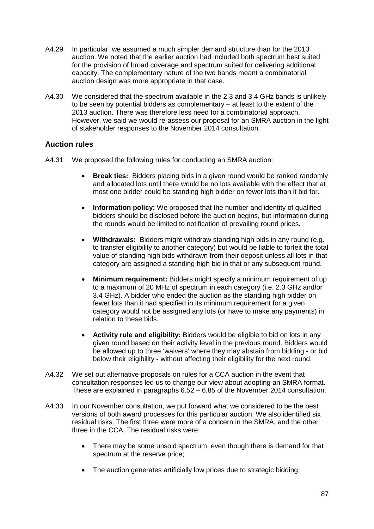- A4.29 In particular, we assumed a much simpler demand structure than for the 2013 auction. We noted that the earlier auction had included both spectrum best suited for the provision of broad coverage and spectrum suited for delivering additional capacity. The complementary nature of the two bands meant a combinatorial auction design was more appropriate in that case.
- A4.30 We considered that the spectrum available in the 2.3 and 3.4 GHz bands is unlikely to be seen by potential bidders as complementary – at least to the extent of the 2013 auction. There was therefore less need for a combinatorial approach. However, we said we would re-assess our proposal for an SMRA auction in the light of stakeholder responses to the November 2014 consultation.

# **Auction rules**

- A4.31 We proposed the following rules for conducting an SMRA auction:
	- **Break ties:** Bidders placing bids in a given round would be ranked randomly and allocated lots until there would be no lots available with the effect that at most one bidder could be standing high bidder on fewer lots than it bid for.
	- **Information policy:** We proposed that the number and identity of qualified bidders should be disclosed before the auction begins, but information during the rounds would be limited to notification of prevailing round prices.
	- **Withdrawals:** Bidders might withdraw standing high bids in any round (e.g. to transfer eligibility to another category) but would be liable to forfeit the total value of standing high bids withdrawn from their deposit unless all lots in that category are assigned a standing high bid in that or any subsequent round.
	- **Minimum requirement:** Bidders might specify a minimum requirement of up to a maximum of 20 MHz of spectrum in each category (i.e. 2.3 GHz and**/**or 3.4 GHz). A bidder who ended the auction as the standing high bidder on fewer lots than it had specified in its minimum requirement for a given category would not be assigned any lots (or have to make any payments) in relation to these bids.
	- **Activity rule and eligibility:** Bidders would be eligible to bid on lots in any given round based on their activity level in the previous round. Bidders would be allowed up to three 'waivers' where they may abstain from bidding - or bid below their eligibility **-** without affecting their eligibility for the next round.
- A4.32 We set out alternative proposals on rules for a CCA auction in the event that consultation responses led us to change our view about adopting an SMRA format. These are explained in paragraphs 6.52 – 6.85 of the November 2014 consultation.
- A4.33 In our November consultation, we put forward what we considered to be the best versions of both award processes for this particular auction. We also identified six residual risks. The first three were more of a concern in the SMRA, and the other three in the CCA. The residual risks were:
	- There may be some unsold spectrum, even though there is demand for that spectrum at the reserve price;
	- The auction generates artificially low prices due to strategic bidding;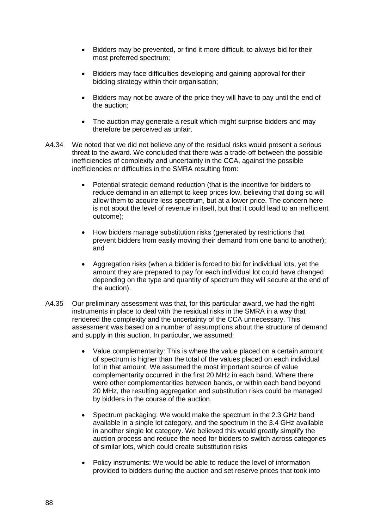- Bidders may be prevented, or find it more difficult, to always bid for their most preferred spectrum;
- Bidders may face difficulties developing and gaining approval for their bidding strategy within their organisation;
- Bidders may not be aware of the price they will have to pay until the end of the auction;
- The auction may generate a result which might surprise bidders and may therefore be perceived as unfair.
- A4.34 We noted that we did not believe any of the residual risks would present a serious threat to the award. We concluded that there was a trade-off between the possible inefficiencies of complexity and uncertainty in the CCA, against the possible inefficiencies or difficulties in the SMRA resulting from:
	- Potential strategic demand reduction (that is the incentive for bidders to reduce demand in an attempt to keep prices low, believing that doing so will allow them to acquire less spectrum, but at a lower price. The concern here is not about the level of revenue in itself, but that it could lead to an inefficient outcome);
	- How bidders manage substitution risks (generated by restrictions that prevent bidders from easily moving their demand from one band to another); and
	- Aggregation risks (when a bidder is forced to bid for individual lots, yet the amount they are prepared to pay for each individual lot could have changed depending on the type and quantity of spectrum they will secure at the end of the auction).
- A4.35 Our preliminary assessment was that, for this particular award, we had the right instruments in place to deal with the residual risks in the SMRA in a way that rendered the complexity and the uncertainty of the CCA unnecessary. This assessment was based on a number of assumptions about the structure of demand and supply in this auction. In particular, we assumed:
	- Value complementarity: This is where the value placed on a certain amount of spectrum is higher than the total of the values placed on each individual lot in that amount. We assumed the most important source of value complementarity occurred in the first 20 MHz in each band. Where there were other complementarities between bands, or within each band beyond 20 MHz, the resulting aggregation and substitution risks could be managed by bidders in the course of the auction.
	- Spectrum packaging: We would make the spectrum in the 2.3 GHz band available in a single lot category, and the spectrum in the 3.4 GHz available in another single lot category. We believed this would greatly simplify the auction process and reduce the need for bidders to switch across categories of similar lots, which could create substitution risks
	- Policy instruments: We would be able to reduce the level of information provided to bidders during the auction and set reserve prices that took into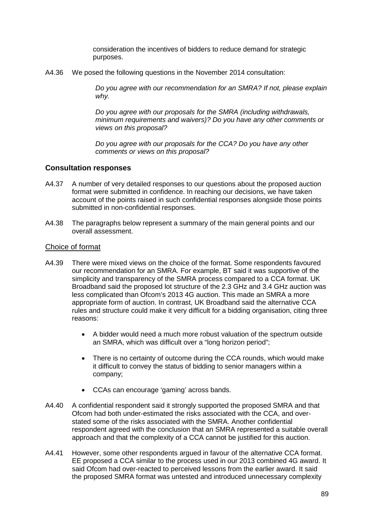consideration the incentives of bidders to reduce demand for strategic purposes.

A4.36 We posed the following questions in the November 2014 consultation:

*Do you agree with our recommendation for an SMRA? If not, please explain why.*

*Do you agree with our proposals for the SMRA (including withdrawals, minimum requirements and waivers)? Do you have any other comments or views on this proposal?*

*Do you agree with our proposals for the CCA? Do you have any other comments or views on this proposal?*

## **Consultation responses**

- A4.37 A number of very detailed responses to our questions about the proposed auction format were submitted in confidence. In reaching our decisions, we have taken account of the points raised in such confidential responses alongside those points submitted in non-confidential responses.
- A4.38 The paragraphs below represent a summary of the main general points and our overall assessment.

### Choice of format

- A4.39 There were mixed views on the choice of the format. Some respondents favoured our recommendation for an SMRA. For example, BT said it was supportive of the simplicity and transparency of the SMRA process compared to a CCA format. UK Broadband said the proposed lot structure of the 2.3 GHz and 3.4 GHz auction was less complicated than Ofcom's 2013 4G auction. This made an SMRA a more appropriate form of auction. In contrast, UK Broadband said the alternative CCA rules and structure could make it very difficult for a bidding organisation, citing three reasons:
	- A bidder would need a much more robust valuation of the spectrum outside an SMRA, which was difficult over a "long horizon period";
	- There is no certainty of outcome during the CCA rounds, which would make it difficult to convey the status of bidding to senior managers within a company;
	- CCAs can encourage 'gaming' across bands.
- A4.40 A confidential respondent said it strongly supported the proposed SMRA and that Ofcom had both under-estimated the risks associated with the CCA, and overstated some of the risks associated with the SMRA. Another confidential respondent agreed with the conclusion that an SMRA represented a suitable overall approach and that the complexity of a CCA cannot be justified for this auction.
- A4.41 However, some other respondents argued in favour of the alternative CCA format. EE proposed a CCA similar to the process used in our 2013 combined 4G award. It said Ofcom had over-reacted to perceived lessons from the earlier award. It said the proposed SMRA format was untested and introduced unnecessary complexity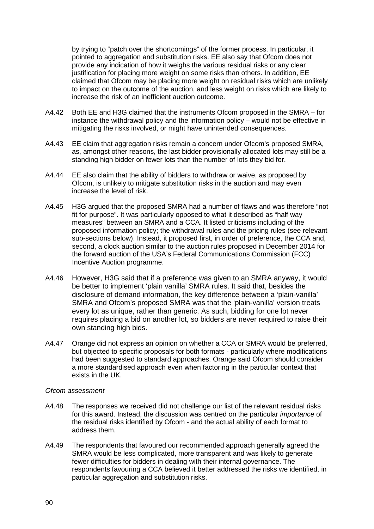by trying to "patch over the shortcomings" of the former process. In particular, it pointed to aggregation and substitution risks. EE also say that Ofcom does not provide any indication of how it weighs the various residual risks or any clear justification for placing more weight on some risks than others. In addition, EE claimed that Ofcom may be placing more weight on residual risks which are unlikely to impact on the outcome of the auction, and less weight on risks which are likely to increase the risk of an inefficient auction outcome.

- A4.42 Both EE and H3G claimed that the instruments Ofcom proposed in the SMRA for instance the withdrawal policy and the information policy – would not be effective in mitigating the risks involved, or might have unintended consequences.
- A4.43 EE claim that aggregation risks remain a concern under Ofcom's proposed SMRA, as, amongst other reasons, the last bidder provisionally allocated lots may still be a standing high bidder on fewer lots than the number of lots they bid for.
- A4.44 EE also claim that the ability of bidders to withdraw or waive, as proposed by Ofcom, is unlikely to mitigate substitution risks in the auction and may even increase the level of risk.
- A4.45 H3G argued that the proposed SMRA had a number of flaws and was therefore "not fit for purpose". It was particularly opposed to what it described as "half way measures" between an SMRA and a CCA. It listed criticisms including of the proposed information policy; the withdrawal rules and the pricing rules (see relevant sub-sections below). Instead, it proposed first, in order of preference, the CCA and, second, a clock auction similar to the auction rules proposed in December 2014 for the forward auction of the USA's Federal Communications Commission (FCC) Incentive Auction programme.
- A4.46 However, H3G said that if a preference was given to an SMRA anyway, it would be better to implement 'plain vanilla' SMRA rules. It said that, besides the disclosure of demand information, the key difference between a 'plain-vanilla' SMRA and Ofcom's proposed SMRA was that the 'plain-vanilla' version treats every lot as unique, rather than generic. As such, bidding for one lot never requires placing a bid on another lot, so bidders are never required to raise their own standing high bids.
- A4.47 Orange did not express an opinion on whether a CCA or SMRA would be preferred, but objected to specific proposals for both formats - particularly where modifications had been suggested to standard approaches. Orange said Ofcom should consider a more standardised approach even when factoring in the particular context that exists in the UK.

- A4.48 The responses we received did not challenge our list of the relevant residual risks for this award. Instead, the discussion was centred on the particular *importance* of the residual risks identified by Ofcom - and the actual ability of each format to address them.
- A4.49 The respondents that favoured our recommended approach generally agreed the SMRA would be less complicated, more transparent and was likely to generate fewer difficulties for bidders in dealing with their internal governance. The respondents favouring a CCA believed it better addressed the risks we identified, in particular aggregation and substitution risks.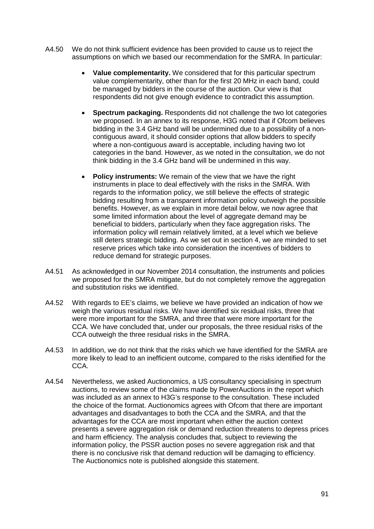- A4.50 We do not think sufficient evidence has been provided to cause us to reject the assumptions on which we based our recommendation for the SMRA. In particular:
	- **Value complementarity.** We considered that for this particular spectrum value complementarity, other than for the first 20 MHz in each band, could be managed by bidders in the course of the auction. Our view is that respondents did not give enough evidence to contradict this assumption.
	- **Spectrum packaging.** Respondents did not challenge the two lot categories we proposed. In an annex to its response, H3G noted that if Ofcom believes bidding in the 3.4 GHz band will be undermined due to a possibility of a noncontiguous award, it should consider options that allow bidders to specify where a non-contiguous award is acceptable, including having two lot categories in the band. However, as we noted in the consultation, we do not think bidding in the 3.4 GHz band will be undermined in this way.
	- **Policy instruments:** We remain of the view that we have the right instruments in place to deal effectively with the risks in the SMRA. With regards to the information policy, we still believe the effects of strategic bidding resulting from a transparent information policy outweigh the possible benefits. However, as we explain in more detail below, we now agree that some limited information about the level of aggregate demand may be beneficial to bidders, particularly when they face aggregation risks. The information policy will remain relatively limited, at a level which we believe still deters strategic bidding. As we set out in section 4, we are minded to set reserve prices which take into consideration the incentives of bidders to reduce demand for strategic purposes.
- A4.51 As acknowledged in our November 2014 consultation, the instruments and policies we proposed for the SMRA mitigate, but do not completely remove the aggregation and substitution risks we identified.
- A4.52 With regards to EE's claims, we believe we have provided an indication of how we weigh the various residual risks. We have identified six residual risks, three that were more important for the SMRA, and three that were more important for the CCA. We have concluded that, under our proposals, the three residual risks of the CCA outweigh the three residual risks in the SMRA.
- A4.53 In addition, we do not think that the risks which we have identified for the SMRA are more likely to lead to an inefficient outcome, compared to the risks identified for the CCA.
- A4.54 Nevertheless, we asked Auctionomics, a US consultancy specialising in spectrum auctions, to review some of the claims made by PowerAuctions in the report which was included as an annex to H3G's response to the consultation. These included the choice of the format. Auctionomics agrees with Ofcom that there are important advantages and disadvantages to both the CCA and the SMRA, and that the advantages for the CCA are most important when either the auction context presents a severe aggregation risk or demand reduction threatens to depress prices and harm efficiency. The analysis concludes that, subject to reviewing the information policy, the PSSR auction poses no severe aggregation risk and that there is no conclusive risk that demand reduction will be damaging to efficiency. The Auctionomics note is published alongside this statement.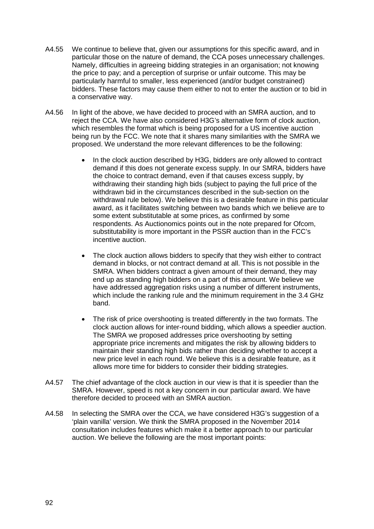- A4.55 We continue to believe that, given our assumptions for this specific award, and in particular those on the nature of demand, the CCA poses unnecessary challenges. Namely, difficulties in agreeing bidding strategies in an organisation; not knowing the price to pay; and a perception of surprise or unfair outcome. This may be particularly harmful to smaller, less experienced (and/or budget constrained) bidders. These factors may cause them either to not to enter the auction or to bid in a conservative way.
- A4.56 In light of the above, we have decided to proceed with an SMRA auction, and to reject the CCA. We have also considered H3G's alternative form of clock auction, which resembles the format which is being proposed for a US incentive auction being run by the FCC. We note that it shares many similarities with the SMRA we proposed. We understand the more relevant differences to be the following:
	- In the clock auction described by H3G, bidders are only allowed to contract demand if this does not generate excess supply. In our SMRA, bidders have the choice to contract demand, even if that causes excess supply, by withdrawing their standing high bids (subject to paying the full price of the withdrawn bid in the circumstances described in the sub-section on the withdrawal rule below). We believe this is a desirable feature in this particular award, as it facilitates switching between two bands which we believe are to some extent substitutable at some prices, as confirmed by some respondents. As Auctionomics points out in the note prepared for Ofcom, substitutability is more important in the PSSR auction than in the FCC's incentive auction.
	- The clock auction allows bidders to specify that they wish either to contract demand in blocks, or not contract demand at all. This is not possible in the SMRA. When bidders contract a given amount of their demand, they may end up as standing high bidders on a part of this amount. We believe we have addressed aggregation risks using a number of different instruments, which include the ranking rule and the minimum requirement in the 3.4 GHz band.
	- The risk of price overshooting is treated differently in the two formats. The clock auction allows for inter-round bidding, which allows a speedier auction. The SMRA we proposed addresses price overshooting by setting appropriate price increments and mitigates the risk by allowing bidders to maintain their standing high bids rather than deciding whether to accept a new price level in each round. We believe this is a desirable feature, as it allows more time for bidders to consider their bidding strategies.
- A4.57 The chief advantage of the clock auction in our view is that it is speedier than the SMRA. However, speed is not a key concern in our particular award. We have therefore decided to proceed with an SMRA auction.
- A4.58 In selecting the SMRA over the CCA, we have considered H3G's suggestion of a 'plain vanilla' version. We think the SMRA proposed in the November 2014 consultation includes features which make it a better approach to our particular auction. We believe the following are the most important points: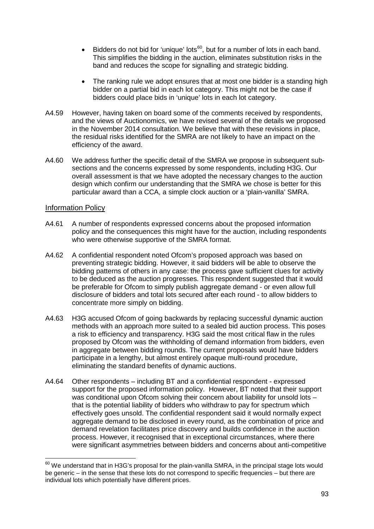- Bidders do not bid for 'unique' lots<sup>60</sup>, but for a number of lots in each band. This simplifies the bidding in the auction, eliminates substitution risks in the band and reduces the scope for signalling and strategic bidding.
- The ranking rule we adopt ensures that at most one bidder is a standing high bidder on a partial bid in each lot category. This might not be the case if bidders could place bids in 'unique' lots in each lot category.
- A4.59 However, having taken on board some of the comments received by respondents, and the views of Auctionomics, we have revised several of the details we proposed in the November 2014 consultation. We believe that with these revisions in place, the residual risks identified for the SMRA are not likely to have an impact on the efficiency of the award.
- A4.60 We address further the specific detail of the SMRA we propose in subsequent subsections and the concerns expressed by some respondents, including H3G. Our overall assessment is that we have adopted the necessary changes to the auction design which confirm our understanding that the SMRA we chose is better for this particular award than a CCA, a simple clock auction or a 'plain-vanilla' SMRA.

# Information Policy

- A4.61 A number of respondents expressed concerns about the proposed information policy and the consequences this might have for the auction, including respondents who were otherwise supportive of the SMRA format.
- A4.62 A confidential respondent noted Ofcom's proposed approach was based on preventing strategic bidding. However, it said bidders will be able to observe the bidding patterns of others in any case: the process gave sufficient clues for activity to be deduced as the auction progresses. This respondent suggested that it would be preferable for Ofcom to simply publish aggregate demand - or even allow full disclosure of bidders and total lots secured after each round - to allow bidders to concentrate more simply on bidding.
- A4.63 H3G accused Ofcom of going backwards by replacing successful dynamic auction methods with an approach more suited to a sealed bid auction process. This poses a risk to efficiency and transparency. H3G said the most critical flaw in the rules proposed by Ofcom was the withholding of demand information from bidders, even in aggregate between bidding rounds. The current proposals would have bidders participate in a lengthy, but almost entirely opaque multi-round procedure, eliminating the standard benefits of dynamic auctions.
- A4.64 Other respondents including BT and a confidential respondent expressed support for the proposed information policy. However, BT noted that their support was conditional upon Ofcom solving their concern about liability for unsold lots that is the potential liability of bidders who withdraw to pay for spectrum which effectively goes unsold. The confidential respondent said it would normally expect aggregate demand to be disclosed in every round, as the combination of price and demand revelation facilitates price discovery and builds confidence in the auction process. However, it recognised that in exceptional circumstances, where there were significant asymmetries between bidders and concerns about anti-competitive

<span id="page-93-0"></span> $^{60}$  We understand that in H3G's proposal for the plain-vanilla SMRA, in the principal stage lots would be generic – in the sense that these lots do not correspond to specific frequencies – but there are individual lots which potentially have different prices.  $\overline{a}$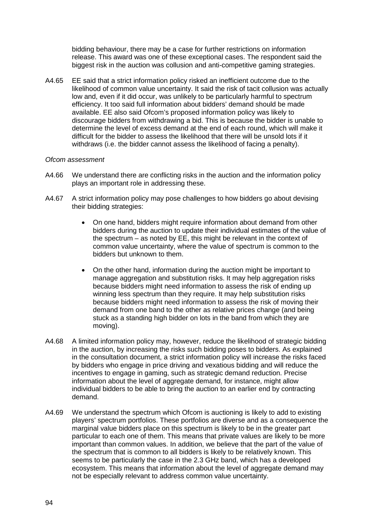bidding behaviour, there may be a case for further restrictions on information release. This award was one of these exceptional cases. The respondent said the biggest risk in the auction was collusion and anti-competitive gaming strategies.

A4.65 EE said that a strict information policy risked an inefficient outcome due to the likelihood of common value uncertainty. It said the risk of tacit collusion was actually low and, even if it did occur, was unlikely to be particularly harmful to spectrum efficiency. It too said full information about bidders' demand should be made available. EE also said Ofcom's proposed information policy was likely to discourage bidders from withdrawing a bid. This is because the bidder is unable to determine the level of excess demand at the end of each round, which will make it difficult for the bidder to assess the likelihood that there will be unsold lots if it withdraws (i.e. the bidder cannot assess the likelihood of facing a penalty).

- A4.66 We understand there are conflicting risks in the auction and the information policy plays an important role in addressing these.
- A4.67 A strict information policy may pose challenges to how bidders go about devising their bidding strategies:
	- On one hand, bidders might require information about demand from other bidders during the auction to update their individual estimates of the value of the spectrum – as noted by EE, this might be relevant in the context of common value uncertainty, where the value of spectrum is common to the bidders but unknown to them.
	- On the other hand, information during the auction might be important to manage aggregation and substitution risks. It may help aggregation risks because bidders might need information to assess the risk of ending up winning less spectrum than they require. It may help substitution risks because bidders might need information to assess the risk of moving their demand from one band to the other as relative prices change (and being stuck as a standing high bidder on lots in the band from which they are moving).
- A4.68 A limited information policy may, however, reduce the likelihood of strategic bidding in the auction, by increasing the risks such bidding poses to bidders. As explained in the consultation document, a strict information policy will increase the risks faced by bidders who engage in price driving and vexatious bidding and will reduce the incentives to engage in gaming, such as strategic demand reduction. Precise information about the level of aggregate demand, for instance, might allow individual bidders to be able to bring the auction to an earlier end by contracting demand.
- A4.69 We understand the spectrum which Ofcom is auctioning is likely to add to existing players' spectrum portfolios. These portfolios are diverse and as a consequence the marginal value bidders place on this spectrum is likely to be in the greater part particular to each one of them. This means that private values are likely to be more important than common values. In addition, we believe that the part of the value of the spectrum that is common to all bidders is likely to be relatively known. This seems to be particularly the case in the 2.3 GHz band, which has a developed ecosystem. This means that information about the level of aggregate demand may not be especially relevant to address common value uncertainty.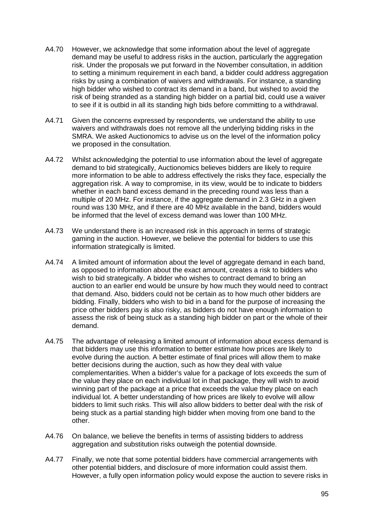- A4.70 However, we acknowledge that some information about the level of aggregate demand may be useful to address risks in the auction, particularly the aggregation risk. Under the proposals we put forward in the November consultation, in addition to setting a minimum requirement in each band, a bidder could address aggregation risks by using a combination of waivers and withdrawals. For instance, a standing high bidder who wished to contract its demand in a band, but wished to avoid the risk of being stranded as a standing high bidder on a partial bid, could use a waiver to see if it is outbid in all its standing high bids before committing to a withdrawal.
- A4.71 Given the concerns expressed by respondents, we understand the ability to use waivers and withdrawals does not remove all the underlying bidding risks in the SMRA. We asked Auctionomics to advise us on the level of the information policy we proposed in the consultation.
- A4.72 Whilst acknowledging the potential to use information about the level of aggregate demand to bid strategically, Auctionomics believes bidders are likely to require more information to be able to address effectively the risks they face, especially the aggregation risk. A way to compromise, in its view, would be to indicate to bidders whether in each band excess demand in the preceding round was less than a multiple of 20 MHz. For instance, if the aggregate demand in 2.3 GHz in a given round was 130 MHz, and if there are 40 MHz available in the band, bidders would be informed that the level of excess demand was lower than 100 MHz.
- A4.73 We understand there is an increased risk in this approach in terms of strategic gaming in the auction. However, we believe the potential for bidders to use this information strategically is limited.
- A4.74 A limited amount of information about the level of aggregate demand in each band, as opposed to information about the exact amount, creates a risk to bidders who wish to bid strategically. A bidder who wishes to contract demand to bring an auction to an earlier end would be unsure by how much they would need to contract that demand. Also, bidders could not be certain as to how much other bidders are bidding. Finally, bidders who wish to bid in a band for the purpose of increasing the price other bidders pay is also risky, as bidders do not have enough information to assess the risk of being stuck as a standing high bidder on part or the whole of their demand.
- A4.75 The advantage of releasing a limited amount of information about excess demand is that bidders may use this information to better estimate how prices are likely to evolve during the auction. A better estimate of final prices will allow them to make better decisions during the auction, such as how they deal with value complementarities. When a bidder's value for a package of lots exceeds the sum of the value they place on each individual lot in that package, they will wish to avoid winning part of the package at a price that exceeds the value they place on each individual lot. A better understanding of how prices are likely to evolve will allow bidders to limit such risks. This will also allow bidders to better deal with the risk of being stuck as a partial standing high bidder when moving from one band to the other.
- A4.76 On balance, we believe the benefits in terms of assisting bidders to address aggregation and substitution risks outweigh the potential downside.
- A4.77 Finally, we note that some potential bidders have commercial arrangements with other potential bidders, and disclosure of more information could assist them. However, a fully open information policy would expose the auction to severe risks in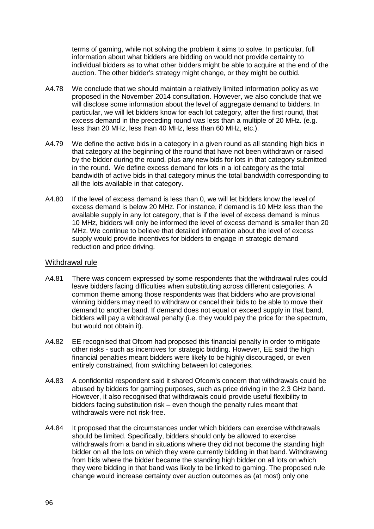terms of gaming, while not solving the problem it aims to solve. In particular, full information about what bidders are bidding on would not provide certainty to individual bidders as to what other bidders might be able to acquire at the end of the auction. The other bidder's strategy might change, or they might be outbid.

- A4.78 We conclude that we should maintain a relatively limited information policy as we proposed in the November 2014 consultation. However, we also conclude that we will disclose some information about the level of aggregate demand to bidders. In particular, we will let bidders know for each lot category, after the first round, that excess demand in the preceding round was less than a multiple of 20 MHz. (e.g. less than 20 MHz, less than 40 MHz, less than 60 MHz, etc.).
- A4.79 We define the active bids in a category in a given round as all standing high bids in that category at the beginning of the round that have not been withdrawn or raised by the bidder during the round, plus any new bids for lots in that category submitted in the round. We define excess demand for lots in a lot category as the total bandwidth of active bids in that category minus the total bandwidth corresponding to all the lots available in that category.
- A4.80 If the level of excess demand is less than 0, we will let bidders know the level of excess demand is below 20 MHz. For instance, if demand is 10 MHz less than the available supply in any lot category, that is if the level of excess demand is minus 10 MHz, bidders will only be informed the level of excess demand is smaller than 20 MHz. We continue to believe that detailed information about the level of excess supply would provide incentives for bidders to engage in strategic demand reduction and price driving.

## Withdrawal rule

- A4.81 There was concern expressed by some respondents that the withdrawal rules could leave bidders facing difficulties when substituting across different categories. A common theme among those respondents was that bidders who are provisional winning bidders may need to withdraw or cancel their bids to be able to move their demand to another band. If demand does not equal or exceed supply in that band, bidders will pay a withdrawal penalty (i.e. they would pay the price for the spectrum, but would not obtain it).
- A4.82 EE recognised that Ofcom had proposed this financial penalty in order to mitigate other risks - such as incentives for strategic bidding. However, EE said the high financial penalties meant bidders were likely to be highly discouraged, or even entirely constrained, from switching between lot categories.
- A4.83 A confidential respondent said it shared Ofcom's concern that withdrawals could be abused by bidders for gaming purposes, such as price driving in the 2.3 GHz band. However, it also recognised that withdrawals could provide useful flexibility to bidders facing substitution risk – even though the penalty rules meant that withdrawals were not risk-free.
- A4.84 It proposed that the circumstances under which bidders can exercise withdrawals should be limited. Specifically, bidders should only be allowed to exercise withdrawals from a band in situations where they did not become the standing high bidder on all the lots on which they were currently bidding in that band. Withdrawing from bids where the bidder became the standing high bidder on all lots on which they were bidding in that band was likely to be linked to gaming. The proposed rule change would increase certainty over auction outcomes as (at most) only one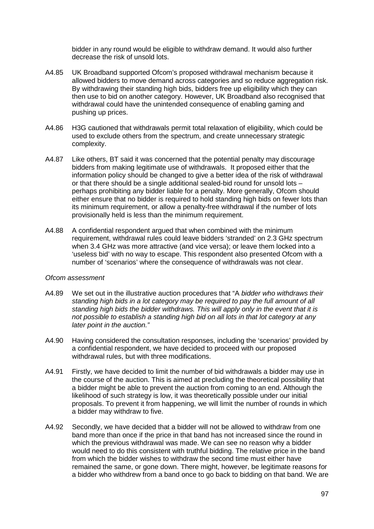bidder in any round would be eligible to withdraw demand. It would also further decrease the risk of unsold lots.

- A4.85 UK Broadband supported Ofcom's proposed withdrawal mechanism because it allowed bidders to move demand across categories and so reduce aggregation risk. By withdrawing their standing high bids, bidders free up eligibility which they can then use to bid on another category. However, UK Broadband also recognised that withdrawal could have the unintended consequence of enabling gaming and pushing up prices.
- A4.86 H3G cautioned that withdrawals permit total relaxation of eligibility, which could be used to exclude others from the spectrum, and create unnecessary strategic complexity.
- A4.87 Like others, BT said it was concerned that the potential penalty may discourage bidders from making legitimate use of withdrawals. It proposed either that the information policy should be changed to give a better idea of the risk of withdrawal or that there should be a single additional sealed-bid round for unsold lots – perhaps prohibiting any bidder liable for a penalty. More generally, Ofcom should either ensure that no bidder is required to hold standing high bids on fewer lots than its minimum requirement, or allow a penalty-free withdrawal if the number of lots provisionally held is less than the minimum requirement.
- A4.88 A confidential respondent argued that when combined with the minimum requirement, withdrawal rules could leave bidders 'stranded' on 2.3 GHz spectrum when 3.4 GHz was more attractive (and vice versa); or leave them locked into a 'useless bid' with no way to escape. This respondent also presented Ofcom with a number of 'scenarios' where the consequence of withdrawals was not clear.

- A4.89 We set out in the illustrative auction procedures that "A *bidder who withdraws their standing high bids in a lot category may be required to pay the full amount of all standing high bids the bidder withdraws. This will apply only in the event that it is not possible to establish a standing high bid on all lots in that lot category at any later point in the auction."*
- A4.90 Having considered the consultation responses, including the 'scenarios' provided by a confidential respondent, we have decided to proceed with our proposed withdrawal rules, but with three modifications.
- A4.91 Firstly, we have decided to limit the number of bid withdrawals a bidder may use in the course of the auction. This is aimed at precluding the theoretical possibility that a bidder might be able to prevent the auction from coming to an end. Although the likelihood of such strategy is low, it was theoretically possible under our initial proposals. To prevent it from happening, we will limit the number of rounds in which a bidder may withdraw to five.
- A4.92 Secondly, we have decided that a bidder will not be allowed to withdraw from one band more than once if the price in that band has not increased since the round in which the previous withdrawal was made. We can see no reason why a bidder would need to do this consistent with truthful bidding. The relative price in the band from which the bidder wishes to withdraw the second time must either have remained the same, or gone down. There might, however, be legitimate reasons for a bidder who withdrew from a band once to go back to bidding on that band. We are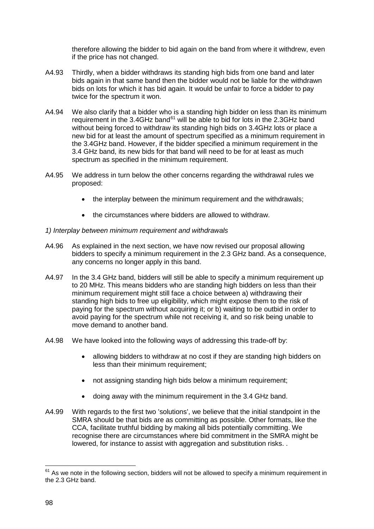therefore allowing the bidder to bid again on the band from where it withdrew, even if the price has not changed.

- A4.93 Thirdly, when a bidder withdraws its standing high bids from one band and later bids again in that same band then the bidder would not be liable for the withdrawn bids on lots for which it has bid again. It would be unfair to force a bidder to pay twice for the spectrum it won.
- A4.94 We also clarify that a bidder who is a standing high bidder on less than its minimum requirement in the 3.4GHz band $^{61}$  $^{61}$  $^{61}$  will be able to bid for lots in the 2.3GHz band without being forced to withdraw its standing high bids on 3.4GHz lots or place a new bid for at least the amount of spectrum specified as a minimum requirement in the 3.4GHz band. However, if the bidder specified a minimum requirement in the 3.4 GHz band, its new bids for that band will need to be for at least as much spectrum as specified in the minimum requirement.
- A4.95 We address in turn below the other concerns regarding the withdrawal rules we proposed:
	- the interplay between the minimum requirement and the withdrawals;
	- the circumstances where bidders are allowed to withdraw.
- *1) Interplay between minimum requirement and withdrawals*
- A4.96 As explained in the next section, we have now revised our proposal allowing bidders to specify a minimum requirement in the 2.3 GHz band. As a consequence, any concerns no longer apply in this band.
- A4.97 In the 3.4 GHz band, bidders will still be able to specify a minimum requirement up to 20 MHz. This means bidders who are standing high bidders on less than their minimum requirement might still face a choice between a) withdrawing their standing high bids to free up eligibility, which might expose them to the risk of paying for the spectrum without acquiring it; or b) waiting to be outbid in order to avoid paying for the spectrum while not receiving it, and so risk being unable to move demand to another band.
- A4.98 We have looked into the following ways of addressing this trade-off by:
	- allowing bidders to withdraw at no cost if they are standing high bidders on less than their minimum requirement;
	- not assigning standing high bids below a minimum requirement;
	- doing away with the minimum requirement in the 3.4 GHz band.
- A4.99 With regards to the first two 'solutions', we believe that the initial standpoint in the SMRA should be that bids are as committing as possible. Other formats, like the CCA, facilitate truthful bidding by making all bids potentially committing. We recognise there are circumstances where bid commitment in the SMRA might be lowered, for instance to assist with aggregation and substitution risks. .

<u>.</u>

<span id="page-98-0"></span> $61$  As we note in the following section, bidders will not be allowed to specify a minimum requirement in the 2.3 GHz band.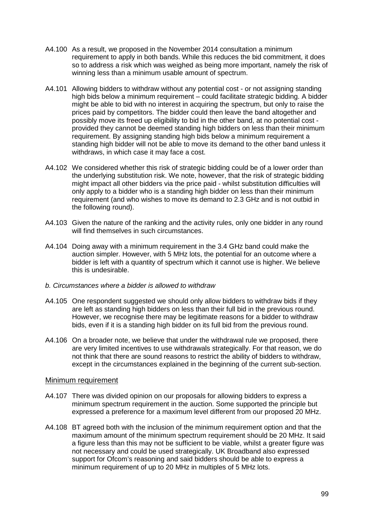- A4.100 As a result, we proposed in the November 2014 consultation a minimum requirement to apply in both bands. While this reduces the bid commitment, it does so to address a risk which was weighed as being more important, namely the risk of winning less than a minimum usable amount of spectrum.
- A4.101 Allowing bidders to withdraw without any potential cost or not assigning standing high bids below a minimum requirement – could facilitate strategic bidding. A bidder might be able to bid with no interest in acquiring the spectrum, but only to raise the prices paid by competitors. The bidder could then leave the band altogether and possibly move its freed up eligibility to bid in the other band, at no potential cost provided they cannot be deemed standing high bidders on less than their minimum requirement. By assigning standing high bids below a minimum requirement a standing high bidder will not be able to move its demand to the other band unless it withdraws, in which case it may face a cost.
- A4.102 We considered whether this risk of strategic bidding could be of a lower order than the underlying substitution risk. We note, however, that the risk of strategic bidding might impact all other bidders via the price paid - whilst substitution difficulties will only apply to a bidder who is a standing high bidder on less than their minimum requirement (and who wishes to move its demand to 2.3 GHz and is not outbid in the following round).
- A4.103 Given the nature of the ranking and the activity rules, only one bidder in any round will find themselves in such circumstances.
- A4.104 Doing away with a minimum requirement in the 3.4 GHz band could make the auction simpler. However, with 5 MHz lots, the potential for an outcome where a bidder is left with a quantity of spectrum which it cannot use is higher. We believe this is undesirable.

### *b. Circumstances where a bidder is allowed to withdraw*

- A4.105 One respondent suggested we should only allow bidders to withdraw bids if they are left as standing high bidders on less than their full bid in the previous round. However, we recognise there may be legitimate reasons for a bidder to withdraw bids, even if it is a standing high bidder on its full bid from the previous round.
- A4.106 On a broader note, we believe that under the withdrawal rule we proposed, there are very limited incentives to use withdrawals strategically. For that reason, we do not think that there are sound reasons to restrict the ability of bidders to withdraw, except in the circumstances explained in the beginning of the current sub-section.

## Minimum requirement

- A4.107 There was divided opinion on our proposals for allowing bidders to express a minimum spectrum requirement in the auction. Some supported the principle but expressed a preference for a maximum level different from our proposed 20 MHz.
- A4.108 BT agreed both with the inclusion of the minimum requirement option and that the maximum amount of the minimum spectrum requirement should be 20 MHz. It said a figure less than this may not be sufficient to be viable, whilst a greater figure was not necessary and could be used strategically. UK Broadband also expressed support for Ofcom's reasoning and said bidders should be able to express a minimum requirement of up to 20 MHz in multiples of 5 MHz lots.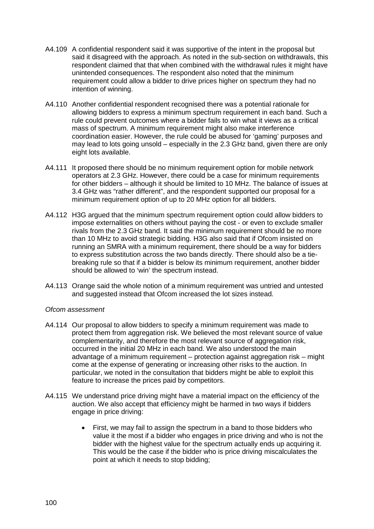- A4.109 A confidential respondent said it was supportive of the intent in the proposal but said it disagreed with the approach. As noted in the sub-section on withdrawals, this respondent claimed that that when combined with the withdrawal rules it might have unintended consequences. The respondent also noted that the minimum requirement could allow a bidder to drive prices higher on spectrum they had no intention of winning.
- A4.110 Another confidential respondent recognised there was a potential rationale for allowing bidders to express a minimum spectrum requirement in each band. Such a rule could prevent outcomes where a bidder fails to win what it views as a critical mass of spectrum. A minimum requirement might also make interference coordination easier. However, the rule could be abused for 'gaming' purposes and may lead to lots going unsold – especially in the 2.3 GHz band, given there are only eight lots available.
- A4.111 It proposed there should be no minimum requirement option for mobile network operators at 2.3 GHz. However, there could be a case for minimum requirements for other bidders – although it should be limited to 10 MHz. The balance of issues at 3.4 GHz was "rather different", and the respondent supported our proposal for a minimum requirement option of up to 20 MHz option for all bidders.
- A4.112 H3G argued that the minimum spectrum requirement option could allow bidders to impose externalities on others without paying the cost - or even to exclude smaller rivals from the 2.3 GHz band. It said the minimum requirement should be no more than 10 MHz to avoid strategic bidding. H3G also said that if Ofcom insisted on running an SMRA with a minimum requirement, there should be a way for bidders to express substitution across the two bands directly. There should also be a tiebreaking rule so that if a bidder is below its minimum requirement, another bidder should be allowed to 'win' the spectrum instead.
- A4.113 Orange said the whole notion of a minimum requirement was untried and untested and suggested instead that Ofcom increased the lot sizes instead.

- A4.114 Our proposal to allow bidders to specify a minimum requirement was made to protect them from aggregation risk. We believed the most relevant source of value complementarity, and therefore the most relevant source of aggregation risk, occurred in the initial 20 MHz in each band. We also understood the main advantage of a minimum requirement – protection against aggregation risk – might come at the expense of generating or increasing other risks to the auction. In particular, we noted in the consultation that bidders might be able to exploit this feature to increase the prices paid by competitors.
- A4.115 We understand price driving might have a material impact on the efficiency of the auction. We also accept that efficiency might be harmed in two ways if bidders engage in price driving:
	- First, we may fail to assign the spectrum in a band to those bidders who value it the most if a bidder who engages in price driving and who is not the bidder with the highest value for the spectrum actually ends up acquiring it. This would be the case if the bidder who is price driving miscalculates the point at which it needs to stop bidding;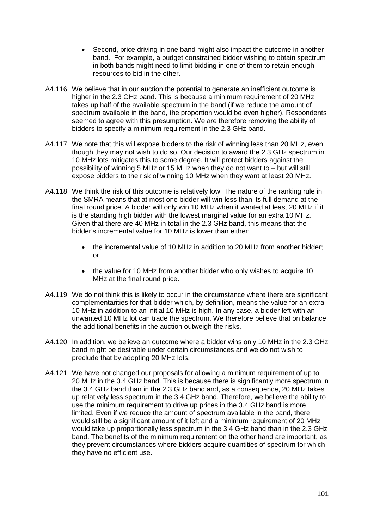- Second, price driving in one band might also impact the outcome in another band. For example, a budget constrained bidder wishing to obtain spectrum in both bands might need to limit bidding in one of them to retain enough resources to bid in the other.
- A4.116 We believe that in our auction the potential to generate an inefficient outcome is higher in the 2.3 GHz band. This is because a minimum requirement of 20 MHz takes up half of the available spectrum in the band (if we reduce the amount of spectrum available in the band, the proportion would be even higher). Respondents seemed to agree with this presumption. We are therefore removing the ability of bidders to specify a minimum requirement in the 2.3 GHz band.
- A4.117 We note that this will expose bidders to the risk of winning less than 20 MHz, even though they may not wish to do so. Our decision to award the 2.3 GHz spectrum in 10 MHz lots mitigates this to some degree. It will protect bidders against the possibility of winning 5 MHz or 15 MHz when they do not want to – but will still expose bidders to the risk of winning 10 MHz when they want at least 20 MHz.
- A4.118 We think the risk of this outcome is relatively low. The nature of the ranking rule in the SMRA means that at most one bidder will win less than its full demand at the final round price. A bidder will only win 10 MHz when it wanted at least 20 MHz if it is the standing high bidder with the lowest marginal value for an extra 10 MHz. Given that there are 40 MHz in total in the 2.3 GHz band, this means that the bidder's incremental value for 10 MHz is lower than either:
	- the incremental value of 10 MHz in addition to 20 MHz from another bidder; or
	- the value for 10 MHz from another bidder who only wishes to acquire 10 MHz at the final round price.
- A4.119 We do not think this is likely to occur in the circumstance where there are significant complementarities for that bidder which, by definition, means the value for an extra 10 MHz in addition to an initial 10 MHz is high. In any case, a bidder left with an unwanted 10 MHz lot can trade the spectrum. We therefore believe that on balance the additional benefits in the auction outweigh the risks.
- A4.120 In addition, we believe an outcome where a bidder wins only 10 MHz in the 2.3 GHz band might be desirable under certain circumstances and we do not wish to preclude that by adopting 20 MHz lots.
- A4.121 We have not changed our proposals for allowing a minimum requirement of up to 20 MHz in the 3.4 GHz band. This is because there is significantly more spectrum in the 3.4 GHz band than in the 2.3 GHz band and, as a consequence, 20 MHz takes up relatively less spectrum in the 3.4 GHz band. Therefore, we believe the ability to use the minimum requirement to drive up prices in the 3.4 GHz band is more limited. Even if we reduce the amount of spectrum available in the band, there would still be a significant amount of it left and a minimum requirement of 20 MHz would take up proportionally less spectrum in the 3.4 GHz band than in the 2.3 GHz band. The benefits of the minimum requirement on the other hand are important, as they prevent circumstances where bidders acquire quantities of spectrum for which they have no efficient use.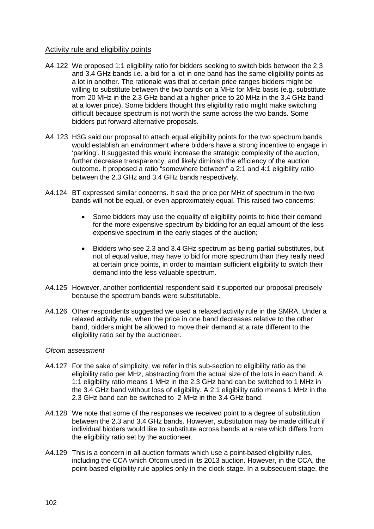# Activity rule and eligibility points

- A4.122 We proposed 1:1 eligibility ratio for bidders seeking to switch bids between the 2.3 and 3.4 GHz bands i.e. a bid for a lot in one band has the same eligibility points as a lot in another. The rationale was that at certain price ranges bidders might be willing to substitute between the two bands on a MHz for MHz basis (e.g. substitute from 20 MHz in the 2.3 GHz band at a higher price to 20 MHz in the 3.4 GHz band at a lower price). Some bidders thought this eligibility ratio might make switching difficult because spectrum is not worth the same across the two bands. Some bidders put forward alternative proposals.
- A4.123 H3G said our proposal to attach equal eligibility points for the two spectrum bands would establish an environment where bidders have a strong incentive to engage in 'parking'. It suggested this would increase the strategic complexity of the auction, further decrease transparency, and likely diminish the efficiency of the auction outcome. It proposed a ratio "somewhere between" a 2:1 and 4:1 eligibility ratio between the 2.3 GHz and 3.4 GHz bands respectively.
- A4.124 BT expressed similar concerns. It said the price per MHz of spectrum in the two bands will not be equal, or even approximately equal. This raised two concerns:
	- Some bidders may use the equality of eligibility points to hide their demand for the more expensive spectrum by bidding for an equal amount of the less expensive spectrum in the early stages of the auction;
	- Bidders who see 2.3 and 3.4 GHz spectrum as being partial substitutes, but not of equal value, may have to bid for more spectrum than they really need at certain price points, in order to maintain sufficient eligibility to switch their demand into the less valuable spectrum.
- A4.125 However, another confidential respondent said it supported our proposal precisely because the spectrum bands were substitutable.
- A4.126 Other respondents suggested we used a relaxed activity rule in the SMRA. Under a relaxed activity rule, when the price in one band decreases relative to the other band, bidders might be allowed to move their demand at a rate different to the eligibility ratio set by the auctioneer.

- A4.127 For the sake of simplicity, we refer in this sub-section to eligibility ratio as the eligibility ratio per MHz, abstracting from the actual size of the lots in each band. A 1:1 eligibility ratio means 1 MHz in the 2.3 GHz band can be switched to 1 MHz in the 3.4 GHz band without loss of eligibility. A 2:1 eligibility ratio means 1 MHz in the 2.3 GHz band can be switched to 2 MHz in the 3.4 GHz band.
- A4.128 We note that some of the responses we received point to a degree of substitution between the 2.3 and 3.4 GHz bands. However, substitution may be made difficult if individual bidders would like to substitute across bands at a rate which differs from the eligibility ratio set by the auctioneer.
- A4.129 This is a concern in all auction formats which use a point-based eligibility rules, including the CCA which Ofcom used in its 2013 auction. However, in the CCA, the point-based eligibility rule applies only in the clock stage. In a subsequent stage, the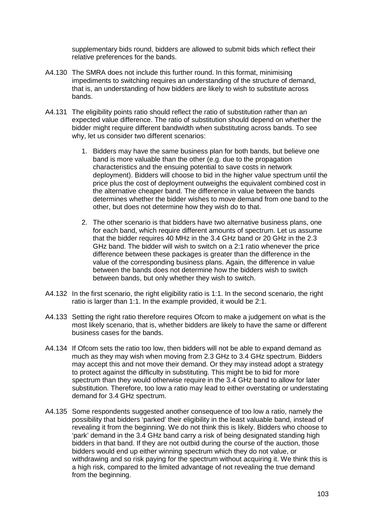supplementary bids round, bidders are allowed to submit bids which reflect their relative preferences for the bands.

- A4.130 The SMRA does not include this further round. In this format, minimising impediments to switching requires an understanding of the structure of demand, that is, an understanding of how bidders are likely to wish to substitute across bands.
- A4.131 The eligibility points ratio should reflect the ratio of substitution rather than an expected value difference. The ratio of substitution should depend on whether the bidder might require different bandwidth when substituting across bands. To see why, let us consider two different scenarios:
	- 1. Bidders may have the same business plan for both bands, but believe one band is more valuable than the other (e.g. due to the propagation characteristics and the ensuing potential to save costs in network deployment). Bidders will choose to bid in the higher value spectrum until the price plus the cost of deployment outweighs the equivalent combined cost in the alternative cheaper band. The difference in value between the bands determines whether the bidder wishes to move demand from one band to the other, but does not determine how they wish do to that.
	- 2. The other scenario is that bidders have two alternative business plans, one for each band, which require different amounts of spectrum. Let us assume that the bidder requires 40 MHz in the 3.4 GHz band or 20 GHz in the 2.3 GHz band. The bidder will wish to switch on a 2:1 ratio whenever the price difference between these packages is greater than the difference in the value of the corresponding business plans. Again, the difference in value between the bands does not determine how the bidders wish to switch between bands, but only whether they wish to switch.
- A4.132 In the first scenario, the right eligibility ratio is 1:1. In the second scenario, the right ratio is larger than 1:1. In the example provided, it would be 2:1.
- A4.133 Setting the right ratio therefore requires Ofcom to make a judgement on what is the most likely scenario, that is, whether bidders are likely to have the same or different business cases for the bands.
- A4.134 If Ofcom sets the ratio too low, then bidders will not be able to expand demand as much as they may wish when moving from 2.3 GHz to 3.4 GHz spectrum. Bidders may accept this and not move their demand. Or they may instead adopt a strategy to protect against the difficulty in substituting. This might be to bid for more spectrum than they would otherwise require in the 3.4 GHz band to allow for later substitution. Therefore, too low a ratio may lead to either overstating or understating demand for 3.4 GHz spectrum.
- A4.135 Some respondents suggested another consequence of too low a ratio, namely the possibility that bidders 'parked' their eligibility in the least valuable band, instead of revealing it from the beginning. We do not think this is likely. Bidders who choose to 'park' demand in the 3.4 GHz band carry a risk of being designated standing high bidders in that band. If they are not outbid during the course of the auction, those bidders would end up either winning spectrum which they do not value, or withdrawing and so risk paying for the spectrum without acquiring it. We think this is a high risk, compared to the limited advantage of not revealing the true demand from the beginning.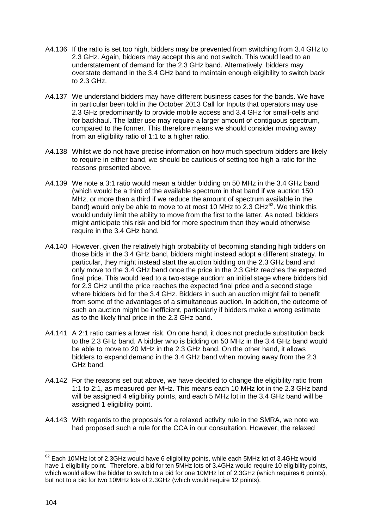- A4.136 If the ratio is set too high, bidders may be prevented from switching from 3.4 GHz to 2.3 GHz. Again, bidders may accept this and not switch. This would lead to an understatement of demand for the 2.3 GHz band. Alternatively, bidders may overstate demand in the 3.4 GHz band to maintain enough eligibility to switch back to 2.3 GHz.
- A4.137 We understand bidders may have different business cases for the bands. We have in particular been told in the October 2013 Call for Inputs that operators may use 2.3 GHz predominantly to provide mobile access and 3.4 GHz for small-cells and for backhaul. The latter use may require a larger amount of contiguous spectrum, compared to the former. This therefore means we should consider moving away from an eligibility ratio of 1:1 to a higher ratio.
- A4.138 Whilst we do not have precise information on how much spectrum bidders are likely to require in either band, we should be cautious of setting too high a ratio for the reasons presented above.
- A4.139 We note a 3:1 ratio would mean a bidder bidding on 50 MHz in the 3.4 GHz band (which would be a third of the available spectrum in that band if we auction 150 MHz, or more than a third if we reduce the amount of spectrum available in the band) would only be able to move to at most 10 MHz to 2.3 GHz $^{62}$  $^{62}$  $^{62}$ . We think this would unduly limit the ability to move from the first to the latter. As noted, bidders might anticipate this risk and bid for more spectrum than they would otherwise require in the 3.4 GHz band.
- A4.140 However, given the relatively high probability of becoming standing high bidders on those bids in the 3.4 GHz band, bidders might instead adopt a different strategy. In particular, they might instead start the auction bidding on the 2.3 GHz band and only move to the 3.4 GHz band once the price in the 2.3 GHz reaches the expected final price. This would lead to a two-stage auction: an initial stage where bidders bid for 2.3 GHz until the price reaches the expected final price and a second stage where bidders bid for the 3.4 GHz. Bidders in such an auction might fail to benefit from some of the advantages of a simultaneous auction. In addition, the outcome of such an auction might be inefficient, particularly if bidders make a wrong estimate as to the likely final price in the 2.3 GHz band.
- A4.141 A 2:1 ratio carries a lower risk. On one hand, it does not preclude substitution back to the 2.3 GHz band. A bidder who is bidding on 50 MHz in the 3.4 GHz band would be able to move to 20 MHz in the 2.3 GHz band. On the other hand, it allows bidders to expand demand in the 3.4 GHz band when moving away from the 2.3 GHz band.
- A4.142 For the reasons set out above, we have decided to change the eligibility ratio from 1:1 to 2:1, as measured per MHz. This means each 10 MHz lot in the 2.3 GHz band will be assigned 4 eligibility points, and each 5 MHz lot in the 3.4 GHz band will be assigned 1 eligibility point.
- A4.143 With regards to the proposals for a relaxed activity rule in the SMRA, we note we had proposed such a rule for the CCA in our consultation. However, the relaxed

<span id="page-104-0"></span> $^{62}$  Each 10MHz lot of 2.3GHz would have 6 eligibility points, while each 5MHz lot of 3.4GHz would have 1 eligibility point. Therefore, a bid for ten 5MHz lots of 3.4GHz would require 10 eligibility points, which would allow the bidder to switch to a bid for one 10MHz lot of 2.3GHz (which requires 6 points), but not to a bid for two 10MHz lots of 2.3GHz (which would require 12 points). <u>.</u>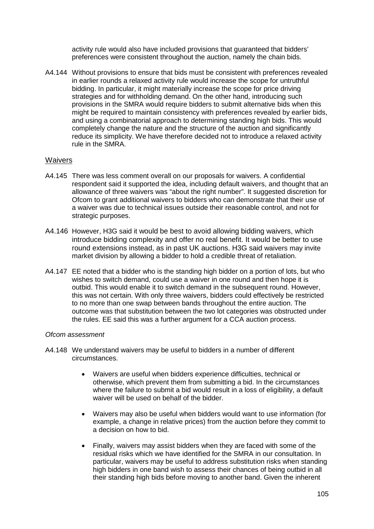activity rule would also have included provisions that guaranteed that bidders' preferences were consistent throughout the auction, namely the chain bids.

A4.144 Without provisions to ensure that bids must be consistent with preferences revealed in earlier rounds a relaxed activity rule would increase the scope for untruthful bidding. In particular, it might materially increase the scope for price driving strategies and for withholding demand. On the other hand, introducing such provisions in the SMRA would require bidders to submit alternative bids when this might be required to maintain consistency with preferences revealed by earlier bids, and using a combinatorial approach to determining standing high bids. This would completely change the nature and the structure of the auction and significantly reduce its simplicity. We have therefore decided not to introduce a relaxed activity rule in the SMRA.

# **Waivers**

- A4.145 There was less comment overall on our proposals for waivers. A confidential respondent said it supported the idea, including default waivers, and thought that an allowance of three waivers was "about the right number". It suggested discretion for Ofcom to grant additional waivers to bidders who can demonstrate that their use of a waiver was due to technical issues outside their reasonable control, and not for strategic purposes.
- A4.146 However, H3G said it would be best to avoid allowing bidding waivers, which introduce bidding complexity and offer no real benefit. It would be better to use round extensions instead, as in past UK auctions. H3G said waivers may invite market division by allowing a bidder to hold a credible threat of retaliation.
- A4.147 EE noted that a bidder who is the standing high bidder on a portion of lots, but who wishes to switch demand, could use a waiver in one round and then hope it is outbid. This would enable it to switch demand in the subsequent round. However, this was not certain. With only three waivers, bidders could effectively be restricted to no more than one swap between bands throughout the entire auction. The outcome was that substitution between the two lot categories was obstructed under the rules. EE said this was a further argument for a CCA auction process.

- A4.148 We understand waivers may be useful to bidders in a number of different circumstances.
	- Waivers are useful when bidders experience difficulties, technical or otherwise, which prevent them from submitting a bid. In the circumstances where the failure to submit a bid would result in a loss of eligibility, a default waiver will be used on behalf of the bidder.
	- Waivers may also be useful when bidders would want to use information (for example, a change in relative prices) from the auction before they commit to a decision on how to bid.
	- Finally, waivers may assist bidders when they are faced with some of the residual risks which we have identified for the SMRA in our consultation. In particular, waivers may be useful to address substitution risks when standing high bidders in one band wish to assess their chances of being outbid in all their standing high bids before moving to another band. Given the inherent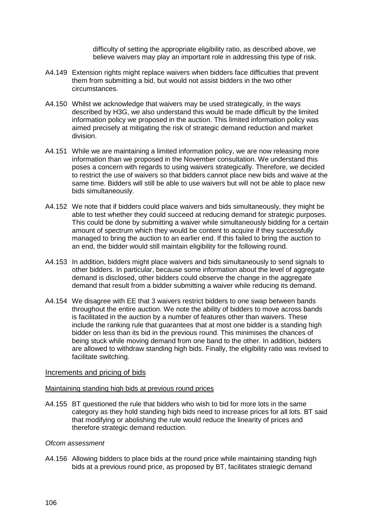difficulty of setting the appropriate eligibility ratio, as described above, we believe waivers may play an important role in addressing this type of risk.

- A4.149 Extension rights might replace waivers when bidders face difficulties that prevent them from submitting a bid, but would not assist bidders in the two other circumstances.
- A4.150 Whilst we acknowledge that waivers may be used strategically, in the ways described by H3G, we also understand this would be made difficult by the limited information policy we proposed in the auction. This limited information policy was aimed precisely at mitigating the risk of strategic demand reduction and market division.
- A4.151 While we are maintaining a limited information policy, we are now releasing more information than we proposed in the November consultation. We understand this poses a concern with regards to using waivers strategically. Therefore, we decided to restrict the use of waivers so that bidders cannot place new bids and waive at the same time. Bidders will still be able to use waivers but will not be able to place new bids simultaneously.
- A4.152 We note that if bidders could place waivers and bids simultaneously, they might be able to test whether they could succeed at reducing demand for strategic purposes. This could be done by submitting a waiver while simultaneously bidding for a certain amount of spectrum which they would be content to acquire if they successfully managed to bring the auction to an earlier end. If this failed to bring the auction to an end, the bidder would still maintain eligibility for the following round.
- A4.153 In addition, bidders might place waivers and bids simultaneously to send signals to other bidders. In particular, because some information about the level of aggregate demand is disclosed, other bidders could observe the change in the aggregate demand that result from a bidder submitting a waiver while reducing its demand.
- A4.154 We disagree with EE that 3 waivers restrict bidders to one swap between bands throughout the entire auction. We note the ability of bidders to move across bands is facilitated in the auction by a number of features other than waivers. These include the ranking rule that guarantees that at most one bidder is a standing high bidder on less than its bid in the previous round. This minimises the chances of being stuck while moving demand from one band to the other. In addition, bidders are allowed to withdraw standing high bids. Finally, the eligibility ratio was revised to facilitate switching.

### Increments and pricing of bids

### Maintaining standing high bids at previous round prices

A4.155 BT questioned the rule that bidders who wish to bid for more lots in the same category as they hold standing high bids need to increase prices for all lots. BT said that modifying or abolishing the rule would reduce the linearity of prices and therefore strategic demand reduction.

### *Ofcom assessment*

A4.156 Allowing bidders to place bids at the round price while maintaining standing high bids at a previous round price, as proposed by BT, facilitates strategic demand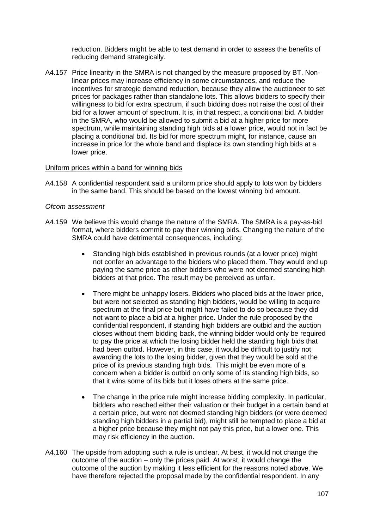reduction. Bidders might be able to test demand in order to assess the benefits of reducing demand strategically.

A4.157 Price linearity in the SMRA is not changed by the measure proposed by BT. Nonlinear prices may increase efficiency in some circumstances, and reduce the incentives for strategic demand reduction, because they allow the auctioneer to set prices for packages rather than standalone lots. This allows bidders to specify their willingness to bid for extra spectrum, if such bidding does not raise the cost of their bid for a lower amount of spectrum. It is, in that respect, a conditional bid. A bidder in the SMRA, who would be allowed to submit a bid at a higher price for more spectrum, while maintaining standing high bids at a lower price, would not in fact be placing a conditional bid. Its bid for more spectrum might, for instance, cause an increase in price for the whole band and displace its own standing high bids at a lower price.

### Uniform prices within a band for winning bids

A4.158 A confidential respondent said a uniform price should apply to lots won by bidders in the same band. This should be based on the lowest winning bid amount.

- A4.159 We believe this would change the nature of the SMRA. The SMRA is a pay-as-bid format, where bidders commit to pay their winning bids. Changing the nature of the SMRA could have detrimental consequences, including:
	- Standing high bids established in previous rounds (at a lower price) might not confer an advantage to the bidders who placed them. They would end up paying the same price as other bidders who were not deemed standing high bidders at that price. The result may be perceived as unfair.
	- There might be unhappy losers. Bidders who placed bids at the lower price, but were not selected as standing high bidders, would be willing to acquire spectrum at the final price but might have failed to do so because they did not want to place a bid at a higher price. Under the rule proposed by the confidential respondent, if standing high bidders are outbid and the auction closes without them bidding back, the winning bidder would only be required to pay the price at which the losing bidder held the standing high bids that had been outbid. However, in this case, it would be difficult to justify not awarding the lots to the losing bidder, given that they would be sold at the price of its previous standing high bids. This might be even more of a concern when a bidder is outbid on only some of its standing high bids, so that it wins some of its bids but it loses others at the same price.
	- The change in the price rule might increase bidding complexity. In particular, bidders who reached either their valuation or their budget in a certain band at a certain price, but were not deemed standing high bidders (or were deemed standing high bidders in a partial bid), might still be tempted to place a bid at a higher price because they might not pay this price, but a lower one. This may risk efficiency in the auction.
- A4.160 The upside from adopting such a rule is unclear. At best, it would not change the outcome of the auction – only the prices paid. At worst, it would change the outcome of the auction by making it less efficient for the reasons noted above. We have therefore rejected the proposal made by the confidential respondent. In any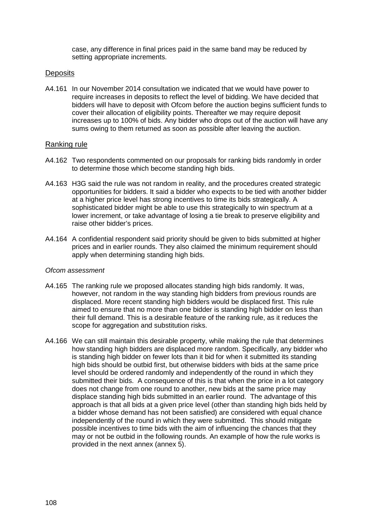case, any difference in final prices paid in the same band may be reduced by setting appropriate increments.

#### **Deposits**

A4.161 In our November 2014 consultation we indicated that we would have power to require increases in deposits to reflect the level of bidding. We have decided that bidders will have to deposit with Ofcom before the auction begins sufficient funds to cover their allocation of eligibility points. Thereafter we may require deposit increases up to 100% of bids. Any bidder who drops out of the auction will have any sums owing to them returned as soon as possible after leaving the auction.

#### Ranking rule

- A4.162 Two respondents commented on our proposals for ranking bids randomly in order to determine those which become standing high bids.
- A4.163 H3G said the rule was not random in reality, and the procedures created strategic opportunities for bidders. It said a bidder who expects to be tied with another bidder at a higher price level has strong incentives to time its bids strategically. A sophisticated bidder might be able to use this strategically to win spectrum at a lower increment, or take advantage of losing a tie break to preserve eligibility and raise other bidder's prices.
- A4.164 A confidential respondent said priority should be given to bids submitted at higher prices and in earlier rounds. They also claimed the minimum requirement should apply when determining standing high bids.

#### *Ofcom assessment*

- A4.165 The ranking rule we proposed allocates standing high bids randomly. It was, however, not random in the way standing high bidders from previous rounds are displaced. More recent standing high bidders would be displaced first. This rule aimed to ensure that no more than one bidder is standing high bidder on less than their full demand. This is a desirable feature of the ranking rule, as it reduces the scope for aggregation and substitution risks.
- A4.166 We can still maintain this desirable property, while making the rule that determines how standing high bidders are displaced more random. Specifically, any bidder who is standing high bidder on fewer lots than it bid for when it submitted its standing high bids should be outbid first, but otherwise bidders with bids at the same price level should be ordered randomly and independently of the round in which they submitted their bids. A consequence of this is that when the price in a lot category does not change from one round to another, new bids at the same price may displace standing high bids submitted in an earlier round. The advantage of this approach is that all bids at a given price level (other than standing high bids held by a bidder whose demand has not been satisfied) are considered with equal chance independently of the round in which they were submitted. This should mitigate possible incentives to time bids with the aim of influencing the chances that they may or not be outbid in the following rounds. An example of how the rule works is provided in the next annex (annex 5).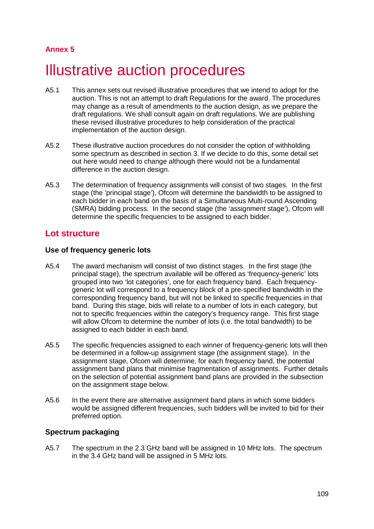# **Annex 5**

# **Illustrative auction procedures**

- A5.1 This annex sets out revised illustrative procedures that we intend to adopt for the auction. This is not an attempt to draft Regulations for the award. The procedures may change as a result of amendments to the auction design, as we prepare the draft regulations. We shall consult again on draft regulations. We are publishing these revised illustrative procedures to help consideration of the practical implementation of the auction design.
- A5.2 These illustrative auction procedures do not consider the option of withholding some spectrum as described in section 3. If we decide to do this, some detail set out here would need to change although there would not be a fundamental difference in the auction design.
- A5.3 The determination of frequency assignments will consist of two stages. In the first stage (the 'principal stage'), Ofcom will determine the bandwidth to be assigned to each bidder in each band on the basis of a Simultaneous Multi-round Ascending (SMRA) bidding process. In the second stage (the 'assignment stage'), Ofcom will determine the specific frequencies to be assigned to each bidder.

# **Lot structure**

## **Use of frequency generic lots**

- A5.4 The award mechanism will consist of two distinct stages. In the first stage (the principal stage), the spectrum available will be offered as 'frequency-generic' lots grouped into two 'lot categories', one for each frequency band. Each frequencygeneric lot will correspond to a frequency block of a pre-specified bandwidth in the corresponding frequency band, but will not be linked to specific frequencies in that band. During this stage, bids will relate to a number of lots in each category, but not to specific frequencies within the category's frequency range. This first stage will allow Ofcom to determine the number of lots (i.e. the total bandwidth) to be assigned to each bidder in each band.
- A5.5 The specific frequencies assigned to each winner of frequency-generic lots will then be determined in a follow-up assignment stage (the assignment stage). In the assignment stage, Ofcom will determine, for each frequency band, the potential assignment band plans that minimise fragmentation of assignments. Further details on the selection of potential assignment band plans are provided in the subsection on the assignment stage below.
- A5.6 In the event there are alternative assignment band plans in which some bidders would be assigned different frequencies, such bidders will be invited to bid for their preferred option.

## **Spectrum packaging**

A5.7 The spectrum in the 2.3 GHz band will be assigned in 10 MHz lots. The spectrum in the 3.4 GHz band will be assigned in 5 MHz lots.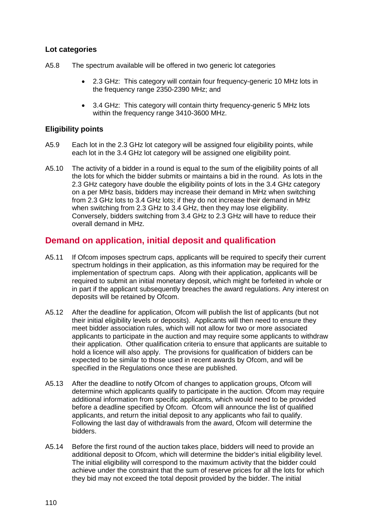## **Lot categories**

- A5.8 The spectrum available will be offered in two generic lot categories
	- 2.3 GHz: This category will contain four frequency-generic 10 MHz lots in the frequency range 2350-2390 MHz; and
	- 3.4 GHz: This category will contain thirty frequency-generic 5 MHz lots within the frequency range 3410-3600 MHz.

## **Eligibility points**

- A5.9 Each lot in the 2.3 GHz lot category will be assigned four eligibility points, while each lot in the 3.4 GHz lot category will be assigned one eligibility point.
- A5.10 The activity of a bidder in a round is equal to the sum of the eligibility points of all the lots for which the bidder submits or maintains a bid in the round. As lots in the 2.3 GHz category have double the eligibility points of lots in the 3.4 GHz category on a per MHz basis, bidders may increase their demand in MHz when switching from 2.3 GHz lots to 3.4 GHz lots; if they do not increase their demand in MHz when switching from 2.3 GHz to 3.4 GHz, then they may lose eligibility. Conversely, bidders switching from 3.4 GHz to 2.3 GHz will have to reduce their overall demand in MHz.

# **Demand on application, initial deposit and qualification**

- A5.11 If Ofcom imposes spectrum caps, applicants will be required to specify their current spectrum holdings in their application, as this information may be required for the implementation of spectrum caps. Along with their application, applicants will be required to submit an initial monetary deposit, which might be forfeited in whole or in part if the applicant subsequently breaches the award regulations. Any interest on deposits will be retained by Ofcom.
- A5.12 After the deadline for application, Ofcom will publish the list of applicants (but not their initial eligibility levels or deposits). Applicants will then need to ensure they meet bidder association rules, which will not allow for two or more associated applicants to participate in the auction and may require some applicants to withdraw their application. Other qualification criteria to ensure that applicants are suitable to hold a licence will also apply. The provisions for qualification of bidders can be expected to be similar to those used in recent awards by Ofcom, and will be specified in the Regulations once these are published.
- A5.13 After the deadline to notify Ofcom of changes to application groups, Ofcom will determine which applicants qualify to participate in the auction. Ofcom may require additional information from specific applicants, which would need to be provided before a deadline specified by Ofcom. Ofcom will announce the list of qualified applicants, and return the initial deposit to any applicants who fail to qualify. Following the last day of withdrawals from the award, Ofcom will determine the bidders.
- A5.14 Before the first round of the auction takes place, bidders will need to provide an additional deposit to Ofcom, which will determine the bidder's initial eligibility level. The initial eligibility will correspond to the maximum activity that the bidder could achieve under the constraint that the sum of reserve prices for all the lots for which they bid may not exceed the total deposit provided by the bidder. The initial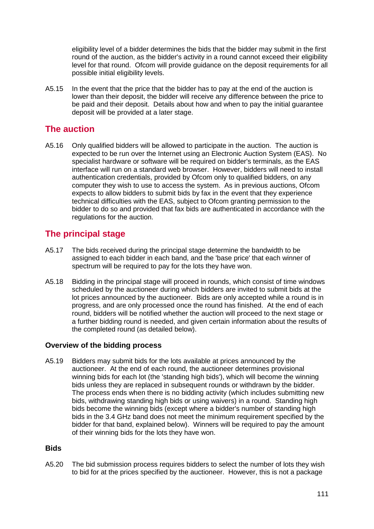eligibility level of a bidder determines the bids that the bidder may submit in the first round of the auction, as the bidder's activity in a round cannot exceed their eligibility level for that round. Ofcom will provide guidance on the deposit requirements for all possible initial eligibility levels.

A5.15 In the event that the price that the bidder has to pay at the end of the auction is lower than their deposit, the bidder will receive any difference between the price to be paid and their deposit. Details about how and when to pay the initial guarantee deposit will be provided at a later stage.

# **The auction**

A5.16 Only qualified bidders will be allowed to participate in the auction. The auction is expected to be run over the Internet using an Electronic Auction System (EAS). No specialist hardware or software will be required on bidder's terminals, as the EAS interface will run on a standard web browser. However, bidders will need to install authentication credentials, provided by Ofcom only to qualified bidders, on any computer they wish to use to access the system. As in previous auctions, Ofcom expects to allow bidders to submit bids by fax in the event that they experience technical difficulties with the EAS, subject to Ofcom granting permission to the bidder to do so and provided that fax bids are authenticated in accordance with the regulations for the auction.

# **The principal stage**

- A5.17 The bids received during the principal stage determine the bandwidth to be assigned to each bidder in each band, and the 'base price' that each winner of spectrum will be required to pay for the lots they have won.
- A5.18 Bidding in the principal stage will proceed in rounds, which consist of time windows scheduled by the auctioneer during which bidders are invited to submit bids at the lot prices announced by the auctioneer. Bids are only accepted while a round is in progress, and are only processed once the round has finished. At the end of each round, bidders will be notified whether the auction will proceed to the next stage or a further bidding round is needed, and given certain information about the results of the completed round (as detailed below).

## **Overview of the bidding process**

A5.19 Bidders may submit bids for the lots available at prices announced by the auctioneer. At the end of each round, the auctioneer determines provisional winning bids for each lot (the 'standing high bids'), which will become the winning bids unless they are replaced in subsequent rounds or withdrawn by the bidder. The process ends when there is no bidding activity (which includes submitting new bids, withdrawing standing high bids or using waivers) in a round. Standing high bids become the winning bids (except where a bidder's number of standing high bids in the 3.4 GHz band does not meet the minimum requirement specified by the bidder for that band, explained below). Winners will be required to pay the amount of their winning bids for the lots they have won.

## **Bids**

A5.20 The bid submission process requires bidders to select the number of lots they wish to bid for at the prices specified by the auctioneer. However, this is not a package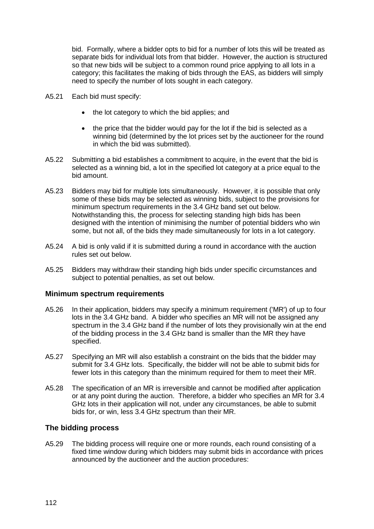bid. Formally, where a bidder opts to bid for a number of lots this will be treated as separate bids for individual lots from that bidder. However, the auction is structured so that new bids will be subject to a common round price applying to all lots in a category; this facilitates the making of bids through the EAS, as bidders will simply need to specify the number of lots sought in each category.

- A5.21 Each bid must specify:
	- the lot category to which the bid applies; and
	- the price that the bidder would pay for the lot if the bid is selected as a winning bid (determined by the lot prices set by the auctioneer for the round in which the bid was submitted).
- A5.22 Submitting a bid establishes a commitment to acquire, in the event that the bid is selected as a winning bid, a lot in the specified lot category at a price equal to the bid amount.
- A5.23 Bidders may bid for multiple lots simultaneously. However, it is possible that only some of these bids may be selected as winning bids, subject to the provisions for minimum spectrum requirements in the 3.4 GHz band set out below. Notwithstanding this, the process for selecting standing high bids has been designed with the intention of minimising the number of potential bidders who win some, but not all, of the bids they made simultaneously for lots in a lot category.
- A5.24 A bid is only valid if it is submitted during a round in accordance with the auction rules set out below.
- A5.25 Bidders may withdraw their standing high bids under specific circumstances and subject to potential penalties, as set out below.

#### **Minimum spectrum requirements**

- A5.26 In their application, bidders may specify a minimum requirement ('MR') of up to four lots in the 3.4 GHz band. A bidder who specifies an MR will not be assigned any spectrum in the 3.4 GHz band if the number of lots they provisionally win at the end of the bidding process in the 3.4 GHz band is smaller than the MR they have specified.
- A5.27 Specifying an MR will also establish a constraint on the bids that the bidder may submit for 3.4 GHz lots. Specifically, the bidder will not be able to submit bids for fewer lots in this category than the minimum required for them to meet their MR.
- A5.28 The specification of an MR is irreversible and cannot be modified after application or at any point during the auction. Therefore, a bidder who specifies an MR for 3.4 GHz lots in their application will not, under any circumstances, be able to submit bids for, or win, less 3.4 GHz spectrum than their MR.

#### **The bidding process**

A5.29 The bidding process will require one or more rounds, each round consisting of a fixed time window during which bidders may submit bids in accordance with prices announced by the auctioneer and the auction procedures: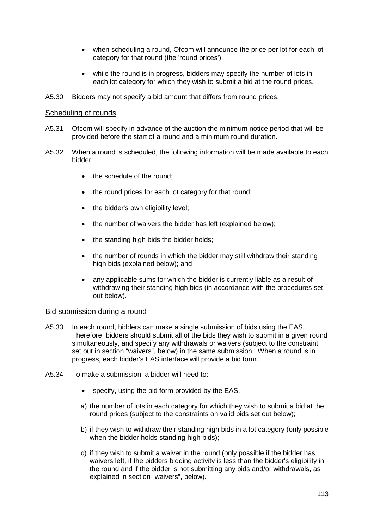- when scheduling a round, Ofcom will announce the price per lot for each lot category for that round (the 'round prices');
- while the round is in progress, bidders may specify the number of lots in each lot category for which they wish to submit a bid at the round prices.
- A5.30 Bidders may not specify a bid amount that differs from round prices.

#### Scheduling of rounds

- A5.31 Ofcom will specify in advance of the auction the minimum notice period that will be provided before the start of a round and a minimum round duration.
- A5.32 When a round is scheduled, the following information will be made available to each bidder:
	- the schedule of the round:
	- the round prices for each lot category for that round;
	- the bidder's own eligibility level;
	- the number of waivers the bidder has left (explained below);
	- the standing high bids the bidder holds;
	- the number of rounds in which the bidder may still withdraw their standing high bids (explained below); and
	- any applicable sums for which the bidder is currently liable as a result of withdrawing their standing high bids (in accordance with the procedures set out below).

#### Bid submission during a round

- A5.33 In each round, bidders can make a single submission of bids using the EAS. Therefore, bidders should submit all of the bids they wish to submit in a given round simultaneously, and specify any withdrawals or waivers (subject to the constraint set out in section "waivers", below) in the same submission. When a round is in progress, each bidder's EAS interface will provide a bid form.
- A5.34 To make a submission, a bidder will need to:
	- specify, using the bid form provided by the EAS,
	- a) the number of lots in each category for which they wish to submit a bid at the round prices (subject to the constraints on valid bids set out below);
	- b) if they wish to withdraw their standing high bids in a lot category (only possible when the bidder holds standing high bids);
	- c) if they wish to submit a waiver in the round (only possible if the bidder has waivers left, if the bidders bidding activity is less than the bidder's eligibility in the round and if the bidder is not submitting any bids and/or withdrawals, as explained in section "waivers", below).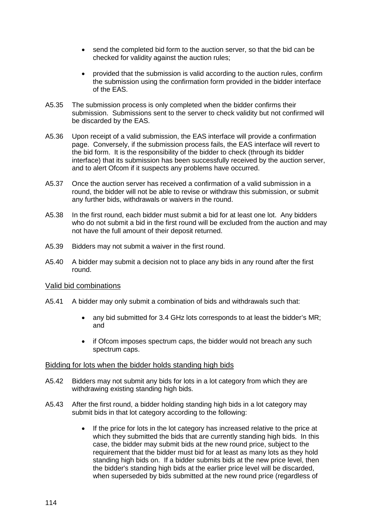- send the completed bid form to the auction server, so that the bid can be checked for validity against the auction rules;
- provided that the submission is valid according to the auction rules, confirm the submission using the confirmation form provided in the bidder interface of the EAS.
- A5.35 The submission process is only completed when the bidder confirms their submission. Submissions sent to the server to check validity but not confirmed will be discarded by the EAS.
- A5.36 Upon receipt of a valid submission, the EAS interface will provide a confirmation page. Conversely, if the submission process fails, the EAS interface will revert to the bid form. It is the responsibility of the bidder to check (through its bidder interface) that its submission has been successfully received by the auction server, and to alert Ofcom if it suspects any problems have occurred.
- A5.37 Once the auction server has received a confirmation of a valid submission in a round, the bidder will not be able to revise or withdraw this submission, or submit any further bids, withdrawals or waivers in the round.
- A5.38 In the first round, each bidder must submit a bid for at least one lot. Any bidders who do not submit a bid in the first round will be excluded from the auction and may not have the full amount of their deposit returned.
- A5.39 Bidders may not submit a waiver in the first round.
- A5.40 A bidder may submit a decision not to place any bids in any round after the first round.

#### Valid bid combinations

- A5.41 A bidder may only submit a combination of bids and withdrawals such that:
	- any bid submitted for 3.4 GHz lots corresponds to at least the bidder's MR; and
	- if Ofcom imposes spectrum caps, the bidder would not breach any such spectrum caps.

#### Bidding for lots when the bidder holds standing high bids

- A5.42 Bidders may not submit any bids for lots in a lot category from which they are withdrawing existing standing high bids.
- A5.43 After the first round, a bidder holding standing high bids in a lot category may submit bids in that lot category according to the following:
	- If the price for lots in the lot category has increased relative to the price at which they submitted the bids that are currently standing high bids. In this case, the bidder may submit bids at the new round price, subject to the requirement that the bidder must bid for at least as many lots as they hold standing high bids on. If a bidder submits bids at the new price level, then the bidder's standing high bids at the earlier price level will be discarded, when superseded by bids submitted at the new round price (regardless of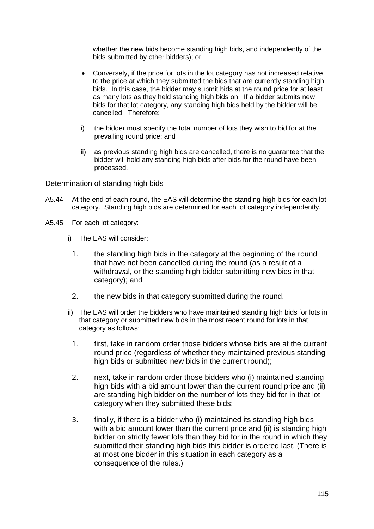whether the new bids become standing high bids, and independently of the bids submitted by other bidders); or

- Conversely, if the price for lots in the lot category has not increased relative to the price at which they submitted the bids that are currently standing high bids. In this case, the bidder may submit bids at the round price for at least as many lots as they held standing high bids on. If a bidder submits new bids for that lot category, any standing high bids held by the bidder will be cancelled. Therefore:
- i) the bidder must specify the total number of lots they wish to bid for at the prevailing round price; and
- ii) as previous standing high bids are cancelled, there is no guarantee that the bidder will hold any standing high bids after bids for the round have been processed.

#### Determination of standing high bids

- A5.44 At the end of each round, the EAS will determine the standing high bids for each lot category. Standing high bids are determined for each lot category independently.
- A5.45 For each lot category:
	- i) The EAS will consider:
		- 1. the standing high bids in the category at the beginning of the round that have not been cancelled during the round (as a result of a withdrawal, or the standing high bidder submitting new bids in that category); and
		- 2. the new bids in that category submitted during the round.
	- ii) The EAS will order the bidders who have maintained standing high bids for lots in that category or submitted new bids in the most recent round for lots in that category as follows:
		- 1. first, take in random order those bidders whose bids are at the current round price (regardless of whether they maintained previous standing high bids or submitted new bids in the current round);
		- 2. next, take in random order those bidders who (i) maintained standing high bids with a bid amount lower than the current round price and (ii) are standing high bidder on the number of lots they bid for in that lot category when they submitted these bids;
		- 3. finally, if there is a bidder who (i) maintained its standing high bids with a bid amount lower than the current price and (ii) is standing high bidder on strictly fewer lots than they bid for in the round in which they submitted their standing high bids this bidder is ordered last. (There is at most one bidder in this situation in each category as a consequence of the rules.)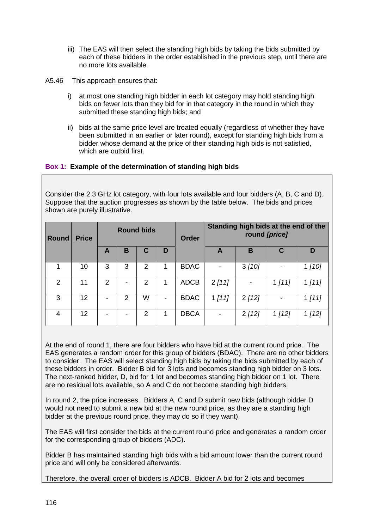- iii) The EAS will then select the standing high bids by taking the bids submitted by each of these bidders in the order established in the previous step, until there are no more lots available.
- A5.46 This approach ensures that:
	- i) at most one standing high bidder in each lot category may hold standing high bids on fewer lots than they bid for in that category in the round in which they submitted these standing high bids; and
	- ii) bids at the same price level are treated equally (regardless of whether they have been submitted in an earlier or later round), except for standing high bids from a bidder whose demand at the price of their standing high bids is not satisfied, which are outbid first.

## **Box 1: Example of the determination of standing high bids**

Consider the 2.3 GHz lot category, with four lots available and four bidders (A, B, C and D). Suppose that the auction progresses as shown by the table below. The bids and prices shown are purely illustrative.

| <b>Round</b> | <b>Price</b> |   |   | <b>Round bids</b> |   | Order       | Standing high bids at the end of the<br>round [price] |        |        |        |
|--------------|--------------|---|---|-------------------|---|-------------|-------------------------------------------------------|--------|--------|--------|
|              |              | A | в | C                 | D |             | A                                                     | в      | C      | D      |
|              | 10           | 3 | 3 | 2                 |   | <b>BDAC</b> |                                                       | 3 [10] |        | 1 [10] |
| 2            | 11           | 2 |   | 2                 |   | <b>ADCB</b> | 2[11]                                                 |        | 1 [11] | 1 [11] |
| 3            | 12           |   | 2 | W                 |   | <b>BDAC</b> | 1 [11]                                                | 2[12]  |        | 1 [11] |
| 4            | 12           |   |   | 2                 |   | <b>DBCA</b> |                                                       | 2[12]  | 1 [12] | 1 [12] |

At the end of round 1, there are four bidders who have bid at the current round price. The EAS generates a random order for this group of bidders (BDAC). There are no other bidders to consider. The EAS will select standing high bids by taking the bids submitted by each of these bidders in order. Bidder B bid for 3 lots and becomes standing high bidder on 3 lots. The next-ranked bidder, D, bid for 1 lot and becomes standing high bidder on 1 lot. There are no residual lots available, so A and C do not become standing high bidders.

In round 2, the price increases. Bidders A, C and D submit new bids (although bidder D would not need to submit a new bid at the new round price, as they are a standing high bidder at the previous round price, they may do so if they want).

The EAS will first consider the bids at the current round price and generates a random order for the corresponding group of bidders (ADC).

Bidder B has maintained standing high bids with a bid amount lower than the current round price and will only be considered afterwards.

Therefore, the overall order of bidders is ADCB. Bidder A bid for 2 lots and becomes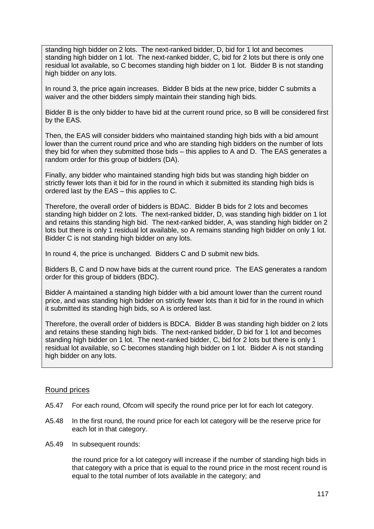standing high bidder on 2 lots. The next-ranked bidder, D, bid for 1 lot and becomes standing high bidder on 1 lot. The next-ranked bidder, C, bid for 2 lots but there is only one residual lot available, so C becomes standing high bidder on 1 lot. Bidder B is not standing high bidder on any lots.

In round 3, the price again increases. Bidder B bids at the new price, bidder C submits a waiver and the other bidders simply maintain their standing high bids.

Bidder B is the only bidder to have bid at the current round price, so B will be considered first by the EAS.

Then, the EAS will consider bidders who maintained standing high bids with a bid amount lower than the current round price and who are standing high bidders on the number of lots they bid for when they submitted those bids – this applies to A and D. The EAS generates a random order for this group of bidders (DA).

Finally, any bidder who maintained standing high bids but was standing high bidder on strictly fewer lots than it bid for in the round in which it submitted its standing high bids is ordered last by the EAS – this applies to C.

Therefore, the overall order of bidders is BDAC. Bidder B bids for 2 lots and becomes standing high bidder on 2 lots. The next-ranked bidder, D, was standing high bidder on 1 lot and retains this standing high bid. The next-ranked bidder, A, was standing high bidder on 2 lots but there is only 1 residual lot available, so A remains standing high bidder on only 1 lot. Bidder C is not standing high bidder on any lots.

In round 4, the price is unchanged. Bidders C and D submit new bids.

Bidders B, C and D now have bids at the current round price. The EAS generates a random order for this group of bidders (BDC).

Bidder A maintained a standing high bidder with a bid amount lower than the current round price, and was standing high bidder on strictly fewer lots than it bid for in the round in which it submitted its standing high bids, so A is ordered last.

Therefore, the overall order of bidders is BDCA. Bidder B was standing high bidder on 2 lots and retains these standing high bids. The next-ranked bidder, D bid for 1 lot and becomes standing high bidder on 1 lot. The next-ranked bidder, C, bid for 2 lots but there is only 1 residual lot available, so C becomes standing high bidder on 1 lot. Bidder A is not standing high bidder on any lots.

#### Round prices

- A5.47 For each round, Ofcom will specify the round price per lot for each lot category.
- A5.48 In the first round, the round price for each lot category will be the reserve price for each lot in that category.
- A5.49 In subsequent rounds:

the round price for a lot category will increase if the number of standing high bids in that category with a price that is equal to the round price in the most recent round is equal to the total number of lots available in the category; and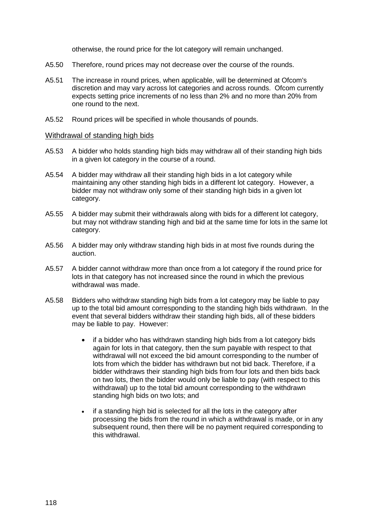otherwise, the round price for the lot category will remain unchanged.

- A5.50 Therefore, round prices may not decrease over the course of the rounds.
- A5.51 The increase in round prices, when applicable, will be determined at Ofcom's discretion and may vary across lot categories and across rounds. Ofcom currently expects setting price increments of no less than 2% and no more than 20% from one round to the next.
- A5.52 Round prices will be specified in whole thousands of pounds.

#### Withdrawal of standing high bids

- A5.53 A bidder who holds standing high bids may withdraw all of their standing high bids in a given lot category in the course of a round.
- A5.54 A bidder may withdraw all their standing high bids in a lot category while maintaining any other standing high bids in a different lot category. However, a bidder may not withdraw only some of their standing high bids in a given lot category.
- A5.55 A bidder may submit their withdrawals along with bids for a different lot category, but may not withdraw standing high and bid at the same time for lots in the same lot category.
- A5.56 A bidder may only withdraw standing high bids in at most five rounds during the auction.
- A5.57 A bidder cannot withdraw more than once from a lot category if the round price for lots in that category has not increased since the round in which the previous withdrawal was made.
- A5.58 Bidders who withdraw standing high bids from a lot category may be liable to pay up to the total bid amount corresponding to the standing high bids withdrawn. In the event that several bidders withdraw their standing high bids, all of these bidders may be liable to pay. However:
	- if a bidder who has withdrawn standing high bids from a lot category bids again for lots in that category, then the sum payable with respect to that withdrawal will not exceed the bid amount corresponding to the number of lots from which the bidder has withdrawn but not bid back. Therefore, if a bidder withdraws their standing high bids from four lots and then bids back on two lots, then the bidder would only be liable to pay (with respect to this withdrawal) up to the total bid amount corresponding to the withdrawn standing high bids on two lots; and
	- if a standing high bid is selected for all the lots in the category after processing the bids from the round in which a withdrawal is made, or in any subsequent round, then there will be no payment required corresponding to this withdrawal.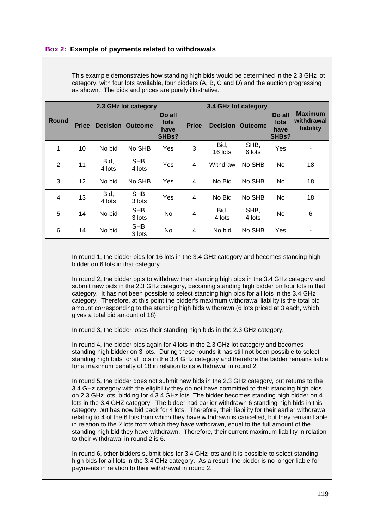#### **Box 2: Example of payments related to withdrawals**

|              |              |                 | 2.3 GHz lot category |                                        | 3.4 GHz lot category |                 |                |                                        |                                           |  |
|--------------|--------------|-----------------|----------------------|----------------------------------------|----------------------|-----------------|----------------|----------------------------------------|-------------------------------------------|--|
| <b>Round</b> | <b>Price</b> | <b>Decision</b> | <b>Outcome</b>       | Do all<br><b>lots</b><br>have<br>SHBs? | <b>Price</b>         | <b>Decision</b> | <b>Outcome</b> | Do all<br><b>lots</b><br>have<br>SHBs? | <b>Maximum</b><br>withdrawal<br>liability |  |
| 1            | 10           | No bid          | No SHB               | Yes                                    | 3                    | Bid,<br>16 lots | SHB,<br>6 lots | Yes                                    |                                           |  |
| 2            | 11           | Bid,<br>4 lots  | SHB,<br>4 lots       | Yes                                    | 4                    | Withdraw        | No SHB         | No.                                    | 18                                        |  |
| 3            | 12           | No bid          | No SHB               | Yes                                    | 4                    | No Bid          | No SHB         | No                                     | 18                                        |  |
| 4            | 13           | Bid,<br>4 lots  | SHB,<br>3 lots       | Yes                                    | 4                    | No Bid          | No SHB         | No                                     | 18                                        |  |
| 5            | 14           | No bid          | SHB,<br>3 lots       | No                                     | 4                    | Bid,<br>4 lots  | SHB,<br>4 lots | No                                     | 6                                         |  |
| 6            | 14           | No bid          | SHB,<br>3 lots       | No                                     | 4                    | No bid          | No SHB         | Yes                                    |                                           |  |

This example demonstrates how standing high bids would be determined in the 2.3 GHz lot category, with four lots available, four bidders (A, B, C and D) and the auction progressing as shown. The bids and prices are purely illustrative.

In round 1, the bidder bids for 16 lots in the 3.4 GHz category and becomes standing high bidder on 6 lots in that category.

In round 2, the bidder opts to withdraw their standing high bids in the 3.4 GHz category and submit new bids in the 2.3 GHz category, becoming standing high bidder on four lots in that category. It has not been possible to select standing high bids for all lots in the 3.4 GHz category. Therefore, at this point the bidder's maximum withdrawal liability is the total bid amount corresponding to the standing high bids withdrawn (6 lots priced at 3 each, which gives a total bid amount of 18).

In round 3, the bidder loses their standing high bids in the 2.3 GHz category.

In round 4, the bidder bids again for 4 lots in the 2.3 GHz lot category and becomes standing high bidder on 3 lots. During these rounds it has still not been possible to select standing high bids for all lots in the 3.4 GHz category and therefore the bidder remains liable for a maximum penalty of 18 in relation to its withdrawal in round 2.

In round 5, the bidder does not submit new bids in the 2.3 GHz category, but returns to the 3.4 GHz category with the eligibility they do not have committed to their standing high bids on 2.3 GHz lots, bidding for 4 3.4 GHz lots. The bidder becomes standing high bidder on 4 lots in the 3.4 GHZ category. The bidder had earlier withdrawn 6 standing high bids in this category, but has now bid back for 4 lots. Therefore, their liability for their earlier withdrawal relating to 4 of the 6 lots from which they have withdrawn is cancelled, but they remain liable in relation to the 2 lots from which they have withdrawn, equal to the full amount of the standing high bid they have withdrawn. Therefore, their current maximum liability in relation to their withdrawal in round 2 is 6.

In round 6, other bidders submit bids for 3.4 GHz lots and it is possible to select standing high bids for all lots in the 3.4 GHz category. As a result, the bidder is no longer liable for payments in relation to their withdrawal in round 2.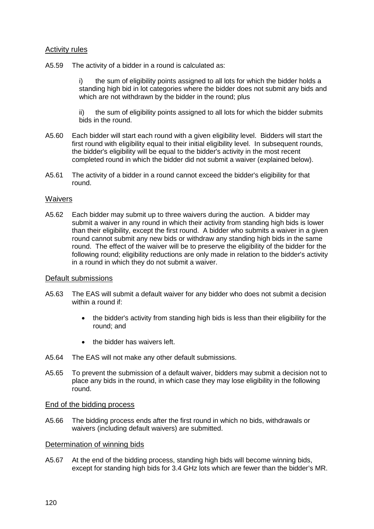## Activity rules

A5.59 The activity of a bidder in a round is calculated as:

the sum of eligibility points assigned to all lots for which the bidder holds a standing high bid in lot categories where the bidder does not submit any bids and which are not withdrawn by the bidder in the round; plus

ii) the sum of eligibility points assigned to all lots for which the bidder submits bids in the round.

- A5.60 Each bidder will start each round with a given eligibility level. Bidders will start the first round with eligibility equal to their initial eligibility level. In subsequent rounds, the bidder's eligibility will be equal to the bidder's activity in the most recent completed round in which the bidder did not submit a waiver (explained below).
- A5.61 The activity of a bidder in a round cannot exceed the bidder's eligibility for that round.

#### **Waivers**

A5.62 Each bidder may submit up to three waivers during the auction. A bidder may submit a waiver in any round in which their activity from standing high bids is lower than their eligibility, except the first round. A bidder who submits a waiver in a given round cannot submit any new bids or withdraw any standing high bids in the same round. The effect of the waiver will be to preserve the eligibility of the bidder for the following round; eligibility reductions are only made in relation to the bidder's activity in a round in which they do not submit a waiver.

#### Default submissions

- A5.63 The EAS will submit a default waiver for any bidder who does not submit a decision within a round if:
	- the bidder's activity from standing high bids is less than their eligibility for the round; and
	- the bidder has waivers left.
- A5.64 The EAS will not make any other default submissions.
- A5.65 To prevent the submission of a default waiver, bidders may submit a decision not to place any bids in the round, in which case they may lose eligibility in the following round.

#### End of the bidding process

A5.66 The bidding process ends after the first round in which no bids, withdrawals or waivers (including default waivers) are submitted.

#### Determination of winning bids

A5.67 At the end of the bidding process, standing high bids will become winning bids, except for standing high bids for 3.4 GHz lots which are fewer than the bidder's MR.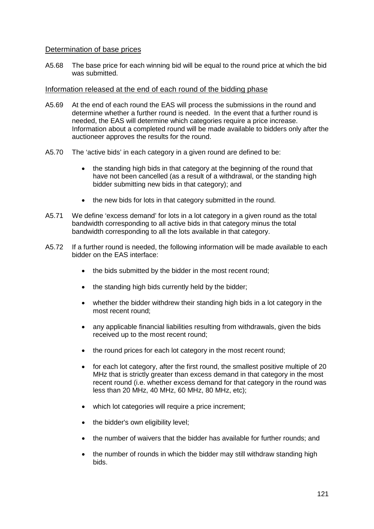#### Determination of base prices

A5.68 The base price for each winning bid will be equal to the round price at which the bid was submitted.

#### Information released at the end of each round of the bidding phase

- A5.69 At the end of each round the EAS will process the submissions in the round and determine whether a further round is needed. In the event that a further round is needed, the EAS will determine which categories require a price increase. Information about a completed round will be made available to bidders only after the auctioneer approves the results for the round.
- A5.70 The 'active bids' in each category in a given round are defined to be:
	- the standing high bids in that category at the beginning of the round that have not been cancelled (as a result of a withdrawal, or the standing high bidder submitting new bids in that category); and
	- the new bids for lots in that category submitted in the round.
- A5.71 We define 'excess demand' for lots in a lot category in a given round as the total bandwidth corresponding to all active bids in that category minus the total bandwidth corresponding to all the lots available in that category.
- A5.72 If a further round is needed, the following information will be made available to each bidder on the EAS interface:
	- the bids submitted by the bidder in the most recent round;
	- the standing high bids currently held by the bidder;
	- whether the bidder withdrew their standing high bids in a lot category in the most recent round;
	- any applicable financial liabilities resulting from withdrawals, given the bids received up to the most recent round;
	- the round prices for each lot category in the most recent round:
	- for each lot category, after the first round, the smallest positive multiple of 20 MHz that is strictly greater than excess demand in that category in the most recent round (i.e. whether excess demand for that category in the round was less than 20 MHz, 40 MHz, 60 MHz, 80 MHz, etc);
	- which lot categories will require a price increment;
	- the bidder's own eligibility level;
	- the number of waivers that the bidder has available for further rounds; and
	- the number of rounds in which the bidder may still withdraw standing high bids.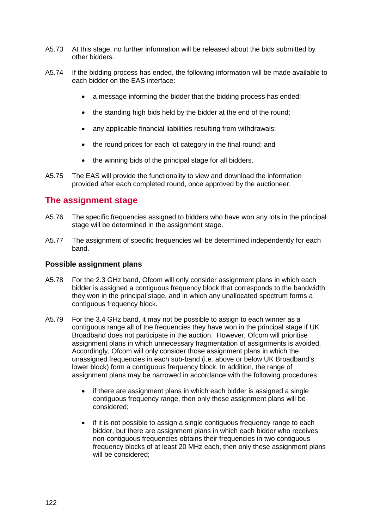- A5.73 At this stage, no further information will be released about the bids submitted by other bidders.
- A5.74 If the bidding process has ended, the following information will be made available to each bidder on the EAS interface:
	- a message informing the bidder that the bidding process has ended;
	- the standing high bids held by the bidder at the end of the round;
	- any applicable financial liabilities resulting from withdrawals:
	- the round prices for each lot category in the final round; and
	- the winning bids of the principal stage for all bidders.
- A5.75 The EAS will provide the functionality to view and download the information provided after each completed round, once approved by the auctioneer.

# **The assignment stage**

- A5.76 The specific frequencies assigned to bidders who have won any lots in the principal stage will be determined in the assignment stage.
- A5.77 The assignment of specific frequencies will be determined independently for each band.

## **Possible assignment plans**

- A5.78 For the 2.3 GHz band, Ofcom will only consider assignment plans in which each bidder is assigned a contiguous frequency block that corresponds to the bandwidth they won in the principal stage, and in which any unallocated spectrum forms a contiguous frequency block.
- A5.79 For the 3.4 GHz band, it may not be possible to assign to each winner as a contiguous range all of the frequencies they have won in the principal stage if UK Broadband does not participate in the auction. However, Ofcom will prioritise assignment plans in which unnecessary fragmentation of assignments is avoided. Accordingly, Ofcom will only consider those assignment plans in which the unassigned frequencies in each sub-band (i.e. above or below UK Broadband's lower block) form a contiguous frequency block. In addition, the range of assignment plans may be narrowed in accordance with the following procedures:
	- if there are assignment plans in which each bidder is assigned a single contiguous frequency range, then only these assignment plans will be considered;
	- if it is not possible to assign a single contiguous frequency range to each bidder, but there are assignment plans in which each bidder who receives non-contiguous frequencies obtains their frequencies in two contiguous frequency blocks of at least 20 MHz each, then only these assignment plans will be considered: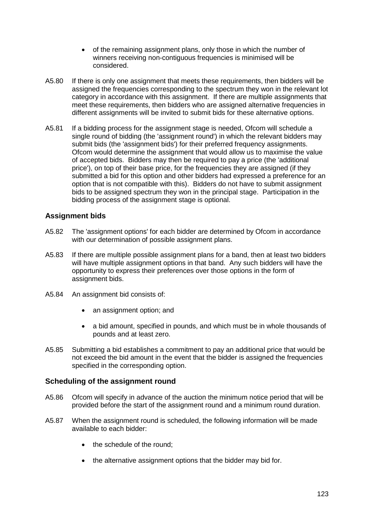- of the remaining assignment plans, only those in which the number of winners receiving non-contiguous frequencies is minimised will be considered.
- A5.80 If there is only one assignment that meets these requirements, then bidders will be assigned the frequencies corresponding to the spectrum they won in the relevant lot category in accordance with this assignment. If there are multiple assignments that meet these requirements, then bidders who are assigned alternative frequencies in different assignments will be invited to submit bids for these alternative options.
- A5.81 If a bidding process for the assignment stage is needed, Ofcom will schedule a single round of bidding (the 'assignment round') in which the relevant bidders may submit bids (the 'assignment bids') for their preferred frequency assignments. Ofcom would determine the assignment that would allow us to maximise the value of accepted bids. Bidders may then be required to pay a price (the 'additional price'), on top of their base price, for the frequencies they are assigned (if they submitted a bid for this option and other bidders had expressed a preference for an option that is not compatible with this). Bidders do not have to submit assignment bids to be assigned spectrum they won in the principal stage. Participation in the bidding process of the assignment stage is optional.

## **Assignment bids**

- A5.82 The 'assignment options' for each bidder are determined by Ofcom in accordance with our determination of possible assignment plans.
- A5.83 If there are multiple possible assignment plans for a band, then at least two bidders will have multiple assignment options in that band. Any such bidders will have the opportunity to express their preferences over those options in the form of assignment bids.
- A5.84 An assignment bid consists of:
	- an assignment option; and
	- a bid amount, specified in pounds, and which must be in whole thousands of pounds and at least zero.
- A5.85 Submitting a bid establishes a commitment to pay an additional price that would be not exceed the bid amount in the event that the bidder is assigned the frequencies specified in the corresponding option.

#### **Scheduling of the assignment round**

- A5.86 Ofcom will specify in advance of the auction the minimum notice period that will be provided before the start of the assignment round and a minimum round duration.
- A5.87 When the assignment round is scheduled, the following information will be made available to each bidder:
	- the schedule of the round:
	- the alternative assignment options that the bidder may bid for.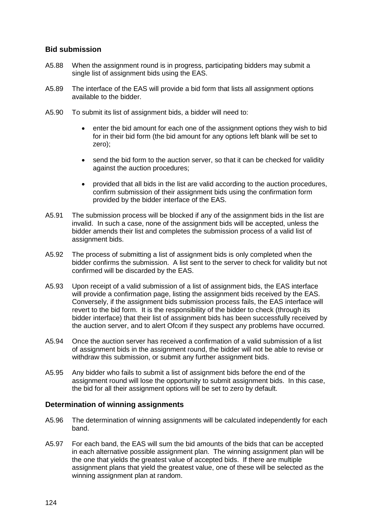## **Bid submission**

- A5.88 When the assignment round is in progress, participating bidders may submit a single list of assignment bids using the EAS.
- A5.89 The interface of the EAS will provide a bid form that lists all assignment options available to the bidder.
- A5.90 To submit its list of assignment bids, a bidder will need to:
	- enter the bid amount for each one of the assignment options they wish to bid for in their bid form (the bid amount for any options left blank will be set to zero);
	- send the bid form to the auction server, so that it can be checked for validity against the auction procedures;
	- provided that all bids in the list are valid according to the auction procedures, confirm submission of their assignment bids using the confirmation form provided by the bidder interface of the EAS.
- A5.91 The submission process will be blocked if any of the assignment bids in the list are invalid. In such a case, none of the assignment bids will be accepted, unless the bidder amends their list and completes the submission process of a valid list of assignment bids.
- A5.92 The process of submitting a list of assignment bids is only completed when the bidder confirms the submission. A list sent to the server to check for validity but not confirmed will be discarded by the EAS.
- A5.93 Upon receipt of a valid submission of a list of assignment bids, the EAS interface will provide a confirmation page, listing the assignment bids received by the EAS. Conversely, if the assignment bids submission process fails, the EAS interface will revert to the bid form. It is the responsibility of the bidder to check (through its bidder interface) that their list of assignment bids has been successfully received by the auction server, and to alert Ofcom if they suspect any problems have occurred.
- A5.94 Once the auction server has received a confirmation of a valid submission of a list of assignment bids in the assignment round, the bidder will not be able to revise or withdraw this submission, or submit any further assignment bids.
- A5.95 Any bidder who fails to submit a list of assignment bids before the end of the assignment round will lose the opportunity to submit assignment bids. In this case, the bid for all their assignment options will be set to zero by default.

#### **Determination of winning assignments**

- A5.96 The determination of winning assignments will be calculated independently for each band.
- A5.97 For each band, the EAS will sum the bid amounts of the bids that can be accepted in each alternative possible assignment plan. The winning assignment plan will be the one that yields the greatest value of accepted bids. If there are multiple assignment plans that yield the greatest value, one of these will be selected as the winning assignment plan at random.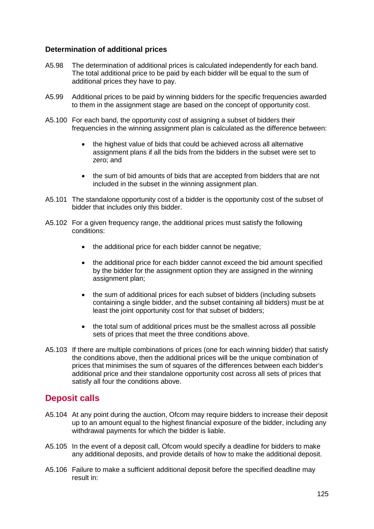## **Determination of additional prices**

- A5.98 The determination of additional prices is calculated independently for each band. The total additional price to be paid by each bidder will be equal to the sum of additional prices they have to pay.
- A5.99 Additional prices to be paid by winning bidders for the specific frequencies awarded to them in the assignment stage are based on the concept of opportunity cost.
- A5.100 For each band, the opportunity cost of assigning a subset of bidders their frequencies in the winning assignment plan is calculated as the difference between:
	- the highest value of bids that could be achieved across all alternative assignment plans if all the bids from the bidders in the subset were set to zero; and
	- the sum of bid amounts of bids that are accepted from bidders that are not included in the subset in the winning assignment plan.
- A5.101 The standalone opportunity cost of a bidder is the opportunity cost of the subset of bidder that includes only this bidder.
- A5.102 For a given frequency range, the additional prices must satisfy the following conditions:
	- the additional price for each bidder cannot be negative;
	- the additional price for each bidder cannot exceed the bid amount specified by the bidder for the assignment option they are assigned in the winning assignment plan;
	- the sum of additional prices for each subset of bidders (including subsets containing a single bidder, and the subset containing all bidders) must be at least the joint opportunity cost for that subset of bidders;
	- the total sum of additional prices must be the smallest across all possible sets of prices that meet the three conditions above.
- A5.103 If there are multiple combinations of prices (one for each winning bidder) that satisfy the conditions above, then the additional prices will be the unique combination of prices that minimises the sum of squares of the differences between each bidder's additional price and their standalone opportunity cost across all sets of prices that satisfy all four the conditions above.

# **Deposit calls**

- A5.104 At any point during the auction, Ofcom may require bidders to increase their deposit up to an amount equal to the highest financial exposure of the bidder, including any withdrawal payments for which the bidder is liable.
- A5.105 In the event of a deposit call, Ofcom would specify a deadline for bidders to make any additional deposits, and provide details of how to make the additional deposit.
- A5.106 Failure to make a sufficient additional deposit before the specified deadline may result in: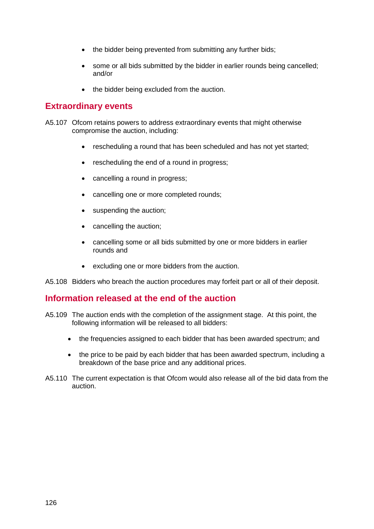- the bidder being prevented from submitting any further bids;
- some or all bids submitted by the bidder in earlier rounds being cancelled; and/or
- the bidder being excluded from the auction.

# **Extraordinary events**

- A5.107 Ofcom retains powers to address extraordinary events that might otherwise compromise the auction, including:
	- rescheduling a round that has been scheduled and has not yet started;
	- rescheduling the end of a round in progress;
	- cancelling a round in progress;
	- cancelling one or more completed rounds;
	- suspending the auction;
	- cancelling the auction;
	- cancelling some or all bids submitted by one or more bidders in earlier rounds and
	- excluding one or more bidders from the auction.

A5.108 Bidders who breach the auction procedures may forfeit part or all of their deposit.

## **Information released at the end of the auction**

- A5.109 The auction ends with the completion of the assignment stage. At this point, the following information will be released to all bidders:
	- the frequencies assigned to each bidder that has been awarded spectrum; and
	- the price to be paid by each bidder that has been awarded spectrum, including a breakdown of the base price and any additional prices.
- A5.110 The current expectation is that Ofcom would also release all of the bid data from the auction.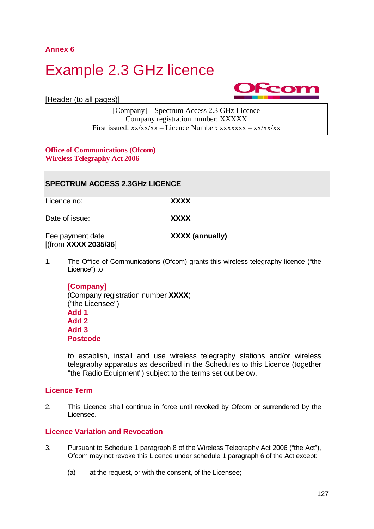**Annex 6**

A6.1

# Example 2.3 GHz licence

[Header (to all pages)]



[Company] – Spectrum Access 2.3 GHz Licence Company registration number: XXXXX First issued:  $xx/xx/xx -$ Licence Number:  $xxxxxxx - xx/xx/xx$ 

#### **Office of Communications (Ofcom) Wireless Telegraphy Act 2006**

| <b>SPECTRUM ACCESS 2.3GHz LICENCE</b>    |                                                                    |  |  |  |  |  |  |
|------------------------------------------|--------------------------------------------------------------------|--|--|--|--|--|--|
| Licence no:                              | XXXX                                                               |  |  |  |  |  |  |
| Date of issue:                           | <b>XXXX</b>                                                        |  |  |  |  |  |  |
| Fee payment date<br>[(from XXXX 2035/36] | <b>XXXX (annually)</b>                                             |  |  |  |  |  |  |
| 1.                                       | The Office of Communications (Ofcom) grants this wireless telegrap |  |  |  |  |  |  |

hy licence ("the Licence") to

**[Company]** (Company registration number **XXXX**) ("the Licensee") **Add 1 Add 2 Add 3 Postcode**

to establish, install and use wireless telegraphy stations and/or wireless telegraphy apparatus as described in the Schedules to this Licence (together "the Radio Equipment") subject to the terms set out below.

## **Licence Term**

2. This Licence shall continue in force until revoked by Ofcom or surrendered by the Licensee.

## **Licence Variation and Revocation**

- 3. Pursuant to Schedule 1 paragraph 8 of the Wireless Telegraphy Act 2006 ("the Act"), Ofcom may not revoke this Licence under schedule 1 paragraph 6 of the Act except:
	- (a) at the request, or with the consent, of the Licensee;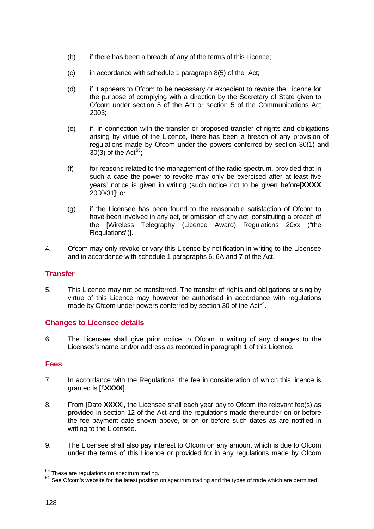- (b) if there has been a breach of any of the terms of this Licence;
- $(c)$  in accordance with schedule 1 paragraph 8(5) of the Act;
- (d) if it appears to Ofcom to be necessary or expedient to revoke the Licence for the purpose of complying with a direction by the Secretary of State given to Ofcom under section 5 of the Act or section 5 of the Communications Act 2003;
- (e) if, in connection with the transfer or proposed transfer of rights and obligations arising by virtue of the Licence, there has been a breach of any provision of regulations made by Ofcom under the powers conferred by section 30(1) and 30(3) of the Act $63$ :
- (f) for reasons related to the management of the radio spectrum, provided that in such a case the power to revoke may only be exercised after at least five years' notice is given in writing (such notice not to be given before[**XXXX** 2030/31]; or
- (g) if the Licensee has been found to the reasonable satisfaction of Ofcom to have been involved in any act, or omission of any act, constituting a breach of the [Wireless Telegraphy (Licence Award) Regulations 20xx ("the Regulations")].
- 4. Ofcom may only revoke or vary this Licence by notification in writing to the Licensee and in accordance with schedule 1 paragraphs 6, 6A and 7 of the Act.

## **Transfer**

5. This Licence may not be transferred. The transfer of rights and obligations arising by virtue of this Licence may however be authorised in accordance with regulations made by Ofcom under powers conferred by section 30 of the Act $^{64}$  $^{64}$  $^{64}$ .

## **Changes to Licensee details**

6. The Licensee shall give prior notice to Ofcom in writing of any changes to the Licensee's name and/or address as recorded in paragraph 1 of this Licence.

## **Fees**

- 7. In accordance with the Regulations, the fee in consideration of which this licence is granted is [£**XXXX**].
- 8. From [Date **XXXX**], the Licensee shall each year pay to Ofcom the relevant fee(s) as provided in section 12 of the Act and the regulations made thereunder on or before the fee payment date shown above, or on or before such dates as are notified in writing to the Licensee.
- 9. The Licensee shall also pay interest to Ofcom on any amount which is due to Ofcom under the terms of this Licence or provided for in any regulations made by Ofcom

<span id="page-128-0"></span><sup>63</sup> These are regulations on spectrum trading.

<span id="page-128-1"></span><sup>64</sup> See Ofcom's website for the latest position on spectrum trading and the types of trade which are permitted.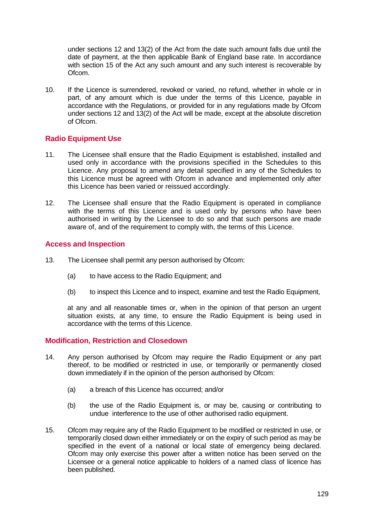under sections 12 and 13(2) of the Act from the date such amount falls due until the date of payment, at the then applicable Bank of England base rate. In accordance with section 15 of the Act any such amount and any such interest is recoverable by Ofcom.

10. If the Licence is surrendered, revoked or varied, no refund, whether in whole or in part, of any amount which is due under the terms of this Licence, payable in accordance with the Regulations, or provided for in any regulations made by Ofcom under sections 12 and 13(2) of the Act will be made, except at the absolute discretion of Ofcom.

## **Radio Equipment Use**

- 11. The Licensee shall ensure that the Radio Equipment is established, installed and used only in accordance with the provisions specified in the Schedules to this Licence. Any proposal to amend any detail specified in any of the Schedules to this Licence must be agreed with Ofcom in advance and implemented only after this Licence has been varied or reissued accordingly.
- 12. The Licensee shall ensure that the Radio Equipment is operated in compliance with the terms of this Licence and is used only by persons who have been authorised in writing by the Licensee to do so and that such persons are made aware of, and of the requirement to comply with, the terms of this Licence.

## **Access and Inspection**

- 13. The Licensee shall permit any person authorised by Ofcom:
	- (a) to have access to the Radio Equipment: and
	- (b) to inspect this Licence and to inspect, examine and test the Radio Equipment,

at any and all reasonable times or, when in the opinion of that person an urgent situation exists, at any time, to ensure the Radio Equipment is being used in accordance with the terms of this Licence.

#### **Modification, Restriction and Closedown**

- 14. Any person authorised by Ofcom may require the Radio Equipment or any part thereof, to be modified or restricted in use, or temporarily or permanently closed down immediately if in the opinion of the person authorised by Ofcom:
	- (a) a breach of this Licence has occurred; and/or
	- (b) the use of the Radio Equipment is, or may be, causing or contributing to undue interference to the use of other authorised radio equipment.
- 15. Ofcom may require any of the Radio Equipment to be modified or restricted in use, or temporarily closed down either immediately or on the expiry of such period as may be specified in the event of a national or local state of emergency being declared. Ofcom may only exercise this power after a written notice has been served on the Licensee or a general notice applicable to holders of a named class of licence has been published.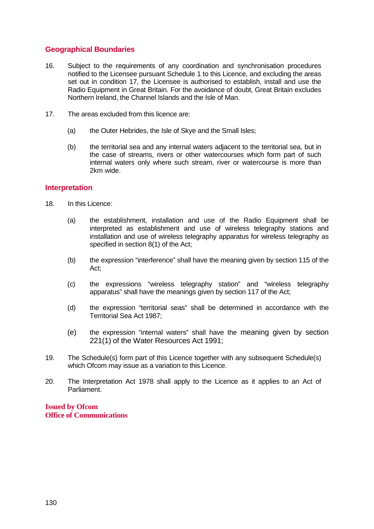## **Geographical Boundaries**

- 16. Subject to the requirements of any coordination and synchronisation procedures notified to the Licensee pursuant Schedule 1 to this Licence, and excluding the areas set out in condition 17, the Licensee is authorised to establish, install and use the Radio Equipment in Great Britain. For the avoidance of doubt, Great Britain excludes Northern Ireland, the Channel Islands and the Isle of Man.
- 17. The areas excluded from this licence are:
	- (a) the Outer Hebrides, the Isle of Skye and the Small Isles;
	- (b) the territorial sea and any internal waters adjacent to the territorial sea, but in the case of streams, rivers or other watercourses which form part of such internal waters only where such stream, river or watercourse is more than 2km wide.

## **Interpretation**

- 18. In this Licence:
	- (a) the establishment, installation and use of the Radio Equipment shall be interpreted as establishment and use of wireless telegraphy stations and installation and use of wireless telegraphy apparatus for wireless telegraphy as specified in section 8(1) of the Act;
	- (b) the expression "interference" shall have the meaning given by section 115 of the Act;
	- (c) the expressions "wireless telegraphy station" and "wireless telegraphy apparatus" shall have the meanings given by section 117 of the Act;
	- (d) the expression "territorial seas" shall be determined in accordance with the Territorial Sea Act 1987;
	- (e) the expression "internal waters" shall have the meaning given by section 221(1) of the Water Resources Act 1991;
- 19. The Schedule(s) form part of this Licence together with any subsequent Schedule(s) which Ofcom may issue as a variation to this Licence.
- 20. The Interpretation Act 1978 shall apply to the Licence as it applies to an Act of Parliament.

**Issued by Ofcom Office of Communications**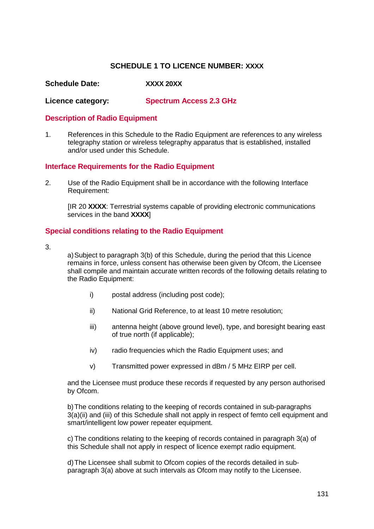## **SCHEDULE 1 TO LICENCE NUMBER: XXXX**

**Schedule Date: XXXX 20XX**

**Licence category: Spectrum Access 2.3 GHz**

#### **Description of Radio Equipment**

1. References in this Schedule to the Radio Equipment are references to any wireless telegraphy station or wireless telegraphy apparatus that is established, installed and/or used under this Schedule.

#### **Interface Requirements for the Radio Equipment**

2. Use of the Radio Equipment shall be in accordance with the following Interface Requirement:

[IR 20 **XXXX**: Terrestrial systems capable of providing electronic communications services in the band **XXXX**]

#### **Special conditions relating to the Radio Equipment**

3.

a)Subject to paragraph 3(b) of this Schedule, during the period that this Licence remains in force, unless consent has otherwise been given by Ofcom, the Licensee shall compile and maintain accurate written records of the following details relating to the Radio Equipment:

- i) postal address (including post code);
- ii) National Grid Reference, to at least 10 metre resolution;
- iii) antenna height (above ground level), type, and boresight bearing east of true north (if applicable);
- iv) radio frequencies which the Radio Equipment uses; and
- v) Transmitted power expressed in dBm / 5 MHz EIRP per cell.

and the Licensee must produce these records if requested by any person authorised by Ofcom.

b)The conditions relating to the keeping of records contained in sub-paragraphs 3(a)(ii) and (iii) of this Schedule shall not apply in respect of femto cell equipment and smart/intelligent low power repeater equipment.

c) The conditions relating to the keeping of records contained in paragraph 3(a) of this Schedule shall not apply in respect of licence exempt radio equipment.

d)The Licensee shall submit to Ofcom copies of the records detailed in subparagraph 3(a) above at such intervals as Ofcom may notify to the Licensee.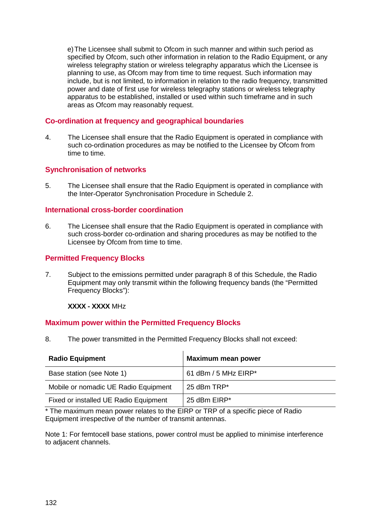e)The Licensee shall submit to Ofcom in such manner and within such period as specified by Ofcom, such other information in relation to the Radio Equipment, or any wireless telegraphy station or wireless telegraphy apparatus which the Licensee is planning to use, as Ofcom may from time to time request. Such information may include, but is not limited, to information in relation to the radio frequency, transmitted power and date of first use for wireless telegraphy stations or wireless telegraphy apparatus to be established, installed or used within such timeframe and in such areas as Ofcom may reasonably request.

## **Co-ordination at frequency and geographical boundaries**

4. The Licensee shall ensure that the Radio Equipment is operated in compliance with such co-ordination procedures as may be notified to the Licensee by Ofcom from time to time.

## **Synchronisation of networks**

5. The Licensee shall ensure that the Radio Equipment is operated in compliance with the Inter-Operator Synchronisation Procedure in Schedule 2.

#### **International cross-border coordination**

6. The Licensee shall ensure that the Radio Equipment is operated in compliance with such cross-border co-ordination and sharing procedures as may be notified to the Licensee by Ofcom from time to time.

## **Permitted Frequency Blocks**

7. Subject to the emissions permitted under paragraph 8 of this Schedule, the Radio Equipment may only transmit within the following frequency bands (the "Permitted Frequency Blocks"):

**XXXX - XXXX** MHz

#### **Maximum power within the Permitted Frequency Blocks**

8. The power transmitted in the Permitted Frequency Blocks shall not exceed:

| <b>Radio Equipment</b>                | <b>Maximum mean power</b> |
|---------------------------------------|---------------------------|
| Base station (see Note 1)             | 61 dBm / 5 MHz EIRP*      |
| Mobile or nomadic UE Radio Equipment  | 25 dBm TRP*               |
| Fixed or installed UE Radio Equipment | 25 dBm EIRP*              |

\* The maximum mean power relates to the EIRP or TRP of a specific piece of Radio Equipment irrespective of the number of transmit antennas.

Note 1: For femtocell base stations, power control must be applied to minimise interference to adjacent channels.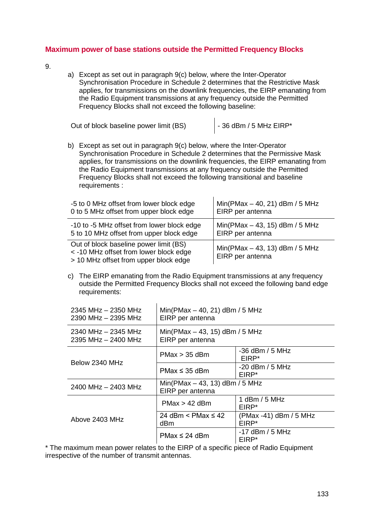## **Maximum power of base stations outside the Permitted Frequency Blocks**

- <span id="page-133-0"></span>9.
- a) Except as set out in paragraph 9(c) below, where the Inter-Operator Synchronisation Procedure in Schedule 2 determines that the Restrictive Mask applies, for transmissions on the downlink frequencies, the EIRP emanating from the Radio Equipment transmissions at any frequency outside the Permitted Frequency Blocks shall not exceed the following baseline:

Out of block baseline power limit (BS)  $\vert$  - 36 dBm / 5 MHz EIRP\*

b) Except as set out in paragraph 9(c) below, where the Inter-Operator Synchronisation Procedure in Schedule 2 determines that the Permissive Mask applies, for transmissions on the downlink frequencies, the EIRP emanating from the Radio Equipment transmissions at any frequency outside the Permitted Frequency Blocks shall not exceed the following transitional and baseline requirements :

| -5 to 0 MHz offset from lower block edge                                                                                  | $Min(PMax - 40, 21)$ dBm / 5 MHz                     |
|---------------------------------------------------------------------------------------------------------------------------|------------------------------------------------------|
| 0 to 5 MHz offset from upper block edge                                                                                   | EIRP per antenna                                     |
| -10 to -5 MHz offset from lower block edge                                                                                | $Min(PMax - 43, 15)$ dBm / 5 MHz                     |
| 5 to 10 MHz offset from upper block edge                                                                                  | EIRP per antenna                                     |
| Out of block baseline power limit (BS)<br>< -10 MHz offset from lower block edge<br>> 10 MHz offset from upper block edge | Min(PMax $-$ 43, 13) dBm / 5 MHz<br>EIRP per antenna |

c) The EIRP emanating from the Radio Equipment transmissions at any frequency outside the Permitted Frequency Blocks shall not exceed the following band edge requirements:

| 2345 MHz - 2350 MHz<br>2390 MHz - 2395 MHz     | $Min(PMax - 40, 21)$ dBm / 5 MHz<br>EIRP per antenna |                                             |  |  |  |
|------------------------------------------------|------------------------------------------------------|---------------------------------------------|--|--|--|
| $2340$ MHz $- 2345$ MHz<br>2395 MHz - 2400 MHz | $Min(PMax - 43, 15)$ dBm / 5 MHz<br>EIRP per antenna |                                             |  |  |  |
|                                                | $PMax > 35$ dBm                                      | $-36$ dBm / 5 MHz<br>EIRP <sup>*</sup>      |  |  |  |
| Below 2340 MHz                                 | $PMax \leq 35$ dBm                                   | $-20$ dBm / 5 MHz<br>EIRP*                  |  |  |  |
| 2400 MHz - 2403 MHz                            | $Min(PMax - 43, 13)$ dBm / 5 MHz<br>EIRP per antenna |                                             |  |  |  |
|                                                | $PMax > 42$ dBm                                      | 1 dBm / 5 MHz<br>FIRP*                      |  |  |  |
| Above 2403 MHz                                 | 24 dBm $\leq$ PMax $\leq$ 42<br>dBm                  | (PMax -41) dBm / 5 MHz<br>EIRP <sup>*</sup> |  |  |  |
|                                                | $PMax \leq 24$ dBm                                   | $-17$ dBm / 5 MHz<br>EIRP*                  |  |  |  |

\* The maximum mean power relates to the EIRP of a specific piece of Radio Equipment irrespective of the number of transmit antennas.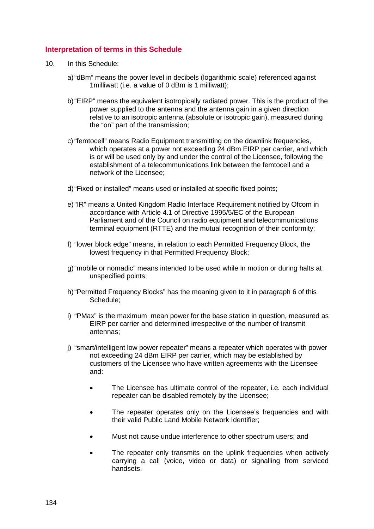## **Interpretation of terms in this Schedule**

- 10. In this Schedule:
	- a)"dBm" means the power level in decibels (logarithmic scale) referenced against 1milliwatt (i.e. a value of 0 dBm is 1 milliwatt);
	- b)"EIRP" means the equivalent isotropically radiated power. This is the product of the power supplied to the antenna and the antenna gain in a given direction relative to an isotropic antenna (absolute or isotropic gain), measured during the "on" part of the transmission;
	- c) "femtocell" means Radio Equipment transmitting on the downlink frequencies, which operates at a power not exceeding 24 dBm EIRP per carrier, and which is or will be used only by and under the control of the Licensee, following the establishment of a telecommunications link between the femtocell and a network of the Licensee;
	- d)"Fixed or installed" means used or installed at specific fixed points;
	- e)"IR" means a United Kingdom Radio Interface Requirement notified by Ofcom in accordance with Article 4.1 of Directive 1995/5/EC of the European Parliament and of the Council on radio equipment and telecommunications terminal equipment (RTTE) and the mutual recognition of their conformity;
	- f) "lower block edge" means, in relation to each Permitted Frequency Block, the lowest frequency in that Permitted Frequency Block;
	- g)"mobile or nomadic" means intended to be used while in motion or during halts at unspecified points;
	- h)"Permitted Frequency Blocks" has the meaning given to it in paragraph 6 of this Schedule;
	- i) "PMax" is the maximum mean power for the base station in question, measured as EIRP per carrier and determined irrespective of the number of transmit antennas;
	- j) "smart/intelligent low power repeater" means a repeater which operates with power not exceeding 24 dBm EIRP per carrier, which may be established by customers of the Licensee who have written agreements with the Licensee and:
		- The Licensee has ultimate control of the repeater, *i.e.* each individual repeater can be disabled remotely by the Licensee;
		- The repeater operates only on the Licensee's frequencies and with their valid Public Land Mobile Network Identifier;
		- Must not cause undue interference to other spectrum users; and
		- The repeater only transmits on the uplink frequencies when actively carrying a call (voice, video or data) or signalling from serviced handsets.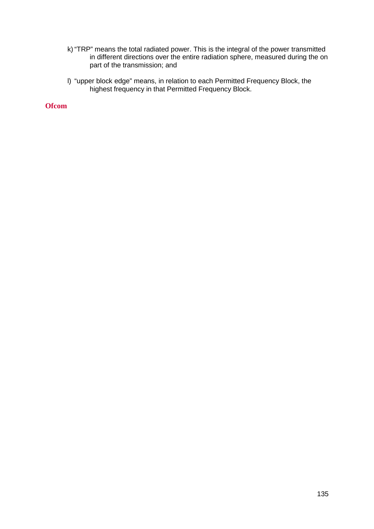- k) "TRP" means the total radiated power. This is the integral of the power transmitted in different directions over the entire radiation sphere, measured during the on part of the transmission; and
- l) "upper block edge" means, in relation to each Permitted Frequency Block, the highest frequency in that Permitted Frequency Block.

**Ofcom**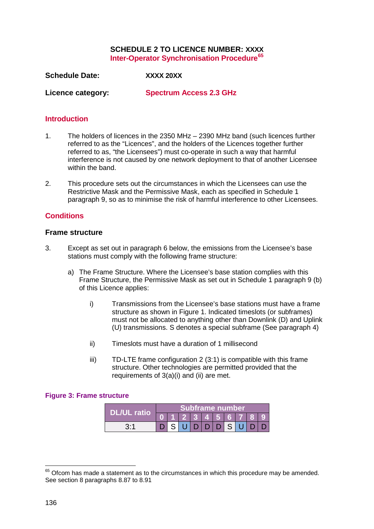#### **SCHEDULE 2 TO LICENCE NUMBER: XXXX Inter-Operator Synchronisation Procedure[65](#page-136-1)**

**Schedule Date: XXXX 20XX**

**Licence category: Spectrum Access 2.3 GHz**

#### **Introduction**

- 1. The holders of licences in the 2350 MHz 2390 MHz band (such licences further referred to as the "Licences", and the holders of the Licences together further referred to as, "the Licensees") must co-operate in such a way that harmful interference is not caused by one network deployment to that of another Licensee within the band.
- 2. This procedure sets out the circumstances in which the Licensees can use the Restrictive Mask and the Permissive Mask, each as specified in Schedule 1 paragraph [9,](#page-133-0) so as to minimise the risk of harmful interference to other Licensees.

## **Conditions**

#### **Frame structure**

- <span id="page-136-2"></span>3. Except as set out in paragraph [6](#page-137-0) below, the emissions from the Licensee's base stations must comply with the following frame structure:
	- a) The Frame Structure. Where the Licensee's base station complies with this Frame Structure, the Permissive Mask as set out in Schedule 1 paragraph [9](#page-133-0) (b) of this Licence applies:
		- i) Transmissions from the Licensee's base stations must have a frame structure as shown in [Figure 1.](#page-136-0) Indicated timeslots (or subframes) must not be allocated to anything other than Downlink (D) and Uplink (U) transmissions. S denotes a special subframe (See paragraph [4\)](#page-137-1)
		- ii) Timeslots must have a duration of 1 millisecond
		- iii) TD-LTE frame configuration 2 (3:1) is compatible with this frame structure. Other technologies are permitted provided that the requirements of 3(a)(i) and (ii) are met.

#### <span id="page-136-0"></span>**Figure 3: Frame structure**

|                    | Subframe number |  |  |  |                           |  |  |  |  |  |
|--------------------|-----------------|--|--|--|---------------------------|--|--|--|--|--|
| <b>DL/UL ratio</b> |                 |  |  |  | 2   3   4   5   6   7   8 |  |  |  |  |  |
| 3.1                |                 |  |  |  | DDDSU                     |  |  |  |  |  |

<u>.</u>

<span id="page-136-1"></span> $65$  Ofcom has made a statement as to the circumstances in which this procedure may be amended. See section 8 paragraphs 8.87 to 8.91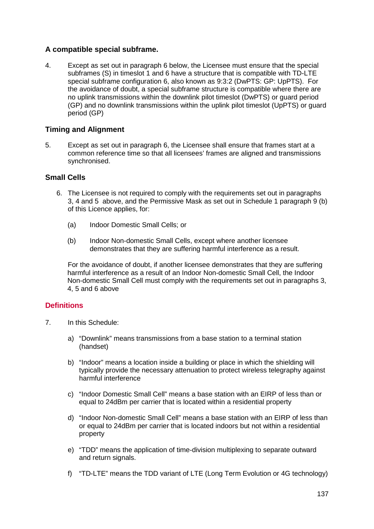## <span id="page-137-1"></span>**A compatible special subframe.**

4. Except as set out in paragraph [6](#page-137-0) below, the Licensee must ensure that the special subframes (S) in timeslot 1 and 6 have a structure that is compatible with TD-LTE special subframe configuration 6, also known as 9:3:2 (DwPTS: GP: UpPTS). For the avoidance of doubt, a special subframe structure is compatible where there are no uplink transmissions within the downlink pilot timeslot (DwPTS) or guard period (GP) and no downlink transmissions within the uplink pilot timeslot (UpPTS) or guard period (GP)

## **Timing and Alignment**

<span id="page-137-2"></span>5. Except as set out in paragraph [6,](#page-137-0) the Licensee shall ensure that frames start at a common reference time so that all licensees' frames are aligned and transmissions synchronised.

## **Small Cells**

- <span id="page-137-0"></span>6. The Licensee is not required to comply with the requirements set out in paragraphs [3,](#page-136-2) [4](#page-137-1) and [5](#page-137-2) above, and the Permissive Mask as set out in Schedule 1 paragraph [9](#page-133-0) (b) of this Licence applies, for:
	- (a) Indoor Domestic Small Cells; or
	- (b) Indoor Non-domestic Small Cells, except where another licensee demonstrates that they are suffering harmful interference as a result.

For the avoidance of doubt, if another licensee demonstrates that they are suffering harmful interference as a result of an Indoor Non-domestic Small Cell, the Indoor Non-domestic Small Cell must comply with the requirements set out in paragraphs [3,](#page-136-2) [4,](#page-137-1) [5](#page-137-2) and 6 above

## **Definitions**

- 7. In this Schedule:
	- a) "Downlink" means transmissions from a base station to a terminal station (handset)
	- b) "Indoor" means a location inside a building or place in which the shielding will typically provide the necessary attenuation to protect wireless telegraphy against harmful interference
	- c) "Indoor Domestic Small Cell" means a base station with an EIRP of less than or equal to 24dBm per carrier that is located within a residential property
	- d) "Indoor Non-domestic Small Cell" means a base station with an EIRP of less than or equal to 24dBm per carrier that is located indoors but not within a residential property
	- e) "TDD" means the application of time-division multiplexing to separate outward and return signals.
	- f) "TD-LTE" means the TDD variant of LTE (Long Term Evolution or 4G technology)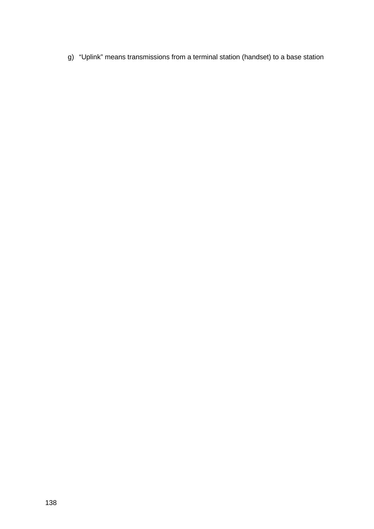g) "Uplink" means transmissions from a terminal station (handset) to a base station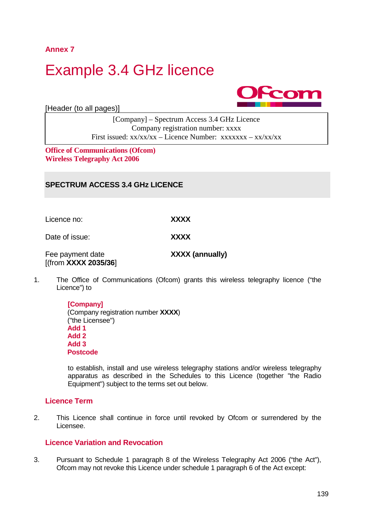**Annex 7**

A7.1

# Example 3.4 GHz licence



[Header (to all pages)]

[Company] – Spectrum Access 3.4 GHz Licence Company registration number: xxxx First issued:  $xx/xx/xx -$ Licence Number:  $xxxxxxx - xx/xx/xx$ 

**Office of Communications (Ofcom) Wireless Telegraphy Act 2006**

## **SPECTRUM ACCESS 3.4 GHz LICENCE**

Licence no: **XXXX** Date of issue: **XXXX** Fee payment date **XXXX (annually)** [(from **XXXX 2035/36**]

1. The Office of Communications (Ofcom) grants this wireless telegraphy licence ("the Licence") to

> **[Company]** (Company registration number **XXXX**) ("the Licensee") **Add 1 Add 2 Add 3 Postcode**

to establish, install and use wireless telegraphy stations and/or wireless telegraphy apparatus as described in the Schedules to this Licence (together "the Radio Equipment") subject to the terms set out below.

#### **Licence Term**

2. This Licence shall continue in force until revoked by Ofcom or surrendered by the Licensee.

## **Licence Variation and Revocation**

3. Pursuant to Schedule 1 paragraph 8 of the Wireless Telegraphy Act 2006 ("the Act"), Ofcom may not revoke this Licence under schedule 1 paragraph 6 of the Act except: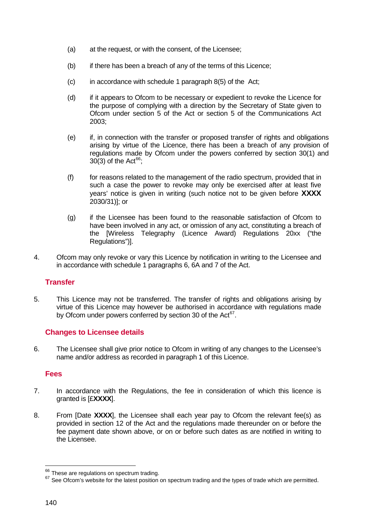- (a) at the request, or with the consent, of the Licensee;
- (b) if there has been a breach of any of the terms of this Licence;
- $(c)$  in accordance with schedule 1 paragraph 8(5) of the Act;
- (d) if it appears to Ofcom to be necessary or expedient to revoke the Licence for the purpose of complying with a direction by the Secretary of State given to Ofcom under section 5 of the Act or section 5 of the Communications Act 2003;
- (e) if, in connection with the transfer or proposed transfer of rights and obligations arising by virtue of the Licence, there has been a breach of any provision of regulations made by Ofcom under the powers conferred by section 30(1) and 30(3) of the Act<sup>66</sup>;
- (f) for reasons related to the management of the radio spectrum, provided that in such a case the power to revoke may only be exercised after at least five years' notice is given in writing (such notice not to be given before **XXXX** 2030/31)]; or
- (g) if the Licensee has been found to the reasonable satisfaction of Ofcom to have been involved in any act, or omission of any act, constituting a breach of the [Wireless Telegraphy (Licence Award) Regulations 20xx ("the Regulations")].
- 4. Ofcom may only revoke or vary this Licence by notification in writing to the Licensee and in accordance with schedule 1 paragraphs 6, 6A and 7 of the Act.

## **Transfer**

5. This Licence may not be transferred. The transfer of rights and obligations arising by virtue of this Licence may however be authorised in accordance with regulations made by Ofcom under powers conferred by section 30 of the Act<sup>67</sup>.

#### **Changes to Licensee details**

6. The Licensee shall give prior notice to Ofcom in writing of any changes to the Licensee's name and/or address as recorded in paragraph 1 of this Licence.

#### **Fees**

- 7. In accordance with the Regulations, the fee in consideration of which this licence is granted is [£**XXXX**].
- 8. From [Date **XXXX**], the Licensee shall each year pay to Ofcom the relevant fee(s) as provided in section 12 of the Act and the regulations made thereunder on or before the fee payment date shown above, or on or before such dates as are notified in writing to the Licensee.

<sup>&</sup>lt;sup>66</sup> These are regulations on spectrum trading.

<span id="page-140-1"></span><span id="page-140-0"></span><sup>67</sup> See Ofcom's website for the latest position on spectrum trading and the types of trade which are permitted.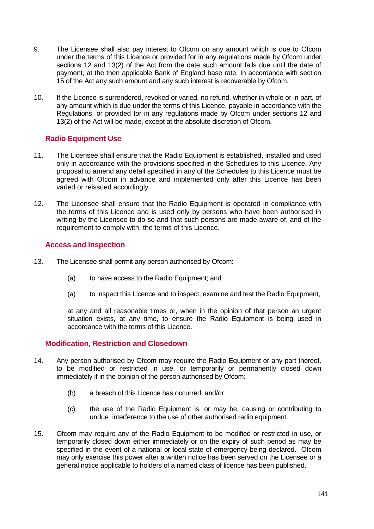- 9. The Licensee shall also pay interest to Ofcom on any amount which is due to Ofcom under the terms of this Licence or provided for in any regulations made by Ofcom under sections 12 and 13(2) of the Act from the date such amount falls due until the date of payment, at the then applicable Bank of England base rate. In accordance with section 15 of the Act any such amount and any such interest is recoverable by Ofcom.
- 10. If the Licence is surrendered, revoked or varied, no refund, whether in whole or in part, of any amount which is due under the terms of this Licence, payable in accordance with the Regulations, or provided for in any regulations made by Ofcom under sections 12 and 13(2) of the Act will be made, except at the absolute discretion of Ofcom.

## **Radio Equipment Use**

- 11. The Licensee shall ensure that the Radio Equipment is established, installed and used only in accordance with the provisions specified in the Schedules to this Licence. Any proposal to amend any detail specified in any of the Schedules to this Licence must be agreed with Ofcom in advance and implemented only after this Licence has been varied or reissued accordingly.
- 12. The Licensee shall ensure that the Radio Equipment is operated in compliance with the terms of this Licence and is used only by persons who have been authorised in writing by the Licensee to do so and that such persons are made aware of, and of the requirement to comply with, the terms of this Licence.

## **Access and Inspection**

- 13. The Licensee shall permit any person authorised by Ofcom:
	- (a) to have access to the Radio Equipment; and
	- (a) to inspect this Licence and to inspect, examine and test the Radio Equipment,

at any and all reasonable times or, when in the opinion of that person an urgent situation exists, at any time, to ensure the Radio Equipment is being used in accordance with the terms of this Licence.

#### **Modification, Restriction and Closedown**

- 14. Any person authorised by Ofcom may require the Radio Equipment or any part thereof, to be modified or restricted in use, or temporarily or permanently closed down immediately if in the opinion of the person authorised by Ofcom:
	- (b) a breach of this Licence has occurred; and/or
	- (c) the use of the Radio Equipment is, or may be, causing or contributing to undue interference to the use of other authorised radio equipment.
- 15. Ofcom may require any of the Radio Equipment to be modified or restricted in use, or temporarily closed down either immediately or on the expiry of such period as may be specified in the event of a national or local state of emergency being declared. Ofcom may only exercise this power after a written notice has been served on the Licensee or a general notice applicable to holders of a named class of licence has been published.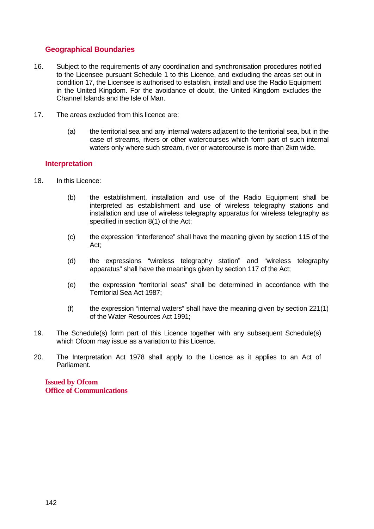## **Geographical Boundaries**

- 16. Subject to the requirements of any coordination and synchronisation procedures notified to the Licensee pursuant Schedule 1 to this Licence, and excluding the areas set out in condition 17, the Licensee is authorised to establish, install and use the Radio Equipment in the United Kingdom. For the avoidance of doubt, the United Kingdom excludes the Channel Islands and the Isle of Man.
- 17. The areas excluded from this licence are:
	- (a) the territorial sea and any internal waters adjacent to the territorial sea, but in the case of streams, rivers or other watercourses which form part of such internal waters only where such stream, river or watercourse is more than 2km wide.

## **Interpretation**

- 18. In this Licence:
	- (b) the establishment, installation and use of the Radio Equipment shall be interpreted as establishment and use of wireless telegraphy stations and installation and use of wireless telegraphy apparatus for wireless telegraphy as specified in section 8(1) of the Act;
	- (c) the expression "interference" shall have the meaning given by section 115 of the Act;
	- (d) the expressions "wireless telegraphy station" and "wireless telegraphy apparatus" shall have the meanings given by section 117 of the Act;
	- (e) the expression "territorial seas" shall be determined in accordance with the Territorial Sea Act 1987;
	- $(f)$  the expression "internal waters" shall have the meaning given by section 221(1) of the Water Resources Act 1991;
- 19. The Schedule(s) form part of this Licence together with any subsequent Schedule(s) which Ofcom may issue as a variation to this Licence.
- 20. The Interpretation Act 1978 shall apply to the Licence as it applies to an Act of Parliament.

**Issued by Ofcom Office of Communications**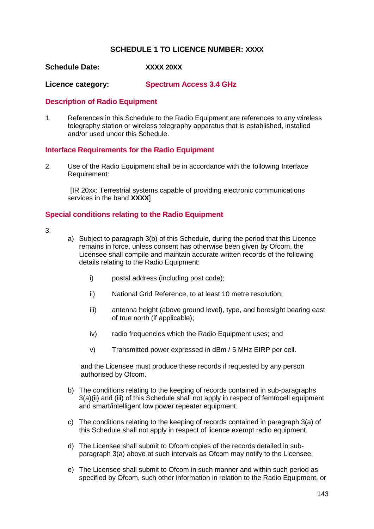## **SCHEDULE 1 TO LICENCE NUMBER: XXXX**

#### **Schedule Date: XXXX 20XX**

**Licence category: Spectrum Access 3.4 GHz**

#### **Description of Radio Equipment**

1. References in this Schedule to the Radio Equipment are references to any wireless telegraphy station or wireless telegraphy apparatus that is established, installed and/or used under this Schedule.

#### **Interface Requirements for the Radio Equipment**

2. Use of the Radio Equipment shall be in accordance with the following Interface Requirement:

[IR 20xx: Terrestrial systems capable of providing electronic communications services in the band **XXXX**]

## **Special conditions relating to the Radio Equipment**

- 3.
- a) Subject to paragraph 3(b) of this Schedule, during the period that this Licence remains in force, unless consent has otherwise been given by Ofcom, the Licensee shall compile and maintain accurate written records of the following details relating to the Radio Equipment:
	- i) postal address (including post code);
	- ii) National Grid Reference, to at least 10 metre resolution;
	- iii) antenna height (above ground level), type, and boresight bearing east of true north (if applicable);
	- iv) radio frequencies which the Radio Equipment uses; and
	- v) Transmitted power expressed in dBm / 5 MHz EIRP per cell.

and the Licensee must produce these records if requested by any person authorised by Ofcom.

- b) The conditions relating to the keeping of records contained in sub-paragraphs 3(a)(ii) and (iii) of this Schedule shall not apply in respect of femtocell equipment and smart/intelligent low power repeater equipment.
- c) The conditions relating to the keeping of records contained in paragraph 3(a) of this Schedule shall not apply in respect of licence exempt radio equipment.
- d) The Licensee shall submit to Ofcom copies of the records detailed in subparagraph 3(a) above at such intervals as Ofcom may notify to the Licensee.
- e) The Licensee shall submit to Ofcom in such manner and within such period as specified by Ofcom, such other information in relation to the Radio Equipment, or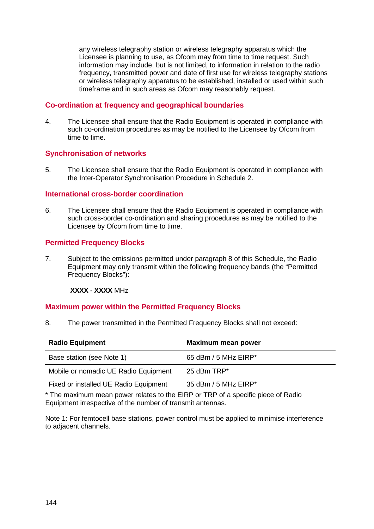any wireless telegraphy station or wireless telegraphy apparatus which the Licensee is planning to use, as Ofcom may from time to time request. Such information may include, but is not limited, to information in relation to the radio frequency, transmitted power and date of first use for wireless telegraphy stations or wireless telegraphy apparatus to be established, installed or used within such timeframe and in such areas as Ofcom may reasonably request.

# **Co-ordination at frequency and geographical boundaries**

4. The Licensee shall ensure that the Radio Equipment is operated in compliance with such co-ordination procedures as may be notified to the Licensee by Ofcom from time to time.

# **Synchronisation of networks**

5. The Licensee shall ensure that the Radio Equipment is operated in compliance with the Inter-Operator Synchronisation Procedure in Schedule 2.

#### **International cross-border coordination**

6. The Licensee shall ensure that the Radio Equipment is operated in compliance with such cross-border co-ordination and sharing procedures as may be notified to the Licensee by Ofcom from time to time.

# **Permitted Frequency Blocks**

7. Subject to the emissions permitted under paragraph 8 of this Schedule, the Radio Equipment may only transmit within the following frequency bands (the "Permitted Frequency Blocks"):

#### **XXXX - XXXX** MHz

#### **Maximum power within the Permitted Frequency Blocks**

8. The power transmitted in the Permitted Frequency Blocks shall not exceed:

| <b>Radio Equipment</b>                | <b>Maximum mean power</b> |
|---------------------------------------|---------------------------|
| Base station (see Note 1)             | 65 dBm / 5 MHz EIRP*      |
| Mobile or nomadic UE Radio Equipment  | 25 dBm TRP*               |
| Fixed or installed UE Radio Equipment | 35 dBm / 5 MHz EIRP*      |

\* The maximum mean power relates to the EIRP or TRP of a specific piece of Radio Equipment irrespective of the number of transmit antennas.

Note 1: For femtocell base stations, power control must be applied to minimise interference to adjacent channels.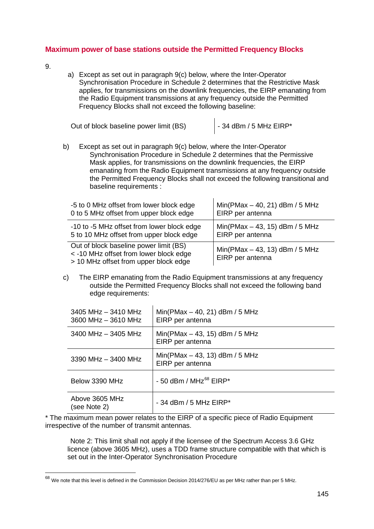# **Maximum power of base stations outside the Permitted Frequency Blocks**

9.

 $\overline{\phantom{a}}$ 

a) Except as set out in paragraph 9(c) below, where the Inter-Operator Synchronisation Procedure in Schedule 2 determines that the Restrictive Mask applies, for transmissions on the downlink frequencies, the EIRP emanating from the Radio Equipment transmissions at any frequency outside the Permitted Frequency Blocks shall not exceed the following baseline:

Out of block baseline power limit (BS)  $\vert$  - 34 dBm / 5 MHz EIRP\*

b) Except as set out in paragraph 9(c) below, where the Inter-Operator Synchronisation Procedure in Schedule 2 determines that the Permissive Mask applies, for transmissions on the downlink frequencies, the EIRP emanating from the Radio Equipment transmissions at any frequency outside the Permitted Frequency Blocks shall not exceed the following transitional and baseline requirements :

| -5 to 0 MHz offset from lower block edge                                                                                  | $Min(PMax - 40, 21)$ dBm / 5 MHz                     |
|---------------------------------------------------------------------------------------------------------------------------|------------------------------------------------------|
| 0 to 5 MHz offset from upper block edge                                                                                   | EIRP per antenna                                     |
| -10 to -5 MHz offset from lower block edge                                                                                | Min(PMax $-$ 43, 15) dBm / 5 MHz                     |
| 5 to 10 MHz offset from upper block edge                                                                                  | EIRP per antenna                                     |
| Out of block baseline power limit (BS)<br>< -10 MHz offset from lower block edge<br>> 10 MHz offset from upper block edge | Min(PMax $-$ 43, 13) dBm / 5 MHz<br>EIRP per antenna |

c) The EIRP emanating from the Radio Equipment transmissions at any frequency outside the Permitted Frequency Blocks shall not exceed the following band edge requirements:

| $3405$ MHz $-$ 3410 MHz<br>3600 MHz - 3610 MHz | $Min(PMax - 40, 21)$ dBm / 5 MHz<br>EIRP per antenna |
|------------------------------------------------|------------------------------------------------------|
| $3400$ MHz $-$ 3405 MHz                        | $Min(PMax - 43, 15)$ dBm / 5 MHz<br>EIRP per antenna |
| 3390 MHz $-$ 3400 MHz                          | $Min(PMax - 43, 13)$ dBm / 5 MHz<br>EIRP per antenna |
| Below 3390 MHz                                 | $-50$ dBm / MHz <sup>68</sup> EIRP*                  |
| Above 3605 MHz<br>(see Note 2)                 | $-$ 34 dBm / 5 MHz EIRP*                             |

\* The maximum mean power relates to the EIRP of a specific piece of Radio Equipment irrespective of the number of transmit antennas.

Note 2: This limit shall not apply if the licensee of the Spectrum Access 3.6 GHz licence (above 3605 MHz), uses a TDD frame structure compatible with that which is set out in the Inter-Operator Synchronisation Procedure

<span id="page-145-0"></span> $^{68}$  We note that this level is defined in the Commission Decision 2014/276/EU as per MHz rather than per 5 MHz.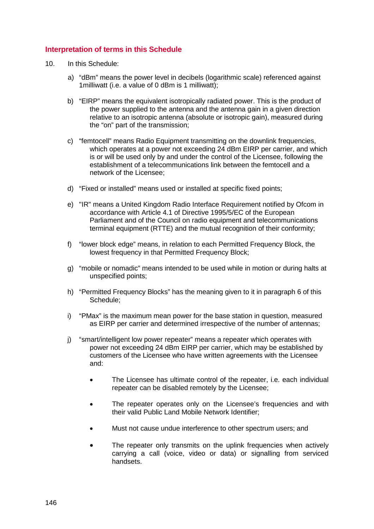# **Interpretation of terms in this Schedule**

- 10. In this Schedule:
	- a) "dBm" means the power level in decibels (logarithmic scale) referenced against 1milliwatt (i.e. a value of 0 dBm is 1 milliwatt);
	- b) "EIRP" means the equivalent isotropically radiated power. This is the product of the power supplied to the antenna and the antenna gain in a given direction relative to an isotropic antenna (absolute or isotropic gain), measured during the "on" part of the transmission;
	- c) "femtocell" means Radio Equipment transmitting on the downlink frequencies, which operates at a power not exceeding 24 dBm EIRP per carrier, and which is or will be used only by and under the control of the Licensee, following the establishment of a telecommunications link between the femtocell and a network of the Licensee;
	- d) "Fixed or installed" means used or installed at specific fixed points;
	- e) "IR" means a United Kingdom Radio Interface Requirement notified by Ofcom in accordance with Article 4.1 of Directive 1995/5/EC of the European Parliament and of the Council on radio equipment and telecommunications terminal equipment (RTTE) and the mutual recognition of their conformity;
	- f) "lower block edge" means, in relation to each Permitted Frequency Block, the lowest frequency in that Permitted Frequency Block;
	- g) "mobile or nomadic" means intended to be used while in motion or during halts at unspecified points;
	- h) "Permitted Frequency Blocks" has the meaning given to it in paragraph 6 of this Schedule;
	- i) "PMax" is the maximum mean power for the base station in question, measured as EIRP per carrier and determined irrespective of the number of antennas;
	- j) "smart/intelligent low power repeater" means a repeater which operates with power not exceeding 24 dBm EIRP per carrier, which may be established by customers of the Licensee who have written agreements with the Licensee and:
		- The Licensee has ultimate control of the repeater, i.e. each individual repeater can be disabled remotely by the Licensee;
		- The repeater operates only on the Licensee's frequencies and with their valid Public Land Mobile Network Identifier;
		- Must not cause undue interference to other spectrum users; and
		- The repeater only transmits on the uplink frequencies when actively carrying a call (voice, video or data) or signalling from serviced handsets.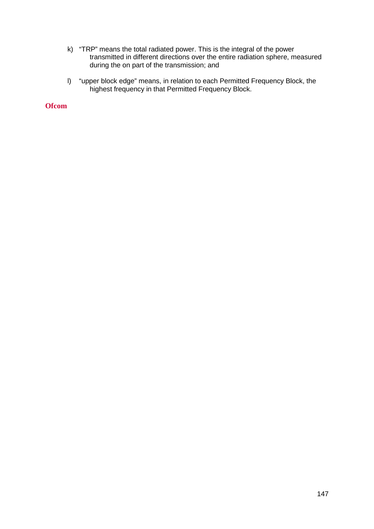- k) "TRP" means the total radiated power. This is the integral of the power transmitted in different directions over the entire radiation sphere, measured during the on part of the transmission; and
- l) "upper block edge" means, in relation to each Permitted Frequency Block, the highest frequency in that Permitted Frequency Block.

**Ofcom**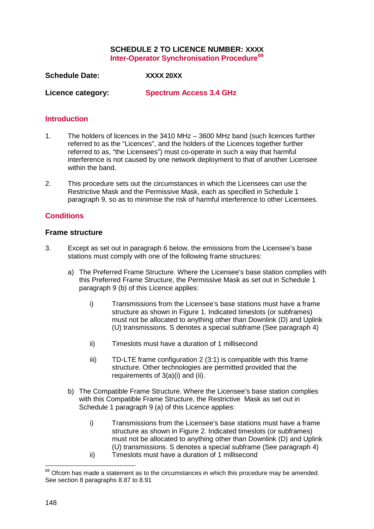# **SCHEDULE 2 TO LICENCE NUMBER: XXXX Inter-Operator Synchronisation Procedure[69](#page-148-0)**

**Schedule Date: XXXX 20XX**

**Licence category: Spectrum Access 3.4 GHz**

#### **Introduction**

- 1. The holders of licences in the 3410 MHz 3600 MHz band (such licences further referred to as the "Licences", and the holders of the Licences together further referred to as, "the Licensees") must co-operate in such a way that harmful interference is not caused by one network deployment to that of another Licensee within the band.
- 2. This procedure sets out the circumstances in which the Licensees can use the Restrictive Mask and the Permissive Mask, each as specified in Schedule 1 paragraph [9,](#page-133-0) so as to minimise the risk of harmful interference to other Licensees.

# **Conditions**

#### **Frame structure**

- 3. Except as set out in paragraph [6](#page-137-0) below, the emissions from the Licensee's base stations must comply with one of the following frame structures:
	- a) The Preferred Frame Structure. Where the Licensee's base station complies with this Preferred Frame Structure, the Permissive Mask as set out in Schedule 1 paragraph [9](#page-133-0) (b) of this Licence applies:
		- i) Transmissions from the Licensee's base stations must have a frame structure as shown in [Figure 1.](#page-136-0) Indicated timeslots (or subframes) must not be allocated to anything other than Downlink (D) and Uplink (U) transmissions. S denotes a special subframe (See paragraph [4\)](#page-137-1)
		- ii) Timeslots must have a duration of 1 millisecond
		- iii) TD-LTE frame configuration 2 (3:1) is compatible with this frame structure. Other technologies are permitted provided that the requirements of 3(a)(i) and (ii).
	- b) The Compatible Frame Structure. Where the Licensee's base station complies with this Compatible Frame Structure, the Restrictive Mask as set out in Schedule 1 paragraph [9](#page-133-0) (a) of this Licence applies:
		- i) Transmissions from the Licensee's base stations must have a frame structure as shown in [Figure 2.](#page-136-1) Indicated timeslots (or subframes) must not be allocated to anything other than Downlink (D) and Uplink (U) transmissions. S denotes a special subframe (See paragraph [4\)](#page-137-1) ii) Timeslots must have a duration of 1 millisecond

<u>.</u>

<span id="page-148-0"></span> $69$  Ofcom has made a statement as to the circumstances in which this procedure may be amended. See section 8 paragraphs 8.87 to 8.91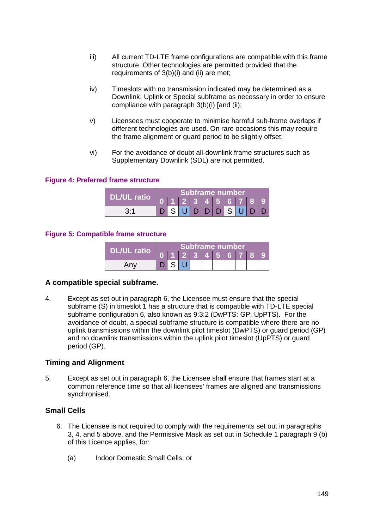- iii) All current TD-LTE frame configurations are compatible with this frame structure. Other technologies are permitted provided that the requirements of 3(b)(i) and (ii) are met;
- iv) Timeslots with no transmission indicated may be determined as a Downlink, Uplink or Special subframe as necessary in order to ensure compliance with paragraph 3(b)(i) [and (ii);
- v) Licensees must cooperate to minimise harmful sub-frame overlaps if different technologies are used. On rare occasions this may require the frame alignment or guard period to be slightly offset;
- vi) For the avoidance of doubt all-downlink frame structures such as Supplementary Downlink (SDL) are not permitted.

#### **Figure 4: Preferred frame structure**

|                    | Subframe number |  |  |  |          |  |  |         |  |
|--------------------|-----------------|--|--|--|----------|--|--|---------|--|
| <b>DL/UL ratio</b> |                 |  |  |  |          |  |  | 2345678 |  |
|                    |                 |  |  |  | IDIDISIU |  |  |         |  |

#### **Figure 5: Compatible frame structure**

|             | Subframe number |  |  |  |          |  |  |  |  |  |
|-------------|-----------------|--|--|--|----------|--|--|--|--|--|
| DL/UL ratio |                 |  |  |  | 12345678 |  |  |  |  |  |
| Any         |                 |  |  |  |          |  |  |  |  |  |

#### **A compatible special subframe.**

4. Except as set out in paragraph [6,](#page-137-0) the Licensee must ensure that the special subframe (S) in timeslot 1 has a structure that is compatible with TD-LTE special subframe configuration 6, also known as 9:3:2 (DwPTS: GP: UpPTS). For the avoidance of doubt, a special subframe structure is compatible where there are no uplink transmissions within the downlink pilot timeslot (DwPTS) or guard period (GP) and no downlink transmissions within the uplink pilot timeslot (UpPTS) or guard period (GP).

#### **Timing and Alignment**

5. Except as set out in paragraph [6,](#page-137-0) the Licensee shall ensure that frames start at a common reference time so that all licensees' frames are aligned and transmissions synchronised.

# **Small Cells**

- 6. The Licensee is not required to comply with the requirements set out in paragraphs [3,](#page-136-2) [4,](#page-137-1) and [5](#page-137-2) above, and the Permissive Mask as set out in Schedule 1 paragraph [9](#page-133-0) (b) of this Licence applies, for:
	- (a) Indoor Domestic Small Cells; or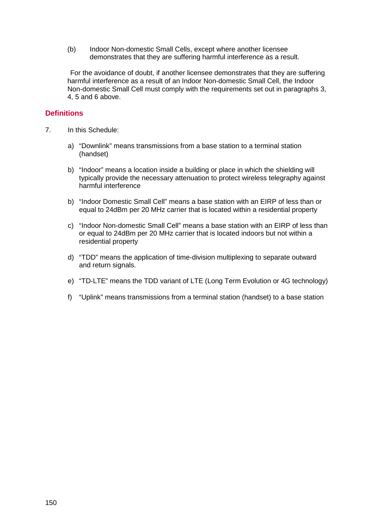(b) Indoor Non-domestic Small Cells, except where another licensee demonstrates that they are suffering harmful interference as a result.

For the avoidance of doubt, if another licensee demonstrates that they are suffering harmful interference as a result of an Indoor Non-domestic Small Cell, the Indoor Non-domestic Small Cell must comply with the requirements set out in paragraphs [3,](#page-136-2) [4,](#page-137-1) [5](#page-137-2) and 6 above.

# **Definitions**

- 7. In this Schedule:
	- a) "Downlink" means transmissions from a base station to a terminal station (handset)
	- b) "Indoor" means a location inside a building or place in which the shielding will typically provide the necessary attenuation to protect wireless telegraphy against harmful interference
	- b) "Indoor Domestic Small Cell" means a base station with an EIRP of less than or equal to 24dBm per 20 MHz carrier that is located within a residential property
	- c) "Indoor Non-domestic Small Cell" means a base station with an EIRP of less than or equal to 24dBm per 20 MHz carrier that is located indoors but not within a residential property
	- d) "TDD" means the application of time-division multiplexing to separate outward and return signals.
	- e) "TD-LTE" means the TDD variant of LTE (Long Term Evolution or 4G technology)
	- f) "Uplink" means transmissions from a terminal station (handset) to a base station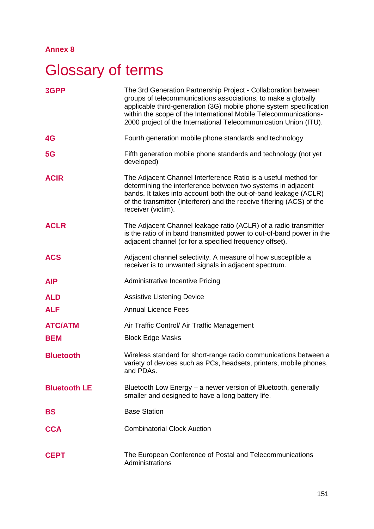# **Annex 8**

# **Glossary of terms**

| 3GPP                | The 3rd Generation Partnership Project - Collaboration between<br>groups of telecommunications associations, to make a globally<br>applicable third-generation (3G) mobile phone system specification<br>within the scope of the International Mobile Telecommunications-<br>2000 project of the International Telecommunication Union (ITU). |
|---------------------|-----------------------------------------------------------------------------------------------------------------------------------------------------------------------------------------------------------------------------------------------------------------------------------------------------------------------------------------------|
| 4G                  | Fourth generation mobile phone standards and technology                                                                                                                                                                                                                                                                                       |
| 5G                  | Fifth generation mobile phone standards and technology (not yet<br>developed)                                                                                                                                                                                                                                                                 |
| <b>ACIR</b>         | The Adjacent Channel Interference Ratio is a useful method for<br>determining the interference between two systems in adjacent<br>bands. It takes into account both the out-of-band leakage (ACLR)<br>of the transmitter (interferer) and the receive filtering (ACS) of the<br>receiver (victim).                                            |
| <b>ACLR</b>         | The Adjacent Channel leakage ratio (ACLR) of a radio transmitter<br>is the ratio of in band transmitted power to out-of-band power in the<br>adjacent channel (or for a specified frequency offset).                                                                                                                                          |
| <b>ACS</b>          | Adjacent channel selectivity. A measure of how susceptible a<br>receiver is to unwanted signals in adjacent spectrum.                                                                                                                                                                                                                         |
| <b>AIP</b>          | <b>Administrative Incentive Pricing</b>                                                                                                                                                                                                                                                                                                       |
| <b>ALD</b>          | <b>Assistive Listening Device</b>                                                                                                                                                                                                                                                                                                             |
| <b>ALF</b>          | <b>Annual Licence Fees</b>                                                                                                                                                                                                                                                                                                                    |
| <b>ATC/ATM</b>      | Air Traffic Control/ Air Traffic Management                                                                                                                                                                                                                                                                                                   |
| <b>BEM</b>          | <b>Block Edge Masks</b>                                                                                                                                                                                                                                                                                                                       |
| <b>Bluetooth</b>    | Wireless standard for short-range radio communications between a<br>variety of devices such as PCs, headsets, printers, mobile phones,<br>and PDAs.                                                                                                                                                                                           |
| <b>Bluetooth LE</b> | Bluetooth Low Energy – a newer version of Bluetooth, generally<br>smaller and designed to have a long battery life.                                                                                                                                                                                                                           |
| <b>BS</b>           | <b>Base Station</b>                                                                                                                                                                                                                                                                                                                           |
| <b>CCA</b>          | <b>Combinatorial Clock Auction</b>                                                                                                                                                                                                                                                                                                            |
| <b>CEPT</b>         | The European Conference of Postal and Telecommunications<br>Administrations                                                                                                                                                                                                                                                                   |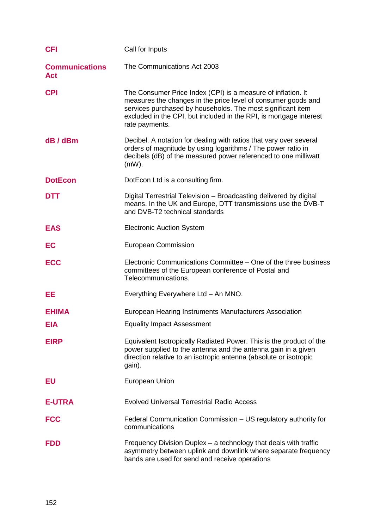| <b>CFI</b>                          | Call for Inputs                                                                                                                                                                                                                                                                      |
|-------------------------------------|--------------------------------------------------------------------------------------------------------------------------------------------------------------------------------------------------------------------------------------------------------------------------------------|
| <b>Communications</b><br><b>Act</b> | The Communications Act 2003                                                                                                                                                                                                                                                          |
| <b>CPI</b>                          | The Consumer Price Index (CPI) is a measure of inflation. It<br>measures the changes in the price level of consumer goods and<br>services purchased by households. The most significant item<br>excluded in the CPI, but included in the RPI, is mortgage interest<br>rate payments. |
| dB / dBm                            | Decibel. A notation for dealing with ratios that vary over several<br>orders of magnitude by using logarithms / The power ratio in<br>decibels (dB) of the measured power referenced to one milliwatt<br>$(mW)$ .                                                                    |
| <b>DotEcon</b>                      | DotEcon Ltd is a consulting firm.                                                                                                                                                                                                                                                    |
| <b>DTT</b>                          | Digital Terrestrial Television - Broadcasting delivered by digital<br>means. In the UK and Europe, DTT transmissions use the DVB-T<br>and DVB-T2 technical standards                                                                                                                 |
| <b>EAS</b>                          | <b>Electronic Auction System</b>                                                                                                                                                                                                                                                     |
| EC                                  | <b>European Commission</b>                                                                                                                                                                                                                                                           |
| <b>ECC</b>                          | Electronic Communications Committee – One of the three business<br>committees of the European conference of Postal and<br>Telecommunications.                                                                                                                                        |
| EE                                  | Everything Everywhere Ltd - An MNO.                                                                                                                                                                                                                                                  |
| <b>EHIMA</b>                        | European Hearing Instruments Manufacturers Association                                                                                                                                                                                                                               |
| <b>EIA</b>                          | <b>Equality Impact Assessment</b>                                                                                                                                                                                                                                                    |
| <b>EIRP</b>                         | Equivalent Isotropically Radiated Power. This is the product of the<br>power supplied to the antenna and the antenna gain in a given<br>direction relative to an isotropic antenna (absolute or isotropic<br>gain).                                                                  |
| EU                                  | <b>European Union</b>                                                                                                                                                                                                                                                                |
| <b>E-UTRA</b>                       | <b>Evolved Universal Terrestrial Radio Access</b>                                                                                                                                                                                                                                    |
| <b>FCC</b>                          | Federal Communication Commission - US regulatory authority for<br>communications                                                                                                                                                                                                     |
| <b>FDD</b>                          | Frequency Division Duplex - a technology that deals with traffic<br>asymmetry between uplink and downlink where separate frequency<br>bands are used for send and receive operations                                                                                                 |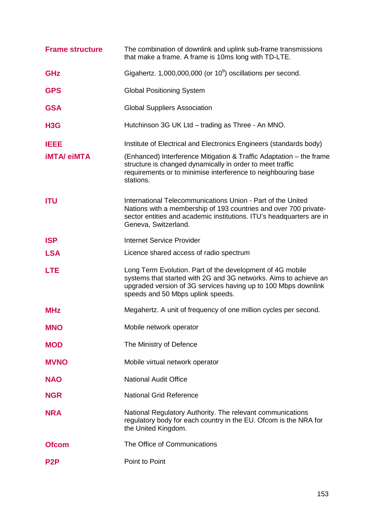| <b>Frame structure</b> | The combination of downlink and uplink sub-frame transmissions<br>that make a frame. A frame is 10ms long with TD-LTE.                                                                                                               |
|------------------------|--------------------------------------------------------------------------------------------------------------------------------------------------------------------------------------------------------------------------------------|
| <b>GHz</b>             | Gigahertz. $1,000,000,000$ (or $10^9$ ) oscillations per second.                                                                                                                                                                     |
| <b>GPS</b>             | <b>Global Positioning System</b>                                                                                                                                                                                                     |
| <b>GSA</b>             | <b>Global Suppliers Association</b>                                                                                                                                                                                                  |
| H <sub>3</sub> G       | Hutchinson 3G UK Ltd - trading as Three - An MNO.                                                                                                                                                                                    |
| <b>IEEE</b>            | Institute of Electrical and Electronics Engineers (standards body)                                                                                                                                                                   |
| <b>iMTA/ eiMTA</b>     | (Enhanced) Interference Mitigation & Traffic Adaptation – the frame<br>structure is changed dynamically in order to meet traffic<br>requirements or to minimise interference to neighbouring base<br>stations.                       |
| <b>ITU</b>             | International Telecommunications Union - Part of the United<br>Nations with a membership of 193 countries and over 700 private-<br>sector entities and academic institutions. ITU's headquarters are in<br>Geneva, Switzerland.      |
| <b>ISP</b>             | <b>Internet Service Provider</b>                                                                                                                                                                                                     |
| <b>LSA</b>             | Licence shared access of radio spectrum                                                                                                                                                                                              |
| <b>LTE</b>             | Long Term Evolution. Part of the development of 4G mobile<br>systems that started with 2G and 3G networks. Aims to achieve an<br>upgraded version of 3G services having up to 100 Mbps downlink<br>speeds and 50 Mbps uplink speeds. |
| <b>MHz</b>             | Megahertz. A unit of frequency of one million cycles per second.                                                                                                                                                                     |
| <b>MNO</b>             | Mobile network operator                                                                                                                                                                                                              |
| <b>MOD</b>             | The Ministry of Defence                                                                                                                                                                                                              |
| <b>MVNO</b>            | Mobile virtual network operator                                                                                                                                                                                                      |
| <b>NAO</b>             | <b>National Audit Office</b>                                                                                                                                                                                                         |
| <b>NGR</b>             | <b>National Grid Reference</b>                                                                                                                                                                                                       |
| <b>NRA</b>             | National Regulatory Authority. The relevant communications<br>regulatory body for each country in the EU. Ofcom is the NRA for<br>the United Kingdom.                                                                                |
| <b>Ofcom</b>           | The Office of Communications                                                                                                                                                                                                         |
| P <sub>2</sub> P       | Point to Point                                                                                                                                                                                                                       |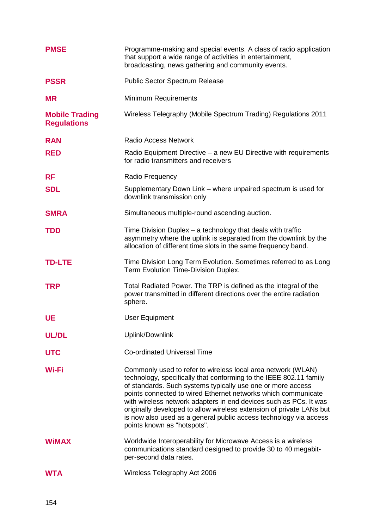| <b>PMSE</b>                                 | Programme-making and special events. A class of radio application<br>that support a wide range of activities in entertainment,<br>broadcasting, news gathering and community events.                                                                                                                                                                                                                                                                                                                                |
|---------------------------------------------|---------------------------------------------------------------------------------------------------------------------------------------------------------------------------------------------------------------------------------------------------------------------------------------------------------------------------------------------------------------------------------------------------------------------------------------------------------------------------------------------------------------------|
| <b>PSSR</b>                                 | <b>Public Sector Spectrum Release</b>                                                                                                                                                                                                                                                                                                                                                                                                                                                                               |
| <b>MR</b>                                   | <b>Minimum Requirements</b>                                                                                                                                                                                                                                                                                                                                                                                                                                                                                         |
| <b>Mobile Trading</b><br><b>Regulations</b> | Wireless Telegraphy (Mobile Spectrum Trading) Regulations 2011                                                                                                                                                                                                                                                                                                                                                                                                                                                      |
| <b>RAN</b>                                  | <b>Radio Access Network</b>                                                                                                                                                                                                                                                                                                                                                                                                                                                                                         |
| <b>RED</b>                                  | Radio Equipment Directive – a new EU Directive with requirements<br>for radio transmitters and receivers                                                                                                                                                                                                                                                                                                                                                                                                            |
| <b>RF</b>                                   | Radio Frequency                                                                                                                                                                                                                                                                                                                                                                                                                                                                                                     |
| <b>SDL</b>                                  | Supplementary Down Link – where unpaired spectrum is used for<br>downlink transmission only                                                                                                                                                                                                                                                                                                                                                                                                                         |
| <b>SMRA</b>                                 | Simultaneous multiple-round ascending auction.                                                                                                                                                                                                                                                                                                                                                                                                                                                                      |
| <b>TDD</b>                                  | Time Division Duplex – a technology that deals with traffic<br>asymmetry where the uplink is separated from the downlink by the<br>allocation of different time slots in the same frequency band.                                                                                                                                                                                                                                                                                                                   |
| <b>TD-LTE</b>                               | Time Division Long Term Evolution. Sometimes referred to as Long<br>Term Evolution Time-Division Duplex.                                                                                                                                                                                                                                                                                                                                                                                                            |
| <b>TRP</b>                                  | Total Radiated Power. The TRP is defined as the integral of the<br>power transmitted in different directions over the entire radiation<br>sphere.                                                                                                                                                                                                                                                                                                                                                                   |
| <b>UE</b>                                   | User Equipment                                                                                                                                                                                                                                                                                                                                                                                                                                                                                                      |
| <b>UL/DL</b>                                | Uplink/Downlink                                                                                                                                                                                                                                                                                                                                                                                                                                                                                                     |
| <b>UTC</b>                                  | <b>Co-ordinated Universal Time</b>                                                                                                                                                                                                                                                                                                                                                                                                                                                                                  |
| Wi-Fi                                       | Commonly used to refer to wireless local area network (WLAN)<br>technology, specifically that conforming to the IEEE 802.11 family<br>of standards. Such systems typically use one or more access<br>points connected to wired Ethernet networks which communicate<br>with wireless network adapters in end devices such as PCs. It was<br>originally developed to allow wireless extension of private LANs but<br>is now also used as a general public access technology via access<br>points known as "hotspots". |
| <b>WIMAX</b>                                | Worldwide Interoperability for Microwave Access is a wireless<br>communications standard designed to provide 30 to 40 megabit-<br>per-second data rates.                                                                                                                                                                                                                                                                                                                                                            |
| <b>WTA</b>                                  | Wireless Telegraphy Act 2006                                                                                                                                                                                                                                                                                                                                                                                                                                                                                        |